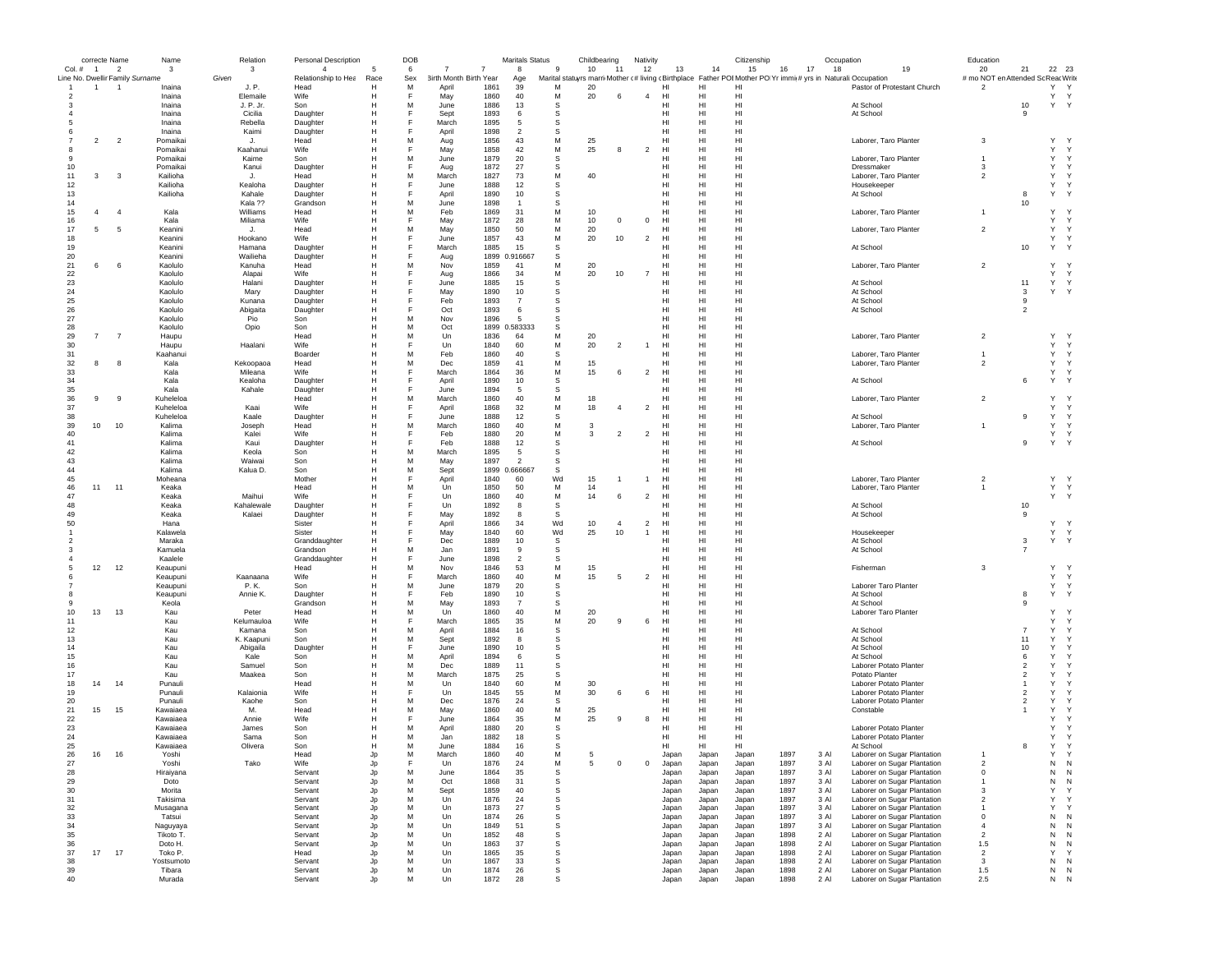|                                 | correcte Name  |                | Name                 | Relation         | Personal Description |        | DOB    |                        |              | <b>Maritals Status</b> |             | Childbearing |                          | Nativity       |                 |          | Citizenship     |          | Occupation     |                                                                                                               | Education                         |                |                   |  |
|---------------------------------|----------------|----------------|----------------------|------------------|----------------------|--------|--------|------------------------|--------------|------------------------|-------------|--------------|--------------------------|----------------|-----------------|----------|-----------------|----------|----------------|---------------------------------------------------------------------------------------------------------------|-----------------------------------|----------------|-------------------|--|
| Col. # 1                        |                | $\overline{2}$ | 3                    | 3                | $\overline{4}$       |        | 6      |                        | 7            | 8                      | 9           | 10           | 11                       | 12             | 13              | 14       | 15              | 16<br>17 | 18             | 19                                                                                                            | 20                                | 21             | 22 23             |  |
| Line No. Dwellir Family Surname |                |                |                      | Given            | Relationship to Hea  | Race   | Sex    | 3irth Month Birth Year |              | Age                    |             |              |                          |                |                 |          |                 |          |                | Marital statuyrs marri Mother (#living (Birthplace Father POI Mother PO Yr immi(# yrs in Naturali: Occupation | # mo NOT en Attended Sc ReacWrite |                |                   |  |
| $\mathbf{1}$                    | $\mathbf{1}$   | $\overline{1}$ | Inaina               | J. P.            | Head                 | н      | M      | April                  | 1861         | 39                     | М           | 20           |                          |                | HI              | HI       | HI              |          |                | Pastor of Protestant Church                                                                                   | $\overline{2}$                    |                | Y Y               |  |
| -2                              |                |                | Inaina               | Elemaile         | Wife                 | н      |        | May                    | 1860         | 40                     | М           | 20           | -6                       | $\overline{4}$ | HI              | HI       | HI              |          |                |                                                                                                               |                                   |                | Y Y               |  |
|                                 |                |                | Inaina               | J. P. Jr.        | Son                  | н      | м      | June                   | 1886         | 13                     | -S          |              |                          |                | HI              | HI       | HI              |          |                | At School                                                                                                     |                                   | 10             | Y<br>$\mathsf{Y}$ |  |
|                                 |                |                | Inaina<br>Inaina     | Cicilia          | Daughter             |        |        | Sept                   | 1893         | 6<br>5                 | -S<br>-S    |              |                          |                | HI<br>нı        | HI<br>HI | HI<br>HI        |          |                | At School                                                                                                     |                                   | 9              |                   |  |
|                                 |                |                | Inaina               | Rebella<br>Kaimi | Daughter<br>Daughter | Н      |        | March<br>April         | 1895<br>1898 | $\overline{2}$         | s           |              |                          |                | HI              | HI       | HI              |          |                |                                                                                                               |                                   |                |                   |  |
|                                 | $\overline{2}$ |                |                      |                  |                      | Н      | M      |                        | 1856         | 43                     | М           |              |                          |                | HI              | HI       | H <sub>1</sub>  |          |                | Laborer, Taro Planter                                                                                         | 3                                 |                | Y                 |  |
|                                 |                | $\overline{2}$ | Pomaikai<br>Pomaikai | J.<br>Kaahanui   | Head<br>Wife         | н      |        | Aug<br>May             | 1858         | 42                     | M           | 25<br>25     | 8                        | $\overline{2}$ | H <sub>II</sub> | HI       | H <sub>II</sub> |          |                |                                                                                                               |                                   |                | $\mathsf{Y}$<br>Y |  |
| -9                              |                |                | Pomaikai             | Kaime            | Son                  | н      | M      | June                   | 1879         | 20                     | s           |              |                          |                | HI              | HI       | HI              |          |                | Laborer, Taro Planter                                                                                         |                                   |                | Y<br>Y            |  |
| 10                              |                |                | Pomaikai             | Kanui            | Daughter             | Н      | F      | Aug                    | 1872         | 27                     | S           |              |                          |                | HI              | HI       | HI              |          |                | Dressmaker                                                                                                    | 3                                 |                | Y<br>Y            |  |
| 11                              | 3              | 3              | Kailioha             |                  | Head                 | Н      | M      | March                  | 1827         | 73                     | М           | 40           |                          |                | HI              | HI       | HI              |          |                | Laborer, Taro Planter                                                                                         | $\overline{2}$                    |                | Y<br>Y            |  |
| 12                              |                |                | Kailioha             | Kealoha          | Daughter             | н      |        | June                   | 1888         | 12                     | s           |              |                          |                | HI              | HI       | HI              |          |                | Housekeeper                                                                                                   |                                   |                | Y                 |  |
| 13                              |                |                | Kailioha             | Kahale           | Daughter             | н      |        | April                  | 1890         | 10                     | -S          |              |                          |                | HI              | HI       | HI              |          |                | At School                                                                                                     |                                   | 8              | Y                 |  |
| 14                              |                |                |                      | Kala ??          | Grandson             | н      | M      | June                   | 1898         | $\overline{1}$         | S           |              |                          |                | HI              | HI       | HI              |          |                |                                                                                                               |                                   | 10             |                   |  |
| 15                              | $\overline{4}$ | $\overline{4}$ | Kala                 | Williams         | Head                 | н      | M      | Feb                    | 1869         | 31                     | M           | 10           |                          |                | HI              | HI       | HI              |          |                | Laborer, Taro Planter                                                                                         |                                   |                | Y                 |  |
| 16                              |                |                | Kala                 | Miliama          | Wife                 |        |        | May                    | 1872         | 28                     | M           | 10           | $\mathbf 0$              | $^{\circ}$     | HI              | HI       | HI              |          |                |                                                                                                               |                                   |                | Y<br>Y            |  |
| 17                              | 5              | 5              | Keanini              | J.               | Head                 | н      | M      | May                    | 1850         | 50                     | M           | 20           |                          |                | HI              | HI       | HI              |          |                | Laborer, Taro Planter                                                                                         | $\overline{2}$                    |                | Y<br>Y            |  |
| 18                              |                |                | Keanini              | Hookano          | Wife                 | н      |        | June                   | 1857         | 43                     | M           | 20           | 10                       | $\overline{2}$ | HI              | HI       | H <sub>II</sub> |          |                |                                                                                                               |                                   |                | Y<br>$\mathsf{Y}$ |  |
| 19                              |                |                | Keanini              | Hamana           | Daughter             | н      |        | March                  | 1885         | 15                     | s           |              |                          |                | HI              | HI       | H <sub>II</sub> |          |                | At School                                                                                                     |                                   | 10             | Y Y               |  |
| 20                              |                |                | Keanini              | Wailieha         | Daughter             | н      |        | Aug                    |              | 1899 0.916667          | s           |              |                          |                | HI              | HI       | HI              |          |                |                                                                                                               |                                   |                |                   |  |
| 21                              | 6              | 6              | Kaolulo              | Kanuha           | Head                 |        | M      | Nov                    | 1859         | 41                     | М           | 20           |                          |                | HI              | HI       | HI              |          |                | Laborer, Taro Planter                                                                                         | $\overline{2}$                    |                | Y<br>$\mathsf{Y}$ |  |
| 22                              |                |                | Kaolulo              | Alapai           | Wife                 |        |        | Aug                    | 1866         | 34                     | М           | 20           | 10                       | $\overline{7}$ | HI              | HI       | HI              |          |                |                                                                                                               |                                   |                | Y<br>Y            |  |
| 23                              |                |                | Kaolulo              | Halani           | Daughter             |        |        | June                   | 1885         | 15                     | -S          |              |                          |                | HI              | HI       | HI              |          |                | At School                                                                                                     |                                   | 11             | Y<br>Y            |  |
| 24                              |                |                | Kaolulo              | Mary             | Daughter             |        |        | May                    | 1890         | 10                     | -S          |              |                          |                | HI              | HI       | H <sub>1</sub>  |          |                | At School                                                                                                     |                                   | 3              | Y                 |  |
| 25                              |                |                | Kaolulo              | Kunana           | Daughter             |        |        | Feb                    | 1893         | $\overline{7}$         | -S          |              |                          |                | HI              | HI       | HI              |          |                | At School                                                                                                     |                                   | 9              |                   |  |
| 26                              |                |                | Kaolulo              | Abigaita         | Daughter             |        |        | Oct                    | 1893         | 6                      | S           |              |                          |                | нı              | HI       | HI              |          |                | At School                                                                                                     |                                   | $\overline{2}$ |                   |  |
| 27                              |                |                | Kaolulo              | Pio              | Son                  |        | M      | Nov                    | 1896         | 5                      | S           |              |                          |                | HI              | HI       | HI              |          |                |                                                                                                               |                                   |                |                   |  |
| 28                              |                |                | Kaolulo              | Opio             | Son                  | н      | M      | Oct                    |              | 1899 0.583333          | s           |              |                          |                | HI              | HI       | HI              |          |                |                                                                                                               |                                   |                |                   |  |
| 29                              | $\overline{7}$ | $\overline{7}$ | Haupu                |                  | Head                 | н      | M      | Un                     | 1836         | 64                     | M           | 20           |                          |                | H <sub>II</sub> | HI       | H <sub>II</sub> |          |                | Laborer, Taro Planter                                                                                         | $\overline{2}$                    |                | Y                 |  |
| 30                              |                |                | Haupu                | Haalani          | Wife                 | н      |        | Un                     | 1840         | 60                     | M           | 20           | $\overline{2}$           | $\overline{1}$ | HI              | HI       | HI              |          |                |                                                                                                               |                                   |                | Y<br>Y            |  |
| 31                              |                |                | Kaahanui             |                  | Boarder              | н      | M      | Feb                    | 1860         | 40                     | s           |              |                          |                | HI              | HI       | HI              |          |                | Laborer, Taro Planter                                                                                         |                                   |                | Y<br>$\mathsf{Y}$ |  |
| 32                              | 8              | -8             | Kala                 | Kekoopaoa        | Head                 |        | M      | Dec                    | 1859         | 41                     | М           | 15           |                          |                | HI              | HI       | HI              |          |                | Laborer, Taro Planter                                                                                         | $\overline{2}$                    |                | Y<br>Y<br>Y       |  |
| 33<br>34                        |                |                | Kala<br>Kala         | Mileana          | Wife                 | н      |        | March                  | 1864<br>1890 | 36<br>10               | М           | 15           | 6                        | $\overline{2}$ | HI<br>HI        | HI       | HI<br>HI        |          |                |                                                                                                               |                                   | 6              | Y<br>Y<br>Y       |  |
|                                 |                |                | Kala                 | Kealoha          | Daughter             | н<br>Н |        | April                  | 1894         | -5                     | s<br>-S     |              |                          |                | HI              | HI<br>HI | HI              |          |                | At School                                                                                                     |                                   |                |                   |  |
| 35<br>36                        | 9              | 9              | Kuheleloa            | Kahale           | Daughter<br>Head     | н      | M      | June<br>March          | 1860         | 40                     | M           | 18           |                          |                | HI              | HI       | HI              |          |                | Laborer, Taro Planter                                                                                         | $\overline{2}$                    |                | Y<br>-Y           |  |
| 37                              |                |                | Kuheleloa            | Kaai             | Wife                 |        | F      | April                  | 1868         | 32                     | М           | 18           | $\overline{4}$           | $\overline{2}$ | HI              | HI       | HI              |          |                |                                                                                                               |                                   |                | Y<br>Y            |  |
| 38                              |                |                | Kuheleloa            | Kaale            | Daughter             | Н      |        | June                   | 1888         | 12                     | S           |              |                          |                | HI              | HI       | HI              |          |                | At School                                                                                                     |                                   | 9              | Y<br>Y            |  |
| 39                              | 10             | 10             | Kalima               | Joseph           | Head                 | н      | M      | March                  | 1860         | 40                     | М           | 3            |                          |                | HI              | HI       | HI              |          |                | Laborer, Taro Planter                                                                                         | $\overline{1}$                    |                | Y<br>Y            |  |
| 40                              |                |                | Kalima               | Kalei            | Wife                 | н      | F      | Feb                    | 1880         | 20                     | M           | 3            | $\overline{\phantom{a}}$ | $\overline{2}$ | H <sub>II</sub> | HI.      | H <sub>II</sub> |          |                |                                                                                                               |                                   |                | Y<br>$\mathsf{Y}$ |  |
| 41                              |                |                | Kalima               | Kaui             | Daughter             | н      |        | Feb                    | 1888         | 12                     | s           |              |                          |                | HI              | HI       | HI              |          |                | At School                                                                                                     |                                   | 9              | Y Y               |  |
| 42                              |                |                | Kalima               | Keola            | Son                  | н      | M      | March                  | 1895         | 5                      | S           |              |                          |                | H <sub>II</sub> | HI       | HI              |          |                |                                                                                                               |                                   |                |                   |  |
| 43                              |                |                | Kalima               | Waiwai           | Son                  |        | M      | May                    | 1897         | $\overline{2}$         | -S          |              |                          |                | HI              | HI       | HI              |          |                |                                                                                                               |                                   |                |                   |  |
| 44                              |                |                | Kalima               | Kalua D.         | Son                  |        | M      | Sept                   |              | 1899 0.666667          | -S          |              |                          |                | HI              | HI       | HI              |          |                |                                                                                                               |                                   |                |                   |  |
| 45                              |                |                | Moheana              |                  | Mother               |        |        | April                  | 1840         | 60                     | Wd          | 15           |                          | $\mathbf{1}$   | HI              | HI       | HI              |          |                | Laborer, Taro Planter                                                                                         | $\overline{2}$                    |                | Y Y               |  |
| 46                              | 11             | 11             | Keaka                |                  | Head                 |        | M      | Un                     | 1850         | 50                     | M           | 14           |                          |                | HI              | HI       | H <sub>1</sub>  |          |                | Laborer, Taro Planter                                                                                         | $\overline{1}$                    |                | Y Y               |  |
| 47                              |                |                | Keaka                | Maihui           | Wife                 |        |        | Un                     | 1860         | 40                     | M           | 14           | -6                       | $\overline{2}$ | HI              | HI       | HI              |          |                |                                                                                                               |                                   |                | Y Y               |  |
| 48                              |                |                | Keaka                | Kahalewale       | Daughter             |        |        | Un                     | 1892         | 8                      | S           |              |                          |                | нı              | HI       | HI              |          |                | At School                                                                                                     |                                   | 10             |                   |  |
| 49                              |                |                | Keaka                | Kalaei           | Daughter             | н      |        | May                    | 1892         | -8                     | s           |              |                          |                | HI              | HI       | HI              |          |                | At School                                                                                                     |                                   | -9             |                   |  |
| 50                              |                |                | Hana                 |                  | Sister               | н      |        | April                  | 1866         | 34                     | Wd          | 10           | $\overline{4}$           | $\overline{2}$ | HI              | HI       | H <sub>1</sub>  |          |                |                                                                                                               |                                   |                | Y<br>Y            |  |
|                                 |                |                | Kalawela             |                  | Sister               | н      |        | May                    | 1840         | 60                     | Wd          | 25           | 10                       | $\overline{1}$ | H <sub>II</sub> | HI       | H <sub>II</sub> |          |                | Housekeeper                                                                                                   |                                   |                | Y<br>$\mathsf{Y}$ |  |
|                                 |                |                | Maraka               |                  | Granddaughter        | н      |        | Dec                    | 1889         | 10                     | s           |              |                          |                | HI              | HI       | HI              |          |                | At School                                                                                                     |                                   | 3              | Y Y               |  |
|                                 |                |                | Kamuela              |                  | Grandson             | н      | M      | Jan                    | 1891         | 9                      | S           |              |                          |                | HI              | HI       | HI              |          |                | At School                                                                                                     |                                   |                |                   |  |
|                                 |                |                | Kaalele              |                  | Granddaughter        | Н      |        | June                   | 1898         | $\overline{2}$         | S           |              |                          |                | HI              | HI       | HI              |          |                |                                                                                                               |                                   |                |                   |  |
|                                 | 12             | 12             | Keaupuni             |                  | Head                 | н      | м      | Nov                    | 1846         | 53                     | М           | 15           |                          |                | HI              | HI       | HI              |          |                | Fisherman                                                                                                     | 3                                 |                | Y Y               |  |
|                                 |                |                | Keaupuni             | Kaanaana         | Wife                 | н      |        | March                  | 1860         | 40                     | M           | 15           | -5                       | $\overline{c}$ | HI              | HI       | HI              |          |                |                                                                                                               |                                   |                | Y<br>$\mathsf{Y}$ |  |
|                                 |                |                | Keaupuni             | P.K.             | Son                  | н      | M      | June                   | 1879         | 20                     | s           |              |                          |                | HI              | HI       | HI              |          |                | Laborer Taro Planter                                                                                          |                                   |                | Y<br>Y            |  |
|                                 |                |                | Keaupuni             | Annie K.         | Daughter             | н      |        | Feb                    | 1890         | 10                     | S           |              |                          |                | HI              | HI       | HI              |          |                | At School                                                                                                     |                                   | 8              | Y<br>$\mathsf{Y}$ |  |
|                                 |                |                | Keola                |                  | Grandson             | Н      | M      | May                    | 1893         | $\overline{7}$         | S           |              |                          |                | HI              | HI       | HI              |          |                | At School                                                                                                     |                                   | -9             |                   |  |
| 10                              | 13             | 13             | Kau                  | Peter            | Head                 | н      | M      | Un                     | 1860         | 40                     | М           | 20           |                          |                | HI              | HI       | H <sub>1</sub>  |          |                | Laborer Taro Planter                                                                                          |                                   |                | Y                 |  |
| 11                              |                |                | Kau                  | Kelumauloa       | Wife                 | н      |        | March                  | 1865         | 35                     | M           | 20           | $\mathbf{g}$             | 6              | HI              | HI       | H <sub>II</sub> |          |                |                                                                                                               |                                   |                | Y<br>$\mathsf{Y}$ |  |
| 12                              |                |                | Kau                  | Kamana           | Son                  | н      | M<br>M | April                  | 1884         | 16                     | s           |              |                          |                | HI              | HI       | H <sub>II</sub> |          |                | At School                                                                                                     |                                   | -7             | Y<br>$\checkmark$ |  |
| 13<br>14                        |                |                | Kau                  | K. Kaapuni       | Son                  | н      |        | Sept                   | 1892         | 8<br>10                | s<br>S      |              |                          |                | HI<br>HI        | HI       | HI<br>HI        |          |                | At School                                                                                                     |                                   | 11             | Y<br>Y            |  |
| 15                              |                |                | Kau<br>Kau           | Abigaila<br>Kale | Daughter<br>Son      | н      | м      | June<br>April          | 1890<br>1894 | 6                      | s           |              |                          |                | HI              | HI<br>HI | HI              |          |                | At School<br>At School                                                                                        |                                   | 10<br>6        | Y                 |  |
| 16                              |                |                | Kau                  | Samuel           | Son                  | н      | M      | Dec                    | 1889         | 11                     | s           |              |                          |                | HI              | HI       | HI              |          |                | Laborer Potato Planter                                                                                        |                                   | $\overline{2}$ | Y                 |  |
| 17                              |                |                | Kau                  | Maakea           | Son                  | н      | м      | March                  | 1875         | 25                     | -S          |              |                          |                | H <sub>II</sub> | HI       | H <sub>1</sub>  |          |                | Potato Planter                                                                                                |                                   | -2             | Y                 |  |
| 18                              | 14             | 14             | Punauli              |                  | Head                 |        | M      | Un                     | 1840         | 60                     | M           | 30           |                          |                | HI              | HI       | HI              |          |                | Laborer Potato Planter                                                                                        |                                   |                | Y                 |  |
| 19                              |                |                | Punauli              | Kalaionia        | Wife                 |        |        | Un                     | 1845         | 55                     | М           | 30           |                          | 6              | HI              | HI       | HI              |          |                | Laborer Potato Planter                                                                                        |                                   |                | Y                 |  |
| 20                              |                |                | Punauli              | Kaohe            | Son                  |        | M      | Dec                    | 1876         | 24                     | S           |              |                          |                | HI              | HI       | HI              |          |                | Laborer Potato Planter                                                                                        |                                   | $\overline{2}$ | Y                 |  |
| 21                              | 15             | 15             | Kawaiaea             | M.               | Head                 | н      | M      | May                    | 1860         | 40                     | м           | 25           |                          |                | HI              | HI       | HI              |          |                | Constable                                                                                                     |                                   |                | Y                 |  |
| $22\,$                          |                |                | Kawaiaea             | Annie            | <b>Wife</b>          | н      |        | June                   | 1864         | 35                     | M           | 25           | $\mathbf{q}$             | 8              | H <sub>II</sub> | HI       | HI              |          |                |                                                                                                               |                                   |                | Υ                 |  |
| 23                              |                |                | Kawaiaea             | James            | Son                  | н      | M      | April                  | 1880         | 20                     | s           |              |                          |                | HI              | HI       | HI              |          |                | Laborer Potato Planter                                                                                        |                                   |                | Υ                 |  |
| 24                              |                |                | Kawaiaea             | Sama             | Son                  | н      | M      | Jan                    | 1882         | 18                     | s           |              |                          |                | HI              | HI       | HI              |          |                | Laborer Potato Planter                                                                                        |                                   |                | Y                 |  |
| 25                              |                |                | Kawaiaea             | Olivera          | Son                  |        | м      | June                   | 1884         | 16                     | -S          |              |                          |                | HI              | HI       | HI              |          |                | At School                                                                                                     |                                   | 8              | Y                 |  |
| 26                              | 16             | 16             | Yoshi                |                  | Head                 |        |        | March                  | 1860         | 40                     | м           |              |                          |                | Japar           | Japan    | Japar           | 1897     | 3 Al           | Laborer on Sugar Planta                                                                                       |                                   |                |                   |  |
| 27                              |                |                | Yoshi                | Tako             | Wife                 | Jp     | F      | Un                     | 1876         | 24                     | M           | 5            | $\mathbf 0$              | $\,0\,$        | Japan           | Japan    | Japan           | 1897     | 3 Al           | Laborer on Sugar Plantation                                                                                   | $\overline{2}$                    |                | ${\sf N}$<br>N    |  |
| 28                              |                |                | Hiraiyana            |                  | Servant              | Jp     | M      | June                   | 1864         | 35                     | $\mathbb S$ |              |                          |                | Japan           | Japan    | Japan           | 1897     | 3 Al           | Laborer on Sugar Plantation                                                                                   | $^{\circ}$                        |                | N<br>N            |  |
| 29                              |                |                | Doto                 |                  | Servant              | Jp     | M      | Oct                    | 1868         | 31                     | s           |              |                          |                | Japan           | Japan    | Japan           | 1897     | 3 Al           | Laborer on Sugar Plantation                                                                                   |                                   |                | ${\sf N}$<br>N    |  |
| 30                              |                |                | Morita               |                  | Servant              | Jp     | M      | Sept                   | 1859         | 40                     | s           |              |                          |                | Japan           | Japan    | Japan           | 1897     | 3 Al           | Laborer on Sugar Plantation                                                                                   | 3                                 |                | Y<br>Y            |  |
| 31                              |                |                | Takisima             |                  | Servant              | Jp     | м      | Un                     | 1876         | 24                     | $\mathbb S$ |              |                          |                | Japan           | Japan    | Japan           | 1897     | 3 Al           | Laborer on Sugar Plantation                                                                                   | $\overline{2}$                    |                | $\mathsf{Y}$<br>Y |  |
| 32                              |                |                | Musagana             |                  | Servant              | Jp     | M      | Un                     | 1873         | 27                     | s           |              |                          |                | Japan           | Japan    | Japan           | 1897     | 3 Al           | Laborer on Sugar Plantation                                                                                   | $\overline{1}$                    |                | Y<br>Y            |  |
| 33                              |                |                | Tatsui               |                  | Servant              | Jp     | M      | Un                     | 1874         | 26                     | s           |              |                          |                | Japan           | Japan    | Japan           | 1897     | 3 AI           | Laborer on Sugar Plantation                                                                                   | $\Omega$                          |                | ${\sf N}$<br>N    |  |
| 34                              |                |                | Naguyaya             |                  | Servant              | Jp     | M      | Un                     | 1849         | 51                     | s           |              |                          |                | Japan           | Japan    | Japan           | 1897     | 3 Al           | Laborer on Sugar Plantation                                                                                   | $\overline{4}$                    |                | ${\sf N}$<br>N    |  |
| 35                              |                |                | Tikoto T.            |                  | Servant              | Jp     | M      | Un                     | 1852         | 48                     | s           |              |                          |                | Japan           | Japan    | Japan           | 1898     | 2 Al           | Laborer on Sugar Plantation                                                                                   | $\overline{2}$                    |                | N<br>N            |  |
| 36                              |                |                | Doto H.              |                  | Servant              | Jp     | M      | Un                     | 1863         | 37                     | s           |              |                          |                | Japan           | Japan    | Japan           | 1898     | 2 Al           | Laborer on Sugar Plantation                                                                                   | 1.5                               |                | N<br>N            |  |
| 37                              | 17             | 17             | Toko P.              |                  | Head                 | Jp     | м      | Un                     | 1865         | 35                     | s           |              |                          |                | Japan           | Japan    | Japan           | 1898     | 2 Al           | Laborer on Sugar Plantation                                                                                   | $\overline{2}$                    |                | Y<br>Y            |  |
| 38                              |                |                | Yostsumoto           |                  | Servant              | Jp     | м      | Un                     | 1867         | 33                     | s           |              |                          |                | Japan           | Japan    | Japan           | 1898     | 2 Al           | Laborer on Sugar Plantation                                                                                   | 3                                 |                | ${\sf N}$<br>N    |  |
| 39<br>40                        |                |                | Tibara               |                  | Servant              | Jp     | M      | Un                     | 1874         | 26                     | s<br>S      |              |                          |                | Japan           | Japan    | Japan           | 1898     | 2 Al<br>$2$ Al | Laborer on Sugar Plantation                                                                                   | 1.5                               |                | ${\sf N}$<br>N    |  |
|                                 |                |                | Murada               |                  | Servant              |        | M      | Un                     | 1872         | 28                     |             |              |                          |                | Japan           | Japan    | Japan           | 1898     |                | Laborer on Sugar Plantation                                                                                   | 2.5                               |                | N<br>N            |  |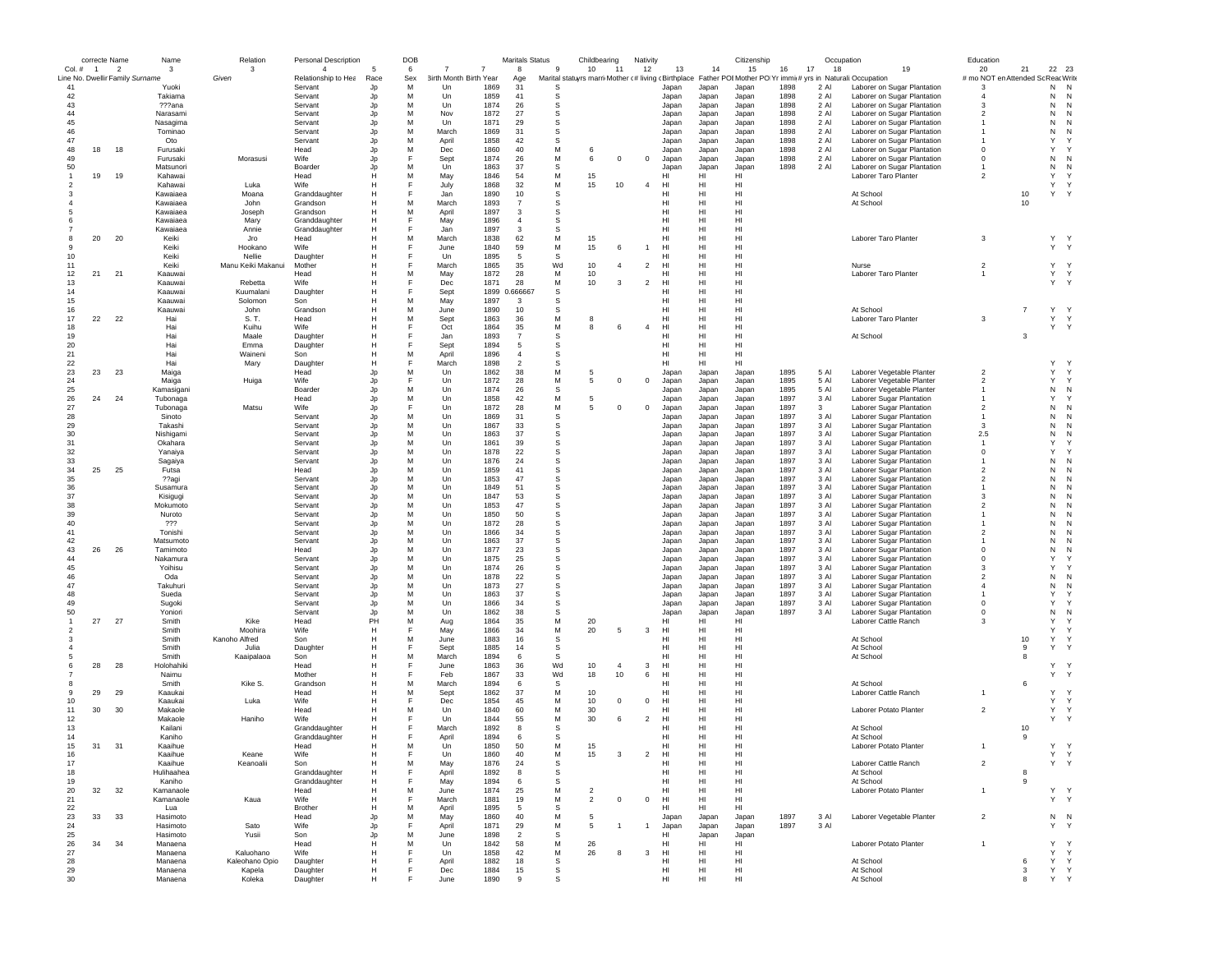|                  | correcte Name  |                                                             | Name                   | Relation                    | Personal Description                  |            | DOB      |                                               | Maritals Status |              | Childbearing                                                                                                         |                | Nativity       |                 |                | Citizenship                       |              | Occupation   |                                                            | Education                                |                |                                        |  |
|------------------|----------------|-------------------------------------------------------------|------------------------|-----------------------------|---------------------------------------|------------|----------|-----------------------------------------------|-----------------|--------------|----------------------------------------------------------------------------------------------------------------------|----------------|----------------|-----------------|----------------|-----------------------------------|--------------|--------------|------------------------------------------------------------|------------------------------------------|----------------|----------------------------------------|--|
| Col. #           | $\overline{1}$ | $\overline{\phantom{a}}$<br>Line No. Dwellir Family Surname | 3                      | 3<br>Given                  | $\overline{4}$<br>Relationship to Hea | -5<br>Race | 6<br>Sex | $\overline{7}$<br>7<br>3irth Month Birth Year | 8               | 9            | 10<br>Marital statuyrs marri Mother (# living (Birthplace Father POI Mother PO Yr immi(# yrs in Naturali: Occupation | 11             | 12             | 13              | 14             | 15                                | 16           | 17<br>18     | 19                                                         | 20<br># mo NOT en Attended Sc Reac Write | 21             | 22 23                                  |  |
| 41               |                |                                                             | Yuoki                  |                             | Servant                               | Jp         | M        | Un<br>1869                                    | Age<br>31       | -S           |                                                                                                                      |                |                | Japan           | Japan          | Japan                             | 1898         | 2 Al         | Laborer on Sugar Plantation                                | -3                                       |                | N<br>N                                 |  |
| 42               |                |                                                             | Takiama                |                             | Servant                               | Jp         | M        | 1859<br>Un                                    | 41              | -S           |                                                                                                                      |                |                | Japan           | Japan          | Japan                             | 1898         | 2 Al         | Laborer on Sugar Plantation                                | $\overline{4}$                           |                | N<br>N                                 |  |
| 43               |                |                                                             | ???ana                 |                             | Servant                               | Jp         | м        | Un<br>1874                                    | 26              | S            |                                                                                                                      |                |                | Japan           | Japan          | Japan                             | 1898         | 2 Al         | Laborer on Sugar Plantation                                | 3                                        |                | N<br>N                                 |  |
| 44               |                |                                                             | Narasami               |                             | Servant                               | Jp         | M        | Nov<br>1872                                   | 27              | s            |                                                                                                                      |                |                | Japan           | Japan          | Japan                             | 1898         | 2 Al         | Laborer on Sugar Plantation                                | $\overline{2}$                           |                | N<br>N                                 |  |
| 45               |                |                                                             | Nasagima               |                             | Servant                               | Jp         | M        | 1871<br>Un                                    | 29              | -S           |                                                                                                                      |                |                | Japan           | Japan          | Japan                             | 1898         | 2 Al         | Laborer on Sugar Plantation                                |                                          |                | N<br>N                                 |  |
| 46               |                |                                                             | Tominao                |                             | Servant                               | Jp         | M        | March<br>1869                                 | 31              | S            |                                                                                                                      |                |                | Japan           | Japan          | Japan                             | 1898         | 2 Al         | Laborer on Sugar Plantation                                |                                          |                | N<br>N                                 |  |
| 47               |                |                                                             | Oto                    |                             | Servant                               | Jp         | M        | April<br>1858                                 | 42              | S            |                                                                                                                      |                |                | Japan           | Japan          | Japan                             | 1898         | 2 Al         | Laborer on Sugar Plantation                                |                                          |                | Y                                      |  |
| 48               | 18             | 18                                                          | Furusaki               |                             | Head                                  | Jp         | M<br>E   | 1860<br>Dec                                   | 40              | M<br>M       |                                                                                                                      |                |                | Japan           | Japan          | Japan                             | 1898         | 2 Al         | Laborer on Sugar Plantation                                | $\mathbf 0$                              |                | Y<br>N                                 |  |
| 49<br>50         |                |                                                             | Furusaki<br>Matsunori  | Morasusi                    | Wife<br>Boarder                       | Jp<br>Jp   | M        | 1874<br>Sept<br>1863<br>Un                    | 26<br>37        | s            | 6                                                                                                                    | $^{\circ}$     | $\mathbf 0$    | Japan           | Japan          | Japan<br>Japan                    | 1898<br>1898 | 2 Al<br>2 Al | Laborer on Sugar Plantation<br>Laborer on Sugar Plantation | $\mathbf 0$                              |                | N<br>N<br>N                            |  |
|                  | 19             | 19                                                          | Kahawai                |                             | Head                                  | H          | M        | 1846<br>May                                   | 54              | M            | 15                                                                                                                   |                |                | Japan<br>HI     | Japan<br>HI    | HI                                |              |              | Laborer Taro Planter                                       | $\overline{\phantom{a}}$                 |                | Y<br>$\checkmark$                      |  |
|                  |                |                                                             | Kahawai                | Luka                        | Wife                                  | н          |          | 1868<br>July                                  | 32              | M            | 15                                                                                                                   | 10             | $\overline{4}$ | HI              | HI             | HI                                |              |              |                                                            |                                          |                | Y<br>Y                                 |  |
|                  |                |                                                             | Kawaiaea               | Moana                       | Granddaughter                         | н          |          | 1890<br>Jan                                   | 10              | s            |                                                                                                                      |                |                | HI              | HI             | HI                                |              |              | At School                                                  |                                          | 10             | Y<br>Y                                 |  |
|                  |                |                                                             | Kawaiaea               | John                        | Grandson                              | н          | м        | March<br>1893                                 | $\overline{7}$  | s            |                                                                                                                      |                |                | HI              | HI             | HI                                |              |              | At School                                                  |                                          | 10             |                                        |  |
|                  |                |                                                             | Kawaiaea               | Joseph                      | Grandson                              | н          | м        | 1897<br>April                                 | 3               | s            |                                                                                                                      |                |                | HI              | HI             | HI                                |              |              |                                                            |                                          |                |                                        |  |
|                  |                |                                                             | Kawaiaea               | Marv                        | Granddaughter                         | н          | F        | 1896<br>May                                   | $\overline{4}$  | S            |                                                                                                                      |                |                | H <sub>II</sub> | HI             | HI                                |              |              |                                                            |                                          |                |                                        |  |
|                  |                |                                                             | Kawaiaea               | Annie                       | Granddaughter                         | н          | F        | Jan<br>1897                                   | 3               | S            |                                                                                                                      |                |                | HI              | HI             | HI                                |              |              |                                                            |                                          |                |                                        |  |
|                  | 20             | 20                                                          | Keiki                  | Jro                         | Head                                  |            | M        | March<br>1838                                 | 62              | M            | 15                                                                                                                   |                |                | HI              | HI             | HI                                |              |              | Laborer Taro Planter                                       | 3                                        |                | Y Y                                    |  |
|                  |                |                                                             | Keiki                  | Hookano                     | Wife                                  | Н          | F        | June<br>1840                                  | 59              | M            | 15                                                                                                                   |                | $\mathbf{1}$   | HI              | HI             | HI                                |              |              |                                                            |                                          |                | Y Y                                    |  |
| 10               |                |                                                             | Keiki                  | Nellie                      | Daughter                              | н<br>H     | F        | 1895<br>Un<br>1865                            | -5<br>35        | S<br>Wd      | 10                                                                                                                   |                |                | HI              | HI<br>HI       | H <sub>1</sub><br>H <sub>II</sub> |              |              |                                                            |                                          |                | Y<br>Y                                 |  |
| 11<br>12         | 21             | 21                                                          | Keiki<br>Kaauwai       | Manu Keiki Makanui          | Mother<br>Head                        | н          | M        | March<br>May<br>1872                          | 28              | M            | 10                                                                                                                   | -4             | $\overline{2}$ | HI<br>HI        | HI             | HI                                |              |              | Nurse<br>Laborer Taro Planter                              | $\overline{2}$                           |                | Y Y                                    |  |
| 13               |                |                                                             | Kaauwai                | Rebetta                     | Wife                                  | н          |          | 1871<br>Dec                                   | 28              | M            | 10                                                                                                                   | 3              | $\overline{2}$ | HI              | HI             | HI                                |              |              |                                                            |                                          |                | Y Y                                    |  |
| 14               |                |                                                             | Kaauwai                | Kuumalani                   | Daughter                              |            |          | 1899<br>Sept                                  | 0.666667        | S            |                                                                                                                      |                |                | HI              | HI             | HI                                |              |              |                                                            |                                          |                |                                        |  |
| 15               |                |                                                             | Kaauwai                | Solomon                     | Son                                   | н          | м        | May<br>1897                                   | 3               | s            |                                                                                                                      |                |                | HI              | HI             | HI                                |              |              |                                                            |                                          |                |                                        |  |
| 16               |                |                                                             | Kaauwai                | John                        | Grandson                              | н          | M        | 1890<br>June                                  | 10              | S            |                                                                                                                      |                |                | HI              | HI             | HI                                |              |              | At School                                                  |                                          | $\overline{7}$ | Y Y                                    |  |
| 17               | 22             | 22                                                          | Hai                    | S. T.                       | Head                                  | н          | M        | 1863<br>Sept                                  | 36              | M            | -8                                                                                                                   |                |                | HI              | HI             | HI                                |              |              | Laborer Taro Planter                                       | 3                                        |                | Y Y                                    |  |
| 18               |                |                                                             | Hai                    | Kuihu                       | Wife                                  |            |          | Oct<br>1864                                   | 35              | M            | 8                                                                                                                    | 6              | $\overline{4}$ | HI              | HI             | HI                                |              |              |                                                            |                                          |                | Y Y                                    |  |
| 19               |                |                                                             | Hai                    | Maale                       | Daughter                              |            |          | 1893<br>Jan                                   | $\overline{7}$  | s            |                                                                                                                      |                |                | нı              | HI             | HI                                |              |              | At School                                                  |                                          | 3              |                                        |  |
| 20               |                |                                                             | Ha                     | Emma                        | Daughter                              | н          |          | Sept<br>1894                                  | 5               | s            |                                                                                                                      |                |                | HI              | HI             | HI                                |              |              |                                                            |                                          |                |                                        |  |
| 21               |                |                                                             | Ha                     | Waineni                     | Son                                   | H          | M        | 1896<br>April                                 | $\overline{4}$  | s            |                                                                                                                      |                |                | HI              | HI             | HI                                |              |              |                                                            |                                          |                |                                        |  |
| 22               |                |                                                             | Hai                    | Mary                        | Daughter                              | H          |          | 1898<br>March                                 | $\overline{2}$  | <sub>S</sub> |                                                                                                                      |                |                | HI              | HI.            | HI                                |              |              |                                                            |                                          |                | Υ                                      |  |
| 23               | 23             | 23                                                          | Maiga                  |                             | Head                                  | Jp         | M        | Un<br>1862                                    | 38              | M            | -5                                                                                                                   |                |                | Japan           | Japan          | Japan                             | 1895         | 5 Al         | Laborer Vegetable Planter                                  | $\overline{2}$                           |                | Y<br>Y                                 |  |
| 24               |                |                                                             | Maiga                  | Huiga                       | Wife                                  | Jp         | F        | Un<br>1872                                    | 28              | М            | 5                                                                                                                    | $^{\circ}$     | $\mathbf 0$    | Japan           | Japan          | Japan                             | 1895         | 5 Al         | Laborer Vegetable Planter                                  | $\overline{2}$                           |                | Y<br>Y                                 |  |
| 25<br>26         | 24             | 24                                                          | Kamasigani<br>Tubonaga |                             | Boarder<br>Head                       | Jp<br>Jp   | M<br>м   | Un<br>1874<br>1858<br>Un                      | 26<br>42        | s<br>М       | 5                                                                                                                    |                |                | Japan<br>Japan  | Japan<br>Japan | Japan<br>Japan                    | 1895<br>1897 | 5 Al<br>3 Al | Laborer Vegetable Planter<br>Laborer Sugar Plantation      |                                          |                | N<br>N<br>Y                            |  |
| 27               |                |                                                             | Tubonaga               | Matsu                       | Wife                                  | Jp         | F        | 1872<br>Un                                    | 28              | М            | -5                                                                                                                   | $\mathbf 0$    | 0              | Japan           | Japan          | Japan                             | 1897         | 3            | Laborer Sugar Plantation                                   | $\overline{2}$                           |                | N<br>N                                 |  |
| 28               |                |                                                             | Sinoto                 |                             | Servant                               | Jp         | M        | 1869<br>Un                                    | 31              | s            |                                                                                                                      |                |                | Japan           | Japan          | Japan                             | 1897         | 3 Al         | Laborer Sugar Plantation                                   | $\overline{1}$                           |                | N<br>N                                 |  |
| 29               |                |                                                             | Takashi                |                             | Servant                               | Jp         | M        | Un<br>1867                                    | 33              | s            |                                                                                                                      |                |                | Japan           | Japan          | Japan                             | 1897         | 3 Al         | Laborer Sugar Plantation                                   | 3                                        |                | N                                      |  |
| 30               |                |                                                             | Nishigami              |                             | Servant                               | Jp         | M        | Un<br>1863                                    | 37              | s            |                                                                                                                      |                |                | Japan           | Japan          | Japan                             | 1897         | 3 Al         | Laborer Sugar Plantation                                   | 2.5                                      |                | N                                      |  |
| 31               |                |                                                             | Okahara                |                             | Servant                               | Jp         | M        | Un<br>1861                                    | 39              | s            |                                                                                                                      |                |                | Japan           | Japan          | Japan                             | 1897         | 3 Al         | Laborer Sugar Plantation                                   | $\overline{1}$                           |                | Y                                      |  |
| 32               |                |                                                             | Yanaiya                |                             | Servant                               | Jp         | M        | 1878<br>Un                                    | 22              | s            |                                                                                                                      |                |                | Japan           | Japan          | Japan                             | 1897         | 3 Al         | Laborer Sugar Plantation                                   | $\Omega$                                 |                | Y                                      |  |
| 33               |                |                                                             | Sagaiya                |                             | Servant                               | Jp         | M        | 1876<br>Un                                    | 24              | s            |                                                                                                                      |                |                | Japan           | Japan          | Japan                             | 1897         | 3 Al         | Laborer Sugar Plantation                                   | -1                                       |                | N<br>N                                 |  |
| 34               | 25             | 25                                                          | Futsa                  |                             | Head                                  | Jp         | M        | Un<br>1859                                    | 41              | S            |                                                                                                                      |                |                | Japan           | Japan          | Japan                             | 1897         | 3 Al         | Laborer Sugar Plantation                                   | $\overline{2}$                           |                | N<br>N                                 |  |
| 35               |                |                                                             | ??agi                  |                             | Servant                               | Jp         | M        | Un<br>1853                                    | 47              | S            |                                                                                                                      |                |                | Japan           | Japan          | Japan                             | 1897         | 3 Al         | Laborer Sugar Plantation                                   | $\overline{2}$                           |                | N<br>N                                 |  |
| 36               |                |                                                             | Susamura               |                             | Servant                               | Jp         | M        | Un<br>1849                                    | 51              | S            |                                                                                                                      |                |                | Japan           | Japan          | Japan                             | 1897         | 3 Al         | Laborer Sugar Plantation                                   |                                          |                | N<br>N                                 |  |
| 37               |                |                                                             | Kisigugi               |                             | Servant                               | Jp         | M        | 1847<br>Un                                    | 53              | s            |                                                                                                                      |                |                | Japan           | Japan          | Japan                             | 1897         | 3 Al         | Laborer Sugar Plantation                                   | -3                                       |                | N<br>N                                 |  |
| 38               |                |                                                             | Mokumoto               |                             | Servant                               | Jp         | M<br>M   | 1853<br>Un                                    | 47              | s<br>S       |                                                                                                                      |                |                | Japan           | Japan          | Japan                             | 1897         | 3 Al         | Laborer Sugar Plantation                                   | $\overline{\phantom{a}}$                 |                | N<br>N<br>N<br>N                       |  |
| 39<br>40         |                |                                                             | Nuroto<br>777          |                             | Servant<br>Servant                    | Jp         | M        | Un<br>1850<br>Un<br>1872                      | 50<br>28        | S            |                                                                                                                      |                |                | Japan           | Japan          | Japan                             | 1897<br>1897 | 3 Al<br>3 Al | Laborer Sugar Plantation                                   |                                          |                | N<br>N                                 |  |
| 41               |                |                                                             | Tonishi                |                             | Servant                               | Jp<br>Jp   | M        | Un<br>1866                                    | 34              | S            |                                                                                                                      |                |                | Japan<br>Japan  | Japan<br>Japan | Japan<br>Japan                    | 1897         | 3 Al         | Laborer Sugar Plantation<br>Laborer Sugar Plantation       | $\overline{2}$                           |                | N                                      |  |
| 42               |                |                                                             | Matsumoto              |                             | Servant                               | Jp         | M        | 1863<br>Un                                    | 37              | s            |                                                                                                                      |                |                | Japan           | Japan          | Japan                             | 1897         | 3 Al         | Laborer Sugar Plantation                                   |                                          |                | N<br>N                                 |  |
| 43               | 26             | 26                                                          | Tamimoto               |                             | Head                                  | Jp         | M        | 1877<br>Un                                    | 23              | s            |                                                                                                                      |                |                | Japan           | Japan          | Japan                             | 1897         | 3 Al         | Laborer Sugar Plantation                                   | $\Omega$                                 |                | N<br>N                                 |  |
| 44               |                |                                                             | Nakamura               |                             | Servant                               | Jp         | M        | 1875<br>Un                                    | 25              | <sub>S</sub> |                                                                                                                      |                |                | Japan           | Japan          | Japan                             | 1897         | 3 Al         | Laborer Sugar Plantation                                   | $\Omega$                                 |                | Y                                      |  |
| 45               |                |                                                             | Yoihisu                |                             | Servant                               | Jp         | M        | 1874<br>Un                                    | 26              | S            |                                                                                                                      |                |                | Japan           | Japan          | Japan                             | 1897         | 3 Al         | Laborer Sugar Plantation                                   | 3                                        |                | Y                                      |  |
| 46               |                |                                                             | Oda                    |                             | Servant                               | Jp         | M        | Un<br>1878                                    | 22              | s            |                                                                                                                      |                |                | Japan           | Japan          | Japan                             | 1897         | 3 Al         | Laborer Sugar Plantation                                   | $\overline{2}$                           |                | N<br>N                                 |  |
| 47               |                |                                                             | Takuhuri               |                             | Servant                               | Jp         | м        | 1873<br>Un                                    | 27              | s            |                                                                                                                      |                |                | Japan           | Japan          | Japan                             | 1897         | 3 Al         | Laborer Sugar Plantation                                   | $\overline{4}$                           |                | N<br>N                                 |  |
| 48               |                |                                                             | Sueda                  |                             | Servant                               | Jp         | м        | 1863<br>Un                                    | 37              | s            |                                                                                                                      |                |                | Japan           | Japan          | Japan                             | 1897         | 3 Al         | Laborer Sugar Plantation                                   | -1                                       |                | Y                                      |  |
| 49               |                |                                                             | Sugoki                 |                             | Servant                               | Jp         | M        | 1866<br>Un                                    | 34              | s            |                                                                                                                      |                |                | Japan           | Japan          | Japan                             | 1897         | 3 Al         | Laborer Sugar Plantation                                   | $^{\circ}$                               |                | Y                                      |  |
| 50               | 27             | 27                                                          | Yoniori<br>Smith       | Kike                        | Servant                               | Jp<br>PH   | M<br>M   | Un<br>1862<br>1864                            | 38<br>35        | S            |                                                                                                                      |                |                | Japan           | Japan          | Japan<br>HI                       | 1897         | 3 Al         | Laborer Sugar Plantation                                   | $^{\circ}$<br>$\mathbf{3}$               |                | N<br>N<br>Y                            |  |
|                  |                |                                                             | Smith                  | Moohira                     | Head<br>Wife                          | н          | F        | Aug<br>May<br>1866                            | 34              | М<br>M       | 20<br>20                                                                                                             | -5             | 3              | HI<br>HI        | HI<br>HI       | HI                                |              |              | Laborer Cattle Ranch                                       |                                          |                | Y<br>Y                                 |  |
|                  |                |                                                             | Smith                  | Kanoho Alfred               | Son                                   | н          | M        | 1883<br>June                                  | 16              | s            |                                                                                                                      |                |                | HI              | HI             | HI                                |              |              | At School                                                  |                                          | 10             | Y<br>Y                                 |  |
|                  |                |                                                             | Smith                  | Julia                       | Daughter                              | н          | F        | 1885<br>Sept                                  | 14              | s            |                                                                                                                      |                |                | H <sub>II</sub> | HI             | HI                                |              |              | At School                                                  |                                          | 9              | Υ                                      |  |
|                  |                |                                                             | Smith                  | Kaaipalaoa                  | Son                                   | H          | M        | 1894<br>March                                 | 6               | s            |                                                                                                                      |                |                | HI              | HI             | HI                                |              |              | At School                                                  |                                          | 8              |                                        |  |
|                  | 28             | 28                                                          | Holohahiki             |                             | Head                                  | н          |          | 1863<br>June                                  | 36              | Wd           | 10                                                                                                                   | $\overline{4}$ | 3              | HI              | HI             | HI                                |              |              |                                                            |                                          |                | Y<br>Y                                 |  |
|                  |                |                                                             | Naimu                  |                             | Mother                                |            |          | Feb<br>1867                                   | 33              | Wd           | 18                                                                                                                   | 10             | 6              | HI              | HI             | HI                                |              |              |                                                            |                                          |                | Υ<br>Y                                 |  |
|                  |                |                                                             | Smith                  | Kike S.                     | Grandson                              | н          | м        | 1894<br>March                                 | 6               | s            |                                                                                                                      |                |                | HI              | HI             | HI                                |              |              | At School                                                  |                                          | 6              |                                        |  |
| -9               | 29             | 29                                                          | Kaaukai                |                             | Head                                  |            | M        | 1862<br>Sept                                  | 37              | М            | 10                                                                                                                   |                |                | HI              | HI             | HI                                |              |              | Laborer Cattle Ranch                                       |                                          |                | Y<br>$\mathbf{v}$                      |  |
| 10               |                |                                                             | Kaaukai                | Luka                        | Wife                                  |            |          | 1854<br>Dec                                   | 45              | M            | 10                                                                                                                   | $\mathbf 0$    | $\mathbf 0$    | HI              | HI             | HI                                |              |              |                                                            |                                          |                | Y<br>Y                                 |  |
| 11               | 30             | 30                                                          | Makaole                |                             | Head                                  |            | M        | Un<br>1840                                    | 60              | M            | 30                                                                                                                   |                |                | HI              | HI             | HI                                |              |              | Laborer Potato Planter                                     | $\overline{2}$                           |                | Y Y                                    |  |
| 12               |                |                                                             | Makaole                | Haniho                      | Wife                                  |            |          | 1844<br>Un                                    | 55              | M<br>S       | 30                                                                                                                   | 6              | $\overline{2}$ | HI              | HI             | HI                                |              |              |                                                            |                                          |                | Y Y                                    |  |
| 13<br>14         |                |                                                             | Kailani<br>Kaniho      |                             | Granddaughter                         | н<br>н     | F        | 1892<br>March<br>1894                         | 8<br>6          | -S           |                                                                                                                      |                |                | HI<br>HI        | HI<br>HI       | HI<br>HI                          |              |              | At School                                                  |                                          | 10<br>9        |                                        |  |
| 15               | 31             | 31                                                          | Kaaihue                |                             | Granddaughter<br>Head                 | н          | M        | April<br>1850<br>Un                           | 50              | M            | 15                                                                                                                   |                |                | H <sub>II</sub> | HI             | HI                                |              |              | At School<br>Laborer Potato Planter                        |                                          |                | Y Y                                    |  |
| 16               |                |                                                             | Kaainue                | Keane                       | Wife                                  |            |          | 1860<br>Un                                    | 40              | М            | 15                                                                                                                   |                |                | нı              | HI             | нı                                |              |              |                                                            |                                          |                |                                        |  |
| 17               |                |                                                             | Kaaihue                | Keanoalii                   | Son                                   | н          | M        | May<br>1876                                   | 24              | s            |                                                                                                                      |                |                | HI              | HI             | HI                                |              |              | Laborer Cattle Ranch                                       | $\overline{2}$                           |                | Y<br>Y                                 |  |
| 18               |                |                                                             | Hulihaahea             |                             | Granddaughter                         | н          | F        | April<br>1892                                 | 8               | s            |                                                                                                                      |                |                | HI              | HI             | HI                                |              |              | At School                                                  |                                          | 8              |                                        |  |
| 19               |                |                                                             | Kaniho                 |                             | Granddaughter                         | н          |          | 1894<br>May                                   | 6               | s            |                                                                                                                      |                |                | HI              | HI             | HI                                |              |              | At School                                                  |                                          | 9              |                                        |  |
| 20               | 32             | 32                                                          | Kamanaole              |                             | Head                                  | н          | M        | 1874<br>June                                  | 25              | М            | $\overline{2}$                                                                                                       |                |                | HI              | HI             | HI                                |              |              | Laborer Potato Planter                                     | $\overline{1}$                           |                | Y Y                                    |  |
| 21               |                |                                                             | Kamanaole              | Kaua                        | Wife                                  | н          | F        | March<br>1881                                 | 19              | M            | $\overline{2}$                                                                                                       | $^{\circ}$     | $\mathbf 0$    | HI              | HI             | HI                                |              |              |                                                            |                                          |                | Y Y                                    |  |
| 22               |                |                                                             | Lua                    |                             | Brother                               | н          | M        | April<br>1895                                 | 5               | s            |                                                                                                                      |                |                | HI              | HI             | HI                                |              |              |                                                            |                                          |                |                                        |  |
| 23               | 33             | 33                                                          | Hasimoto               |                             | Head                                  | Jp         | M        | May<br>1860                                   | 40              | M            | 5                                                                                                                    |                |                | Japan           | Japan          | Japan                             | 1897         | 3 Al         | Laborer Vegetable Planter                                  | $\overline{2}$                           |                | N N                                    |  |
| $24\,$           |                |                                                             | Hasimoto               | Sato                        | Wife                                  | Jp         | E        | 1871<br>April                                 | 29              | M            | 5                                                                                                                    |                | $\overline{1}$ | Japan           | Japan          | Japan                             | 1897         | 3 Al         |                                                            |                                          |                | $\mathsf{Y}$<br>Y                      |  |
| 25               |                |                                                             | Hasimoto               | Yusii                       | Son                                   | Jp         | M<br>M   | 1898<br>June                                  | $\overline{2}$  | s            |                                                                                                                      |                |                | HI              | Japan          | Japan                             |              |              |                                                            |                                          |                |                                        |  |
| ${\bf 26}$<br>27 | 34             | 34                                                          | Manaena                |                             | Head                                  | H<br>H     |          | 1842<br>Un<br>1858                            | 58              | M<br>M       | 26                                                                                                                   | 8              |                | H <sub>II</sub> | HI             | H <sub>II</sub>                   |              |              | Laborer Potato Planter                                     | $\overline{1}$                           |                | Y<br>$\mathsf{v}$<br>Y<br>$\mathsf{Y}$ |  |
| 28               |                |                                                             | Manaena<br>Manaena     | Kaluohano<br>Kaleohano Opio | Wife<br>Daughter                      | Н          |          | Un<br>1882<br>April                           | 42<br>18        | s            | 26                                                                                                                   |                | 3              | HI<br>HI        | HI<br>HI       | HI<br>HI                          |              |              | At School                                                  |                                          | 6              | Y<br>Y                                 |  |
| 29               |                |                                                             | Manaena                | Kapela                      | Daughter                              | н          |          | Dec<br>1884                                   | 15              | s            |                                                                                                                      |                |                | HI              | HI             | HI                                |              |              | At School                                                  |                                          | 3              | Y Y                                    |  |
| 30               |                |                                                             | Manaena                | Koleka                      | Daughter                              | н          |          | 1890<br>June                                  | 9               | s            |                                                                                                                      |                |                | HI              | HI             | HI                                |              |              | At School                                                  |                                          | 8              | Y Y                                    |  |
|                  |                |                                                             |                        |                             |                                       |            |          |                                               |                 |              |                                                                                                                      |                |                |                 |                |                                   |              |              |                                                            |                                          |                |                                        |  |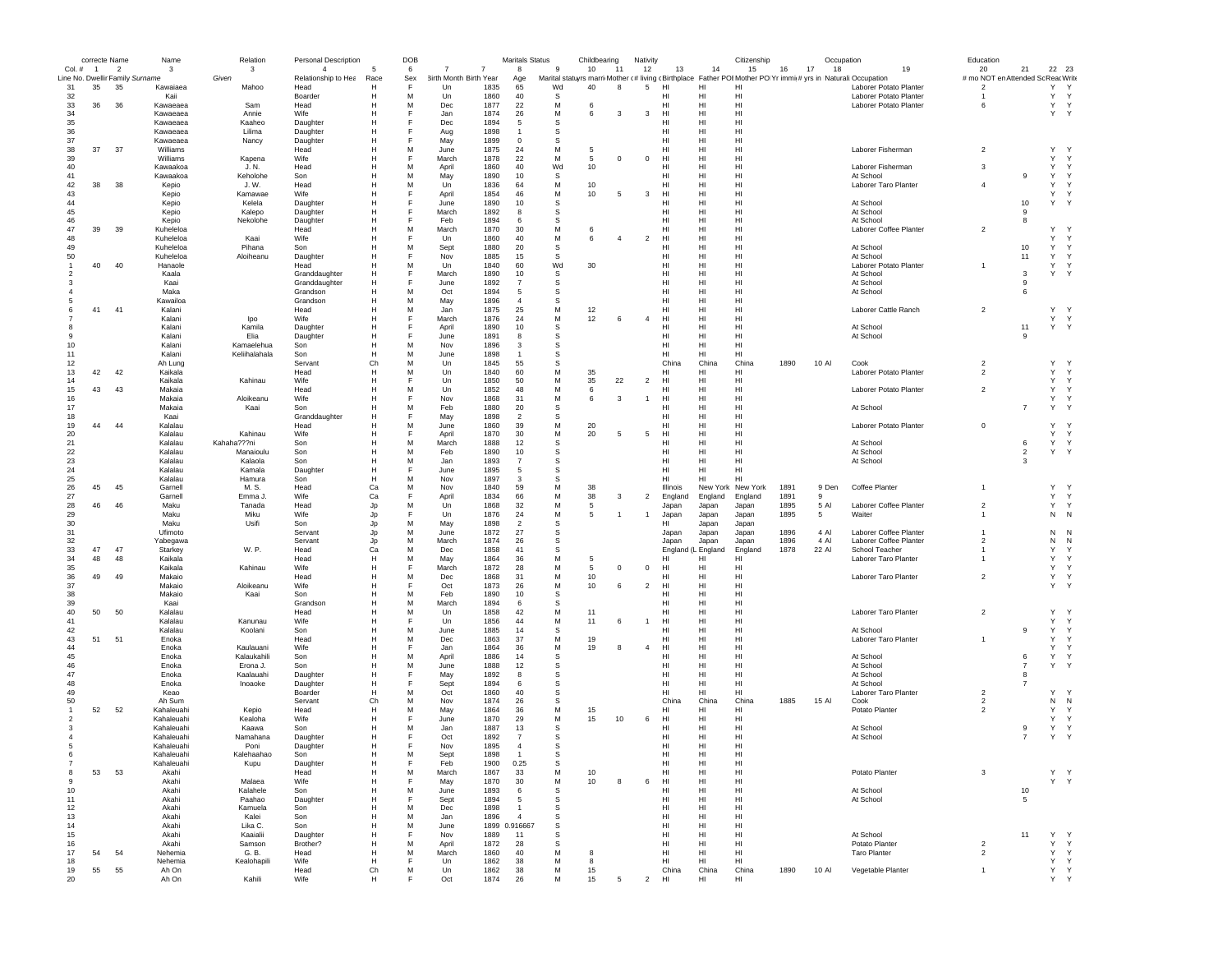|                                 | correcte Name  |                | Name               | Relation               | Personal Description |        | DOB    |                               |              | Maritals Status |                  | Childbearing |                | Nativity       |                    |          | Citizenship          |      | Occupation |                                                                                                               | Education                          |                     |                             |  |
|---------------------------------|----------------|----------------|--------------------|------------------------|----------------------|--------|--------|-------------------------------|--------------|-----------------|------------------|--------------|----------------|----------------|--------------------|----------|----------------------|------|------------|---------------------------------------------------------------------------------------------------------------|------------------------------------|---------------------|-----------------------------|--|
| Col. #                          | $\overline{1}$ | $\overline{2}$ | 3                  | 3                      | $\overline{4}$       | -5     | 6      | $\overline{7}$<br>7           |              | 8               | 9                | 10           | 11             | 12             | 13                 | 14       | 15                   | 16   | 17<br>18   | 19                                                                                                            | 20                                 | 21                  | 22 23                       |  |
| Line No. Dwellir Family Surname |                |                |                    | Given                  | Relationship to Hea  | Race   | Sex    | <b>3irth Month Birth Year</b> |              | Age             |                  |              |                |                |                    |          |                      |      |            | Marital statuyrs marri Mother (# living (Birthplace Father POI Mother PO Yr immi(# yrs in Naturali Occupation | # mo NOT en Attended Sc Reac Write |                     |                             |  |
| 31                              | 35             | 35             | Kawaiaea<br>Kaii   | Mahoo                  | Head                 | н      | E<br>M | Un                            | 1835         | 65<br>40        | Wd<br>S          | 40           | 8              | 5              | HI<br>нı           | HI<br>HI | HI<br>HI             |      |            | Laborer Potato Planter                                                                                        | $\overline{2}$                     |                     | Y<br>$\mathsf{Y}$<br>Y<br>Y |  |
| 32<br>33                        | 36             | 36             | Kawaeaea           | Sam                    | Boarder<br>Head      | н      | M      | Un<br>Dec                     | 1860<br>1877 | 22              | М                | 6            |                |                | нı                 | HI       | HI                   |      |            | Laborer Potato Planter<br>Laborer Potato Planter                                                              | 6                                  |                     | Y<br>Y                      |  |
| 34                              |                |                | Kawaeaea           | Annie                  | Wife                 |        |        | Jan                           | 1874         | 26              | M                | 6            | 3              | 3              | HI                 | HI       | HI                   |      |            |                                                                                                               |                                    |                     | Y Y                         |  |
| 35                              |                |                | Kawaeaea           | Kaaheo                 | Daughter             | н      |        | Dec                           | 1894         | -5              | -S               |              |                |                | HI                 | HI       | HI                   |      |            |                                                                                                               |                                    |                     |                             |  |
| 36                              |                |                | Kawaeaea           | Lilima                 | Daughter             | н      |        | Aug                           | 1898         | $\mathbf{1}$    | S                |              |                |                | HI                 | HI       | HI                   |      |            |                                                                                                               |                                    |                     |                             |  |
| 37                              |                |                | Kawaeaea           | Nancy                  | Daughter             | H      |        | May                           | 1899         | $\mathbf 0$     | S                |              |                |                | HI                 | HI       | HI                   |      |            |                                                                                                               |                                    |                     |                             |  |
| 38                              | 37             | 37             | Williams           |                        | Head                 | Н      | M      | June                          | 1875         | 24              | М                | 5            |                |                | HI                 | HI       | HI                   |      |            | Laborer Fisherman                                                                                             | $\overline{2}$                     |                     | Y<br>Y                      |  |
| 39                              |                |                | Williams           | Kapena                 | Wife                 | н      | E      | March                         | 1878         | 22              | M                | 5            | $\mathbf 0$    | $\mathbf 0$    | HI                 | HI       | H <sub>1</sub>       |      |            |                                                                                                               |                                    |                     | Y<br>Y                      |  |
| 40                              |                |                | Kawaakoa           | J. N.                  | Head                 | H      | M      | April                         | 1860         | 40              | Wd               | $10$         |                |                | H <sub>II</sub>    | HI       | H <sub>II</sub>      |      |            | Laborer Fisherman                                                                                             | $\overline{3}$                     |                     | Y<br>Y                      |  |
| 41                              |                |                | Kawaakoa           | Keholohe               | Son                  | Н      | M      | May                           | 1890         | 10              | <b>S</b>         |              |                |                | H <sub>II</sub>    | HI       | H <sub>II</sub>      |      |            | At School                                                                                                     |                                    | 9                   | Y<br>Y                      |  |
| 42                              | 38             | 38             | Kepio              | J. W.                  | Head                 | Н      | M      | Un                            | 1836         | 64              | M                | 10           |                |                | HI                 | HI       | HI                   |      |            | Laborer Taro Planter                                                                                          | $\overline{4}$                     |                     | Y<br>$\mathsf{Y}$           |  |
| 43                              |                |                | Kepio              | Kamawae                | Wife                 | Н<br>н |        | April                         | 1854         | 46              | М<br>s           | 10           | -5             | 3              | HI                 | HI<br>HI | HI                   |      |            | At School                                                                                                     |                                    | 10                  | Y<br>Y<br>Y<br>Y            |  |
| 44<br>45                        |                |                | Kepio              | Kelela                 | Daughter             | н      |        | June                          | 1890<br>1892 | 10<br>8         |                  |              |                |                | HI                 | HI       | HI<br>HI             |      |            | At School                                                                                                     |                                    | 9                   |                             |  |
| 46                              |                |                | Kepio<br>Kepio     | Kalepo<br>Nekolohe     | Daughter<br>Daughter | н      |        | March<br>Feb                  | 1894         | - 6             | s<br>-S          |              |                |                | HI<br>HI           | HI       | HI                   |      |            | At School                                                                                                     |                                    | 8                   |                             |  |
| 47                              | 39             | 39             | Kuheleloa          |                        | Head                 | H      | M      | March                         | 1870         | 30              | M                | 6            |                |                | HI                 | HI       | HI                   |      |            | Laborer Coffee Planter                                                                                        | $\overline{2}$                     |                     | Y<br><sup>Y</sup>           |  |
| 48                              |                |                | Kuheleloa          | Kaai                   | Wife                 | Н      | E      | Un                            | 1860         | 40              | M                | 6            | $\overline{4}$ | $\overline{2}$ | HI                 | HI       | HI                   |      |            |                                                                                                               |                                    |                     | Y<br>Y                      |  |
| 49                              |                |                | Kuheleloa          | Pihana                 | Son                  | Н      | M      | Sept                          | 1880         | 20              | s                |              |                |                | HI                 | HI       | HI                   |      |            | At School                                                                                                     |                                    | 10                  | Y<br>Y                      |  |
| 50                              |                |                | Kuheleloa          | Aloiheanu              | Daughter             | н      | E      | Nov                           | 1885         | 15              | s                |              |                |                | HI                 | HI       | HI                   |      |            | At School                                                                                                     |                                    | 11                  | Y<br>Y                      |  |
|                                 | 40             | 40             | Hanaole            |                        | Head                 | н      | M      | Un                            | 1840         | 60              | Wd               | 30           |                |                | H <sub>II</sub>    | HI       | H <sub>II</sub>      |      |            | Laborer Potato Planter                                                                                        |                                    |                     | Y<br>Y                      |  |
| $\overline{2}$                  |                |                | Kaala              |                        | Granddaughter        | H      |        | March                         | 1890         | 10              | s                |              |                |                | HI                 | HI       | HI                   |      |            | At School                                                                                                     |                                    | $\mathbf{3}$        | Υ<br>$\mathsf{Y}$           |  |
| -3                              |                |                | Kaai               |                        | Granddaughter        | H      |        | June                          | 1892         | $\overline{7}$  | s                |              |                |                | HI                 | HI       | HI                   |      |            | At School                                                                                                     |                                    | 9                   |                             |  |
|                                 |                |                | Maka               |                        | Grandson             | Н      | м      | Oct                           | 1894         | 5               | s                |              |                |                | HI                 | HI       | HI                   |      |            | At School                                                                                                     |                                    | 6                   |                             |  |
|                                 |                |                | Kawailoa           |                        | Grandson             | н      | м<br>M | May                           | 1896         | $\overline{4}$  | s                |              |                |                | HI                 | HI       | HI<br>H <sub>1</sub> |      |            |                                                                                                               |                                    |                     |                             |  |
|                                 | 41             | 41             | Kalani<br>Kalani   |                        | Head                 | н<br>Н |        | Jan                           | 1875<br>1876 | 25<br>24        | M<br>M           | 12           |                | $\overline{4}$ | HI                 | HI<br>HI | H <sub>1</sub>       |      |            | Laborer Cattle Ranch                                                                                          | $\overline{2}$                     |                     | Y Y<br>Y Y                  |  |
|                                 |                |                | Kalani             | lpo<br>Kamila          | Wife<br>Daughter     | н      |        | March<br>April                | 1890         | 10              | s                | 12           | -6             |                | HI<br>HI           | HI       | HI                   |      |            | At School                                                                                                     |                                    | 11                  | Y Y                         |  |
|                                 |                |                | Kalani             | Elia                   | Daughter             | Н      |        | June                          | 1891         | 8               | s                |              |                |                | HI                 | HI       | HI                   |      |            | At School                                                                                                     |                                    | 9                   |                             |  |
| 10                              |                |                | Kalani             | Kamaelehua             | Son                  | н      | M      | Nov                           | 1896         | 3               | s                |              |                |                | HI                 | HI       | HI                   |      |            |                                                                                                               |                                    |                     |                             |  |
| 11                              |                |                | Kalani             | Keliihalahala          | Son                  | H      | M      | June                          | 1898         | $\overline{1}$  | s                |              |                |                | HI                 | HI       | H <sub>II</sub>      |      |            |                                                                                                               |                                    |                     |                             |  |
| 12                              |                |                | Ah Lung            |                        | Servant              | Ch     | M      | Un                            | 1845         | 55              | s                |              |                |                | China              | China    | China                | 1890 | 10 Al      | Cook                                                                                                          | $\overline{2}$                     |                     | Y                           |  |
| 13                              | 42             | 42             | Kaikala            |                        | Head                 | H      | M      | Un                            | 1840         | 60              | M                | 35           |                |                | HI                 | HI       | HI                   |      |            | Laborer Potato Planter                                                                                        | $\overline{2}$                     |                     | Y<br>Y                      |  |
| 14                              |                |                | Kaikala            | Kahinau                | Wife                 | Н      | F      | Un                            | 1850         | 50              | M                | 35           | 22             | $\overline{c}$ | HI                 | HI       | HI                   |      |            |                                                                                                               |                                    |                     | Y<br>Y                      |  |
| 15                              | 43             | 43             | Makaia             |                        | Head                 | Н      | M      | Un                            | 1852         | 48              | М                | 6            |                |                | HI                 | HI       | HI                   |      |            | Laborer Potato Planter                                                                                        | $\overline{2}$                     |                     | Y<br>Y                      |  |
| 16                              |                |                | Makaia             | Aloikeanu              | Wife                 | н      | E      | Nov                           | 1868         | 31              | М                | 6            | 3              | $\overline{1}$ | HI                 | HI       | HI                   |      |            |                                                                                                               |                                    |                     | Y<br>Y                      |  |
| 17                              |                |                | Makaia             | Kaai                   | Son                  | н      | M      | Feb                           | 1880         | 20              | s                |              |                |                | HI                 | HI       | HI                   |      |            | At School                                                                                                     |                                    | $\overline{7}$      | Y<br>$\mathsf{Y}$           |  |
| 18                              |                |                | Kaai               |                        | Granddaughter        | н      | F      | May                           | 1898         | $\overline{2}$  | S                |              |                |                | H <sub>II</sub>    | HI       | H <sub>II</sub>      |      |            |                                                                                                               |                                    |                     |                             |  |
| 19                              | 44             | 44             | Kalalau            |                        | Head                 | H      | M      | June                          | 1860         | 39              | M                | 20           |                |                | HI                 | HI       | HI                   |      |            | Laborer Potato Planter                                                                                        | $^{\circ}$                         |                     | Υ<br>$\mathsf{Y}$           |  |
| 20<br>21                        |                |                | Kalalau            | Kahinau<br>Kahaha???ni | Wife                 | Н<br>н | F<br>M | April                         | 1870         | 30              | M<br>$\mathbb S$ | 20           | -5             | 5              | HI<br>HI           | HI       | HI<br>HI             |      |            |                                                                                                               |                                    |                     | Y<br>Y<br>Y                 |  |
| $22\,$                          |                |                | Kalalau            |                        | Son                  | H      | M      | March<br>Feb                  | 1888<br>1890 | 12<br>10        | s                |              |                |                | HI                 | HI<br>HI | H <sub>II</sub>      |      |            | At School<br>At School                                                                                        |                                    | 6<br>$\overline{c}$ | Y<br>Y Y                    |  |
| 23                              |                |                | Kalalau<br>Kalalau | Manaioulu<br>Kalaola   | Son<br>Son           | H      | M      | Jan                           | 1893         | $\overline{7}$  | s                |              |                |                | H <sub>II</sub>    | HI       | H <sub>II</sub>      |      |            | At School                                                                                                     |                                    | $\mathbf{3}$        |                             |  |
| 24                              |                |                | Kalalau            | Kamala                 | Daughter             | H      |        | June                          | 1895         | 5               | s                |              |                |                | HI                 | HI       | HI                   |      |            |                                                                                                               |                                    |                     |                             |  |
| 25                              |                |                | Kalalau            | Hamura                 | Son                  | н      | M      | Nov                           | 1897         | 3               | S                |              |                |                | HI                 | HI       | HI                   |      |            |                                                                                                               |                                    |                     |                             |  |
| 26                              | 45             | 45             | Garnell            | M. S.                  | Head                 | Ca     | M      | Nov                           | 1840         | 59              | М                | 38           |                |                | Illinois           | New York | New York             | 1891 | 9 Den      | Coffee Planter                                                                                                |                                    |                     | Y<br><sup>Y</sup>           |  |
| 27                              |                |                | Garnell            | Emma J.                | Wife                 | Ca     |        | April                         | 1834         | 66              | M                | 38           | 3              | $\overline{c}$ | England            | England  | England              | 1891 | 9          |                                                                                                               |                                    |                     | Y<br>Y                      |  |
| 28                              | 46             | 46             | Maku               | Tanada                 | Head                 | Jp     | M      | Un                            | 1868         | 32              | M                | -5           |                |                | Japan              | Japan    | Japan                | 1895 | 5 Al       | Laborer Coffee Planter                                                                                        | $\overline{2}$                     |                     | Y<br>Y                      |  |
| 29                              |                |                | Maku               | Miku                   | Wife                 | Jp     |        | Un                            | 1876         | 24              | M                | 5            |                | $\overline{1}$ | Japan              | Japan    | Japan                | 1895 | 5          | Waiter                                                                                                        |                                    |                     | N<br>N                      |  |
| 30                              |                |                | Maku               | Usifi                  | Son                  | Jp     | M      | May                           | 1898         | $\overline{2}$  | s                |              |                |                | HI                 | Japan    | Japan                |      |            |                                                                                                               |                                    |                     |                             |  |
| 31                              |                |                | Ufimoto            |                        | Servant              | Jp     | M      | June                          | 1872         | 27              | s                |              |                |                | Japan              | Japan    | Japan                | 1896 | 4 Al       | Laborer Coffee Planter                                                                                        |                                    |                     | N<br>N                      |  |
| 32                              |                |                | Yabegawa           |                        | Servant              | Jp     | м      | March                         | 1874         | 26              | s                |              |                |                | Japan              | Japan    | Japan                | 1896 | 4 Al       | Laborer Coffee Planter                                                                                        | $\overline{2}$                     |                     | N<br>$\mathsf{N}$           |  |
| 33                              | 47             | 47             | Starkey            | W. P.                  | Head                 | Ca     | M      | Dec                           | 1858         | 41              | s                |              |                |                | England (L England |          | England              | 1878 | 22 Al      | School Teacher                                                                                                | $\overline{1}$                     |                     | Y<br>Y                      |  |
| 34                              | 48             | 48             | Kaikala            |                        | Head                 | H<br>H | M<br>E | May                           | 1864         | 36              | M                | -5           |                |                | HI                 | HI       | HI                   |      |            | Laborer Taro Planter                                                                                          | $\overline{1}$                     |                     | Y<br>Y<br>Y                 |  |
| 35<br>36                        | 49             | 49             | Kaikala<br>Makaio  | Kahinau                | Wife                 | Н      | M      | March                         | 1872<br>1868 | 28<br>31        | M<br>М           | 5<br>10      | $^{\circ}$     | $\mathbf 0$    | HI<br>HI           | HI<br>HI | HI<br>HI             |      |            | Laborer Taro Planter                                                                                          | $\overline{2}$                     |                     | Y<br>Y<br>Y                 |  |
| 37                              |                |                | Makaio             | Aloikeanu              | Head<br>Wife         | н      |        | Dec<br>Oct                    | 1873         | 26              | M                | 10           | 6              | $\overline{c}$ | HI                 | HI       | HI                   |      |            |                                                                                                               |                                    |                     | Y<br>Y                      |  |
| 38                              |                |                | Makaio             | Kaai                   | Son                  | н      | м      | Feb                           | 1890         | 10              | s                |              |                |                | HI                 | HI       | HI                   |      |            |                                                                                                               |                                    |                     |                             |  |
| 39                              |                |                | Kaai               |                        | Grandson             | H      | M      | March                         | 1894         | - 6             | -S               |              |                |                | HI                 | HI       | HI                   |      |            |                                                                                                               |                                    |                     |                             |  |
| 40                              | 50             | 50             | Kalalau            |                        | Head                 | H      | M      | Un                            | 1858         | 42              | M                | 11           |                |                | HI                 | HI       | HI                   |      |            | Laborer Taro Planter                                                                                          | $\overline{2}$                     |                     | Υ<br><sup>Y</sup>           |  |
| 41                              |                |                | Kalalau            | Kanunau                | Wife                 | Н      | F      | Un                            | 1856         | 44              | M                | 11           | 6              | $\overline{1}$ | HI                 | HI       | HI                   |      |            |                                                                                                               |                                    |                     | Y<br>Y                      |  |
| 42                              |                |                | Kalalau            | Koolani                | Son                  | н      | M      | June                          | 1885         | 14              | s                |              |                |                | HI                 | HI       | HI                   |      |            | At School                                                                                                     |                                    | 9                   | Y<br>Y                      |  |
| 43                              | 51             | 51             | Enoka              |                        | Head                 | н      | M      | Dec                           | 1863         | 37              | М                | 19           |                |                | HI                 | HI       | HI                   |      |            | Laborer Taro Planter                                                                                          | $\overline{1}$                     |                     | Y<br>Y                      |  |
| 44                              |                |                | Enoka              | Kaulauani              | Wife                 | H      | F      | Jan                           | 1864         | 36              | M                | 19           | 8              | $\overline{4}$ | H <sub>II</sub>    | HI       | H <sub>II</sub>      |      |            |                                                                                                               |                                    |                     | Y<br>$\mathsf{Y}$           |  |
| 45                              |                |                | Enoka              | Kalaukahili            | Son                  | H      | M      | April                         | 1886         | 14              | s                |              |                |                | HI                 | HI       | HI                   |      |            | At School                                                                                                     |                                    | 6                   | Y<br>$\mathsf{Y}$           |  |
| 46                              |                |                | Enoka              | Erona J.               | Son                  | Н      | M      | June                          | 1888         | 12              | s                |              |                |                | HI                 | HI       | HI                   |      |            | At School                                                                                                     |                                    | $\overline{7}$      | Y<br>$\mathsf{Y}$           |  |
| 47<br>48                        |                |                | Enoka              | Kaalauahi              | Daughter             | н      |        | May                           | 1892         | 8<br>6          | s<br>s           |              |                |                | HI                 | HI       | HI<br>HI             |      |            | At School                                                                                                     |                                    | 8<br>$\overline{7}$ |                             |  |
| 49                              |                |                | Enoka<br>Keao      | Inoaoke                | Daughter<br>Boarder  | н      | м      | Sept<br>Oct                   | 1894<br>1860 | 40              | -S               |              |                |                | HI<br>HI           | HI<br>HI | HI                   |      |            | At School<br>Laborer Taro Planter                                                                             | $\overline{2}$                     |                     | Y<br>$\mathbf{v}$           |  |
| 50                              |                |                | Ah Sum             |                        | Servant              | Ch     | M      | Nov                           | 1874         | 26              | S                |              |                |                | China              | China    | China                | 1885 | 15 Al      | Cook                                                                                                          | $\overline{2}$                     |                     | N<br>N                      |  |
|                                 | 52             | 52             | Kahaleuahi         | Kepio                  | Head                 | н      | M      | May                           | 1864         | 36              | M                | 15           |                |                | HI                 | HI       | HI                   |      |            | Potato Planter                                                                                                | $\overline{2}$                     |                     | Y<br>$\mathsf{Y}$           |  |
|                                 |                |                | Kahaleuahi         | Kealoha                | Wife                 |        |        | June                          | 1870         | 29              | М                | 15           | 10             | 6              | HI                 | HI       | HI                   |      |            |                                                                                                               |                                    |                     | Y<br>Y                      |  |
| -3                              |                |                | Kahaleuahi         | Kaawa                  | Son                  | н      | м      | Jan                           | 1887         | 13              | s                |              |                |                | HI                 | HI       | HI                   |      |            | At School                                                                                                     |                                    | -9                  | Y<br>Y                      |  |
|                                 |                |                | Kahaleuahi         | Namahana               | Daughter             | н      | F      | Oct                           | 1892         | $\overline{7}$  | -S               |              |                |                | HI                 | HI       | HI                   |      |            | At School                                                                                                     |                                    | $\overline{7}$      | $\mathsf{Y}$<br>Y           |  |
|                                 |                |                | Kahaleuahi         | Poni                   | Daughter             | H      |        | Nov                           | 1895         | $\overline{a}$  | <b>S</b>         |              |                |                | HI                 | HI       | HI                   |      |            |                                                                                                               |                                    |                     |                             |  |
|                                 |                |                | Kahaleuahi         | Kalehaahao             | son                  |        |        | Sept                          | 1898         |                 | s                |              |                |                | нı                 | HI       | HI                   |      |            |                                                                                                               |                                    |                     |                             |  |
|                                 |                |                | Kahaleuahi         | Kupu                   | Daughter             | н      | F      | Feb                           | 1900         | 0.25            | s                |              |                |                | HI                 | HI       | HI                   |      |            |                                                                                                               |                                    |                     |                             |  |
| 8                               | 53             | 53             | Akahi              |                        | Head                 | н      | M      | March                         | 1867         | 33              | М                | 10           |                |                | HI                 | HI       | HI                   |      |            | Potato Planter                                                                                                | $\mathbf{3}$                       |                     | Y Y<br>Y Y                  |  |
| 9<br>10                         |                |                | Akahi<br>Akahi     | Malaea<br>Kalahele     | Wife                 | н<br>н | F<br>M | May<br>June                   | 1870<br>1893 | 30<br>- 6       | М<br>s           | 10           | 8              | 6              | HI<br>HI           | HI<br>HI | HI<br>HI             |      |            | At School                                                                                                     |                                    | 10                  |                             |  |
| 11                              |                |                | Akahi              | Paahao                 | Son<br>Daughter      | н      | E      | Sept                          | 1894         | -5              | s                |              |                |                | HI                 | HI       | HI                   |      |            | At School                                                                                                     |                                    | $\sqrt{5}$          |                             |  |
| 12                              |                |                | Akahi              | Kamuela                | Son                  | н      | M      | Dec                           | 1898         | $\overline{1}$  | s                |              |                |                | HI                 | HI       | HI                   |      |            |                                                                                                               |                                    |                     |                             |  |
| 13                              |                |                | Akahi              | Kalei                  | Son                  | н      | M      | Jan                           | 1896         | $\overline{4}$  | s                |              |                |                | HI                 | HI       | HI                   |      |            |                                                                                                               |                                    |                     |                             |  |
| 14                              |                |                | Akahi              | Lika C.                | Son                  | н      | M      | June                          |              | 1899 0.916667   | s                |              |                |                | HI                 | HI       | HI                   |      |            |                                                                                                               |                                    |                     |                             |  |
| 15                              |                |                | Akahi              | Kaaialii               | Daughter             | H      | F      | Nov                           | 1889         | 11              | s                |              |                |                | HI                 | HI       | H <sub>II</sub>      |      |            | At School                                                                                                     |                                    | 11                  | Y<br>$\mathsf{Y}$           |  |
| 16                              |                |                | Akahi              | Samson                 | Brother?             | H      | M      | April                         | 1872         | 28              | s                |              |                |                | HI                 | HI.      | H <sub>II</sub>      |      |            | Potato Planter                                                                                                | $\overline{2}$                     |                     | Y<br>Y                      |  |
| 17                              | 54             | 54             | Nehemia            | G. B.                  | Head                 | н      | M      | March                         | 1860         | 40              | M                | 8            |                |                | H <sub>II</sub>    | HI.      | HI                   |      |            | <b>Taro Planter</b>                                                                                           | $\overline{2}$                     |                     | Y<br>Y                      |  |
| 18                              |                |                | Nehemia            | Kealohapili            | Wife                 | н      | F      | Un                            | 1862         | 38              | М                | 8            |                |                | HI                 | HI       | HI                   |      |            |                                                                                                               |                                    |                     | Y<br>Y                      |  |
| 19                              | 55             | 55             | Ah On              |                        | Head                 | Ch     | M      | Un                            | 1862         | 38              | М                | 15           |                |                | China              | China    | China                | 1890 | 10 Al      | Vegetable Planter                                                                                             | $\overline{1}$                     |                     | Y Y                         |  |
| 20                              |                |                | Ah On              | Kahili                 | Wife                 | н      |        | Oct                           | 1874         | 26              | М                | 15           | -5             | $\overline{2}$ | HI                 | HI       | HI                   |      |            |                                                                                                               |                                    |                     | Y Y                         |  |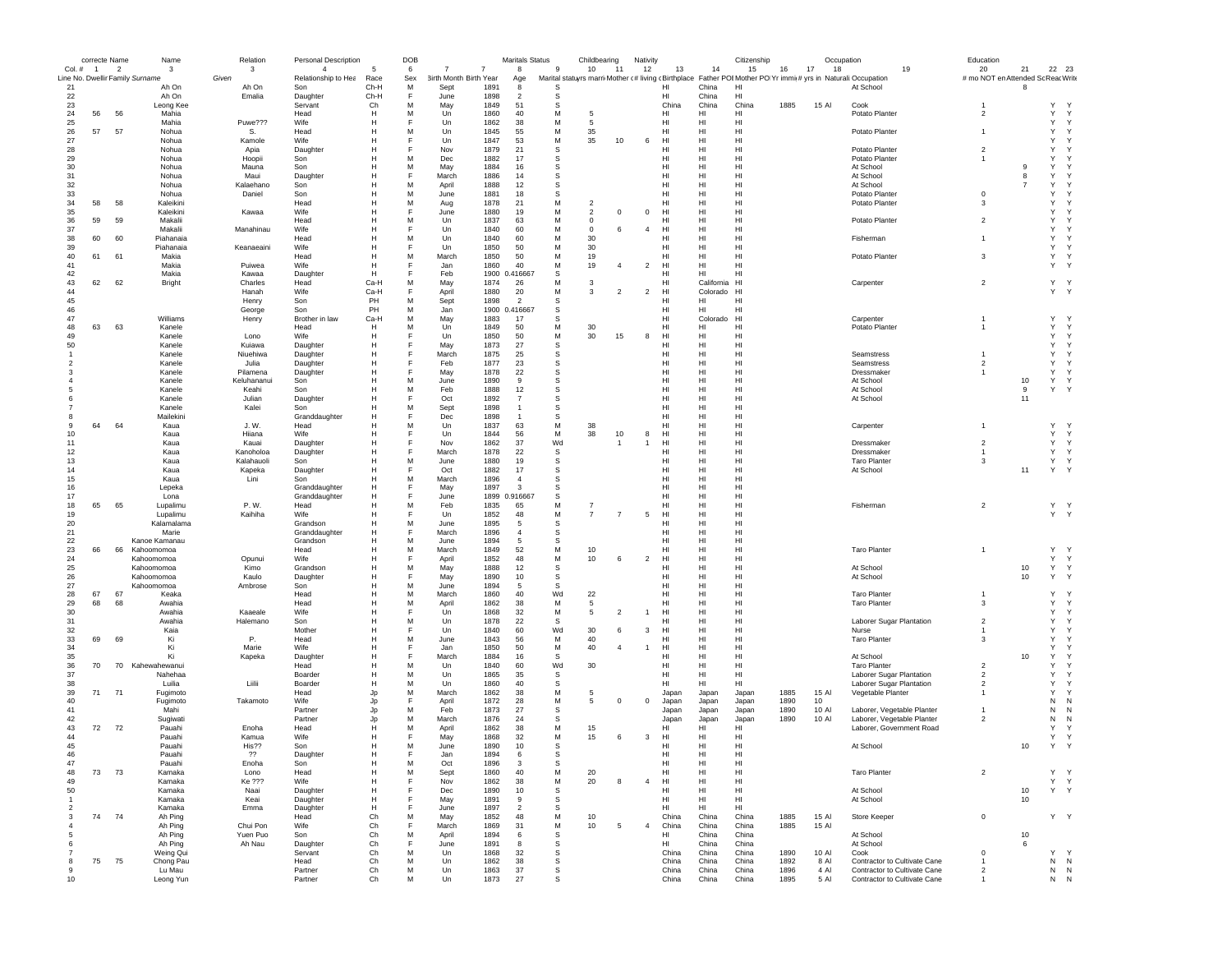|                          | correcte Name  |                | Name                            | Relation            | Personal Description  |              | DOB    |                               |              | <b>Maritals Status</b> |                  | Childbearing                                                                                                   | Nativity       |                 |                        | Citizenship          |      | Occupation |                                                      | Education                                 |                     |                     |              |
|--------------------------|----------------|----------------|---------------------------------|---------------------|-----------------------|--------------|--------|-------------------------------|--------------|------------------------|------------------|----------------------------------------------------------------------------------------------------------------|----------------|-----------------|------------------------|----------------------|------|------------|------------------------------------------------------|-------------------------------------------|---------------------|---------------------|--------------|
| Col. #                   | $\overline{1}$ | $\overline{2}$ | 3                               | 3                   | $\overline{4}$        | 5            | 6      | $\overline{7}$<br>7           |              | 8                      | -9               | 10<br>11                                                                                                       | 12             | 13              | 14                     | 15                   | 16   | 17<br>18   | 19                                                   | 20                                        | 21                  | 22 23               |              |
|                          |                |                | Line No. Dwellir Family Surname | Given               | Relationship to Hea   | Race         | Sex    | <b>3irth Month Birth Year</b> |              | Age                    |                  | Marital statuyrs marri Mother (# living (Birthplace Father POI Mother PO Yr immi(# yrs in Naturali: Occupation |                |                 |                        |                      |      |            |                                                      | # mo NOT en Attended Sc Reac Write        |                     |                     |              |
| 21                       |                |                | Ah On                           | Ah On<br>Emalia     | Son                   | Ch-H         | M<br>F | Sept                          | 1891         | 8<br>$\overline{2}$    | S<br>S           |                                                                                                                |                | HI<br>HI        | China<br>China         | HI<br>HI             |      |            | At School                                            |                                           | 8                   |                     |              |
| 22<br>23                 |                |                | Ah On<br>Leong Kee              |                     | Daughter<br>Servant   | Ch-H<br>Ch   | M      | June<br>May                   | 1898<br>1849 | 51                     | s                |                                                                                                                |                | China           | China                  | China                | 1885 | 15 Al      | Cook                                                 |                                           |                     | Y                   |              |
| 24                       | 56             | 56             | Mahia                           |                     | Head                  | H            | M      | Un                            | 1860         | 40                     | М                | 5                                                                                                              |                | HI              | HI                     | HI                   |      |            | Potato Planter                                       | $\overline{\mathbf{2}}$                   |                     | Y                   | Y            |
| 25                       |                |                | Mahia                           | Puwe???             | Wife                  | Н            | E      | Un                            | 1862         | 38                     | M                | 5                                                                                                              |                | HI              | HI                     | HI                   |      |            |                                                      |                                           |                     | Y                   | $\mathsf{Y}$ |
| 26                       | 57             | 57             | Nohua                           | S.                  | Head                  | H            | M      | Un                            | 1845         | 55                     | M                | 35                                                                                                             |                | HI              | HI                     | HI                   |      |            | Potato Planter                                       | $\overline{1}$                            |                     | Y                   | Y            |
| 27                       |                |                | Nohua                           | Kamole              | Wife                  | H            | F      | Un                            | 1847         | 53                     | M                | 35<br>10                                                                                                       | 6              | HI              | HI                     | HI                   |      |            |                                                      |                                           |                     | Y                   |              |
| 28                       |                |                | Nohua                           | Apia                | Daughter              | Н            | E      | Nov                           | 1879         | 21                     | s                |                                                                                                                |                | HI              | H                      | HI                   |      |            | Potato Planter                                       | $\overline{2}$                            |                     | Y                   |              |
| 29                       |                |                | Nohua                           | Hoopii              | Son                   | Н            | M      | Dec                           | 1882         | 17                     | s                |                                                                                                                |                | HI              | HI                     | H <sub>1</sub>       |      |            | Potato Planter                                       | $\mathbf{1}$                              |                     | Y                   |              |
| 30                       |                |                | Nohua                           | Mauna               | Son                   | H            | M      | May                           | 1884         | 16                     | s                |                                                                                                                |                | HI              | HI                     | H1                   |      |            | At School                                            |                                           | 9                   | Y                   |              |
| 31                       |                |                | Nohua                           | Maui                | Daughter              | H            | E      | March                         | 1886         | 14                     | s                |                                                                                                                |                | HI.             | HI                     | H1                   |      |            | At School                                            |                                           | 8<br>$\overline{7}$ | Y                   |              |
| 32<br>33                 |                |                | Nohua<br>Nohua                  | Kalaehano<br>Daniel | Son<br>Son            | н<br>H       | M<br>M | April                         | 1888<br>1881 | 12<br>18               | s<br>s           |                                                                                                                |                | HI<br>HI        | HI<br>HI               | HI<br>HI             |      |            | At School<br>Potato Planter                          | $^{\circ}$                                |                     | Y<br>Y              |              |
| 34                       | 58             | 58             | Kaleikini                       |                     | Head                  | н            | M      | June<br>Aug                   | 1878         | 21                     | М                | $\overline{\mathbf{c}}$                                                                                        |                | HI              | HI                     | HI                   |      |            | Potato Planter                                       | 3                                         |                     | Y                   |              |
| 35                       |                |                | Kaleikini                       | Kawaa               | Wife                  | н            | E      | June                          | 1880         | 19                     | M                | $\overline{2}$<br>$^{\circ}$                                                                                   | $\,0\,$        | HI              | HI                     | HI                   |      |            |                                                      |                                           |                     | Y                   |              |
| 36                       | 59             | 59             | Makalii                         |                     | Head                  | н            | M      | Un                            | 1837         | 63                     | M                | $\mathbf 0$                                                                                                    |                | HI              | HI                     | H <sub>1</sub>       |      |            | Potato Planter                                       | $\overline{2}$                            |                     | Y                   |              |
| 37                       |                |                | Makalii                         | Manahinau           | Wife                  | H            | F      | Un                            | 1840         | 60                     | M                | $\mathbf 0$<br>6                                                                                               | $\overline{4}$ | HI              | HI                     | HI                   |      |            |                                                      |                                           |                     | Y                   |              |
| 38                       | 60             | 60             | Piahanaia                       |                     | Head                  | Н            | M      | Un                            | 1840         | 60                     | M                | 30                                                                                                             |                | HI              | HI                     | HI                   |      |            | Fisherman                                            | $\overline{1}$                            |                     | Y                   | Y            |
| 39                       |                |                | Piahanaia                       | Keanaeaini          | Wife                  | H            | E      | Un                            | 1850         | 50                     | M                | 30                                                                                                             |                | HI              | HI                     | HI                   |      |            |                                                      |                                           |                     | Y                   | Y            |
| 40                       | 61             | 61             | Makia                           |                     | Head                  | Н            | M      | March                         | 1850         | 50                     | M                | 19                                                                                                             |                | HI              | HI                     | H <sub>1</sub>       |      |            | Potato Planter                                       | 3                                         |                     | $\mathsf{Y}$        | Y            |
| 41                       |                |                | Makia                           | Puiwea              | Wife                  | H            | E      | Jan.                          | 1860         | 40                     | M                | 19<br>$\overline{4}$                                                                                           | $\overline{2}$ | H <sub>II</sub> | HI                     | H1                   |      |            |                                                      |                                           |                     | Y                   | <sup>Y</sup> |
| 42                       |                |                | Makia                           | Kawaa               | Daughter              | H            |        | Feb                           |              | 1900 0.416667          | S                |                                                                                                                |                | HI              | HI                     | HI                   |      |            |                                                      |                                           |                     |                     |              |
| 43<br>44                 | 62             | 62             | Bright                          | Charles<br>Hanah    | Head<br>Wife          | Ca-H<br>Ca-H | M<br>F | May                           | 1874<br>1880 | 26<br>20               | М<br>М           | 3<br>3<br>$\overline{2}$                                                                                       | $\overline{2}$ | HI<br>HI        | California<br>Colorado | H <sub>1</sub><br>HI |      |            | Carpenter                                            | $\overline{2}$                            |                     | Y Y<br>Y Y          |              |
| 45                       |                |                |                                 | Henry               | Son                   | PH           | M      | April<br>Sept                 | 1898         | $\overline{2}$         | S                |                                                                                                                |                | HI              | HI                     | HI                   |      |            |                                                      |                                           |                     |                     |              |
| 46                       |                |                |                                 | George              | Son                   | PH           | M      | Jan                           | 1900         | 0.416667               | s                |                                                                                                                |                | HI              | HI                     | HI                   |      |            |                                                      |                                           |                     |                     |              |
| 47                       |                |                | Williams                        | Henry               | Brother in law        | Ca-H         | M      | May                           | 1883         | 17                     | S                |                                                                                                                |                | HI              | Colorado               | H <sub>1</sub>       |      |            | Carpenter                                            |                                           |                     | Y                   | $\mathbf{v}$ |
| 48                       | 63             | 63             | Kanele                          |                     | Head                  | н            | M      | Un                            | 1849         | 50                     | M                | 30                                                                                                             |                | HI              | HI                     | HI                   |      |            | Potato Planter                                       | $\overline{1}$                            |                     | Y                   | $\mathsf{Y}$ |
| 49                       |                |                | Kanele                          | Lono                | Wife                  | Н            | E      | Un                            | 1850         | 50                     | М                | 30<br>15                                                                                                       | 8              | HI              | H                      | HI                   |      |            |                                                      |                                           |                     | Y                   | Y            |
| 50                       |                |                | Kanele                          | Kuiawa              | Daughter              | H            | E      | May                           | 1873         | 27                     | $\mathbb S$      |                                                                                                                |                | HI              | HI                     | HI                   |      |            |                                                      |                                           |                     | $\mathsf{Y}$        | Y            |
| $\overline{1}$           |                |                | Kanele                          | Niuehiwa            | Daughter              | н            | E      | March                         | 1875         | 25                     | s                |                                                                                                                |                | HI              | HI                     | H <sub>1</sub>       |      |            | Seamstress                                           | $\mathbf{1}$                              |                     | Y                   | Y            |
| $\overline{\phantom{a}}$ |                |                | Kanele                          | Julia               | Daughter              | H            | E      | Feb                           | 1877         | 23                     | S                |                                                                                                                |                | HI              | HI                     | H1                   |      |            | Seamstress                                           | $\overline{2}$                            |                     | Y                   | Y            |
| -3                       |                |                | Kanele                          | Pilamena            | Daughter              | н            | F      | May                           | 1878         | 22                     | s                |                                                                                                                |                | HI              | HI                     | HI                   |      |            | Dressmaker                                           | $\overline{1}$                            |                     | Y                   | Y            |
|                          |                |                | Kanele                          | Keluhananui         | Son                   | Н            | M      | June                          | 1890         | 9                      | s                |                                                                                                                |                | HI              | HI                     | HI                   |      |            | At School                                            |                                           | 10                  | Y                   | Y            |
|                          |                |                | Kanele                          | Keahi               | Son                   | H            | M      | Feb                           | 1888         | 12<br>$\overline{7}$   | s<br>s           |                                                                                                                |                | HI<br>HI        | HI<br>HI               | HI                   |      |            | At School                                            |                                           | 9<br>11             | Y                   | Y            |
|                          |                |                | Kanele<br>Kanele                | Julian<br>Kalei     | Daughter<br>Son       | н<br>н       | M      | Oct<br>Sept                   | 1892<br>1898 | $\mathbf{1}$           | S                |                                                                                                                |                | HI              | HI                     | HI<br>HI             |      |            | At School                                            |                                           |                     |                     |              |
| -8                       |                |                | Mailekini                       |                     | Granddaughter         | Н            | E      | Dec                           | 1898         | $\overline{1}$         | S                |                                                                                                                |                | HI              | HI                     | HI                   |      |            |                                                      |                                           |                     |                     |              |
| 9                        | 64             | 64             | Kaua                            | J. W.               | Head                  | Н            | M      | Un                            | 1837         | 63                     | М                | 38                                                                                                             |                | HI              | HI                     | HI                   |      |            | Carpenter                                            | $\overline{1}$                            |                     | Y                   |              |
| 10                       |                |                | Kaua                            | Hiiana              | Wife                  | Н            | F      | Un                            | 1844         | 56                     | M                | 38<br>10                                                                                                       | 8              | HI              | HI                     | HI                   |      |            |                                                      |                                           |                     | Y                   | Y            |
| 11                       |                |                | Kaua                            | Kauai               | Daughter              | н            | E      | Nov                           | 1862         | 37                     | Wd               | $\overline{1}$                                                                                                 | $\overline{1}$ | HI              | HI                     | HI                   |      |            | Dressmaker                                           | $\overline{2}$                            |                     | Y                   | Y            |
| 12                       |                |                | Kaua                            | Kanoholoa           | Daughter              | H            | E      | March                         | 1878         | 22                     | s                |                                                                                                                |                | HI              | HI                     | H1                   |      |            | Dressmaker                                           | $\overline{1}$                            |                     | Y                   | Y            |
| 13                       |                |                | Kaua                            | Kalahauoli          | Son                   | H            | M      | June                          | 1880         | 19                     | S                |                                                                                                                |                | HI              | HI                     | H1                   |      |            | <b>Taro Planter</b>                                  | 3                                         |                     | Y Y                 |              |
| 14                       |                |                | Kaua                            | Kapeka              | Daughter              | H            |        | Oct                           | 1882         | 17                     | S                |                                                                                                                |                | HI              | HI                     | HI                   |      |            | At School                                            |                                           | 11                  | Y Y                 |              |
| 15                       |                |                | Kaua                            | Lini                | Son                   | н            | M      | March                         | 1896         | $\overline{4}$         | S                |                                                                                                                |                | HI              | HI                     | HI                   |      |            |                                                      |                                           |                     |                     |              |
| 16                       |                |                | Lepeka                          |                     | Granddaughter         | Н            |        | May                           | 1897         | 3                      | S                |                                                                                                                |                | HI              | HI                     | HI                   |      |            |                                                      |                                           |                     |                     |              |
| 17<br>18                 | 65             | 65             | Lona<br>Lupalimu                | P. W.               | Granddaughter<br>Head | н<br>H       | M      | June<br>Feb                   | 1835         | 1899 0.916667<br>65    | s<br>M           | $\overline{7}$                                                                                                 |                | HI<br>HI        | HI<br>HI               | HI<br>H <sub>1</sub> |      |            | Fisherman                                            | $\overline{2}$                            |                     | Y Y                 |              |
| 19                       |                |                | Lupalimu                        | Kaihiha             | Wife                  | Н            |        | Un                            | 1852         | 48                     | M                | $\overline{7}$<br>$\overline{7}$                                                                               | 5              | HI              | HI                     | HI                   |      |            |                                                      |                                           |                     | Y Y                 |              |
| 20                       |                |                | Kalamalama                      |                     | Grandson              | н            | M      | June                          | 1895         | 5                      | S                |                                                                                                                |                | HI              | HI                     | HI                   |      |            |                                                      |                                           |                     |                     |              |
| 21                       |                |                | Marie                           |                     | Granddaughter         | Н            | F      | March                         | 1896         | $\overline{4}$         | s                |                                                                                                                |                | HI              | H                      | HI                   |      |            |                                                      |                                           |                     |                     |              |
| 22                       |                |                | Kanoe Kamanau                   |                     | Grandson              | H            | M      | June                          | 1894         | 5                      | s                |                                                                                                                |                | HI              | HI                     | H <sub>1</sub>       |      |            |                                                      |                                           |                     |                     |              |
| 23                       | 66             | 66             | Kahoomomoa                      |                     | Head                  | H            | M      | March                         | 1849         | 52                     | М                | 10                                                                                                             |                | HI.             | HI                     | H1                   |      |            | <b>Taro Planter</b>                                  | $\overline{1}$                            |                     | Y                   | $\mathsf{Y}$ |
| 24                       |                |                | Kahoomomoa                      | Opunui              | Wife                  | H            | E      | April                         | 1852         | 48                     | M                | 10<br>-6                                                                                                       | $\overline{2}$ | HI.             | HI                     | H1                   |      |            |                                                      |                                           |                     | Y                   | Y            |
| 25                       |                |                | Kahoomomoa                      | Kimo                | Grandson              | н            | M      | May                           | 1888         | 12                     | s                |                                                                                                                |                | HI              | HI                     | HI                   |      |            | At School                                            |                                           | 10                  | Y                   | $\mathsf{Y}$ |
| 26<br>27                 |                |                | Kahoomomoa                      | Kaulo               | Daughter              | н            | F<br>M | May                           | 1890         | 10                     | s<br>s           |                                                                                                                |                | HI              | HI<br>HI               | HI                   |      |            | At School                                            |                                           | 10                  | Y                   | Y            |
| 28                       | 67             | 67             | Kahoomomoa<br>Keaka             | Ambrose             | Son<br>Head           | н<br>н       | M      | June<br>March                 | 1894<br>1860 | 5<br>40                | Wd               | 22                                                                                                             |                | HI<br>HI        | HI                     | HI<br>HI             |      |            | <b>Taro Planter</b>                                  |                                           |                     | Υ                   | $\mathbf{v}$ |
| 29                       | 68             | 68             | Awahia                          |                     | Head                  | H            | M      | April                         | 1862         | 38                     | M                | 5                                                                                                              |                | HI              | HI                     | H <sub>1</sub>       |      |            | <b>Taro Planter</b>                                  | 3                                         |                     | Y                   | Y            |
| 30                       |                |                | Awahia                          | Kaaeale             | Wife                  | H            | F      | Un                            | 1868         | 32                     | M                | 5<br>$\overline{2}$                                                                                            | $\overline{1}$ | HI              | HI                     | HI                   |      |            |                                                      |                                           |                     | Y                   | $\mathsf{Y}$ |
| 31                       |                |                | Awahia                          | Halemano            | Son                   | Н            | M      | Un                            | 1878         | 22                     | S                |                                                                                                                |                | HI              | н                      | HI                   |      |            | Laborer Sugar Plantation                             | $\overline{2}$                            |                     | Y                   | Y            |
| 32                       |                |                | Kaia                            |                     | Mother                | H            | E      | Un                            | 1840         | 60                     | Wd               | 30<br>6                                                                                                        | 3              | HI              | HI                     | HI                   |      |            | Nurse                                                | $\mathbf{1}$                              |                     | Y                   | Y            |
| 33                       | 69             | 69             | Ki                              | Ρ.                  | Head                  | Н            | M      | June                          | 1843         | 56                     | М                | 40                                                                                                             |                | HI              | HI                     | HI                   |      |            | <b>Taro Planter</b>                                  | 3                                         |                     | Y                   | Y            |
| 34                       |                |                | Ki                              | Marie               | Wife                  | H            | E      | Jan.                          | 1850         | 50                     | M                | 40<br>$\overline{4}$                                                                                           |                | H <sub>II</sub> | HI                     | H1                   |      |            |                                                      |                                           |                     | Y                   | $\checkmark$ |
| 35                       |                |                | Ki                              | Kapeka              | Daughter              | н            | F      | March                         | 1884         | 16                     | s                |                                                                                                                |                | HI              | HI                     | HI                   |      |            | At School                                            |                                           | 10                  | Y                   |              |
| 36                       | 70             | 70             | Kahewahewanui                   |                     | Head                  | H            | M      | Un                            | 1840         | 60                     | Wd               | 30                                                                                                             |                | HI              | HI                     | HI                   |      |            | <b>Taro Planter</b>                                  | $\overline{2}$                            |                     | Y                   |              |
| 37<br>38                 |                |                | Nahehaa<br>Luilia               | Liilii              | Boarder<br>Boarder    | Н<br>н       | M<br>M | Un<br>Un                      | 1865<br>1860 | 35<br>40               | S<br>s           |                                                                                                                |                | HI<br>HI        | HI<br>HI               | HI<br>HI             |      |            | Laborer Sugar Plantation<br>Laborer Sugar Plantation | $\overline{2}$<br>$\overline{\mathbf{2}}$ |                     | Y<br>Y              |              |
| 39                       | 71             | 71             | Fugimoto                        |                     | Head                  | Jp           | M      | March                         | 1862         | 38                     | М                | 5                                                                                                              |                | Japan           | Japan                  | Japan                | 1885 | 15 Al      | Vegetable Planter                                    |                                           |                     | Y                   |              |
| 40                       |                |                | Fugimoto                        | Takamoto            | Wife                  | Jp           |        | April                         | 1872         | 28                     | М                | 5<br>$\Omega$                                                                                                  | $\mathbf 0$    | Japan           | Japan                  | Japan                | 1890 | 10         |                                                      |                                           |                     | N                   | N            |
| 41                       |                |                | Mahi                            |                     | Partner               | Jp           | M      | Feb                           | 1873         | 27                     | S                |                                                                                                                |                | Japan           | Japan                  | Japan                | 1890 | 10 Al      | Laborer, Vegetable Planter                           |                                           |                     | N                   | N            |
| 42                       |                |                | Sugiwati                        |                     | Partner               | Jp           | M      | March                         | 1876         | 24                     | S                |                                                                                                                |                | Japan           | Japan                  | Japan                | 1890 | 10 Al      | Laborer, Vegetable Planter                           | $\overline{2}$                            |                     | N                   | N            |
| 43                       | 72             | 72             | Pauahi                          | Enoha               | Head                  | Н            | M      | April                         | 1862         | 38                     | М                | 15                                                                                                             |                | HI              | HI                     | HI                   |      |            | Laborer, Government Road                             |                                           |                     | Y                   |              |
| 44                       |                |                | Pauahi                          | Kamua               | Wife                  | H            | E      | May                           | 1868         | 32                     | M                | 15<br>6                                                                                                        | 3              | HI              | HI                     | HI                   |      |            |                                                      |                                           |                     | $\mathsf{Y}$        | Y            |
| 45                       |                |                | Pauahi                          | His??               | Son                   | H            | M      | June                          | 1890         | 10                     | S                |                                                                                                                |                | HI              | HI                     | HI                   |      |            | At School                                            |                                           | $10$                | Y                   |              |
| 46                       |                |                | Pauan                           | 22                  | Daughte               | н            |        | Jar                           | 1894         |                        | 5                |                                                                                                                |                | нı              | н                      | ы                    |      |            |                                                      |                                           |                     |                     |              |
| 47                       |                |                | Pauahi                          | Enoha               | Son                   | н            | M      | Oct                           | 1896         | 3                      | s                |                                                                                                                |                | HI              | HI                     | HI                   |      |            |                                                      |                                           |                     |                     |              |
| 48                       | 73             | 73             | Kamaka                          | Lono                | Head                  | н            | M<br>E | Sept                          | 1860         | 40                     | М                | 20                                                                                                             |                | HI              | HI                     | HI                   |      |            | <b>Taro Planter</b>                                  | $\overline{2}$                            |                     | Υ                   | Y            |
| 49<br>50                 |                |                | Kamaka<br>Kamaka                | Ke ???<br>Naai      | Wife                  | н<br>н       | F      | Nov<br>Dec                    | 1862<br>1890 | 38<br>10               | M<br>$\mathbb S$ | 20<br>-8                                                                                                       | $\overline{4}$ | HI<br>HI        | HI<br>HI               | HI<br>HI             |      |            | At School                                            |                                           | 10                  | Y<br>Y Y            | Y            |
| $\overline{1}$           |                |                | Kamaka                          | Keai                | Daughter<br>Daughter  | н            | F      | May                           | 1891         | 9                      | S                |                                                                                                                |                | HI              | HI                     | HI                   |      |            | At School                                            |                                           | 10                  |                     |              |
| $\overline{2}$           |                |                | Kamaka                          | Emma                | Daughter              | н            | F      | June                          | 1897         | $\overline{2}$         | S                |                                                                                                                |                | HI              | HI                     | HI                   |      |            |                                                      |                                           |                     |                     |              |
| 3                        |                | 74 74          | Ah Ping                         |                     | Head                  | Ch           | M      | May                           | 1852         | 48                     | М                | 10                                                                                                             |                | China           | China                  | China                | 1885 | 15 Al      | Store Keeper                                         | $^{\circ}$                                |                     | Y Y                 |              |
| $\overline{4}$           |                |                | Ah Ping                         | Chui Pon            | Wife                  | Ch           | E      | March                         | 1869         | 31                     | M                | 10<br>5                                                                                                        | $\overline{4}$ | China           | China                  | China                | 1885 | 15 Al      |                                                      |                                           |                     |                     |              |
| 5                        |                |                | Ah Ping                         | Yuen Puo            | Son                   | Ch           | M      | April                         | 1894         | 6                      | s                |                                                                                                                |                | HI              | China                  | China                |      |            | At School                                            |                                           | 10                  |                     |              |
| 6                        |                |                | Ah Ping                         | Ah Nau              | Daughter              | Ch           | F      | June                          | 1891         | 8                      | s                |                                                                                                                |                | HI              | China                  | China                |      |            | At School                                            |                                           | 6                   |                     |              |
|                          |                |                | Weing Qui                       |                     | Servant               | Ch           | M      | Un                            | 1868         | 32                     | s                |                                                                                                                |                | China           | China                  | China                | 1890 | 10 Al      | Cook                                                 | $\mathbf 0$                               |                     | Y                   | $\mathsf{Y}$ |
| 8                        | 75             | 75             | Chong Pau                       |                     | Head                  | Ch           | M      | Un                            | 1862         | 38                     | s                |                                                                                                                |                | China           | China                  | China                | 1892 | 8 Al       | Contractor to Cultivate Cane                         | $\mathbf{1}$                              |                     | N                   | N            |
| 9                        |                |                | Lu Mau                          |                     | Partner               | Ch           | М      | Un                            | 1863         | 37                     | s                |                                                                                                                |                | China           | China                  | China                | 1896 | 4 Al       | Contractor to Cultivate Cane                         | $\overline{2}$                            |                     | N N                 |              |
| 10                       |                |                | Leong Yun                       |                     | Partner               | Ch           | М      | Un                            | 1873         | 27                     | s                |                                                                                                                |                | China           | China                  | China                | 1895 | 5 AI       | Contractor to Cultivate Cane                         |                                           |                     | ${\sf N} - {\sf N}$ |              |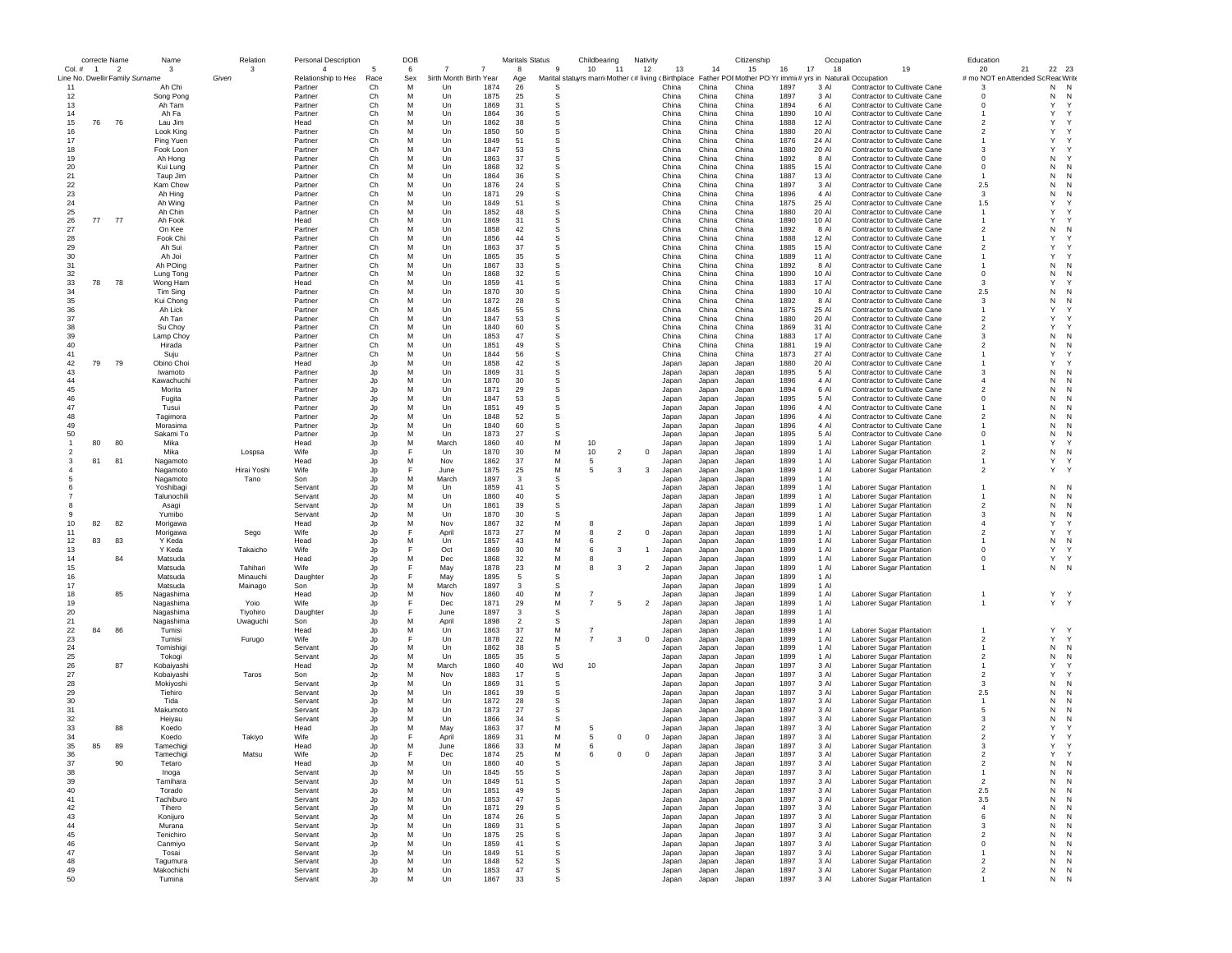|                | correcte Name  |                                 | Name        | Relation    | <b>Personal Description</b> |          | DOB |                        |              | <b>Maritals Status</b> |              | Childbearing                                        | Nativity       |                |                | Citizenship       |              | Occupation     |                                     | Education                |             |              |
|----------------|----------------|---------------------------------|-------------|-------------|-----------------------------|----------|-----|------------------------|--------------|------------------------|--------------|-----------------------------------------------------|----------------|----------------|----------------|-------------------|--------------|----------------|-------------------------------------|--------------------------|-------------|--------------|
| Col. #         | $\overline{1}$ | $\overline{\phantom{a}}$        | 3           | 3           | $\overline{4}$              | 5        | 6   | 7<br>7                 |              | 8                      | 9            | 10<br>11                                            | 12             | 13             | 14             | 15                | 16           | 17<br>18       | 19                                  | 20                       | 21<br>22 23 |              |
|                |                | Line No. Dwellir Family Surname |             | Given       | Relationship to Hea         | Race     | Sex | 3irth Month Birth Year |              | Age                    |              | Marital statuyrs marri Mother c# living cBirthplace |                |                | Father PO      | <b>EMother PO</b> | Yr immic#    |                | yrs in Naturali: Occupation         | # mo NOT en Attended So  | ReacWrite   |              |
| 11             |                |                                 | Ah Chi      |             | Partner                     | Ch       | м   | Un                     | 1874         | 26                     | S            |                                                     |                | China          | China          | China             | 1897         | 3 AI           | Contractor to Cultivate Cane        | -3                       | N           | N            |
| 12             |                |                                 | Song Pong   |             | Partner                     | Ch       | M   | Un                     | 1875         | 25                     | -S           |                                                     |                | China          | China          | China             | 1897         | 3 Al           | Contractor to Cultivate Cane        | $^{\circ}$               | N           | N            |
| 13             |                |                                 | Ah Tam      |             | Partner                     | Ch       | M   | Un                     | 1869         | 31                     | s            |                                                     |                | China          | China          | China             | 1894         | 6 Al           | Contractor to Cultivate Cane        | $\Omega$                 | Y           | $\checkmark$ |
| 14             |                |                                 | Ah Fa       |             | Partner                     | Ch       | M   | Un                     | 1864         | 36                     | S            |                                                     |                | China          | China          | China             | 1890         | 10 AI          | Contractor to Cultivate Cane        |                          | Y           |              |
| 15             | 76             | 76                              | Lau Jim     |             | Head                        | Ch       | M   | Un                     | 1862         | 38                     | S            |                                                     |                | China          | China          | China             | 1888         | 12 Al          | Contractor to Cultivate Cane        | $\overline{2}$           | Y           |              |
| 16             |                |                                 | Look King   |             | Partner                     | Ch       | M   | Un                     | 1850         | 50                     | s            |                                                     |                | China          | China          | China             | 1880         | 20 Al          | Contractor to Cultivate Cane        | $\overline{2}$           | Y           |              |
| 17             |                |                                 | Ping Yuen   |             | Partner                     | Ch       | M   | Un                     | 1849         | 51                     | S            |                                                     |                | China          | China          | China             | 1876         | 24 Al          | Contractor to Cultivate Cane        | -1                       | Y           |              |
| 18             |                |                                 | Fook Loon   |             | Partner                     | Ch       | M   | Un                     | 1847         | 53                     | <b>S</b>     |                                                     |                | China          | China          | China             | 1880         | 20 AI          | Contractor to Cultivate Cane        | $\mathbf{3}$             | Y           |              |
| 19             |                |                                 | Ah Hong     |             | Partner                     | Ch       | M   | Un                     | 1863         | 37                     | S            |                                                     |                | China          | China          | China             | 1892         | 8 Al           | Contractor to Cultivate Cane        | $^{\circ}$               | N           |              |
| 20             |                |                                 | Kui Lung    |             | Partner                     | Ch       | M   | Un                     | 1868         | 32                     | S            |                                                     |                | China          | China          | China             | 1885         | 15 AI          | Contractor to Cultivate Cane        | $^{\circ}$               | N           | N            |
| 21             |                |                                 | Taup Jim    |             | Partner                     | Ch       | M   | Un                     | 1864         | 36                     | S            |                                                     |                | China          | China          | China             | 1887         | 13 Al          | Contractor to Cultivate Cane        |                          | N           | N            |
| 22             |                |                                 | Kam Chow    |             | Partner                     | Ch       | м   | Un                     | 1876         | 24                     | s            |                                                     |                | China          | China          | China             | 1897         | 3 Al           | Contractor to Cultivate Cane        | 2.5                      | N           | N            |
| 23             |                |                                 | Ah Hing     |             | Partner                     | Ch       | M   | Un                     | 1871         | 29                     | s            |                                                     |                | China          | China          | China             | 1896         | 4 Al           | Contractor to Cultivate Cane        | $\mathbf{3}$             | N           | N            |
| 24             |                |                                 | Ah Wing     |             | Partner                     | Ch       | M   | Un                     | 1849         | 51                     | S            |                                                     |                | China          | China          | China             | 1875         | 25 Al          | Contractor to Cultivate Cane        | 1.5                      | Υ           |              |
| 25             |                |                                 | Ah Chin     |             | Partner                     | Ch       | M   | Un                     | 1852         | 48                     | S            |                                                     |                | China          | China          | China             | 1880         | 20 Al          | Contractor to Cultivate Cane        | $\mathbf{1}$             | Y           |              |
| 26             | 77             | 77                              | Ah Fook     |             | Head                        | Ch       | M   | Un                     | 1869         | 31                     | s            |                                                     |                | China          | China          | China             | 1890         | 10 AI          | Contractor to Cultivate Cane        |                          | Y           |              |
| 27             |                |                                 | On Kee      |             | Partner                     | Ch       | M   | Un                     | 1858         | 42                     | s            |                                                     |                | China          | China          | China             | 1892         | 8 Al           | Contractor to Cultivate Cane        | $\overline{2}$           | N           | N            |
| 28             |                |                                 | Fook Chi    |             | Partner                     | Ch       | M   | Un                     | 1856         | 44                     | <sub>S</sub> |                                                     |                | China          | China          | China             | 1888         | 12 AI          | Contractor to Cultivate Cane        | -1                       | Y           | Y            |
| 29             |                |                                 | Ah Sui      |             | Partner                     | Ch       | M   | Un                     | 1863         | 37                     | <sub>S</sub> |                                                     |                | China          | China          | China             | 1885         | 15 AI          | Contractor to Cultivate Cane        | $\overline{\phantom{a}}$ | Y           |              |
| 30             |                |                                 | Ah Joi      |             | Partner                     | Ch       | M   | Un                     | 1865         | 35                     | S            |                                                     |                | China          | China          | China             | 1889         | 11 Al          | Contractor to Cultivate Cane        |                          | Y           |              |
| 31             |                |                                 | Ah POing    |             | Partner                     | Ch       | M   | Un                     | 1867         | 33                     | S            |                                                     |                | China          | China          | China             | 1892         | 8 Al           | Contractor to Cultivate Cane        |                          | N           | N            |
| 32             |                |                                 | Lung Tong   |             | Partner                     | Ch       | M   | Un                     | 1868         | 32                     | s            |                                                     |                | China          | China          | China             | 1890         | 10 Al          | Contractor to Cultivate Cane        | $^{\circ}$               | N           | N            |
| 33             | 78             | 78                              | Wong Ham    |             | Head                        | Ch       | M   | Un                     | 1859         | 41                     | s            |                                                     |                | China          | China          | China             | 1883         | 17 AI          | Contractor to Cultivate Cane        | 3                        | Y           |              |
| 34             |                |                                 | Tim Sing    |             | Partner                     | Ch       | M   | Un                     | 1870         | 30                     | S            |                                                     |                | China          | China          | China             | 1890         | 10 Al          | Contractor to Cultivate Cane        | 2.5                      | N           | N            |
| 35             |                |                                 | Kui Chong   |             | Partner                     | Ch       | M   | Un                     | 1872         | 28                     | S            |                                                     |                | China          | China          | China             | 1892         | 8 Al           | Contractor to Cultivate Cane        | 3                        | N           | N            |
| 36             |                |                                 | Ah Lick     |             | Partner                     | Ch       | M   | Un                     | 1845         | 55                     | S            |                                                     |                | China          | China          | China             | 1875         | 25 AI          | Contractor to Cultivate Cane        |                          | Y           |              |
| 37             |                |                                 | Ah Tan      |             | Partner                     | Ch       | M   | Un                     | 1847         | 53                     | s            |                                                     |                | China          | China          | China             | 1880         | 20 AI          | Contractor to Cultivate Cane        | $\overline{2}$           | Y           |              |
| 38             |                |                                 |             |             |                             |          | M   |                        |              |                        | S            |                                                     |                |                |                |                   |              |                |                                     |                          | Y           | Y            |
|                |                |                                 | Su Choy     |             | Partner                     | Ch<br>Ch | M   | Un                     | 1840<br>1853 | 60<br>47               | <sub>S</sub> |                                                     |                | China<br>China | China<br>China | China<br>China    | 1869<br>1883 | 31 Al<br>17 AI | Contractor to Cultivate Cane        | $\overline{2}$           |             | N            |
| 39             |                |                                 | Lamp Choy   |             | Partner                     |          |     | Un                     |              |                        |              |                                                     |                |                |                |                   |              |                | Contractor to Cultivate Cane        | $\mathbf{3}$             | N           |              |
| 40             |                |                                 | Hirada      |             | Partner                     | Ch       | M   | Un                     | 1851         | 49                     | S            |                                                     |                | China          | China          | China             | 1881         | 19 AI          | Contractor to Cultivate Cane        | $\overline{2}$           | N           | N            |
| 41             |                |                                 | Suju        |             | Partner                     | Ch       | M   | Un                     | 1844         | 56                     | S            |                                                     |                | China          | China          | China             | 1873         | 27 Al          | Contractor to Cultivate Cane        |                          | Y           |              |
| 42             | 79             | 79                              | Obino Choi  |             | Head                        | Jp       | M   | Un                     | 1858         | 42                     | s            |                                                     |                | Japan          | Japan          | Japan             | 1880         | 20 AI          | Contractor to Cultivate Cane        |                          | Y           |              |
| 43             |                |                                 | Iwamoto     |             | Partner                     | Jp       | м   | Un                     | 1869         | 31                     | s            |                                                     |                | Japan          | Japan          | Japan             | 1895         | 5 Al           | Contractor to Cultivate Cane        | 3                        | N           | N            |
| 44             |                |                                 | Kawachuchi  |             | Partner                     | Jp       | M   | Un                     | 1870         | 30                     | s            |                                                     |                | Japan          | Japan          | Japan             | 1896         | 4 Al           | Contractor to Cultivate Cane        | -4                       | N           | N            |
| 45             |                |                                 | Morita      |             | Partner                     | Jp       | M   | Un                     | 1871         | 29                     | s            |                                                     |                | Japan          | Japan          | Japan             | 1894         | 6 Al           | Contractor to Cultivate Cane        | $\overline{2}$           | N           | N            |
| 46             |                |                                 | Fugita      |             | Partner                     | Jp       | M   | Un                     | 1847         | 53                     | S            |                                                     |                | Japan          | Japan          | Japan             | 1895         | 5 Al           | Contractor to Cultivate Cane        | $\mathbf 0$              | N           | N            |
| 47             |                |                                 | Tusui       |             | Partner                     | Jp       | M   | Un                     | 1851         | 49                     | S            |                                                     |                | Japan          | Japan          | Japan             | 1896         | 4 Al           | Contractor to Cultivate Cane        |                          | N           |              |
| 48             |                |                                 | Tagimora    |             | Partner                     | Jp       | M   | Un                     | 1848         | 52                     | s            |                                                     |                | Japan          | Japan          | Japan             | 1896         | 4 Al           | Contractor to Cultivate Cane        | $\overline{2}$           | N           | N            |
| 49             |                |                                 | Morasima    |             | Partner                     | Jp       | M   | Un                     | 1840         | 60                     | S            |                                                     |                | Japan          | Japan          | Japan             | 1896         | 4 AI           | <b>Contractor to Cultivate Cane</b> |                          | N           | N            |
| 50             |                |                                 | Sakami To   |             | Partner                     | Jp       | M   | Un                     | 1873         | 27                     | <sub>S</sub> |                                                     |                | Japan          | Japan          | Japan             | 1895         | 5 AI           | Contractor to Cultivate Cane        | $\Omega$                 | N           | N            |
| $\overline{1}$ | 80             | 80                              | Mika        |             | Head                        | Jp       | M   | March                  | 1860         | 40                     | M            | 10                                                  |                | Japan          | Japan          | Japan             | 1899         | 1 Al           | Laborer Sugar Plantation            |                          | Y           |              |
|                |                |                                 | Mika        | Lospsa      | Wife                        | Jp       |     | Un                     | 1870         | 30                     | M            | 10<br>$\overline{2}$                                | $^{\circ}$     | Japan          | Japan          | Japan             | 1899         | 1 Al           | Laborer Sugar Plantation            | $\overline{2}$           | N           | N            |
|                | 81             | 81                              | Nagamoto    |             | Head                        | Jp       | M   | Nov                    | 1862         | 37                     | М            | 5                                                   |                | Japan          | Japan          | Japan             | 1899         | 1 Al           | Laborer Sugar Plantation            |                          | Y           |              |
|                |                |                                 | Nagamoto    | Hirai Yoshi | Wife                        | Jp       |     | June                   | 1875         | 25                     | М            | 3<br>-5                                             | 3              | Japan          | Japan          | Japan             | 1899         | 1 Al           | Laborer Sugar Plantation            | $\overline{2}$           | Υ           |              |
|                |                |                                 | Nagamoto    | Tano        | Son                         | Jp       | M   | March                  | 1897         | 3                      | s            |                                                     |                | Japan          | Japan          | Japan             | 1899         | 1 Al           |                                     |                          |             |              |
|                |                |                                 | Yoshibagi   |             | Servant                     | Jp       | M   | Un                     | 1859         | 41                     | s            |                                                     |                | Japan          | Japan          | Japan             | 1899         | 1 Al           | Laborer Sugar Plantation            |                          | ${\sf N}$   | N            |
|                |                |                                 | Talunochili |             | Servant                     | Jp       | M   | Un                     | 1860         | 40                     | S            |                                                     |                | Japan          | Japan          | Japan             | 1899         | 1 Al           | Laborer Sugar Plantation            |                          | N           | N            |
|                |                |                                 | Asagi       |             | Servant                     | Jp       | M   | Un                     | 1861         | 39                     | S            |                                                     |                | Japan          | Japan          | Japan             | 1899         | 1 Al           | Laborer Sugar Plantation            | $\overline{2}$           | N           | N            |
|                |                |                                 | Yumibo      |             | Servant                     |          | M   | Un                     | 1870         | 30                     | S            |                                                     |                | Japan          | Japan          | Japan             | 1899         | 1 Al           |                                     | 3                        | N           | N            |
|                |                |                                 |             |             |                             | Jp       | M   |                        |              | 32                     | M            |                                                     |                |                |                |                   |              |                | Laborer Sugar Plantation            | $\Delta$                 | Y           | Y            |
| 10             | 82             | 82                              | Morigawa    |             | Head<br>Wife                | Jp       | F   | Nov                    | 1867<br>1873 |                        | M            |                                                     |                | Japan          | Japan          | Japan             | 1899         | 1 Al<br>1 Al   | Laborer Sugar Plantation            | $\overline{\phantom{a}}$ | Y           | $\checkmark$ |
| 11             |                |                                 | Morigawa    | Sego        |                             | Jp       | M   | April                  |              | 27                     | M            | 8<br>$\overline{2}$                                 | $\mathbf 0$    | Japan          | Japan          | Japan             | 1899         |                | Laborer Sugar Plantation            |                          |             | N            |
| 12             | 83             | 83                              | Y Keda      |             | Head                        | Jp       |     | Un                     | 1857         | 43                     |              | 6                                                   |                | Japan          | Japan          | Japan             | 1899         | 1 Al           | Laborer Sugar Plantation            | -1                       | N           |              |
| 13             |                |                                 | Y Keda      | Takaicho    | Wife                        | Jp       |     | Oct                    | 1869         | 30                     | М            | 3<br>6                                              |                | Japan          | Japan          | Japan             | 1899         | 1 Al           | Laborer Sugar Plantation            | $\mathbf 0$              | Y           |              |
| 14             |                | 84                              | Matsuda     |             | Head                        | Jp       | M   | Dec                    | 1868         | 32                     | М            | 8                                                   |                | Japan          | Japan          | Japan             | 1899         | 1 Al           | Laborer Sugar Plantation            | $\mathbf 0$              | Y           |              |
| 15             |                |                                 | Matsuda     | Tahihari    | Wife                        | Jp       |     | May                    | 1878         | 23                     | М            | 8<br>3                                              | $\overline{2}$ | Japan          | Japan          | Japan             | 1899         | 1 Al           | Laborer Sugar Plantation            |                          | N           | N            |
| 16             |                |                                 | Matsuda     | Minauchi    | Daughter                    | Jp       |     | May                    | 1895         | 5                      | s            |                                                     |                | Japan          | Japan          | Japan             | 1899         | 1 Al           |                                     |                          |             |              |
| 17             |                |                                 | Matsuda     | Mainago     | Son                         | Jp       | M   | March                  | 1897         | 3                      | S            |                                                     |                | Japan          | Japan          | Japan             | 1899         | 1 Al           |                                     |                          |             |              |
| 18             |                | 85                              | Nagashima   |             | Head                        | Jp       | M   | Nov                    | 1860         | 40                     | M            | -7                                                  |                | Japan          | Japan          | Japan             | 1899         | 1 Al           | Laborer Sugar Plantation            |                          | Y Y         |              |
| 19             |                |                                 | Nagashima   | Yoio        | Wife                        | Jp       | F   | Dec                    | 1871         | 29                     | M            | $\overline{7}$                                      | $\overline{2}$ | Japan          | Japan          | Japan             | 1899         | 1 Al           | Laborer Sugar Plantation            | $\mathbf{1}$             | Y Y         |              |
| 20             |                |                                 | Nagashima   | Tiyohiro    | Daughter                    | Jp       | E   | June                   | 1897         | 3                      | s            |                                                     |                | Japan          | Japan          | Japan             | 1899         | 1 Al           |                                     |                          |             |              |
| 21             |                |                                 | Nagashima   | Uwaguchi    | Son                         | Jp       | M   | April                  | 1898         | $\overline{2}$         | s            |                                                     |                | Japan          | Japan          | Japan             | 1899         | 1 Al           |                                     |                          |             |              |
| $22\,$         | 84             | 86                              | Tumisi      |             | Head                        | Jp       | M   | Un                     | 1863         | 37                     | M            |                                                     |                | Japan          | Japan          | Japan             | 1899         | 1 Al           | Laborer Sugar Plantation            |                          | Y           |              |
| 23             |                |                                 | Tumisi      | Furugo      | Wife                        | Jp       |     | Un                     | 1878         | 22                     | M            | $\overline{7}$<br>3                                 | $^{\circ}$     | Japan          | Japan          | Japan             | 1899         | 1 Al           | Laborer Sugar Plantation            | $\overline{2}$           | Y           | Y            |
| 24             |                |                                 | Tomishigi   |             | Servant                     | Jp       | м   | Un                     | 1862         | 38                     | S            |                                                     |                | Japan          | Japan          | Japan             | 1899         | 1 Al           | Laborer Sugar Plantation            | $\mathbf{1}$             | N           | N            |
| 25             |                |                                 | Tokogi      |             | Servant                     | Jp       | M   | Un                     | 1865         | 35                     | s            |                                                     |                | Japan          | Japan          | Japan             | 1899         | 1 Al           | Laborer Sugar Plantation            | $\overline{2}$           | N           | N            |
| 26             |                | 87                              | Kobaiyashi  |             | Head                        | Jp       | м   | March                  | 1860         | 40                     | Wd           | 10                                                  |                | Japan          | Japan          | Japan             | 1897         | 3 Al           | Laborer Sugar Plantation            | -1                       | Y           | Y            |
| 27             |                |                                 | Kobaivashi  | Taros       | Son                         | Jp       | M   | Nov                    | 1883         | 17                     | s            |                                                     |                | Japan          | Japan          | Japan             | 1897         | 3 Al           | Laborer Sugar Plantation            | $\overline{2}$           | Y           | $\checkmark$ |
| 28             |                |                                 | Mokiyoshi   |             | Servant                     | Jp       | M   | Un                     | 1869         | 31                     | S            |                                                     |                | Japan          | Japan          | Japan             | 1897         | 3 Al           | Laborer Sugar Plantation            | 3                        | N           | N            |
| 29             |                |                                 | Tiehiro     |             | Servant                     | Jp       | M   | Un                     | 1861         | 39                     | S            |                                                     |                | Japan          | Japan          | Japan             | 1897         | 3 Al           | Laborer Sugar Plantation            | 2.5                      | N           | N            |
| 30             |                |                                 | Tida        |             | Servant                     | Jp       | M   | Un                     | 1872         | 28                     | S            |                                                     |                | Japan          | Japan          | Japan             | 1897         | 3 Al           | Laborer Sugar Plantation            | $\mathbf{1}$             | N           | N            |
| 31             |                |                                 | Makumoto    |             | Servant                     | Jp       | M   | Un                     | 1873         | 27                     | S            |                                                     |                | Japan          | Japan          | Japan             | 1897         | 3 Al           | Laborer Sugar Plantation            | -5                       | N           | N            |
| 32             |                |                                 | Heiyau      |             | Servant                     | Jp       | M   | Un                     | 1866         | 34                     | <b>S</b>     |                                                     |                | Japan          | Japan          | Japan             | 1897         | 3 Al           | Laborer Sugar Plantation            | $\mathbf{3}$             | N           | N            |
| 33             |                | 88                              | Koedo       |             | Head                        | Jo       | M   | May                    | 1863         | 37                     | M            | -5                                                  |                | Japan          | Japan          | Japan             | 1897         | 3 Al           | Laborer Sugar Plantation            | $\overline{2}$           | Y           | Y            |
| 34             |                |                                 | Koedo       | Takiyo      | Wife                        | Jp       |     | April                  | 1869         | 31                     | M            | 5<br>$^{\circ}$                                     | $\mathbf 0$    | Japan          | Japan          | Japan             | 1897         | 3 Al           | Laborer Sugar Plantation            | $\overline{2}$           | Y           | Y            |
| 35             | 85             | 89                              | Tamechigi   |             | Head                        |          | M   | June                   | 1866         | 33                     | М            | 6                                                   |                | Japan          | Japan          | Japan             | 1897         | 3 Al           | Laborer Sugar Plantation            | 3                        | Y           |              |
| 36             |                |                                 | Tamechig    |             | Wife                        |          |     | Dec                    | 1874         | 25                     | M            |                                                     |                | Japar          |                | Japar             | 1897         | 3 Al           | aborer Sugar Plantation             |                          |             |              |
| 37             |                | 90                              | Tetaro      |             | Head                        | Jp       | M   | Un                     | 1860         | 40                     | $\mathbb S$  |                                                     |                | Japan          | Japan          | Japan             | 1897         | 3 AI           | Laborer Sugar Plantation            | $\overline{2}$           | ${\sf N}$   | N            |
| 38             |                |                                 | Inoga       |             | Servant                     | Jp       | M   | Un                     | 1845         | 55                     | s            |                                                     |                | Japan          | Japan          | Japan             | 1897         | 3 Al           | Laborer Sugar Plantation            | $\overline{1}$           | N           | N            |
| 39             |                |                                 | Tamihara    |             | Servant                     | Jp       | M   | Un                     | 1849         | 51                     | s            |                                                     |                | Japan          | Japan          | Japan             | 1897         | 3 Al           | Laborer Sugar Plantation            | $\overline{2}$           | N           | N            |
| 40             |                |                                 | Torado      |             | Servant                     | Jp       | M   | Un                     | 1851         | 49                     | s            |                                                     |                | Japan          | Japan          | Japan             | 1897         | 3 Al           | Laborer Sugar Plantation            | 2.5                      | N           | N            |
| 41             |                |                                 | Tachiburo   |             | Servant                     | Jp       | M   | Un                     | 1853         | 47                     | s            |                                                     |                | Japan          | Japan          | Japan             | 1897         | 3 Al           | Laborer Sugar Plantation            | 3.5                      | N           | N            |
| 42             |                |                                 |             |             |                             |          | M   | Un                     | 1871         | 29                     | s            |                                                     |                |                |                |                   |              | 3 Al           |                                     | $\overline{4}$           | N           | N            |
| 43             |                |                                 | Tihero      |             | Servant<br>Servant          | Jp       | M   |                        | 1874         | 26                     | s            |                                                     |                | Japan          | Japan          | Japan             | 1897<br>1897 | 3 Al           | Laborer Sugar Plantation            | 6                        | N           | N            |
|                |                |                                 | Konijuro    |             |                             | Jp       | M   | Un                     |              |                        | s            |                                                     |                | Japan          | Japan          | Japan             |              |                | Laborer Sugar Plantation            | 3                        | N           | N            |
| 44             |                |                                 | Murana      |             | Servant                     | Jp       |     | Un                     | 1869         | 31                     |              |                                                     |                | Japan          | Japan          | Japan             | 1897         | 3 Al           | Laborer Sugar Plantation            |                          |             |              |
| 45             |                |                                 | Tenichiro   |             | Servant                     | Jp       | M   | Un                     | 1875         | 25                     | S            |                                                     |                | Japan          | Japan          | Japan             | 1897         | 3 Al           | Laborer Sugar Plantation            | $\overline{2}$           | N           | N            |
| 46             |                |                                 | Canmiyo     |             | Servant                     | Jp       | M   | Un                     | 1859         | 41                     | s            |                                                     |                | Japan          | Japan          | Japan             | 1897         | 3 Al           | Laborer Sugar Plantation            | $^{\circ}$               | N           | N            |
| 47             |                |                                 | Tosai       |             | Servant                     | Jp       | м   | Un                     | 1849         | 51                     | s            |                                                     |                | Japan          | Japan          | Japan             | 1897         | 3 Al           | Laborer Sugar Plantation            |                          | N           | N            |
| 48             |                |                                 | Tagumura    |             | Servant                     | Jp       | м   | Un                     | 1848         | 52                     | s            |                                                     |                | Japan          | Japan          | Japan             | 1897         | 3 Al           | Laborer Sugar Plantation            | $\overline{2}$           | ${\sf N}$   | N            |
| 49             |                |                                 | Makochichi  |             | Servant                     | Jp       | M   | Un                     | 1853         | 47                     | S            |                                                     |                | Japan          | Japan          | Japan             | 1897         | 3 Al           | Laborer Sugar Plantation            | $\overline{2}$           | ${\sf N}$   | N            |
| 50             |                |                                 | Tumina      |             | Servant                     | Jc       | M   | Un                     | 1867         | 33                     | S            |                                                     |                | Japan          | Japan          | Japan             | 1897         | 3 Al           | Laborer Sugar Plantation            |                          | N           | N            |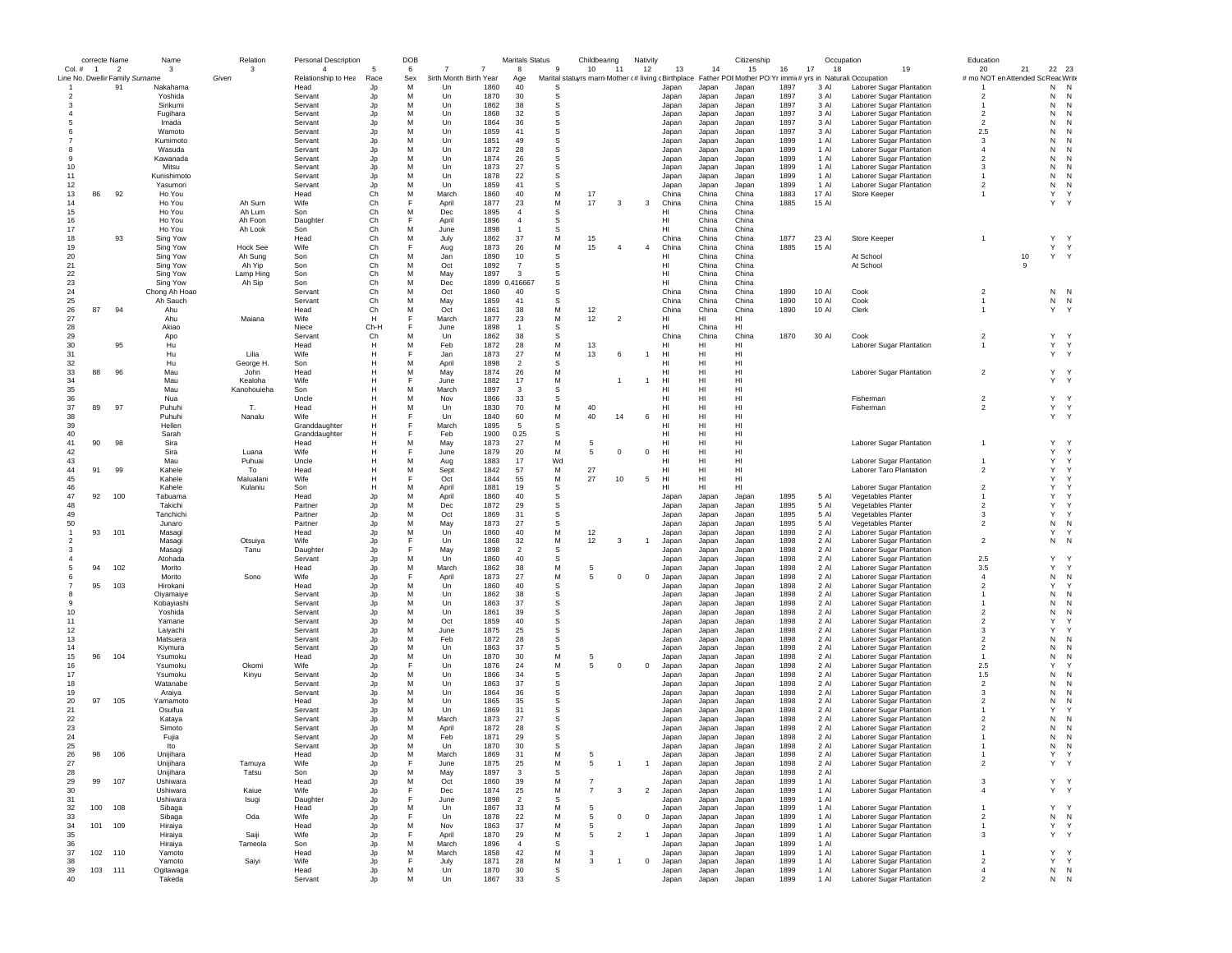|                          | correcte Name  |                                       | Name                | Relation          | <b>Personal Description</b> |            | DOB      |                             |              | <b>Maritals Status</b> |          | Childbearing             | Nativity       |                |                | Citizenship                                                                                                            |              |                | Occupation                                           | Education                          |              |                     |
|--------------------------|----------------|---------------------------------------|---------------------|-------------------|-----------------------------|------------|----------|-----------------------------|--------------|------------------------|----------|--------------------------|----------------|----------------|----------------|------------------------------------------------------------------------------------------------------------------------|--------------|----------------|------------------------------------------------------|------------------------------------|--------------|---------------------|
| $Col.$ #                 | $\overline{1}$ | $\overline{\phantom{a}}$              | $\mathbf{3}$        | 3                 | $\overline{4}$              |            | 6        |                             | 7            | 8                      | -9       | 10<br>11                 | 12             | 13             | 14             | 15                                                                                                                     | 16<br>17     | 18             | 19                                                   | 20                                 | 21           | 22 23               |
|                          |                | Line No. Dwellir Family Surname<br>91 | Nakahama            | Given             | Relationship to Hea<br>Head | Race<br>Jp | Sex<br>M | irth Month Birth Year<br>Un | 1860         | Age<br>40              | S        |                          |                | Japan          | Japan          | Marital statuyrs marri Mother (# living (Birthplace Father POI Mother PO Yr immi(# yrs in Naturali:Occupation<br>Japan | 1897         | 3 AI           | Laborer Sugar Plantation                             | # mo NOT en Attended Sc Reac Write |              | N<br>N              |
|                          |                |                                       | Yoshida             |                   | Servant                     | Jp         | M        | Un                          | 1870         | 30                     | s        |                          |                | Japan          | Japan          | Japan                                                                                                                  | 1897         | 3 Al           | Laborer Sugar Plantation                             | $\overline{2}$                     |              | N<br>N              |
|                          |                |                                       | Sirikumi            |                   | Servant                     | Jp         | M        | Un                          | 1862         | 38                     | s        |                          |                | Japan          | Japan          | Japan                                                                                                                  | 1897         | 3 Al           | Laborer Sugar Plantation                             |                                    |              | N<br>N              |
|                          |                |                                       | Fugihara            |                   | Servant                     | Jp         | M        | Un                          | 1868         | 32                     | s        |                          |                | Japan          | Japan          | Japan                                                                                                                  | 1897         | 3 Al           | Laborer Sugar Plantation                             | $\overline{\phantom{a}}$           |              | N<br>N              |
|                          |                |                                       | Imada               |                   | Servant                     | Jp         | M        | Un                          | 1864         | 36                     | S        |                          |                | Japan          | Japan          | Japan                                                                                                                  | 1897         | 3 Al           | Laborer Sugar Plantation                             | $\overline{2}$                     |              | N<br>N              |
|                          |                |                                       | Wamoto              |                   | Servant                     | Jp         | M        | Un                          | 1859         | 41                     | s        |                          |                | Japan          | Japan          | Japan                                                                                                                  | 1897         | 3 Al           | Laborer Sugar Plantation                             | 2.5                                |              | N                   |
|                          |                |                                       | Kumimoto            |                   | Servant                     | Jp         | M        | Un                          | 1851         | 49                     | S        |                          |                | Japan          | Japan          | Japan                                                                                                                  | 1899         | 1 Al           | Laborer Sugar Plantation                             | 3                                  |              | N<br>N              |
|                          |                |                                       | Wasuda              |                   | Servant                     | Jp         | M        | Un                          | 1872         | 28                     | S        |                          |                | Japan          | Japan          | Japan                                                                                                                  | 1899         | 1 Al           | Laborer Sugar Plantation                             | $\overline{4}$                     |              | N<br>N              |
| -9                       |                |                                       | Kawanada            |                   | Servant                     | Jp         | M        | Un                          | 1874         | 26                     | S        |                          |                | Japan          | Japan          | Japan                                                                                                                  | 1899         | $1$ Al         | Laborer Sugar Plantation                             | $\overline{\phantom{a}}$           |              | N<br>N              |
| 10                       |                |                                       | Mitsu               |                   | Servant                     | Jp         | M        | Un                          | 1873         | 27                     | S        |                          |                | Japan          | Japan          | Japan                                                                                                                  | 1899         | 1 Al           | Laborer Sugar Plantation                             | 3                                  |              | N<br>N              |
| 11                       |                |                                       | Kunishimoto         |                   | Servant                     | Jp         | M        | Un                          | 1878         | 22                     | S        |                          |                | Japan          | Japan          | Japan                                                                                                                  | 1899         | 1 Al           | Laborer Sugar Plantation                             | $\overline{1}$                     |              | N<br>N              |
| 12                       | 86             | 92                                    | Yasumori            |                   | Servant                     | Jp         | M<br>M   | Un                          | 1859         | 41<br>40               | s<br>M   | 17                       |                | Japan          | Japan          | Japan                                                                                                                  | 1899         | 1 Al<br>17 Al  | Laborer Sugar Plantation                             | $\overline{2}$                     |              | N<br>N<br>Y<br>Y    |
| 13<br>14                 |                |                                       | Ho You<br>Ho You    | Ah Sum            | Head<br>Wife                | Ch<br>Ch   | E        | March<br>April              | 1860<br>1877 | 23                     | М        | 17<br>3                  | 3              | China<br>China | China<br>China | China<br>China                                                                                                         | 1883<br>1885 | 15 Al          | Store Keeper                                         |                                    |              | Y                   |
| 15                       |                |                                       | Ho You              | Ah Lum            | Son                         | Ch         | M        | Dec                         | 1895         | $\overline{4}$         | s        |                          |                | HI             | China          | China                                                                                                                  |              |                |                                                      |                                    |              |                     |
| 16                       |                |                                       | Ho You              | Ah Foon           | Daughter                    | Ch         | F        | April                       | 1896         | $\overline{4}$         | S        |                          |                | HI             | China          | China                                                                                                                  |              |                |                                                      |                                    |              |                     |
| 17                       |                |                                       | Ho You              | Ah Look           | Son                         | Ch         | M        | June                        | 1898         | $\overline{1}$         | s        |                          |                | HI             | China          | China                                                                                                                  |              |                |                                                      |                                    |              |                     |
| 18                       |                | 93                                    | Sing Yow            |                   | Head                        | Ch         | M        | July                        | 1862         | 37                     | M        | 15                       |                | China          | China          | China                                                                                                                  | 1877         | 23 Al          | Store Keeper                                         | $\mathbf{1}$                       |              | Y Y                 |
| 19                       |                |                                       | Sing Yow            | <b>Hock See</b>   | Wife                        | Ch         | F        | Aug                         | 1873         | 26                     | М        | 15<br>$\Delta$           | $\overline{4}$ | China          | China          | China                                                                                                                  | 1885         | 15 Al          |                                                      |                                    |              | Y Y                 |
| 20                       |                |                                       | Sing Yow            | Ah Sung           | Son                         | Ch         | M        | Jan                         | 1890         | 10                     | S        |                          |                | HI             | China          | China                                                                                                                  |              |                | At School                                            |                                    | $10$         | Y Y                 |
| 21                       |                |                                       | Sing Yow            | Ah Yip            | Son                         | Ch         | M        | Oct                         | 1892         | $\overline{7}$         | S        |                          |                | HI             | China          | China                                                                                                                  |              |                | At School                                            |                                    | 9            |                     |
| 22                       |                |                                       | Sing Yow            | Lamp Hing         | Son                         | Ch         | M        | May                         | 1897         | 3                      | S        |                          |                | HI             | China          | China                                                                                                                  |              |                |                                                      |                                    |              |                     |
| 23                       |                |                                       | Sing Yow            | Ah Sip            | Son                         | Ch         | M        | Dec                         | 1899         | 0.416667               | S        |                          |                | HI             | China          | China                                                                                                                  |              |                |                                                      |                                    |              |                     |
| 24                       |                |                                       | Chong Ah Hoao       |                   | Servant                     | Ch         | M        | Oct                         | 1860         | 40                     | s        |                          |                | China          | China          | China                                                                                                                  | 1890         | 10 Al          | Cook                                                 | $\overline{\mathbf{2}}$            |              | N<br>N              |
| 25                       |                |                                       | Ah Sauch            |                   | Servant                     | Ch         | M        | May                         | 1859         | 41                     | S        |                          |                | China          | China          | China                                                                                                                  | 1890         | 10 Al          | Cook                                                 |                                    |              | ${\sf N}$<br>N      |
| 26                       | 87             | 94                                    | Ahu                 |                   | Head                        | Ch         | M        | Oct                         | 1861         | 38                     | M        | 12                       |                | China          | China          | China                                                                                                                  | 1890         | 10 Al          | Clerk                                                |                                    |              | Y                   |
| 27                       |                |                                       | Ahu                 | Maiana            | Wife                        | н          | F        | March                       | 1877         | 23                     | M        | 12<br>$\overline{2}$     |                | HI             | HI             | HI                                                                                                                     |              |                |                                                      |                                    |              |                     |
| 28                       |                |                                       | Akiao               |                   | Niece                       | Ch-H       | F        | June                        | 1898         | $\overline{1}$         | S        |                          |                | HI             | China          | HI                                                                                                                     |              |                |                                                      |                                    |              |                     |
| 29                       |                |                                       | Apo                 |                   | Servant                     | Ch         | M        | Un                          | 1862         | 38                     | s        |                          |                | China          | China          | China                                                                                                                  | 1870         | 30 Al          | Cook                                                 | $\overline{2}$                     |              | Υ                   |
| 30                       |                | 95                                    | Hu                  |                   | Head                        | H<br>H     | M<br>E   | Feb                         | 1872         | 28                     | M        | 13                       |                | HI             | HI             | HI                                                                                                                     |              |                | Laborer Sugar Plantation                             | $\mathbf{1}$                       |              | Y<br>$\mathsf{Y}$   |
| 31                       |                |                                       | Hu                  | Lilia             | Wife                        |            | M        | .lar                        | 1873         | 27<br>$\overline{2}$   | M<br>S   | 13<br>-6                 |                | HI.            | HI             | HI                                                                                                                     |              |                |                                                      |                                    |              | Y Y                 |
| 32<br>33                 | 88             | 96                                    | Hu<br>Mau           | George H.<br>John | Son<br>Head                 | н<br>Н     | M        | April<br>May                | 1898<br>1874 | 26                     | M        |                          |                | HI<br>HI       | HI<br>HI       | HI<br>HI                                                                                                               |              |                | Laborer Sugar Plantation                             | $\overline{2}$                     |              | Y Y                 |
| 34                       |                |                                       | Mau                 | Kealoha           | Wife                        | н          |          | June                        | 1882         | 17                     | М        |                          | 1              | HI             | HI             | HI                                                                                                                     |              |                |                                                      |                                    |              | Y Y                 |
| 35                       |                |                                       | Mau                 | Kanohouieha       | Son                         | н          | M        | March                       | 1897         | 3                      | s        |                          |                | HI             | HI             | HI                                                                                                                     |              |                |                                                      |                                    |              |                     |
| 36                       |                |                                       | Nua                 |                   | Uncle                       | H          | M        | Nov                         | 1866         | 33                     | S        |                          |                | HI             | HI             | H <sub>1</sub>                                                                                                         |              |                | Fisherman                                            | $\overline{2}$                     |              | Y Y                 |
| 37                       | 89             | 97                                    | Puhuhi              | Т.                | Head                        | H          | M        | Un                          | 1830         | 70                     | M        | 40                       |                | HI             | HI             | HI                                                                                                                     |              |                | Fisherman                                            | $\overline{2}$                     |              | Y Y                 |
| 38                       |                |                                       | Puhuhi              | Nanalu            | Wife                        | H          | F        | Un                          | 1840         | 60                     | M        | 40<br>14                 | 6              | HI             | HI             | HI                                                                                                                     |              |                |                                                      |                                    |              | Y Y                 |
| 39                       |                |                                       | Hellen              |                   | Granddaughter               | H          | E        | March                       | 1895         | 5                      | S        |                          |                | HI             | HI             | HI                                                                                                                     |              |                |                                                      |                                    |              |                     |
| 40                       |                |                                       | Sarah               |                   | Granddaughter               | H          | F        | Feb                         | 1900         | 0.25                   | s        |                          |                | HI             | HI             | HI                                                                                                                     |              |                |                                                      |                                    |              |                     |
| 41                       | 90             | 98                                    | Sira                |                   | Head                        | H          | M        | May                         | 1873         | 27                     | M        | 5                        |                | HI             | HI             | HI                                                                                                                     |              |                | Laborer Sugar Plantation                             |                                    |              | Y                   |
| 42                       |                |                                       | Sira                | Luana             | Wife                        | H          |          | June                        | 1879         | 20                     | M        | $^{\circ}$<br>5          | $^{\circ}$     | HI.            | HI             | HI                                                                                                                     |              |                |                                                      |                                    |              | Y<br>Y              |
| 43                       |                |                                       | Mau                 | Puhuai            | Uncle                       | H          | M        | Aug                         | 1883         | 17                     | Wd       |                          |                | HI             | HI             | HI                                                                                                                     |              |                | Laborer Sugar Plantation                             |                                    |              | Y                   |
| 44                       | 91             | 99                                    | Kahele              | To                | Head                        | Н          | M        | Sept                        | 1842         | 57                     | М        | 27                       |                | HI             | HI             | HI                                                                                                                     |              |                | Laborer Taro Plantation                              | $\overline{2}$                     |              | Y<br>Y              |
| 45                       |                |                                       | Kahele              | Malualani         | Wife                        | Н          |          | Oct                         | 1844         | 55                     | М        | 27<br>10                 | 5              | HI             | HI             | HI                                                                                                                     |              |                |                                                      |                                    |              | Y<br>Y              |
| 46                       |                |                                       | Kahele              | Kulaniu           | Son                         | н          | M        | April                       | 1881         | 19                     | s        |                          |                | HI             | HI             | HI                                                                                                                     |              |                | Laborer Sugar Plantation                             | $\overline{2}$                     |              | Y                   |
| 47                       | 92             | 100                                   | Tabuama             |                   | Head                        | Jp         | M        | April                       | 1860         | 40                     | s        |                          |                | Japan          | Japan          | Japan                                                                                                                  | 1895         | 5 Al           | Vegetables Planter                                   |                                    |              | Y                   |
| 48                       |                |                                       | Takichi             |                   | Partner                     | Jp         | M        | Dec                         | 1872         | 29                     | s        |                          |                | Japan          | Japan          | Japan                                                                                                                  | 1895         | 5 Al           | Vegetables Planter                                   | $\overline{2}$                     |              | Υ                   |
| 49                       |                |                                       | Tanchich            |                   | Partner                     | Jp         | M        | Oct                         | 1869         | 31                     | s        |                          |                | Japan          | Japan          | Japan                                                                                                                  | 1895         | 5 Al           | Vegetables Planter                                   | 3                                  |              | Y                   |
| 50                       |                |                                       | Junaro              |                   | Partner                     | Jp         | M<br>M   | May                         | 1873         | 27                     | s<br>M   |                          |                | Japan          | Japan          | Japan                                                                                                                  | 1895         | 5 AI           | Vegetables Planter                                   | $\overline{2}$                     |              | N<br>N              |
| $\overline{\phantom{a}}$ | 93             | 101                                   | Masagi<br>Masagi    |                   | Head<br>Wife                | Jp         |          | Un<br>Un                    | 1860<br>1868 | 40<br>32               | M        | 12<br>12<br>3            | $\overline{1}$ | Japan          | Japan          | Japan                                                                                                                  | 1898<br>1898 | 2 Al<br>$2$ Al | Laborer Sugar Plantation                             | $\overline{2}$                     |              | Y<br>N<br>N         |
| -3                       |                |                                       | Masagi              | Otsuiya<br>Tanu   | Daughter                    | Jp<br>Jp   |          | May                         | 1898         | $\overline{2}$         | s        |                          |                | Japan<br>Japan | Japan<br>Japan | Japan<br>Japan                                                                                                         | 1898         | 2 Al           | Laborer Sugar Plantation<br>Laborer Sugar Plantation |                                    |              |                     |
|                          |                |                                       | Atohada             |                   | Servant                     | Jp         | M        | Un                          | 1860         | 40                     | S        |                          |                | Japan          | Japan          | Japan                                                                                                                  | 1898         | 2 Al           | Laborer Sugar Plantation                             | 2.5                                |              | Y                   |
|                          | 94             | 102                                   | Morito              |                   | Head                        | Jp         | M        | March                       | 1862         | 38                     | M        | 5                        |                | Japan          | Japan          | Japan                                                                                                                  | 1898         | 2 Al           | Laborer Sugar Plantation                             | 3.5                                |              | Y                   |
|                          |                |                                       | Morito              | Sono              | Wife                        | Jp         | E        | April                       | 1873         | 27                     | М        | 5<br>$^{\circ}$          | $^{\circ}$     | Japan          | Japan          | Japan                                                                                                                  | 1898         | 2 Al           | Laborer Sugar Plantation                             | $\overline{4}$                     |              | N<br>N              |
|                          | 95             | 103                                   | Hirokani            |                   | Head                        | Jp         | M        | Un                          | 1860         | 40                     | s        |                          |                | Japan          | Japan          | Japan                                                                                                                  | 1898         | 2 Al           | Laborer Sugar Plantation                             | $\overline{2}$                     | $\mathsf{Y}$ |                     |
| 8                        |                |                                       | Oiyamaiye           |                   | Servant                     | Jp         | M        | Un                          | 1862         | 38                     | s        |                          |                | Japan          | Japan          | Japan                                                                                                                  | 1898         | 2 Al           | Laborer Sugar Plantation                             |                                    |              | N<br>N              |
| 9                        |                |                                       | Kobayiashi          |                   | Servant                     | Jp         | M        | Un                          | 1863         | 37                     | S        |                          |                | Japan          | Japan          | Japan                                                                                                                  | 1898         | 2 Al           | Laborer Sugar Plantation                             |                                    |              | N<br>N              |
| 10                       |                |                                       | Yoshida             |                   | Servant                     | Jp         | M        | Un                          | 1861         | 39                     | s        |                          |                | Japan          | Japan          | Japan                                                                                                                  | 1898         | 2 Al           | Laborer Sugar Plantation                             | $\overline{2}$                     |              | N                   |
| 11                       |                |                                       | Yamane              |                   | Servant                     | Jp         | M        | Oct                         | 1859         | 40                     | s        |                          |                | Japan          | Japan          | Japan                                                                                                                  | 1898         | 2 Al           | Laborer Sugar Plantation                             | $\overline{2}$                     |              | Y                   |
| 12                       |                |                                       | Laiyachi            |                   | Servant                     | Jp         | M        | June                        | 1875         | 25                     | S        |                          |                | Japan          | Japan          | Japan                                                                                                                  | 1898         | 2 Al           | Laborer Sugar Plantation                             | 3                                  |              | Y                   |
| 13                       |                |                                       | Matsuera            |                   | Servant                     | Jp         | M        | Feb                         | 1872         | 28                     | S        |                          |                | Japan          | Japan          | Japan                                                                                                                  | 1898         | $2$ Al         | Laborer Sugar Plantation                             | $\mathfrak{p}$                     |              | N<br>N              |
| 14                       |                |                                       | Kivmura             |                   | Servant                     | Jp         | M        | Un                          | 1863         | 37                     | S        |                          |                | Japan          | Japan          | Japan                                                                                                                  | 1898         | 2 Al           | Laborer Sugar Plantation                             | $\overline{2}$                     |              | N<br>N              |
| 15                       | 96             | 104                                   | Ysumoku             |                   | Head                        | Jp         | M        | Un                          | 1870         | 30                     | M        | 5                        |                | Japan          | Japan          | Japan                                                                                                                  | 1898         | 2 Al           | Laborer Sugar Plantation                             |                                    |              | N<br>N              |
| 16                       |                |                                       | Ysumoku             | Okomi             | Wife                        | Jp         |          | Un                          | 1876         | 24                     | М        | 5<br>$^{\circ}$          | $^{\circ}$     | Japan          | Japan          | Japan                                                                                                                  | 1898         | 2 Al           | Laborer Sugar Plantation                             | 2.5                                |              | Y                   |
| 17<br>18                 |                |                                       | Ysumoku<br>Watanabe | Kinyu             | Servant<br>Servant          | Jp         | M<br>M   | Un<br>Un                    | 1866<br>1863 | 34<br>37               | S<br>s   |                          |                | Japan          | Japan          | Japan                                                                                                                  | 1898<br>1898 | 2 Al<br>2 Al   | Laborer Sugar Plantation                             | 1.5<br>$\overline{2}$              |              | N<br>N<br>N<br>N    |
| 19                       |                |                                       | Araiya              |                   | Servant                     | Jp         | M        | Un                          | 1864         | 36                     | S        |                          |                | Japan<br>Japan | Japan          | Japan                                                                                                                  | 1898         | 2 Al           | Laborer Sugar Plantation<br>Laborer Sugar Plantation | 3                                  |              | N<br>N              |
| 20                       | 97             | 105                                   | Yamamoto            |                   | Head                        | Jp<br>Jp   | M        | Un                          | 1865         | 35                     | S        |                          |                | Japan          | Japan<br>Japan | Japan<br>Japan                                                                                                         | 1898         | 2 Al           | Laborer Sugar Plantation                             | $\mathfrak{p}$                     |              | N<br>N              |
| 21                       |                |                                       | Osuifua             |                   | Servant                     | Jp         | M        | Un                          | 1869         | 31                     | S        |                          |                | Japan          | Japan          | Japan                                                                                                                  | 1898         | 2 Al           | Laborer Sugar Plantation                             |                                    |              | Y                   |
| 22                       |                |                                       | Kataya              |                   | Servant                     | Jp         | M        | March                       | 1873         | 27                     | S        |                          |                | Japan          | Japan          | Japan                                                                                                                  | 1898         | 2 Al           | Laborer Sugar Plantation                             | 2                                  |              | N<br>N              |
| 23                       |                |                                       | Simoto              |                   | Servant                     | Jp         | M        | April                       | 1872         | 28                     | S        |                          |                | Japan          | Japan          | Japan                                                                                                                  | 1898         | $2$ Al         | Laborer Sugar Plantation                             | 2                                  |              | N<br>N              |
| 24                       |                |                                       | Fujia               |                   | Servant                     | Jp         | M        | Feb                         | 1871         | 29                     | S        |                          |                | Japan          | Japan          | Japan                                                                                                                  | 1898         | $2$ Al         | Laborer Sugar Plantation                             |                                    |              | N<br>N              |
| 25                       |                |                                       | Ito                 |                   | Servant                     | .ln        | M        | Un                          | 1870         | 30                     | <b>s</b> |                          |                | Japan          | Japan          | Japan                                                                                                                  | 1898         | 2 Al           | Laborer Sugar Plantation                             |                                    |              | N<br>N              |
| 26                       | 98             | 106                                   | Unijihara           |                   | Head                        | JĮ         |          | March                       | 1869         | 31                     |          |                          |                | Japan          | Japan          | Japan                                                                                                                  | 1898         | 2 Al           | Laborer Sugar Plantation                             |                                    |              |                     |
| 27                       |                |                                       | Unijihara           | Tamuya            | Wife                        | Jp         | F        | June                        | 1875         | 25                     | М        | 5                        |                | Japan          | Japan          | Japan                                                                                                                  | 1898         | 2 Al           | Laborer Sugar Plantation                             | $\overline{2}$                     |              | Y Y                 |
| 28                       |                |                                       | Unijihara           | Tatsu             | Son                         | Jp         | M        | May                         | 1897         | 3                      | s        |                          |                | Japan          | Japan          | Japan                                                                                                                  | 1898         | 2 Al           |                                                      |                                    |              |                     |
| 29                       | 99             | 107                                   | Ushiwara            |                   | Head                        | Jp         | M        | Oct                         | 1860         | 39                     | M        | $\overline{7}$           |                | Japan          | Japan          | Japan                                                                                                                  | 1899         | 1 Al           | Laborer Sugar Plantation                             | 3                                  |              | Y Y                 |
| 30                       |                |                                       | Ushiwara            | Kaiue             | Wife                        | Jp         | E        | Dec                         | 1874         | 25                     | M        | $\overline{7}$<br>3      | $\overline{2}$ | Japan          | Japan          | Japan                                                                                                                  | 1899         | 1 Al           | Laborer Sugar Plantation                             | $\overline{4}$                     |              | Y Y                 |
| 31                       |                |                                       | Ushiwara            | Isugi             | Daughter                    | Jp         | F        | June                        | 1898         | $\overline{2}$         | S        |                          |                | Japan          | Japan          | Japan                                                                                                                  | 1899         | 1 Al           |                                                      |                                    |              |                     |
| 32                       | 100            | 108                                   | Sibaga              |                   | Head                        | Jp         | M        | Un                          | 1867         | 33                     | M        | 5                        |                | Japan          | Japan          | Japan                                                                                                                  | 1899         | 1 Al           | Laborer Sugar Plantation                             | $\mathbf{1}$                       |              | Y<br>$\mathsf{Y}$   |
| 33                       |                |                                       | Sibaga              | Oda               | Wife                        | Jp         | F<br>M   | Un                          | 1878         | 22                     | М<br>M   | 5<br>$^{\circ}$          | $\mathbf{0}$   | Japan          | Japan          | Japan                                                                                                                  | 1899<br>1899 | 1 Al<br>1 Al   | Laborer Sugar Plantation                             | $\overline{2}$                     |              | N<br>N<br>Y         |
| 34<br>35                 | 101 109        |                                       | Hiraiya<br>Hiraiya  | Saiji             | Head<br>Wife                | Jp<br>Jp   | F        | Nov<br>April                | 1863<br>1870 | 37<br>29               | M        | 5<br>5<br>$\overline{2}$ | $\mathbf{1}$   | Japan<br>Japan | Japan          | Japan                                                                                                                  | 1899         | 1 Al           | Laborer Sugar Plantation<br>Laborer Sugar Plantation | $\mathbf{1}$<br>3                  |              | Y<br>Y Y            |
| 36                       |                |                                       | Hiraiya             | Tameola           | Son                         | Jp         | M        | March                       | 1896         | $\overline{4}$         | S        |                          |                | Japan          | Japan<br>Japan | Japan<br>Japan                                                                                                         | 1899         | 1 Al           |                                                      |                                    |              |                     |
| 37                       | 102 110        |                                       | Yamoto              |                   | Head                        | Jp         | M        | March                       | 1858         | 42                     | М        | 3                        |                | Japan          | Japan          | Japan                                                                                                                  | 1899         | 1 Al           | Laborer Sugar Plantation                             |                                    |              | Y<br>$\mathsf{Y}$   |
| 38                       |                |                                       | Yamoto              | Saiyi             | Wife                        | Jp         | E        | July                        | 1871         | 28                     | М        | 3<br>$\overline{1}$      | 0              | Japan          | Japan          | Japan                                                                                                                  | 1899         | 1 Al           | Laborer Sugar Plantation                             | $\overline{\mathbf{2}}$            |              | Υ<br>Y              |
| 39                       | 103 111        |                                       | Ogitawaga           |                   | Head                        | Jp         | М        | Un                          | 1870         | 30                     | s        |                          |                | Japan          | Japan          | Japan                                                                                                                  | 1899         | 1 Al           | Laborer Sugar Plantation                             | $\overline{4}$                     |              | ${\sf N}$ ${\sf N}$ |
| 40                       |                |                                       | Takeda              |                   | Servant                     | Jo         | M        | Un                          | 1867         | 33                     | s        |                          |                | Japan          | Japan          | Japan                                                                                                                  | 1899         | 1 Al           | Laborer Sugar Plantation                             | $\mathfrak{p}$                     |              | N<br>${\sf N}$      |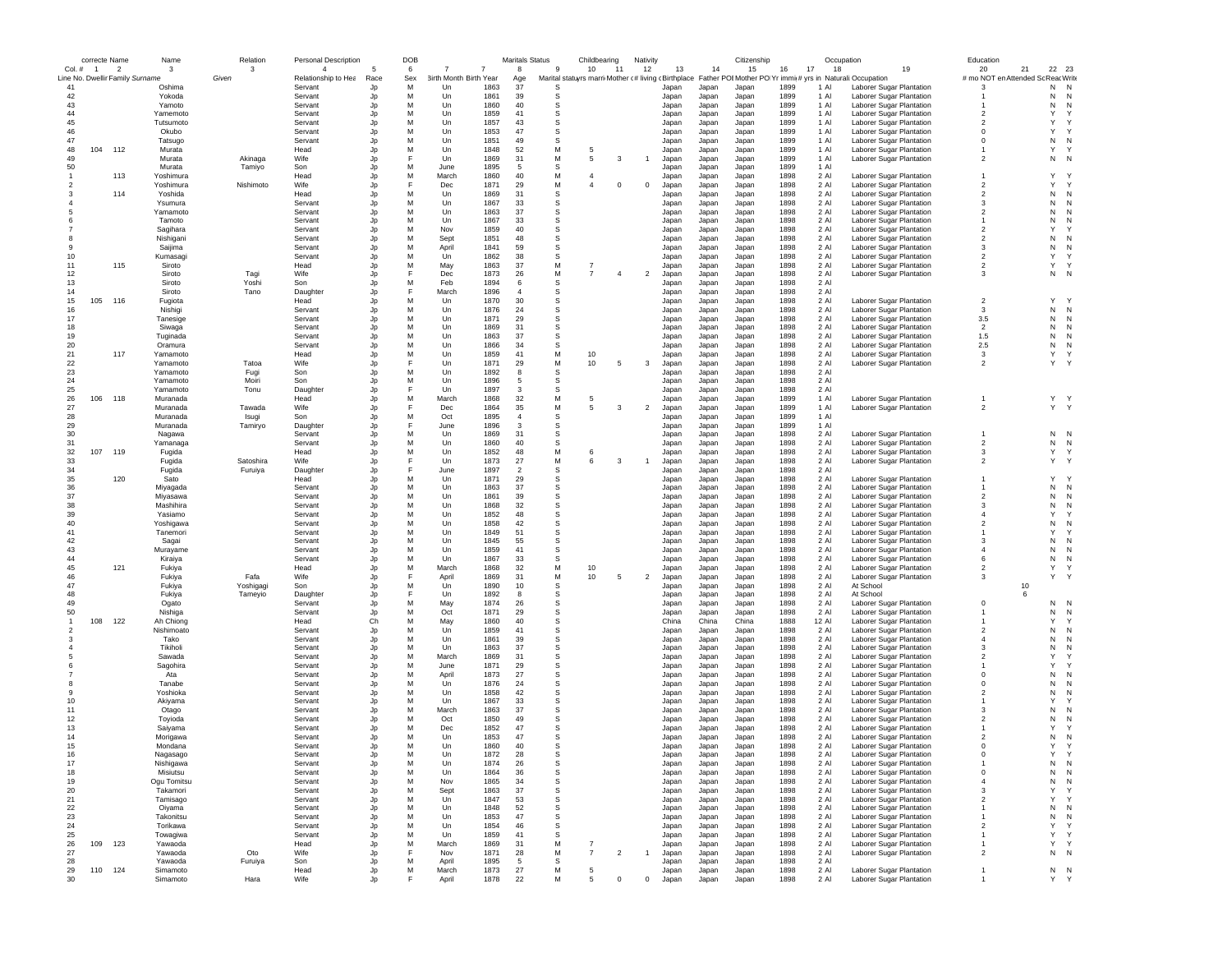|          | correcte Name  |                                 | Name                 | Relation   | <b>Personal Description</b>    |            | DOB      |                                   |              | <b>Maritals Status</b> |                                                           | Childbearing   |                | Nativity       |                |                | Citizenship                                                        |              |               | Occupation                                           | Education                                |           |                   |
|----------|----------------|---------------------------------|----------------------|------------|--------------------------------|------------|----------|-----------------------------------|--------------|------------------------|-----------------------------------------------------------|----------------|----------------|----------------|----------------|----------------|--------------------------------------------------------------------|--------------|---------------|------------------------------------------------------|------------------------------------------|-----------|-------------------|
| Col. #   | $\overline{1}$ | $\overline{\phantom{a}}$        | 3                    | 3<br>Given | $\Delta$                       | 5          | 6        | -7<br>7<br>3irth Month Birth Year |              | 8                      | -9                                                        | 10             | 11             | 12             | 13             | 14             | 15<br>16                                                           | 17           | 18            | 19                                                   | 20<br># mo NOT en Attended Sc Reac Write | 21        | 22 23             |
| 41       |                | Line No. Dwellir Family Surname | Oshima               |            | Relationship to Hea<br>Servant | Race<br>Jp | Sex<br>M | Un                                | 1863         | Age<br>37              | Marital statuyrs marri Mother c# living c Birthplace<br>S |                |                |                | Japan          | Japan          | Father POI Mother PO Yr immi(# yrs in Naturali:Occupation<br>Japan | 1899         | 1 Al          | Laborer Sugar Plantation                             | -3                                       | N         | N                 |
| 42       |                |                                 | Yokoda               |            | Servant                        | Jp         | M        | Un                                | 1861         | 39                     | -S                                                        |                |                |                | Japan          | Japan          | Japan                                                              | 1899         | 1 Al          | Laborer Sugar Plantation                             |                                          | N         | N                 |
| 43       |                |                                 | Yamoto               |            | Servant                        | Jp         | M        | Un                                | 1860         | 40                     | s                                                         |                |                |                | Japan          | Japan          | Japan                                                              | 1899         | 1 Al          | Laborer Sugar Plantation                             |                                          | N         | N                 |
| 44       |                |                                 | Yamemoto             |            | Servant                        | Jp         | M        | Un                                | 1859         | 41                     | s                                                         |                |                |                | Japan          | Japan          | Japan                                                              | 1899         | 1 Al          | Laborer Sugar Plantation                             | $\overline{2}$                           | Y         | Y                 |
| 45       |                |                                 | Tutsumoto            |            | Servant                        | Jp         | M        | Un                                | 1857         | 43                     | -S                                                        |                |                |                | Japan          | Japan          | Japan                                                              | 1899         | 1 Al          | Laborer Sugar Plantation                             | $\overline{2}$                           | Y         | $\checkmark$      |
| 46       |                |                                 | Okubo                |            | Servant                        | Jp         | M        | Un                                | 1853         | 47                     | S                                                         |                |                |                | Japan          | Japan          | Japan                                                              | 1899         | 1 Al          | Laborer Sugar Plantation                             | $\mathbf 0$                              | Y         | Y                 |
| 47       |                |                                 | Tatsugo              |            | Servant                        | Jp         | M        | Un                                | 1851         | 49                     | S                                                         |                |                |                | Japan          | Japan          | Japan                                                              | 1899         | 1 Al          | Laborer Sugar Plantation                             | $^{\circ}$                               | N         | N                 |
| 48<br>49 | 104            | 112                             | Murata<br>Murata     | Akinaga    | Head<br>Wife                   | Jp<br>Jp   | M<br>F   | Un<br>Un                          | 1848<br>1869 | 52<br>31               | M<br>M                                                    | 5              | 3              | $\overline{1}$ | Japan<br>Japan | Japan<br>Japan | Japan<br>Japan                                                     | 1899<br>1899 | 1 Al<br>1 Al  | Laborer Sugar Plantation                             | $\overline{2}$                           | Y<br>N    | $\mathsf{N}$      |
| 50       |                |                                 | Murata               | Tamiyo     | Son                            | Jp         | M        | June                              | 1895         | -5                     | s                                                         |                |                |                | Japan          | Japan          | Japan                                                              | 1899         | 1 Al          | Laborer Sugar Plantation                             |                                          |           |                   |
|          |                | 113                             | Yoshimura            |            | Head                           | Jp         | M        | March                             | 1860         | 40                     | M                                                         | $\overline{4}$ |                |                | Japan          | Japan          | Japan                                                              | 1898         | 2 Al          | Laborer Sugar Plantation                             | -1                                       | Y         |                   |
|          |                |                                 | Yoshimura            | Nishimoto  | Wife                           | Jp         | F        | Dec                               | 1871         | 29                     | M                                                         |                | $\Omega$       | $^{\circ}$     | Japan          | Japan          | Japan                                                              | 1898         | 2 Al          | Laborer Sugar Plantation                             | $\overline{2}$                           | Y         |                   |
|          |                | 114                             | Yoshida              |            | Head                           | Jp         | M        | Un                                | 1869         | 31                     | s                                                         |                |                |                | Japan          | Japan          | Japan                                                              | 1898         | 2 Al          | Laborer Sugar Plantation                             | $\overline{2}$                           | N         | N                 |
|          |                |                                 | Ysumura              |            | Servant                        | Jp         | М        | Un                                | 1867         | 33                     | s                                                         |                |                |                | Japan          | Japan          | Japan                                                              | 1898         | 2 Al          | Laborer Sugar Plantation                             | 3                                        | N         | N                 |
|          |                |                                 | Yamamoto             |            | Servant                        | Jp         | М        | Un                                | 1863         | 37                     | s                                                         |                |                |                | Japan          | Japan          | Japan                                                              | 1898         | 2 Al          | Laborer Sugar Plantation                             | $\overline{2}$                           | N         | N                 |
|          |                |                                 | Tamoto               |            | Servant                        | Jp         | M        | Un                                | 1867         | 33                     | s                                                         |                |                |                | Japan          | Japan          | Japan                                                              | 1898         | 2 Al          | Laborer Sugar Plantation                             |                                          | N         | N                 |
|          |                |                                 | Sagihara             |            | Servant                        | Jp         | M<br>M   | Nov                               | 1859<br>1851 | 40<br>48               | S<br>s                                                    |                |                |                | Japan          | Japan          | Japan                                                              | 1898<br>1898 | 2 Al<br>2 Al  | Laborer Sugar Plantation                             | $\overline{2}$<br>$\overline{2}$         | Y<br>N    |                   |
|          |                |                                 | Nishigani<br>Saijima |            | Servant<br>Servant             | Jp<br>Jp   | M        | Sept<br>April                     | 1841         | 59                     | s                                                         |                |                |                | Japan<br>Japan | Japan<br>Japan | Japan<br>Japan                                                     | 1898         | 2 Al          | Laborer Sugar Plantation<br>Laborer Sugar Plantation | 3                                        | N         |                   |
| 10       |                |                                 | Kumasagi             |            | Servant                        | Jp         | M        | Un                                | 1862         | 38                     | s                                                         |                |                |                | Japan          | Japan          | Japan                                                              | 1898         | 2 Al          | Laborer Sugar Plantation                             | $\overline{2}$                           | Y         |                   |
| 11       |                | 115                             | Siroto               |            | Head                           | Jp         | M        | May                               | 1863         | 37                     | M                                                         |                |                |                | Japan          | Japan          | Japan                                                              | 1898         | 2 Al          | Laborer Sugar Plantation                             | $\overline{2}$                           | Y         | Y                 |
| 12       |                |                                 | Siroto               | Tagi       | Wife                           | Jp         |          | Dec                               | 1873         | 26                     | M                                                         |                | $\overline{4}$ | $\overline{2}$ | Japan          | Japan          | Japan                                                              | 1898         | 2 Al          | Laborer Sugar Plantation                             | 3                                        | N         | N                 |
| 13       |                |                                 | Siroto               | Yoshi      | Son                            | Jp         | M        | Feb                               | 1894         | 6                      | S                                                         |                |                |                | Japan          | Japan          | Japan                                                              | 1898         | 2 Al          |                                                      |                                          |           |                   |
| 14       |                |                                 | Siroto               | Tano       | Daughter                       | Jp         |          | March                             | 1896         | $\overline{4}$         | s                                                         |                |                |                | Japan          | Japan          | Japan                                                              | 1898         | 2 Al          |                                                      |                                          |           |                   |
| 15       | 105            | 116                             | Fugiota              |            | Head                           | Jp         | M        | Un                                | 1870         | 30                     | s                                                         |                |                |                | Japan          | Japan          | Japan                                                              | 1898         | 2 Al          | Laborer Sugar Plantation                             | $\overline{2}$                           | Y         | <sup>Y</sup>      |
| 16       |                |                                 | Nishigi              |            | Servant                        | Jp         | M        | Un                                | 1876         | 24                     | s                                                         |                |                |                | Japan          | Japan          | Japan                                                              | 1898         | 2 Al          | Laborer Sugar Plantation                             | 3                                        | ${\sf N}$ | N                 |
| 17       |                |                                 | Tanesige             |            | Servant                        | Jp         | M<br>M   | Un                                | 1871         | 29                     | S                                                         |                |                |                | Japan          | Japan          | Japan                                                              | 1898         | 2 Al          | Laborer Sugar Plantation                             | 3.5                                      | ${\sf N}$ | N                 |
| 18<br>19 |                |                                 | Siwaga               |            | Servant                        | Jp<br>Jp   | M        | Un                                | 1869<br>1863 | 31<br>37               | S<br>s                                                    |                |                |                | Japan          | Japan          | Japan                                                              | 1898<br>1898 | 2 Al<br>2 Al  | Laborer Sugar Plantation<br>Laborer Sugar Plantation | $\overline{2}$<br>1.5                    | N<br>N    | N<br>N            |
| 20       |                |                                 | Tuginada<br>Oramura  |            | Servant<br>Servant             | Jp         | M        | Un<br>Un                          | 1866         | 34                     | s                                                         |                |                |                | Japan<br>Japan | Japan<br>Japan | Japan<br>Japan                                                     | 1898         | 2 Al          | Laborer Sugar Plantation                             | 2.5                                      | N         | $\mathsf{N}$      |
| 21       |                | 117                             | Yamamoto             |            | Head                           | Jp         | M        | Un                                | 1859         | 41                     | M                                                         | 10             |                |                | Japan          | Japan          | Japan                                                              | 1898         | 2 Al          | Laborer Sugar Plantation                             | 3                                        | Y         | Y                 |
| 22       |                |                                 | Yamamoto             | Tatoa      | <b>Wife</b>                    | Jp         | F        | Un                                | 1871         | 29                     | M                                                         | 10             | -5             | -3             | Japan          | Japan          | Japan                                                              | 1898         | 2 Al          | Laborer Sugar Plantation                             | $\overline{2}$                           | Y         |                   |
| 23       |                |                                 | Yamamoto             | Fugi       | Son                            | Jp         | M        | Un                                | 1892         | 8                      | s                                                         |                |                |                | Japan          | Japan          | Japan                                                              | 1898         | 2 Al          |                                                      |                                          |           |                   |
| 24       |                |                                 | Yamamoto             | Moiri      | Son                            | Jp         | M        | Un                                | 1896         | -5                     | s                                                         |                |                |                | Japan          | Japan          | Japan                                                              | 1898         | 2 Al          |                                                      |                                          |           |                   |
| 25       |                |                                 | Yamamoto             | Tonu       | Daughter                       | Jp         | F        | Un                                | 1897         | 3                      | s                                                         |                |                |                | Japan          | Japan          | Japan                                                              | 1898         | 2 Al          |                                                      |                                          |           |                   |
| 26       | 106            | 118                             | Muranada             |            | Head                           | Jp         | М        | March                             | 1868         | 32                     | M                                                         | -5             |                |                | Japan          | Japan          | Japan                                                              | 1899         | 1 Al          | Laborer Sugar Plantation                             |                                          |           | Y Y               |
| 27       |                |                                 | Muranada             | Tawada     | Wife                           | Jp         | F        | Dec                               | 1864         | 35                     | M                                                         | -5             | 3              | $\overline{2}$ | Japan          | Japan          | Japan                                                              | 1899         | 1 Al          | Laborer Sugar Plantation                             | $\overline{2}$                           |           | Y Y               |
| 28       |                |                                 | Muranada             | Isugi      | Son                            | Jp         | M        | Oct                               | 1895         | $\overline{4}$         | s                                                         |                |                |                | Japan          | Japan          | Japan                                                              | 1899         | 1 Al          |                                                      |                                          |           |                   |
| 29       |                |                                 | Muranada             | Tamiryo    | Daughter                       | Jp         | F<br>M   | June                              | 1896         | 3                      | S                                                         |                |                |                | Japan          | Japan          | Japan                                                              | 1899         | 1 Al          |                                                      |                                          |           |                   |
| 30<br>31 |                |                                 | Nagawa<br>Yamanaga   |            | Servant<br>Servant             | Jp<br>Jp   | M        | Un<br>Un                          | 1869<br>1860 | 31<br>40               | s<br>s                                                    |                |                |                | Japan<br>Japan | Japan<br>Japan | Japan<br>Japan                                                     | 1898<br>1898 | 2 Al<br>2 Al  | Laborer Sugar Plantation                             | $\overline{2}$                           | N<br>N    | $\mathsf{N}$<br>N |
| 32       | 107            | 119                             | Fugida               |            | Head                           | Jp         | M        | Un                                | 1852         | 48                     | M                                                         |                |                |                | Japan          | Japan          | Japan                                                              | 1898         | 2 Al          | Laborer Sugar Plantation<br>Laborer Sugar Plantation | 3                                        | Y         | Y                 |
| 33       |                |                                 | Fugida               | Satoshira  | <b>Wife</b>                    | Jp         | F        | Un                                | 1873         | 27                     | M                                                         | 6              | $\mathbf{3}$   | $\overline{1}$ | Japan          | Japan          | Japan                                                              | 1898         | 2 Al          | Laborer Sugar Plantation                             | $\overline{2}$                           | Υ         | <sup>Y</sup>      |
| 34       |                |                                 | Fugida               | Furuiya    | Daughter                       | Jp         | F        | June                              | 1897         | $\overline{2}$         | s                                                         |                |                |                | Japan          | Japan          | Japan                                                              | 1898         | 2 Al          |                                                      |                                          |           |                   |
| 35       |                | 120                             | Sato                 |            | Head                           | Jp         | M        | Un                                | 1871         | 29                     | S                                                         |                |                |                | Japan          | Japan          | Japan                                                              | 1898         | 2 Al          | Laborer Sugar Plantation                             |                                          | Y         |                   |
| 36       |                |                                 | Miyagada             |            | Servant                        | Jp         | M        | Un                                | 1863         | 37                     | s                                                         |                |                |                | Japan          | Japan          | Japan                                                              | 1898         | 2 Al          | Laborer Sugar Plantation                             |                                          | N         | N                 |
| 37       |                |                                 | Miyasawa             |            | Servant                        | Jp         | M        | Un                                | 1861         | 39                     | s                                                         |                |                |                | Japan          | Japan          | Japan                                                              | 1898         | 2 Al          | Laborer Sugar Plantation                             | $\overline{2}$                           | N         | N                 |
| 38       |                |                                 | Mashihira            |            | Servant                        | Jp         | M        | Un                                | 1868         | 32                     | s                                                         |                |                |                | Japan          | Japan          | Japan                                                              | 1898         | 2 Al          | Laborer Sugar Plantation                             | -3                                       | N         | N                 |
| 39       |                |                                 | Yasiamo              |            | Servant                        | Jp         | M        | Un                                | 1852         | 48                     | S                                                         |                |                |                | Japan          | Japan          | Japan                                                              | 1898         | 2 Al          | Laborer Sugar Plantation                             | $\overline{4}$                           | Y         |                   |
| 40       |                |                                 | Yoshigawa            |            | Servant                        | Jp         | M        | Un                                | 1858         | 42                     | S                                                         |                |                |                | Japan          | Japan          | Japan                                                              | 1898         | 2 Al          | Laborer Sugar Plantation                             | $\overline{2}$                           | N         | N                 |
| 41<br>42 |                |                                 | Tanemori             |            | Servant                        | Jp<br>Jp   | M<br>M   | Un                                | 1849<br>1845 | 51                     | s<br>s                                                    |                |                |                | Japan          | Japan          | Japan                                                              | 1898<br>1898 | 2 Al<br>2 Al  | Laborer Sugar Plantation                             | 3                                        | Y         | N                 |
| 43       |                |                                 | Sagai<br>Murayame    |            | Servant<br>Servant             | Jp         | M        | Un<br>Un                          | 1859         | 55<br>41               | s                                                         |                |                |                | Japan<br>Japan | Japan<br>Japan | Japan<br>Japan                                                     | 1898         | 2 Al          | Laborer Sugar Plantation<br>Laborer Sugar Plantation | $\overline{4}$                           | N<br>N    | N                 |
| 44       |                |                                 | Kiraiya              |            | Servant                        | Jp         | M        | Un                                | 1867         | 33                     | s                                                         |                |                |                | Japan          | Japan          | Japan                                                              | 1898         | 2 Al          | Laborer Sugar Plantation                             | 6                                        | N         | N                 |
| 45       |                | 121                             | Fukiya               |            | Head                           | Jp         | М        | March                             | 1868         | 32                     | M                                                         | 10             |                |                | Japan          | Japan          | Japan                                                              | 1898         | 2 Al          | Laborer Sugar Plantation                             | $\overline{2}$                           | Y         |                   |
| 46       |                |                                 | Fukiya               | Fafa       | Wife                           | Jp         | F        | April                             | 1869         | 31                     | M                                                         | 10             | -5             | $\overline{2}$ | Japan          | Japan          | Japan                                                              | 1898         | 2 Al          | Laborer Sugar Plantation                             | 3                                        | Υ         |                   |
| 47       |                |                                 | Fukiya               | Yoshigagi  | Son                            | Jp         | М        | Un                                | 1890         | 10                     | s                                                         |                |                |                | Japan          | Japan          | Japan                                                              | 1898         | 2 Al          | At School                                            |                                          | 10        |                   |
| 48       |                |                                 | Fukiya               | Tameyio    | Daughter                       | Jp         | F        | Un                                | 1892         | 8                      | s                                                         |                |                |                | Japan          | Japan          | Japan                                                              | 1898         | 2 Al          | At School                                            |                                          | 6         |                   |
| 49       |                |                                 | Ogato                |            | Servant                        | Jp         | M        | May                               | 1874         | 26                     | s                                                         |                |                |                | Japan          | Japan          | Japan                                                              | 1898         | 2 Al          | Laborer Sugar Plantation                             | $\mathbf 0$                              | Ν         | N                 |
| 50       |                |                                 | Nishiga              |            | Servant                        | Jp         | M        | Oct                               | 1871         | 29                     | S                                                         |                |                |                | Japan          | Japan          | Japan                                                              | 1898         | 2 Al          | Laborer Sugar Plantation                             |                                          | N<br>Y    | N<br>Y            |
|          | 108            | 122                             | Ah Chiong            |            | Head                           | Ch         | M<br>M   | May<br>Un                         | 1860<br>1859 | 40<br>41               | s<br>s                                                    |                |                |                | China          | China          | China                                                              | 1888<br>1898 | 12 Al<br>2 Al | Laborer Sugar Plantation<br>Laborer Sugar Plantation | $\overline{2}$                           | N         | N                 |
|          |                |                                 | Nishimoato<br>Tako   |            | Servant<br>Servant             | Jp<br>Jp   | M        | Un                                | 1861         | 39                     | s                                                         |                |                |                | Japan<br>Japan | Japan<br>Japan | Japan<br>Japan                                                     | 1898         | 2 Al          | Laborer Sugar Plantation                             | $\overline{4}$                           | N         | N                 |
|          |                |                                 | Tikiholi             |            | Servant                        | Jp         | M        | Un                                | 1863         | 37                     | s                                                         |                |                |                | Japan          | Japan          | Japan                                                              | 1898         | 2 Al          | Laborer Sugar Plantation                             | $\mathbf{3}$                             | N         | N                 |
|          |                |                                 | Sawada               |            | Servant                        | Jp         | M        | March                             | 1869         | 31                     | S                                                         |                |                |                | Japan          | Japan          | Japan                                                              | 1898         | 2 Al          | Laborer Sugar Plantation                             | $\overline{2}$                           | Y         |                   |
|          |                |                                 | Sagohira             |            | Servant                        | Jp         | M        | June                              | 1871         | 29                     | S                                                         |                |                |                | Japan          | Japan          | Japan                                                              | 1898         | 2 Al          | Laborer Sugar Plantation                             |                                          | Y         |                   |
|          |                |                                 | Ata                  |            | Servant                        | Jp         | M        | April                             | 1873         | 27                     | s                                                         |                |                |                | Japan          | Japan          | Japan                                                              | 1898         | 2 Al          | Laborer Sugar Plantation                             | $^{\circ}$                               | N         | N                 |
|          |                |                                 | Tanabe               |            | Servant                        | Jp         | M        | Un                                | 1876         | 24                     | s                                                         |                |                |                | Japan          | Japan          | Japan                                                              | 1898         | 2 Al          | Laborer Sugar Plantation                             | $^{\circ}$                               | N         | N                 |
|          |                |                                 | Yoshioka             |            | Servant                        | Jp         | M        | Un                                | 1858         | 42                     | s                                                         |                |                |                | Japan          | Japan          | Japan                                                              | 1898         | 2 Al          | Laborer Sugar Plantation                             | $\overline{2}$                           | N         | N                 |
| 10       |                |                                 | Akiyama              |            | Servant                        | Jp         | M        | Un                                | 1867         | 33                     | S                                                         |                |                |                | Japan          | Japan          | Japan                                                              | 1898         | 2 Al          | Laborer Sugar Plantation                             |                                          | Y         |                   |
| 11<br>12 |                |                                 | Otago                |            | Servant                        | Jp         | M<br>M   | March<br>Oct                      | 1863<br>1850 | 37<br>49               | S<br>s                                                    |                |                |                | Japan          | Japan          | Japan                                                              | 1898<br>1898 | 2 Al<br>2 Al  | Laborer Sugar Plantation                             | $\mathbf{3}$<br>$\overline{2}$           | N<br>N    | N                 |
| 13       |                |                                 | Toyioda<br>Saiyama   |            | Servant<br>Servant             | Jp<br>Jp   | M        | Dec                               | 1852         | 47                     | -S                                                        |                |                |                | Japan<br>Japan | Japan<br>Japan | Japan<br>Japan                                                     | 1898         | 2 AI          | Laborer Sugar Plantation<br>Laborer Sugar Plantation |                                          | Y         |                   |
| 14       |                |                                 | Morigawa             |            | Servant                        | Jp         | м        | Un                                | 1853         | 47                     | S                                                         |                |                |                | Japan          | Japan          | Japan                                                              | 1898         | 2 Al          | Laborer Sugar Plantation                             | $\mathfrak{p}$                           | N         | N                 |
| 15       |                |                                 | Mondana              |            | Servant                        | .In        | M        | Un                                | 1860         | 40                     | <b>S</b>                                                  |                |                |                | Japan          | Japan          | Japan                                                              | 1898         | 2 Al          | Laborer Sugar Plantation                             | $\Omega$                                 | Y         | Y                 |
| 16       |                |                                 | Nagasago             |            | Servant                        |            |          | Un                                | 18/2         | 28                     | 5                                                         |                |                |                | Japar          | Japan          | Japar                                                              | 1898         | 2 AI          | Laborer Sugar Plantation                             | 0                                        |           |                   |
| 17       |                |                                 | Nishigawa            |            | Servant                        | Jp         | M        | Un                                | 1874         | 26                     | s                                                         |                |                |                | Japan          | Japan          | Japan                                                              | 1898         | 2 Al          | Laborer Sugar Plantation                             |                                          | N         | N                 |
| 18       |                |                                 | Misiutsu             |            | Servant                        | Jp         | M        | Un                                | 1864         | 36                     | s                                                         |                |                |                | Japan          | Japan          | Japan                                                              | 1898         | 2 Al          | Laborer Sugar Plantation                             | $^{\circ}$                               | N         | N                 |
| 19       |                |                                 | Ogu Tomitsu          |            | Servant                        | Jp         | М        | Nov                               | 1865         | 34                     | s                                                         |                |                |                | Japan          | Japan          | Japan                                                              | 1898         | 2 Al          | Laborer Sugar Plantation                             | $\overline{4}$                           | N         | N                 |
| 20       |                |                                 | Takamori             |            | Servant                        | Jp         | M        | Sept                              | 1863         | 37                     | s                                                         |                |                |                | Japan          | Japan          | Japan                                                              | 1898         | 2 Al          | Laborer Sugar Plantation                             | -3                                       | Y         | Y                 |
| 21       |                |                                 | Tamisago             |            | Servant                        | Jp         | М        | Un                                | 1847         | 53                     | s                                                         |                |                |                | Japan          | Japan          | Japan                                                              | 1898         | 2 Al          | Laborer Sugar Plantation                             | $\overline{2}$                           | Y         | $\mathsf{Y}$      |
| 22       |                |                                 | Oiyama               |            | Servant                        | Jp         | М        | Un                                | 1848         | 52                     | s                                                         |                |                |                | Japan          | Japan          | Japan                                                              | 1898         | 2 Al          | Laborer Sugar Plantation                             | $\mathbf{1}$                             | $\,$ N    | N                 |
| 23<br>24 |                |                                 | Takonitsu            |            | Servant                        | Jp         | M<br>M   | Un                                | 1853<br>1854 | 47<br>46               | s<br>$\mathbb S$                                          |                |                |                | Japan          | Japan          | Japan                                                              | 1898<br>1898 | 2 Al<br>2 Al  | Laborer Sugar Plantation                             | $\mathbf{1}$<br>$\overline{2}$           | N<br>Y    | N<br>Y            |
| 25       |                |                                 | Torikawa<br>Towagiwa |            | Servant<br>Servant             | Jp<br>Jp   | M        | Un<br>Un                          | 1859         | 41                     | s                                                         |                |                |                | Japan<br>Japan | Japan<br>Japan | Japan<br>Japan                                                     | 1898         | 2 Al          | Laborer Sugar Plantation<br>Laborer Sugar Plantation | $\overline{1}$                           | Y         | $\mathsf{Y}$      |
| 26       | 109            | 123                             | Yawaoda              |            | Head                           | Jp         | M        | March                             | 1869         | 31                     | M                                                         |                |                |                | Japan          | Japan          | Japan                                                              | 1898         | 2 Al          | Laborer Sugar Plantation                             | -1                                       | Y         | $\mathsf{Y}$      |
| 27       |                |                                 | Yawaoda              | Oto        | Wife                           | Jp         | F        | Nov                               | 1871         | 28                     | M                                                         | $\overline{7}$ | $\overline{2}$ | $\overline{1}$ | Japan          | Japan          | Japan                                                              | 1898         | 2 Al          | Laborer Sugar Plantation                             | $\overline{2}$                           | N         | N                 |
| 28       |                |                                 | Yawaoda              | Furuiya    | Son                            | Jp         | M        | April                             | 1895         | 5                      | s                                                         |                |                |                | Japan          | Japan          | Japan                                                              | 1898         | 2 Al          |                                                      |                                          |           |                   |
| 29       | 110            | 124                             | Simamoto             |            | Head                           | Jp         | М        | March                             | 1873         | 27                     | M                                                         | 5              |                |                | Japan          | Japan          | Japan                                                              | 1898         | 2 Al          | Laborer Sugar Plantation                             | $\mathbf{1}$                             | N N       |                   |
| 30       |                |                                 | Simamoto             | Hara       | Wife                           | Jp         |          | April                             | 1878         | 22                     | M                                                         | 5              | $\mathbf 0$    | $\overline{0}$ | Japan          | Japan          | Japan                                                              | 1898         | 2 Al          | Laborer Sugar Plantation                             |                                          |           | Y Y               |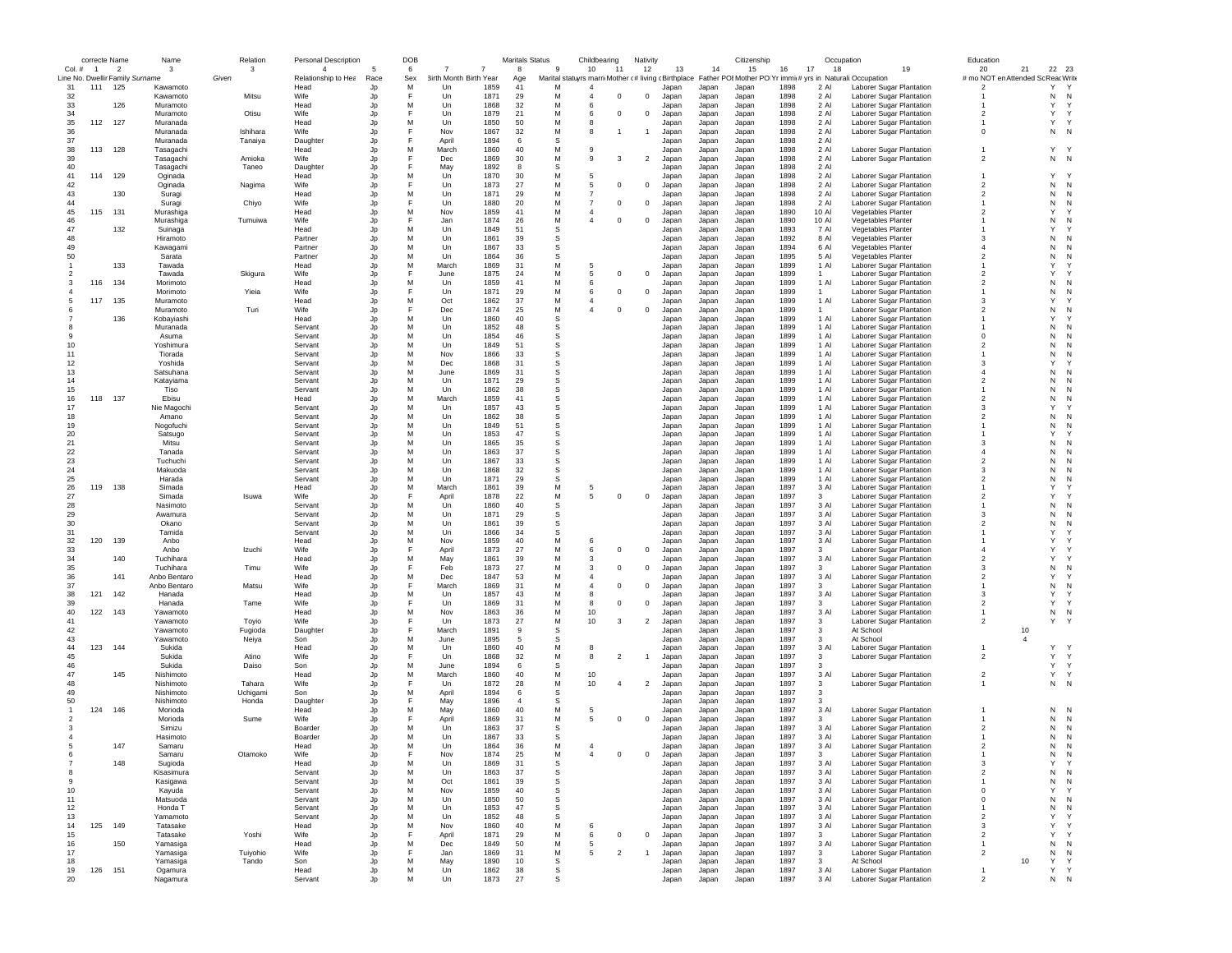|                |                | correcte Name                   | Name                   | Relation | <b>Personal Description</b> |          | DOB      |                              |              | <b>Maritals Status</b> |             | Childbearing                                        | Nativity       |                |                | Citizenship    |              | Occupation           |                                                                                        | Education                                            |                |                     |
|----------------|----------------|---------------------------------|------------------------|----------|-----------------------------|----------|----------|------------------------------|--------------|------------------------|-------------|-----------------------------------------------------|----------------|----------------|----------------|----------------|--------------|----------------------|----------------------------------------------------------------------------------------|------------------------------------------------------|----------------|---------------------|
| Col.#          | $\overline{1}$ | $\overline{\phantom{a}}$        | -3                     | 3        |                             |          | 6        |                              |              | 8                      | -9          | 10<br>-11                                           | 12             | 13             | 14             | 15             | 16<br>17     | 18                   | 19                                                                                     | 20                                                   | 21             | 22 23               |
| 31             |                | Line No. Dwellir Family Surname | Kawamoto               | Given    | Relationship to Hea<br>Head | Race     | Sex<br>M | 3irth Month Birth Year<br>Un | 1859         | Age<br>41              | M           | Marital statuyrs marri Mother (# living (Birthplace |                |                |                |                | 1898         | 2 AI                 | Father POI Mother PO Yr immi(# yrs in Naturali: Occupation<br>Laborer Sugar Plantation | # mo NOT en Attended Sc Reac Write<br>$\overline{2}$ |                | Υ<br>Y              |
| 32             | 111            | 125                             | Kawamoto               | Mitsu    | Wife                        | Jp<br>Jp | E        | Un                           | 1871         | 29                     | M           | $^{\circ}$<br>4                                     | $^{\circ}$     | Japan<br>Japan | Japan<br>Japan | Japan<br>Japan | 1898         | 2 Al                 | Laborer Sugar Plantation                                                               |                                                      |                | N<br>N              |
| 33             |                | 126                             | Muramoto               |          | Head                        | Jp       | M        | Un                           | 1868         | 32                     | M           | 6                                                   |                | Japan          | Japan          | Japan          | 1898         | 2 Al                 | Laborer Sugar Plantation                                                               |                                                      |                | Y<br>Y              |
| 34             |                |                                 | Muramoto               | Otisu    | Wife                        | Jp       |          | Un                           | 1879         | 21                     | M           | $\Omega$<br>6                                       | $^{\circ}$     | Japan          | Japan          | Japan          | 1898         | 2 Al                 | Laborer Sugar Plantation                                                               | $\overline{\phantom{a}}$                             |                | Y<br>$\mathsf{Y}$   |
| 35             | 112            | 127                             | Muranada               |          | Head                        | Jo       | M        | Un                           | 1850         | 50                     | M           |                                                     |                | Japan          | Japan          | Japan          | 1898         | 2 Al                 | Laborer Sugar Plantation                                                               |                                                      |                | Υ<br>$\mathsf{Y}$   |
| 36             |                |                                 | Muranada               | Ishihara | Wife                        | Jp       | E        | Nov                          | 1867         | 32                     | M           | 8                                                   |                | Japan          | Japan          | Japan          | 1898         | 2 Al                 | Laborer Sugar Plantation                                                               | $^{\circ}$                                           |                | N<br>N              |
| 37             |                |                                 | Muranada               | Tanaiya  | Daughter                    | Jp       |          | April                        | 1894         | 6                      | S           |                                                     |                | Japan          | Japan          | Japan          | 1898         | 2 Al                 |                                                                                        |                                                      |                |                     |
| 38             | 113            | 128                             | Tasagachi              |          | Head                        | Jp       | M        | March                        | 1860         | 40                     | M           | 9                                                   |                | Japan          | Japan          | Japan          | 1898         | 2 Al                 | Laborer Sugar Plantation                                                               |                                                      |                | Υ<br><sup>Y</sup>   |
| 39             |                |                                 | Tasagachi              | Amioka   | Wife                        | Jp       | E        | Dec                          | 1869         | 30                     | M           | 9<br>3                                              | $\overline{2}$ | Japan          | Japan          | Japan          | 1898         | 2 Al                 | Laborer Sugar Plantation                                                               | $\overline{\phantom{a}}$                             |                | $N$ N               |
| 40             |                |                                 | Tasagachi              | Taneo    | Daughter                    | Jo       | M        | May                          | 1892         | 8                      | S           |                                                     |                | Japan          | Japan          | Japan          | 1898         | 2 Al                 |                                                                                        |                                                      |                | Υ                   |
| 41<br>42       | 114            | 129                             | Oginada<br>Oginada     | Nagima   | Head<br>Wife                | Jp<br>Jp |          | Un<br>Un                     | 1870<br>1873 | 30<br>27               | M<br>М      | 5<br>5<br>$^{\circ}$                                | $^{\circ}$     | Japan<br>Japan | Japan<br>Japan | Japan<br>Japan | 1898<br>1898 | 2 Al<br>2 Al         | Laborer Sugar Plantation<br>Laborer Sugar Plantation                                   | $\overline{2}$                                       |                | N<br>N              |
| 43             |                | 130                             | Suragi                 |          | Head                        | Jp       | M        | Un                           | 1871         | 29                     | M           | $\overline{7}$                                      |                | Japan          | Japan          | Japan          | 1898         | 2 Al                 | Laborer Sugar Plantation                                                               | $\overline{2}$                                       |                | N<br>N              |
| 44             |                |                                 | Suragi                 | Chiyo    | Wife                        | Jp       | F        | Un                           | 1880         | 20                     | M           | $\overline{7}$<br>$^{\circ}$                        | $\mathbf 0$    | Japan          | Japan          | Japan          | 1898         | 2 Al                 | Laborer Sugar Plantation                                                               |                                                      |                | N<br>N              |
| 45             | 115            | 131                             | Murashiga              |          | Head                        | Jp       | M        | Nov                          | 1859         | 41                     | M           | $\overline{a}$                                      |                | Japan          | Japan          | Japan          | 1890         | 10 Al                | Vegetables Planter                                                                     | $\overline{\phantom{a}}$                             |                | Y                   |
| 46             |                |                                 | Murashiga              | Tumuiwa  | Wife                        | Jo       | F        | Jan                          | 1874         | 26                     | M           | $^{\circ}$                                          | $^{\circ}$     | Japan          | Japan          | Japan          | 1890         | 10 Al                | Vegetables Planter                                                                     |                                                      |                | N<br>N              |
| 47             |                | 132                             | Suinaga                |          | Head                        | Jp       | M        | Un                           | 1849         | 51                     | s           |                                                     |                | Japan          | Japan          | Japan          | 1893         | 7 Al                 | Vegetables Planter                                                                     |                                                      |                | Y                   |
| 48             |                |                                 | Hiramoto               |          | Partner                     | Jp       | M        | Un                           | 1861         | 39                     | s           |                                                     |                | Japar          | Japan          | Japan          | 1892         | 8 AI                 | Vegetables Planter                                                                     | 3                                                    |                | N<br>N              |
| 49             |                |                                 | Kawagami               |          | Partner                     | Jp       | M        | Un                           | 1867         | 33                     | S           |                                                     |                | Japan          | Japan          | Japan          | 1894         | 6 Al                 | Vegetables Planter                                                                     | $\Delta$                                             |                | N<br>N              |
| 50             |                |                                 | Sarata                 |          | Partner                     | Jp       | M        | $_{\text{Un}}$               | 1864         | 36                     | S           |                                                     |                | Japan          | Japan          | Japan          | 1895         | 5 AI                 | Vegetables Planter                                                                     | $\overline{\phantom{a}}$                             |                | N<br>N              |
|                |                | 133                             | Tawada                 |          | Head                        | Jp       | M        | March                        | 1869         | 31                     | M           | -5                                                  |                | Japan          | Japan          | Japan          | 1899         | 1 Al                 | Laborer Sugar Plantation                                                               |                                                      |                | Y                   |
|                |                |                                 | Tawada                 | Skigura  | Wife                        | Jp       | M        | June                         | 1875         | 24                     | M<br>M      | 5<br>$^{\circ}$                                     | $^{\circ}$     | Japan          | Japan          | Japan          | 1899         | 1                    | Laborer Sugar Plantation                                                               | $\overline{2}$                                       |                | Y<br>N              |
|                | 116            | 134                             | Morimoto<br>Morimoto   | Yieia    | Head<br>Wife                | Jp<br>Jp |          | Un<br>Un                     | 1859<br>1871 | 41<br>29               | M           | 6<br>$^{\circ}$<br>6                                | $^{\circ}$     | Japan<br>Japan | Japan<br>Japan | Japan<br>Japan | 1899<br>1899 | 1 Al<br>$\mathbf{1}$ | Laborer Sugar Plantation<br>Laborer Sugar Plantation                                   | $\overline{2}$                                       |                | N<br>N<br>N         |
|                | 117            | 135                             | Muramoto               |          | Head                        | Jp       | M        | Oct                          | 1862         | 37                     | M           | 4                                                   |                | Japan          | Japan          | Japan          | 1899         | 1 Al                 | Laborer Sugar Plantation                                                               | -3                                                   |                | Y                   |
|                |                |                                 | Muramoto               | Turi     | Wife                        | Jp       |          | Dec                          | 1874         | 25                     | M           | $\Omega$                                            | $^{\circ}$     | Japan          | Japan          | Japan          | 1899         | 1                    | Laborer Sugar Plantation                                                               | $\overline{2}$                                       |                | N<br>N              |
|                |                | 136                             | Kobaviashi             |          | Head                        | Jo       | M        | Un                           | 1860         | 40                     | S           |                                                     |                | Japan          | Japan          | Japan          | 1899         | 1 Al                 | Laborer Sugar Plantation                                                               |                                                      |                | Y                   |
|                |                |                                 | Muranada               |          | Servant                     | Jp       | M        | Un                           | 1852         | 48                     | s           |                                                     |                | Japan          | Japan          | Japan          | 1899         | 1 Al                 | Laborer Sugar Plantation                                                               |                                                      |                | N<br>N              |
|                |                |                                 | Asuma                  |          | Servant                     | Jp       | M        | Un                           | 1854         | 46                     | s           |                                                     |                | Japan          | Japan          | Japan          | 1899         | 1 Al                 | Laborer Sugar Plantation                                                               | $\Omega$                                             |                | N<br>N              |
| 10             |                |                                 | Yoshimura              |          | Servant                     | Jp       | M        | Un                           | 1849         | 51                     | S           |                                                     |                | Japan          | Japan          | Japan          | 1899         | $1$ Al               | Laborer Sugar Plantation                                                               | $\overline{\phantom{a}}$                             |                | N<br>N              |
| 11             |                |                                 | Tiorada                |          | Servant                     | Jp       | M        | Nov                          | 1866         | 33                     | S           |                                                     |                | Japan          | Japan          | Japan          | 1899         | $1$ Al               | Laborer Sugar Plantation                                                               |                                                      |                | N<br>N              |
| 12             |                |                                 | Yoshida                |          | Servant                     | Jo       | M        | Dec                          | 1868         | 31                     | S           |                                                     |                | Japan          | Japan          | Japan          | 1899         | 1 Al                 | Laborer Sugar Plantation                                                               | 3                                                    |                | Y                   |
| 13             |                |                                 | Satsuhana              |          | Servant                     | Jp       | M        | June                         | 1869         | 31                     | s           |                                                     |                | Japan          | Japan          | Japan          | 1899         | 1 Al                 | Laborer Sugar Plantation                                                               | $\overline{4}$                                       |                | N<br>N              |
| 14             |                |                                 | Katayiama              |          | Servant                     | Jp       | M        | Un                           | 1871         | 29                     | s           |                                                     |                | Japan          | Japan          | Japan          | 1899         | 1 Al                 | Laborer Sugar Plantation                                                               | $\overline{2}$                                       |                | N<br>N              |
| 15             |                |                                 | Tiso                   |          | Servant                     | Jp       | M        | Un                           | 1862         | 38                     | s           |                                                     |                | Japan          | Japan          | Japan          | 1899         | 1 Al                 | Laborer Sugar Plantation                                                               |                                                      |                | N<br>N              |
| 16             | 118            | 137                             | Ebisu                  |          | Head                        | Jp       | M        | March                        | 1859         | 41                     | S           |                                                     |                | Japan          | Japan          | Japan          | 1899         | 1 Al                 | Laborer Sugar Plantation                                                               | $\overline{\phantom{a}}$                             |                | N<br>N<br>Y         |
| 17             |                |                                 | Nie Magochi            |          | Servant                     | Jp       | M        | Un                           | 1857         | 43                     | S           |                                                     |                | Japan          | Japan          | Japan          | 1899         | 1 Al                 | Laborer Sugar Plantation                                                               | 3                                                    |                |                     |
| 18<br>19       |                |                                 | Amano                  |          | Servant                     | Jp       | M<br>M   | Un<br>Un                     | 1862<br>1849 | 38<br>51               | S<br>s      |                                                     |                | Japan          | Japan          | Japan          | 1899<br>1899 | 1 Al<br>1 Al         | Laborer Sugar Plantation<br>Laborer Sugar Plantation                                   | $\overline{2}$                                       |                | N<br>N<br>N         |
| 20             |                |                                 | Nogofuchi<br>Satsugo   |          | Servant<br>Servant          | Jp<br>Jp | M        | Un                           | 1853         | 47                     | S           |                                                     |                | Japan<br>Japan | Japan<br>Japan | Japan<br>Japan | 1899         | 1 Al                 | Laborer Sugar Plantation                                                               |                                                      |                | Y                   |
| 21             |                |                                 | Mitsu                  |          | Servant                     | Jp       | M        | Un                           | 1865         | 35                     | S           |                                                     |                | Japan          | Japan          | Japan          | 1899         | $1$ Al               | Laborer Sugar Plantation                                                               | $\mathbf{3}$                                         |                | N<br>N              |
| 22             |                |                                 | Tanada                 |          | Servant                     | Jp       | M        | $_{\text{Un}}$               | 1863         | 37                     | S           |                                                     |                | Japan          | Japan          | Japan          | 1899         | $1$ Al               | Laborer Sugar Plantation                                                               | $\overline{4}$                                       |                | N<br>N              |
| 23             |                |                                 | Tuchuchi               |          | Servant                     | Jo       | M        | Un                           | 1867         | 33                     | S           |                                                     |                | Japan          | Japan          | Japan          | 1899         | 1 Al                 | Laborer Sugar Plantation                                                               | $\mathfrak{p}$                                       |                | N<br>N              |
| 24             |                |                                 | Makuoda                |          | Servant                     | Jp       | M        | Un                           | 1868         | 32                     | S           |                                                     |                | Japan          | Japan          | Japan          | 1899         | 1 Al                 | Laborer Sugar Plantation                                                               | 3                                                    |                | N                   |
| 25             |                |                                 | Harada                 |          | Servant                     | Jp       | M        | Un                           | 1871         | 29                     | s           |                                                     |                | Japan          | Japan          | Japan          | 1899         | 1 Al                 | Laborer Sugar Plantation                                                               | $\overline{2}$                                       |                | N<br>N              |
| 26             | 119            | 138                             | Simada                 |          | Head                        | Jp       | M        | March                        | 1861         | 39                     | M           | 5                                                   |                | Japan          | Japan          | Japan          | 1897         | 3 Al                 | Laborer Sugar Plantation                                                               |                                                      |                | Y                   |
| 27             |                |                                 | Simada                 | Isuwa    | Wife                        | Jp       | E        | April                        | 1878         | 22                     | M           | 5<br>$\Omega$                                       | $^{\circ}$     | Japan          | Japan          | Japan          | 1897         | 3                    | Laborer Sugar Plantation                                                               | $\overline{\phantom{a}}$                             |                | Y                   |
| 28             |                |                                 | Nasimoto               |          | Servant                     | Jp       | M        | Un                           | 1860         | 40                     | S           |                                                     |                | Japan          | Japan          | Japan          | 1897         | 3 Al                 | Laborer Sugar Plantation                                                               |                                                      |                | N<br>N              |
| 29             |                |                                 | Awamura                |          | Servant                     | Jp       | M        | Un                           | 1871         | 29                     | s           |                                                     |                | Japan          | Japan          | Japan          | 1897         | 3 Al                 | Laborer Sugar Plantation                                                               | 3                                                    |                | N                   |
| 30             |                |                                 | Okano                  |          | Servant                     | Jp       | M        | Un                           | 1861         | 39                     | s           |                                                     |                | Japan          | Japan          | Japan          | 1897         | 3 Al                 | Laborer Sugar Plantation                                                               | $\overline{2}$                                       |                | N                   |
| 31             |                |                                 | Tamida                 |          | Servant                     | Jp       | M        | Un                           | 1866         | 34                     | S           |                                                     |                | Japar          | Japan          | Japan          | 1897         | 3 Al                 | Laborer Sugar Plantation                                                               |                                                      |                | Y                   |
| 32<br>33       | 120            | 139                             | Anbo<br>Anbo           | Izuchi   | Head<br>Wife                | Jp<br>Jo | M        | Nov<br>April                 | 1859<br>1873 | 40<br>27               | M<br>M      | 6<br>6<br>$^{\circ}$                                | $\mathbf{0}$   | Japan<br>Japan | Japan          | Japan          | 1897<br>1897 | 3 Al<br>3            | Laborer Sugar Plantation                                                               | $\overline{4}$                                       |                | Y<br>Y              |
| 34             |                | 140                             | Tuchihara              |          | Head                        | Jp       | M        | May                          | 1861         | 39                     | M           | 3                                                   |                | Japan          | Japan<br>Japan | Japan<br>Japan | 1897         | 3 Al                 | Laborer Sugar Plantation                                                               | $\overline{2}$                                       |                | Y                   |
| 35             |                |                                 | Tuchihara              | Timu     | Wife                        | Jp       |          | Feb                          | 1873         | 27                     | M           | 3<br>$^{\circ}$                                     | $^{\circ}$     | Japan          | Japan          | Japan          | 1897         | 3                    | Laborer Sugar Plantation<br>Laborer Sugar Plantation                                   | 3                                                    |                | N<br>N              |
| 36             |                | 141                             | Anbo Bentaro           |          | Head                        | Jp       | M        | Dec                          | 1847         | 53                     | M           | $\overline{a}$                                      |                | Japar          | Japan          | Japan          | 1897         | 3 Al                 | Laborer Sugar Plantation                                                               | $\overline{2}$                                       |                | Y                   |
| 37             |                |                                 | Anbo Bentaro           | Matsu    | Wife                        | Jp       | F        | March                        | 1869         | 31                     | M           | $^{\circ}$<br>$\overline{a}$                        | $\mathbf 0$    | Japan          | Japan          | Japan          | 1897         | 3                    | Laborer Sugar Plantation                                                               |                                                      |                | N<br>N              |
| 38             | 121            | 142                             | Hanada                 |          | Head                        | Jp       | M        | Un                           | 1857         | 43                     | M           | 8                                                   |                | Japan          | Japan          | Japan          | 1897         | 3 Al                 | Laborer Sugar Plantation                                                               | 3                                                    |                | Y                   |
| 39             |                |                                 | Hanada                 | Tame     | Wife                        | Jp       |          | Un                           | 1869         | 31                     | M           | $^{\circ}$<br>8                                     | $^{\circ}$     | Japan          | Japan          | Japan          | 1897         | 3                    | Laborer Sugar Plantation                                                               | $\overline{2}$                                       |                | Y                   |
| 40             | 122            | 143                             | Yawamoto               |          | Head                        | Jp       | M        | Nov                          | 1863         | 36                     | M           | 10                                                  |                | Japan          | Japan          | Japan          | 1897         | 3 Al                 | Laborer Sugar Plantation                                                               |                                                      |                | N<br>$\mathbb{N}$   |
| 41             |                |                                 | Yawamoto               | Toyio    | Wife                        | Jp       | E        | Un                           | 1873         | 27                     | M           | 10<br>3                                             | $\overline{2}$ | Japan          | Japan          | Japan          | 1897         | 3                    | Laborer Sugar Plantation                                                               | $\overline{2}$                                       |                | Υ                   |
| 42             |                |                                 | Yawamoto               | Fugioda  | Daughter                    | Jp       |          | March                        | 1891         | 9                      | S           |                                                     |                | Japan          | Japan          | Japan          | 1897         | 3                    | At School                                                                              |                                                      | 10             |                     |
| 43             |                |                                 | Yawamoto               | Neiya    | Son                         | Jp       | M        | June.                        | 1895         | -5                     | S           |                                                     |                | Japar          | Japan          | Japan          | 1897         | 3                    | At School                                                                              |                                                      | $\overline{4}$ |                     |
| 44             | 123            | 144                             | Sukida                 |          | Head                        | Jo       | M        | Un                           | 1860         | 40                     | M           | 8                                                   |                | Japar          | Japan          | Japan          | 1897         | 3 Al                 | Laborer Sugar Plantation                                                               |                                                      |                | Υ                   |
| 45             |                |                                 | Sukida                 | Atino    | Wife                        | Jp       |          | Un                           | 1868         | 32                     | M<br>S      | 8<br>$\overline{2}$                                 |                | Japan          | Japan          | Japan          | 1897         | 3<br>3               | Laborer Sugar Plantation                                                               | $\overline{2}$                                       |                | Y<br>Y<br>Y         |
| 46<br>47       |                |                                 | Sukida                 | Daiso    | Son                         | Jp       | M<br>M   | June                         | 1894         | 6<br>40                | M           | 10                                                  |                | Japan          | Japan          | Japan          | 1897<br>1897 |                      |                                                                                        | $\overline{2}$                                       |                | Y<br>Y<br>Y         |
| 48             |                | 145                             | Nishimoto<br>Nishimoto | Tahara   | Head<br>Wife                | Jp<br>Jp |          | March<br>Un                  | 1860<br>1872 | 28                     | M           | 10<br>$\Delta$                                      | $\overline{2}$ | Japar<br>Japan | Japan<br>Japan | Japan<br>Japan | 1897         | 3 Al<br>3            | Laborer Sugar Plantation<br>Laborer Sugar Plantation                                   |                                                      |                | N<br>N              |
| 49             |                |                                 | Nishimoto              | Uchigami | Son                         | Jp       | M        | April                        | 1894         | 6                      | S           |                                                     |                | Japan          | Japan          | Japan          | 1897         | 3                    |                                                                                        |                                                      |                |                     |
| 50             |                |                                 | Nishimoto              | Honda    | Daughter                    | Jp       |          | May                          | 1896         | $\overline{4}$         | S           |                                                     |                | Japan          | Japan          | Japan          | 1897         | 3                    |                                                                                        |                                                      |                |                     |
|                | 124            | 146                             | Morioda                |          | Head                        | Jp       | M        | May                          | 1860         | 40                     | M           | 5                                                   |                | Japan          | Japan          | Japan          | 1897         | 3 Al                 | Laborer Sugar Plantation                                                               |                                                      |                | N<br>N              |
|                |                |                                 | Morioda                | Sume     | Wife                        | Jp       | E        | April                        | 1869         | 31                     | M           | 5<br>$\Omega$                                       | $^{\circ}$     | Japan          | Japan          | Japan          | 1897         | 3                    | Laborer Sugar Plantation                                                               |                                                      |                | N<br>N              |
|                |                |                                 | Simizu                 |          | Boarder                     | Jp       | M        | Un                           | 1863         | 37                     | S           |                                                     |                | Japan          | Japan          | Japan          | 1897         | 3 AI                 | Laborer Sugar Plantation                                                               | $\overline{\phantom{a}}$                             |                | N<br>N              |
|                |                |                                 | Hasimoto               |          | Boarder                     | Jo       | M        | Un                           | 1867         | 33                     | S           |                                                     |                | Japan          | Japan          | Japan          | 1897         | 3 AI                 | Laborer Sugar Plantation                                                               |                                                      |                | N<br>N              |
|                |                | 147                             | Samaru                 |          | Head                        | . In     | M        | Un                           | 1864         | 36                     | M           |                                                     |                | Japan          | Japan          | Japan          | 1897         | 3 Al                 | Laborer Sugar Plantation                                                               | $\mathfrak{p}$                                       |                | N<br>N              |
|                |                |                                 | samaru                 | Otamoko  | Wife                        | Jŗ       |          | <b>NO/</b>                   | 1874         | 25                     | M           |                                                     |                | Japan          | Japan          | Japan          | 1897         |                      | Laborer Sugar Plantation                                                               |                                                      |                | N<br>- IN           |
| $\overline{7}$ |                | 148                             | Sugioda                |          | Head                        | Jp       | M        | Un                           | 1869         | 31                     | $\mathbb S$ |                                                     |                | Japan          | Japan          | Japan          | 1897         | 3 Al                 | Laborer Sugar Plantation                                                               | 3                                                    |                | Y<br>Υ              |
| 8              |                |                                 | Kisasimura             |          | Servant                     | Jp       | М        | Un                           | 1863         | 37                     | s           |                                                     |                | Japan          | Japan          | Japan          | 1897         | 3 Al                 | Laborer Sugar Plantation                                                               | $\overline{\mathbf{2}}$                              |                | N<br>N              |
| 9              |                |                                 | Kasigawa               |          | Servant                     | Jp       | M        | Oct                          | 1861         | 39                     | s           |                                                     |                | Japan          | Japan          | Japan          | 1897         | 3 Al                 | Laborer Sugar Plantation                                                               |                                                      |                | N<br>N<br>Y<br>Y    |
| 10<br>11       |                |                                 | Kayuda<br>Matsuoda     |          | Servant<br>Servant          | Jp       | M<br>M   | Nov<br>Un                    | 1859<br>1850 | 40<br>50               | s<br>s      |                                                     |                | Japan          | Japan          | Japan          | 1897         | 3 Al                 | Laborer Sugar Plantation                                                               | $^{\circ}$<br>$^{\circ}$                             |                | N                   |
|                |                |                                 |                        |          | Servant                     | Jp       | M        | Un                           | 1853         | 47                     | s           |                                                     |                | Japan          | Japan          | Japan          | 1897<br>1897 | 3 Al<br>3 Al         | Laborer Sugar Plantation                                                               | $\mathbf{1}$                                         |                | N<br>N              |
| 12<br>13       |                |                                 | Honda T<br>Yamamoto    |          | Servant                     | Jp<br>Jp | M        | Un                           | 1852         | 48                     | S           |                                                     |                | Japan<br>Japan | Japan<br>Japan | Japan<br>Japan | 1897         | 3 Al                 | Laborer Sugar Plantation<br>Laborer Sugar Plantation                                   | $\overline{2}$                                       |                | N<br>Y<br>Y         |
| 14             | 125            | 149                             | Tatasake               |          | Head                        | Jp       | M        | Nov                          | 1860         | 40                     | M           | 6                                                   |                | Japan          | Japan          | Japan          | 1897         | 3 Al                 | Laborer Sugar Plantation                                                               | $\mathbf{3}$                                         |                | Y<br>Y              |
| 15             |                |                                 | Tatasake               | Yoshi    | Wife                        | Jp       | F        | April                        | 1871         | 29                     | M           | 6<br>$^{\circ}$                                     | $\mathbf 0$    | Japan          | Japan          | Japan          | 1897         | 3 <sup>1</sup>       | Laborer Sugar Plantation                                                               | $\overline{2}$                                       |                | Y                   |
| 16             |                | 150                             | Yamasiga               |          | Head                        | Jp       | M        | Dec                          | 1849         | 50                     | M           | 5                                                   |                | Japan          | Japan          | Japan          | 1897         | 3 Al                 | Laborer Sugar Plantation                                                               | $\overline{1}$                                       |                | ${\sf N}$<br>N      |
| 17             |                |                                 | Yamasiga               | Tuiyohio | Wife                        | Jp       | F        | Jan                          | 1869         | 31                     | М           | $\overline{2}$<br>5                                 |                | Japan          | Japan          | Japan          | 1897         | $\mathbf{3}$         | Laborer Sugar Plantation                                                               | $\overline{2}$                                       |                | N<br>N              |
| 18             |                |                                 | Yamasiga               | Tando    | Son                         | Jp       | M        | May                          | 1890         | 10                     | s           |                                                     |                | Japan          | Japan          | Japan          | 1897         | 3                    | At School                                                                              |                                                      | 10             | Y<br>Y              |
| 19             | 126            | 151                             | Ogamura                |          | Head                        | Jp       | M        | Un                           | 1862         | 38                     | s           |                                                     |                | Japan          | Japan          | Japan          | 1897         | 3 Al                 | Laborer Sugar Plantation                                                               | $\mathbf{1}$                                         |                | Y<br>Y              |
| 20             |                |                                 | Nagamura               |          | Servant                     | Jo       | M        | Un                           | 1873         | 27                     | s           |                                                     |                | Japan          | Japan          | Japan          | 1897         | 3 Al                 | Laborer Sugar Plantation                                                               | $\mathfrak{p}$                                       |                | N<br>$\overline{N}$ |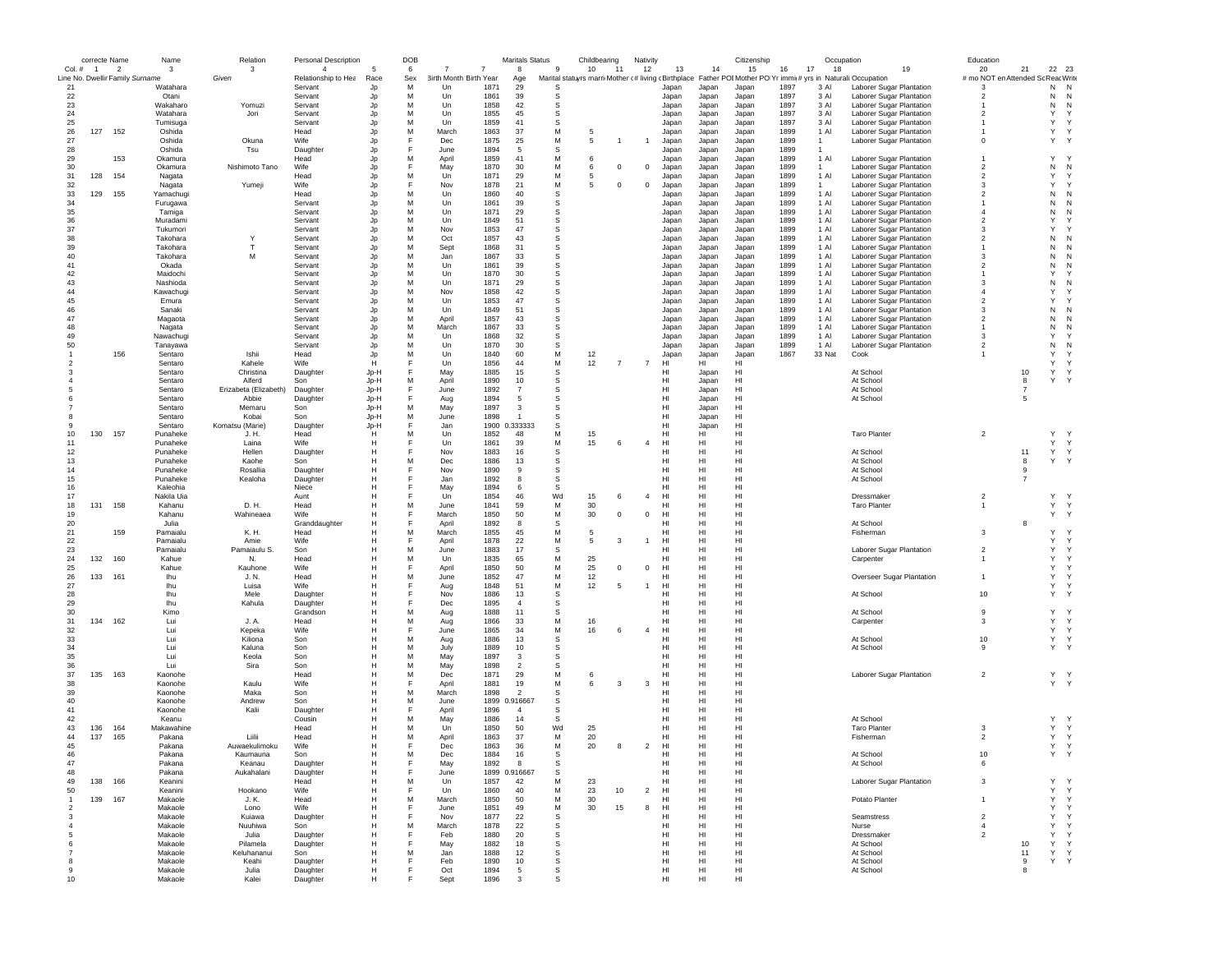|                | correcte Name                   |                | Name       | Relation              | Personal Description |      | DOB |                        |               | <b>Maritals Status</b> |              | Childbearing |                | Nativity       |                 |                 | Citizenship |      |              | Occupation                                                                                                    | Education               |                |              |              |
|----------------|---------------------------------|----------------|------------|-----------------------|----------------------|------|-----|------------------------|---------------|------------------------|--------------|--------------|----------------|----------------|-----------------|-----------------|-------------|------|--------------|---------------------------------------------------------------------------------------------------------------|-------------------------|----------------|--------------|--------------|
| $Col. \#$      | $\overline{1}$                  | $\overline{2}$ | 3          | 3                     | 4                    | -5   | 6   |                        | 7             | 8                      | 9            | 10           | 11             | 12             | 13              | 14              | 15          | 16   | 17<br>18     | 19                                                                                                            | 20                      | 21             | 22           | 23           |
|                | Line No. Dwellir Family Surname |                |            | Given                 | Relationship to Hea  | Race | Sex | 3irth Month Birth Year |               | Age                    |              |              |                |                |                 |                 |             |      |              | Marital statuyrs marri Mother (# living (Birthplace Father POI Mother PO Yr immi(# yrs in Naturali Occupation | # mo NOT en Attended So |                | : Reac Write |              |
| 21             |                                 |                | Watahara   |                       | Servant              | Jp   | M   | Un                     | 1871          | 29                     | <sub>S</sub> |              |                |                | Japan           | Japan           | Japan       | 1897 | 3 Al         | Laborer Sugar Plantation                                                                                      | -3                      |                | N            | $\mathsf{N}$ |
| 22             |                                 |                | Otani      |                       | Servant              | Jp   | M   | Un                     | 1861          | 39                     | s            |              |                |                | Japan           | Japan           | Japan       | 1897 | 3 Al         | Laborer Sugar Plantation                                                                                      | $\overline{2}$          |                | N            | N            |
| 23             |                                 |                | Wakaharo   | Yomuzi                | Servant              | Jp   | M   | Un                     | 1858          | 42                     | s            |              |                |                | Japan           | Japan           | Japan       | 1897 | 3 Al         | Laborer Sugar Plantation                                                                                      |                         |                | N            | N            |
| 24             |                                 |                | Watahara   | Jori                  | Servant              | Jp   | М   | Un                     | 1855          | 45                     | s            |              |                |                | Japan           | Japan           | Japan       | 1897 | 3 Al         | Laborer Sugar Plantation                                                                                      | $\overline{2}$          |                | Y            |              |
| 25             |                                 |                | Tumisuga   |                       | Servant              | Jp   | М   | Un                     | 1859          | 41                     | S            |              |                |                | Japan           | Japan           | Japan       | 1897 | 3 Al         | Laborer Sugar Plantation                                                                                      | $\mathbf{1}$            |                | Y            | Y            |
| 26             | 127                             | 152            | Oshida     |                       | Head                 | Jp   | M   | March                  | 1863          | 37                     | M            | -5           |                |                | Japan           | Japan           | Japan       | 1899 | 1 Al         | Laborer Sugar Plantation                                                                                      |                         |                | Y            |              |
| 27             |                                 |                | Oshida     | Okuna                 | Wife                 | Jp   | F   | Dec                    | 1875          | 25                     | M            | 5            | $\mathbf{1}$   | -1             | Japan           | Japan           | Japan       | 1899 | 1            | Laborer Sugar Plantation                                                                                      | $\Omega$                |                | Y            | $\mathsf{Y}$ |
| 28             |                                 |                | Oshida     | Tsu                   | Daughter             | Jp   | F   | June                   | 1894          | 5                      | s            |              |                |                | Japan           | Japan           | Japan       | 1899 | $\mathbf{1}$ |                                                                                                               |                         |                |              |              |
| 29             |                                 | 153            | Okamura    |                       | Head                 | Jp   | М   | April                  | 1859          | 41                     | M            | 6            |                |                | Japan           | Japan           | Japan       | 1899 | 1 Al         | Laborer Sugar Plantation                                                                                      | $\mathbf{1}$            |                | Υ            |              |
| 30             |                                 |                | Okamura    | Nishimoto Tano        | Wife                 | Jp   | F   | May                    | 1870          | 30                     | M            | 6            | $\mathbf 0$    | $\mathbf 0$    | Japan           | Japan           | Japan       | 1899 | $\mathbf{1}$ | Laborer Sugar Plantation                                                                                      | $\overline{2}$          |                | N            | N            |
| 31             | 128                             | 154            | Nagata     |                       | Head                 | Jp   | M   | Un                     | 1871          | 29                     | M            | 5            |                |                | Japan           | Japan           | Japan       | 1899 | 1 Al         | Laborer Sugar Plantation                                                                                      | $\overline{2}$          |                | Y            | Y            |
| 32             |                                 |                | Nagata     | Yumeji                | Wife                 | Jp   | F   | Nov                    | 1878          | 21                     | M            | -5           | $^{\circ}$     | $\mathbf 0$    | Japan           | Japan           | Japan       | 1899 | $\mathbf{1}$ | Laborer Sugar Plantation                                                                                      | -3                      |                | Y            |              |
| 33             | 129                             | 155            | Yamachugi  |                       | Head                 | Jp   | M   | Un                     | 1860          | 40                     | S            |              |                |                | Japan           | Japan           | Japan       | 1899 | 1 Al         | Laborer Sugar Plantation                                                                                      | $\overline{2}$          |                | N            | N            |
| 34             |                                 |                | Furugawa   |                       | Servant              | Jp   | М   | Un                     | 1861          | 39                     | S            |              |                |                | Japan           | Japan           | Japan       | 1899 | 1 Al         | Laborer Sugar Plantation                                                                                      |                         |                | N            |              |
| 35             |                                 |                | Tamiga     |                       | Servant              | Jp   | М   | Un                     | 1871          | 29                     | s            |              |                |                | Japan           | Japan           | Japan       | 1899 | 1 Al         | Laborer Sugar Plantation                                                                                      | $\overline{4}$          |                | N            | N            |
| 36             |                                 |                | Muradami   |                       | Servant              | Jp   | М   | Un                     | 1849          | 51                     | s            |              |                |                | Japan           | Japan           | Japan       | 1899 | 1 Al         | Laborer Sugar Plantation                                                                                      | $\overline{2}$          |                | Y            |              |
| 37             |                                 |                | Tukumori   |                       | Servant              | Jp   | M   | Nov                    | 1853          | 47                     | S            |              |                |                | Japan           | Japan           | Japan       | 1899 | $1$ Al       | Laborer Sugar Plantation                                                                                      | $\mathbf{3}$            |                | Y            |              |
| 38             |                                 |                | Takohara   | Υ                     | Servant              | Jp   | М   | Oct                    | 1857          | 43                     | s            |              |                |                | Japan           | Japan           | Japan       | 1899 | 1 Al         | Laborer Sugar Plantation                                                                                      | $\overline{2}$          |                | N            | N            |
| 39             |                                 |                | Takohara   | T                     | Servant              | Jp   | М   | Sept                   | 1868          | 31                     | s            |              |                |                | Japan           | Japan           | Japan       | 1899 | 1 Al         | Laborer Sugar Plantation                                                                                      | $\mathbf{1}$            |                | N            | N            |
| 40             |                                 |                | Takohara   | М                     | Servant              | Jp   | М   | Jan                    | 1867          | 33                     | S            |              |                |                | Japan           | Japan           | Japan       | 1899 | 1 Al         | Laborer Sugar Plantation                                                                                      | 3                       |                | N            | N            |
| 41             |                                 |                | Okada      |                       | Servant              | Jp   | M   | Un                     | 1861          | 39                     | s            |              |                |                | Japan           | Japan           | Japan       | 1899 | 1 Al         | Laborer Sugar Plantation                                                                                      | $\overline{2}$          |                | N<br>Y       | N            |
| 42             |                                 |                | Maidochi   |                       | Servant              | Jp   | М   | Un                     | 1870          | 30                     | S            |              |                |                | Japan           | Japan           | Japan       | 1899 | 1 Al         | Laborer Sugar Plantation                                                                                      |                         |                |              |              |
| 43             |                                 |                | Nashioda   |                       | Servant              | Jp   | M   | Un                     | 1871          | 29                     | S            |              |                |                | Japan           | Japan           | Japan       | 1899 | 1 Al         | Laborer Sugar Plantation                                                                                      | $\mathbf{3}$            |                | N            | N            |
| 44             |                                 |                | Kawachugi  |                       | Servant              | Jp   | М   | Nov                    | 1858          | 42                     | s            |              |                |                | Japan           | Japan           | Japan       | 1899 | 1 Al         | Laborer Sugar Plantation                                                                                      | $\overline{4}$          |                | Y            |              |
| 45             |                                 |                | Emura      |                       | Servant              | Jp   | М   | Un                     | 1853          | 47                     | s            |              |                |                | Japan           | Japan           | Japan       | 1899 | 1 Al         | Laborer Sugar Plantation                                                                                      | $\overline{2}$          |                | Y            |              |
| 46             |                                 |                | Sanaki     |                       | Servant              | Jp   | М   | Un                     | 1849          | 51                     | s            |              |                |                | Japan           | Japan           | Japan       | 1899 | 1 Al         | Laborer Sugar Plantation                                                                                      | -3                      |                | N            | N            |
| 47             |                                 |                | Magaota    |                       | Servant              | Jp   | M   | April                  | 1857          | 43                     | s            |              |                |                | Japan           | Japan           | Japan       | 1899 | 1 Al         | Laborer Sugar Plantation                                                                                      | $\overline{2}$          |                | N            | N            |
| 48             |                                 |                | Nagata     |                       | Servant              | Jp   | M   | March                  | 1867          | 33                     | S            |              |                |                | Japan           | Japan           | Japan       | 1899 | $1$ Al       | Laborer Sugar Plantation                                                                                      | $\mathbf{1}$            |                | N            | N            |
| 49             |                                 |                | Nawachugi  |                       | Servant              | Jp   | M   | Un                     | 1868          | 32                     | s            |              |                |                | Japan           | Japan           | Japan       | 1899 | 1 Al         | Laborer Sugar Plantation                                                                                      | 3                       |                | Y            |              |
| 50             |                                 |                | Tanayawa   |                       | Servant              | Jp   | М   | Un                     | 1870          | 30                     | s            |              |                |                | Japan           | Japan           | Japan       | 1899 | 1 Al         | Laborer Sugar Plantation                                                                                      | $\overline{2}$          |                | N            | N            |
|                |                                 | 156            | Sentaro    | Ishii                 | Head                 | Jp   | M   | Un                     | 1840          | 60                     | М            | 12           |                |                | Japan           | Japan           | Japan       | 1867 | 33 Nat       | Cook                                                                                                          |                         |                | Y            |              |
|                |                                 |                | Sentaro    | Kahele                | Wife                 | Н    | F   | Un                     | 1856          | 44                     | M            | 12           | $\overline{7}$ | $\overline{7}$ | HI              | HI              | HI          |      |              |                                                                                                               |                         |                | Y            |              |
|                |                                 |                | Sentaro    | Christina             | Daughter             | Jp-H | F   | May                    | 1885          | 15                     | s            |              |                |                | HI              | Japan           | HI          |      |              | At School                                                                                                     |                         | 10             | Y            | Y            |
|                |                                 |                | Sentaro    | Alferd                | Son                  | Jp-H | M   | April                  | 1890          | 10                     | s            |              |                |                | HI              | Japan           | HI          |      |              | At School                                                                                                     |                         | 8              | Y            |              |
|                |                                 |                | Sentaro    | Erizabeta (Elizabeth) | Daughter             | Jp-H | F   | June                   | 1892          | $\overline{7}$         | s            |              |                |                | HI              | Japan           | HI          |      |              | At School                                                                                                     |                         | $\overline{7}$ |              |              |
|                |                                 |                | Sentaro    | Abbie                 | Daughter             | Jp-H | F   | Aug                    | 1894          | 5                      | s            |              |                |                | HI              | Japan           | HI          |      |              | At School                                                                                                     |                         | 5              |              |              |
|                |                                 |                | Sentaro    | Memaru                | Son                  | Jp-H | M   | May                    | 1897          | 3                      | s            |              |                |                | HI              | Japan           | HI          |      |              |                                                                                                               |                         |                |              |              |
| 8              |                                 |                | Sentaro    | Kobai                 | Son                  | Jp-H | M   | June                   | 1898          | $\overline{1}$         | s            |              |                |                | HI              | Japan           | HI          |      |              |                                                                                                               |                         |                |              |              |
| -9             |                                 |                | Sentaro    | Komatsu (Marie)       | Daughter             | Jp-H | E   | Jan                    | 1900 0.333333 |                        | S            |              |                |                | HI              | Japan           | HI          |      |              |                                                                                                               |                         |                |              |              |
| 10             | 130                             | 157            | Punaheke   | J. H.                 | Head                 | н    | M   | Un                     | 1852          | 48                     | M            | 15           |                |                | HI              | HI              | HI          |      |              | <b>Taro Planter</b>                                                                                           | $\overline{2}$          |                | Υ            |              |
| 11             |                                 |                | Punaheke   | Laina                 | Wife                 |      | F   | Un                     | 1861          | 39                     | M            | 15           | 6              | $\overline{4}$ | HI              | HI              | HI          |      |              |                                                                                                               |                         |                | Y            | Y            |
| 12             |                                 |                | Punaheke   | Hellen                | Daughter             |      | F   | Nov                    | 1883          | 16                     | s            |              |                |                | HI              | HI              | HI          |      |              | At School                                                                                                     |                         | 11             | Y Y          |              |
|                |                                 |                |            |                       |                      |      | М   |                        |               |                        |              |              |                |                |                 |                 | HI          |      |              |                                                                                                               |                         |                | $\mathbf{Y}$ | Y            |
| 13<br>14       |                                 |                | Punaheke   | Kaohe                 | Son                  |      |     | Dec                    | 1886          | 13<br>-9               | s            |              |                |                | HI              | HI<br>HI        | HI          |      |              | At School                                                                                                     |                         | 8              |              |              |
|                |                                 |                | Punaheke   | Rosallia              | Daughter             |      | F   | Nov                    | 1890          | 8                      | s            |              |                |                | HI              |                 |             |      |              | At School                                                                                                     |                         | -9             |              |              |
| 15             |                                 |                | Punaheke   | Kealoha               | Daughter             |      |     | Jan                    | 1892          |                        | s            |              |                |                | HI              | HI              | HI          |      |              | At School                                                                                                     |                         |                |              |              |
| 16             |                                 |                | Kaleohia   |                       | Niece                |      | F   | May                    | 1894          | 6                      | S            |              |                |                | HI              | HI              | HI          |      |              |                                                                                                               |                         |                |              |              |
| 17             |                                 |                | Nakila Uia |                       | Aunt                 |      | F   | Un                     | 1854          | 46                     | Wd           | 15           | 6              | $\overline{4}$ | HI              | HI              | HI          |      |              | Dressmaker                                                                                                    | $\overline{2}$          |                | Y            |              |
| 18             | 131                             | 158            | Kahanu     | D. H.                 | Head                 |      | М   | June                   | 1841          | 59                     | M            | 30           |                |                | HI              | HI              | HI          |      |              | <b>Taro Planter</b>                                                                                           | $\overline{1}$          |                | $\mathsf{Y}$ | Y            |
| 19             |                                 |                | Kahanu     | Wahineaea             | Wife                 | н    | F   | March                  | 1850          | 50                     | M            | 30           | $\mathsf 0$    | $\mathbf 0$    | H <sub>II</sub> | HI              | HI          |      |              |                                                                                                               |                         |                | Y.           | Y            |
| 20             |                                 |                | Julia      |                       | Granddaughter        | н    | F   | April                  | 1892          | 8                      | S            |              |                |                | HI              | HI              | HI          |      |              | At School                                                                                                     |                         | 8              |              |              |
| 21             |                                 | 159            | Pamaialu   | K. H.                 | Head                 |      | M   | March                  | 1855          | 45                     | M            | 5            |                |                | HI              | HI              | HI          |      |              | Fisherman                                                                                                     | 3                       |                | Y            |              |
| 22             |                                 |                | Pamaialu   | Amie                  | Wife                 |      | F   | April                  | 1878          | 22                     | М            | 5            | 3              | 1              | HI              | HI              | HI          |      |              |                                                                                                               |                         |                | Y            | Y            |
| 23             |                                 |                | Pamaialu   | Pamaiaulu S.          | Son                  | н    | M   | June                   | 1883          | 17                     | S            |              |                |                | HI              | HI              | HI          |      |              | Laborer Sugar Plantation                                                                                      | $\overline{2}$          |                | Y            | Y            |
| 24             | 132                             | 160            | Kahue      | N.                    | Head                 | н    | M   | Un                     | 1835          | 65                     | М            | 25           |                |                | HI              | H <sub>II</sub> | HI          |      |              | Carpenter                                                                                                     | $\mathbf{1}$            |                | Y            | Y            |
| 25             |                                 |                | Kahue      | Kauhone               | <b>Wife</b>          |      | F   | April                  | 1850          | 50                     | M            | 25           | $\mathbf 0$    | $\mathbf 0$    | HI              | H <sub>II</sub> | HI          |      |              |                                                                                                               |                         |                | Y            | $\checkmark$ |
| 26             | 133                             | 161            | lhu        | J. N.                 | Head                 |      | M   | June                   | 1852          | 47                     | M            | 12           |                |                | HI              | HI              | HI          |      |              | Overseer Sugar Plantation                                                                                     | $\overline{1}$          |                | Υ            | Y            |
| 27             |                                 |                | Ihu        | Luisa                 | Wife                 |      | F   | Aug                    | 1848          | 51                     | M            | 12           | 5              | 1              | HI              | HI              | HI          |      |              |                                                                                                               |                         |                | Y            | Y            |
| 28             |                                 |                | Ihu        | Mele                  | Daughter             |      | F   | Nov                    | 1886          | 13                     | s            |              |                |                | HI              | HI              | HI          |      |              | At School                                                                                                     | 10                      |                | Y            | Y            |
| 29             |                                 |                | Ihu        | Kahula                | Daughter             | н    |     | Dec                    | 1895          | $\overline{4}$         | s            |              |                |                | HI              | HI              | HI          |      |              |                                                                                                               |                         |                |              |              |
| 30             |                                 |                | Kimo       |                       | Grandson             | н    | M   | Aug                    | 1888          | 11                     | S            |              |                |                | HI              | HI              | HI          |      |              | At School                                                                                                     | 9                       |                | Y            |              |
| 31             | 134                             | 162            | Lui        | J. A.                 | Head                 | н    | М   | Aug                    | 1866          | 33                     | M            | 16           |                |                | HI              | HI              | HI          |      |              | Carpenter                                                                                                     | 3                       |                | Υ            | $\mathsf{Y}$ |
| 32             |                                 |                | Lui        | Kepeka                | Wife                 |      | F   | June                   | 1865          | 34                     | M            | 16           | 6              | $\overline{4}$ | HI              | HI              | HI          |      |              |                                                                                                               |                         |                | Y            | Y            |
| 33             |                                 |                | Lui        | Kiliona               | Son                  |      | М   | Aug                    | 1886          | 13                     | S            |              |                |                | HI              | HI              | HI          |      |              | At School                                                                                                     | 10                      |                | Y            | Y            |
| 34             |                                 |                | Lui        | Kaluna                | Son                  |      | М   | July                   | 1889          | 10                     | s            |              |                |                | HI              | HI              | HI          |      |              | At School                                                                                                     | -9                      |                | Y            | Y            |
| 35             |                                 |                | Lui        | Keola                 | Son                  |      | M   | May                    | 1897          | 3                      | S            |              |                |                | HI              | H <sub>II</sub> | HI          |      |              |                                                                                                               |                         |                |              |              |
| 36             |                                 |                | Lui        | Sira                  | Son                  |      | M   | May                    | 1898          | $\overline{2}$         | s            |              |                |                | HI              | HI              | HI          |      |              |                                                                                                               |                         |                |              |              |
| 37             | 135                             | 163            | Kaonohe    |                       | Head                 |      | М   | Dec                    | 1871          | 29                     | M            | 6            |                |                | HI              | HI              | HI          |      |              | Laborer Sugar Plantation                                                                                      | $\overline{2}$          |                | Y Y          |              |
| 38             |                                 |                | Kaonohe    | Kaulu                 | Wife                 |      |     | April                  | 1881          | 19                     | M            | 6            | 3              | 3              | HI              | HI              | HI          |      |              |                                                                                                               |                         |                | $Y - Y$      |              |
| 39             |                                 |                | Kaonohe    | Maka                  | Son                  | н    | M   | March                  | 1898          | $\overline{c}$         | s            |              |                |                | HI              | HI              | HI          |      |              |                                                                                                               |                         |                |              |              |
| 40             |                                 |                | Kaonohe    | Andrew                | Son                  |      | М   | June                   | 1899 0.916667 |                        | S            |              |                |                | HI              | HI              | HI          |      |              |                                                                                                               |                         |                |              |              |
| 41             |                                 |                | Kaonohe    | Kalii                 | Daughter             |      | Е   | Anril                  | 1896          | $\overline{4}$         | s            |              |                |                | HI              | HI              | HI          |      |              |                                                                                                               |                         |                |              |              |
| 42             |                                 |                | Keanu      |                       | Cousin               | н    | М   | May                    | 1886          | 14                     | s            |              |                |                | HI              | HI              | HI          |      |              | At School                                                                                                     |                         |                | Υ            |              |
| 43             | 136                             | 164            | Makawahine |                       | Head                 |      | М   | Un                     | 1850          | 50                     | Wd           | 25           |                |                | HI              | HI              | HI          |      |              | <b>Taro Planter</b>                                                                                           | 3                       |                | Y            | Y            |
| 44             | 137                             | 165            | Pakana     | Liilii                | Head                 |      | M   | April                  | 1863          | 37                     | М            | 20           |                |                | HI              | HI              | HI          |      |              | Fisherman                                                                                                     | $\overline{2}$          |                | Y            | Y            |
| 45             |                                 |                | Pakana     | Auwaekulimoku         | Wife                 | н    | F   | Dec                    | 1863          | 36                     | M            | 20           | 8              | $\overline{2}$ | HI              | HI              | HI          |      |              |                                                                                                               |                         |                | Y            | Y            |
| 46             |                                 |                | Pakana     | Kaumaun               | S∩n                  |      |     | Dec                    | 1884          | 16                     | s            |              |                |                |                 | H               |             |      |              | At School                                                                                                     | 10                      |                | Y            | $\checkmark$ |
| 47             |                                 |                | Pakana     | Keanau                |                      | Н    | F   |                        | 1892          | 8                      |              |              |                |                | HI              | HI              | HI          |      |              |                                                                                                               |                         |                |              |              |
|                |                                 |                |            |                       | Daughter             |      |     | May                    |               |                        | S            |              |                |                |                 |                 |             |      |              | At School                                                                                                     | 6                       |                |              |              |
| 48             |                                 |                | Pakana     | Aukahalani            | Daughter             | н    | F   | June                   | 1899 0.916667 |                        | s            |              |                |                | HI              | HI              | HI          |      |              |                                                                                                               |                         |                |              |              |
| 49             | 138                             | 166            | Keanini    |                       | Head                 | н    | M   | Un                     | 1857          | 42                     | M            | 23           |                |                | HI              | HI              | HI          |      |              | Laborer Sugar Plantation                                                                                      | 3                       |                | Y            | Y            |
| 50             |                                 |                | Keanini    | Hookano               | Wife                 | н    | E   | Un                     | 1860          | 40                     | M            | 23           | 10             | $\overline{2}$ | HI              | HI              | HI          |      |              |                                                                                                               |                         |                | Y            | Y            |
| $\mathbf{1}$   | 139                             | 167            | Makaole    | J. K.                 | Head                 | н    | M   | March                  | 1850          | 50                     | M            | 30           |                |                | H <sub>II</sub> | HI              | HI          |      |              | Potato Planter                                                                                                | $\overline{1}$          |                | Y            | Y            |
| $\overline{2}$ |                                 |                | Makaole    | Lono                  | Wife                 | н    | E   | June                   | 1851          | 49                     | M            | 30           | 15             | 8              | HI              | HI              | HI          |      |              |                                                                                                               |                         |                | Y            | Y            |
| 3              |                                 |                | Makaole    | Kuiawa                | Daughter             | н    | F   | Nov                    | 1877          | 22                     | s            |              |                |                | HI              | HI              | HI          |      |              | Seamstress                                                                                                    | $\overline{2}$          |                | Y            | Y            |
| $\overline{4}$ |                                 |                | Makaole    | Nuuhiwa               | Son                  |      | М   | March                  | 1878          | 22                     | S            |              |                |                | HI              | HI              | HI          |      |              | Nurse                                                                                                         | $\overline{4}$          |                | Y            | Y            |
| 5              |                                 |                | Makaole    | Julia                 | Daughter             | н    | F   | Feb                    | 1880          | 20                     | s            |              |                |                | HI              | HI              | HI          |      |              | Dressmaker                                                                                                    | $\overline{2}$          |                | Y            | Y            |
| 6              |                                 |                | Makaole    | Pilamela              | Daughter             | н    | F   | May                    | 1882          | 18                     | s            |              |                |                | HI              | HI              | HI          |      |              | At School                                                                                                     |                         | 10             | Y            | Y            |
| $\overline{7}$ |                                 |                | Makaole    | Keluhananui           | Son                  |      | M   | Jan                    | 1888          | 12                     | s            |              |                |                | HI              | HI              | HI          |      |              | At School                                                                                                     |                         | 11             | Y            | $\mathsf{Y}$ |
| 8              |                                 |                | Makaole    | Keahi                 | Daughter             | н    |     | Feb                    | 1890          | 10                     | S            |              |                |                | HI              | HI              | HI          |      |              | At School                                                                                                     |                         | 9              | Y            | $\mathsf{Y}$ |
| 9              |                                 |                | Makaole    | Julia                 | Daughter             | Н    |     | Oct                    | 1894          | 5                      | S            |              |                |                | HI              | HI              | HI          |      |              | At School                                                                                                     |                         | 8              |              |              |
| 10             |                                 |                | Makaole    | Kalei                 | Daughter             |      |     | Sept                   | 1896          | 3                      | S            |              |                |                | HI              | HI              | HI          |      |              |                                                                                                               |                         |                |              |              |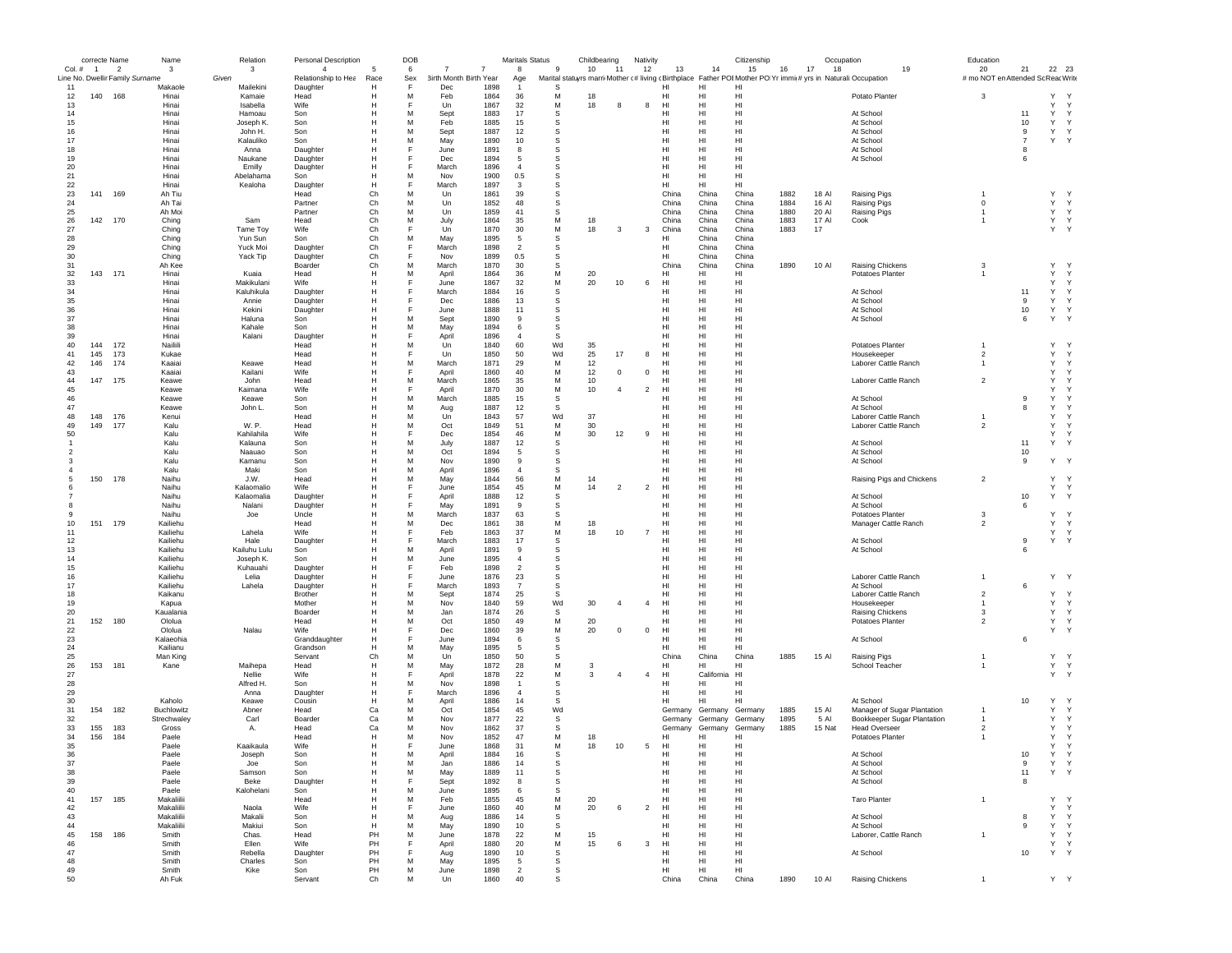|               | correcte Name  |                                 | Name                  | Relation             | Personal Description            |           | DOB      |                                                      |              | Maritals Status      |         | Childbearing |                | Nativity       |                       |                    | Citizenship           |              | Occupation     |                                                                                                               | Education                          |                |                   |                              |
|---------------|----------------|---------------------------------|-----------------------|----------------------|---------------------------------|-----------|----------|------------------------------------------------------|--------------|----------------------|---------|--------------|----------------|----------------|-----------------------|--------------------|-----------------------|--------------|----------------|---------------------------------------------------------------------------------------------------------------|------------------------------------|----------------|-------------------|------------------------------|
| Col. #        | $\overline{1}$ | $\overline{\phantom{a}}$        | 3                     | 3                    | $\overline{4}$                  | -5        | 6        | $\overline{7}$<br>7<br><b>3irth Month Birth Year</b> |              | 8                    | 9       | 10           | 11             | 12             | 13                    | 14                 | 15                    | 16           | 17<br>18       | 19                                                                                                            | 20                                 | 21             | 22 23             |                              |
| 11            |                | Line No. Dwellir Family Surname | Makaole               | Given<br>Mailekini   | Relationship to Hea<br>Daughter | Race<br>н | Sex<br>E | Dec                                                  | 1898         | Age                  | -S      |              |                |                | ні                    | HI                 | HI                    |              |                | Marital statuyrs marri Mother (# living (Birthplace Father POI Mother PO Yr immi(# yrs in Naturali Occupation | # mo NOT en Attended Sc Reac Write |                |                   |                              |
| 12            | 140            | 168                             | Hinai                 | Kamaie               | Head                            | Н         | м        | Feb                                                  | 1864         | 36                   | M       | 18           |                |                | HI                    | HI                 | HI                    |              |                | Potato Planter                                                                                                | 3                                  |                | Y                 |                              |
| 13            |                |                                 | Hinai                 | Isabella             | Wife                            |           |          | Un                                                   | 1867         | 32                   | М       | 18           |                | 8              | HI                    | HI                 | HI                    |              |                |                                                                                                               |                                    |                | Y                 | Y                            |
| 14            |                |                                 | Hinai                 | Hamoau               | Son                             | н         | м        | Sept                                                 | 1883         | 17                   | s       |              |                |                | HI                    | HI                 | HI                    |              |                | At School                                                                                                     |                                    | 11             | Y                 | Y                            |
| 15<br>16      |                |                                 | Hinai<br>Hinai        | Joseph K.<br>John H. | Son<br>Son                      | н<br>Н    | м<br>M   | Feb<br>Sept                                          | 1885<br>1887 | 15<br>12             | -S<br>S |              |                |                | HI<br>HI              | HI<br>HI           | H <sub>1</sub><br>HI  |              |                | At School<br>At School                                                                                        |                                    | 10<br>9        | Y<br>Y            | $\mathsf{Y}$<br>Y            |
| 17            |                |                                 | Hinai                 | Kalauliko            | Son                             | Н         | M        | May                                                  | 1890         | 10                   | S       |              |                |                | HI                    | HI                 | HI                    |              |                | At School                                                                                                     |                                    | $\overline{7}$ | Y Y               |                              |
| 18            |                |                                 | Hinai                 | Anna                 | Daughter                        |           | E        | June                                                 | 1891         | 8                    | S       |              |                |                | HI                    | HI                 | HI                    |              |                | At School                                                                                                     |                                    | 8              |                   |                              |
| 19            |                |                                 | Hinai                 | Naukane              | Daughter                        | н         |          | Dec                                                  | 1894         | 5                    | S       |              |                |                | HI                    | HI                 | HI                    |              |                | At School                                                                                                     |                                    | 6              |                   |                              |
| 20            |                |                                 | Hinai                 | Emilly               | Daughter                        | H         |          | March                                                | 1896         | $\overline{4}$       | s       |              |                |                | HI                    | HI                 | HI                    |              |                |                                                                                                               |                                    |                |                   |                              |
| 21            |                |                                 | Hinai                 | Abelahama            | Son                             | H         | M        | Nov                                                  | 1900<br>1897 | 0.5                  | s       |              |                |                | HI                    | HI                 | HI                    |              |                |                                                                                                               |                                    |                |                   |                              |
| 22<br>23      | 141            | 169                             | Hinai<br>Ah Tiu       | Kealoha              | Daughter<br>Head                | н<br>Ch   | M        | March<br>Un                                          | 1861         | $\mathbf{3}$<br>39   | s<br>s  |              |                |                | HI<br>China           | HI<br>China        | HI<br>China           | 1882         | 18 Al          | <b>Raising Pigs</b>                                                                                           |                                    |                | Y                 |                              |
| 24            |                |                                 | Ah Tai                |                      | Partner                         | Ch        | м        | Un                                                   | 1852         | 48                   | s       |              |                |                | China                 | China              | China                 | 1884         | 16 Al          | Raising Pigs                                                                                                  | $\mathbf 0$                        |                | Y                 | Y                            |
| 25            |                |                                 | Ah Moi                |                      | Partner                         | Ch        | м        | Un                                                   | 1859         | 41                   | s       |              |                |                | China                 | China              | China                 | 1880         | 20 Al          | Raising Pigs                                                                                                  | $\overline{1}$                     |                | Y                 | Y                            |
| 26            | 142            | 170                             | Ching                 | Sam                  | Head                            | Ch        | M        | July                                                 | 1864         | 35                   | M       | 18           |                |                | China                 | China              | China                 | 1883         | 17 AI          | Cook                                                                                                          | $\overline{1}$                     |                | Y Y               |                              |
| 27            |                |                                 | Ching                 | Tame Toy             | Wife                            | Ch        | M        | Un                                                   | 1870         | 30                   | M       | 18           | 3              | 3              | China                 | China              | China                 | 1883         | 17             |                                                                                                               |                                    |                | Y Y               |                              |
| 28<br>29      |                |                                 | Ching<br>Ching        | Yun Sun<br>Yuck Moi  | Son<br>Daughter                 | Ch<br>Ch  | E        | May<br>March                                         | 1895<br>1898 | 5<br>$\overline{2}$  | s<br>s  |              |                |                | HI<br>HI              | China<br>China     | China<br>China        |              |                |                                                                                                               |                                    |                |                   |                              |
| 30            |                |                                 | Ching                 | Yack Tip             | Daughter                        | Ch        | E        | Nov                                                  | 1899         | 0.5                  | s       |              |                |                | HI                    | China              | China                 |              |                |                                                                                                               |                                    |                |                   |                              |
| 31            |                |                                 | Ah Kee                |                      | Boarder                         | Ch        | M        | March                                                | 1870         | 30                   | s       |              |                |                | China                 | China              | China                 | 1890         | 10 Al          | Raising Chickens                                                                                              | 3                                  |                | Y                 |                              |
| 32            | 143            | 171                             | Hinai                 | Kuaia                | Head                            | н         | M        | April                                                | 1864         | 36                   | M       | 20           |                |                | HI                    | HI                 | HI                    |              |                | Potatoes Planter                                                                                              |                                    |                | Y                 | Y                            |
| 33            |                |                                 | Hinai                 | Makikulani           | Wife                            | H         |          | June                                                 | 1867         | 32                   | M       | 20           | 10             | 6              | HI                    | HI                 | HI                    |              |                |                                                                                                               |                                    |                | Y                 | Y                            |
| 34            |                |                                 | Hinai                 | Kaluhikula           | Daughter                        | Н         |          | March                                                | 1884         | 16                   | S       |              |                |                | HI                    | HI                 | HI                    |              |                | At School                                                                                                     |                                    | 11             | Y                 | Y                            |
| 35<br>36      |                |                                 | Hinai<br>Hinai        | Annie<br>Kekini      | Daughter                        | н<br>Н    |          | Dec<br>June                                          | 1886<br>1888 | 13<br>11             | s<br>s  |              |                |                | HI<br>HI              | HI<br>HI           | HI<br>HI              |              |                | At School<br>At School                                                                                        |                                    | 9<br>10        | Y<br>Y            | Y<br>$\mathsf{Y}$            |
| 37            |                |                                 | Hinai                 | Haluna               | Daughter<br>Son                 | Н         | M        | Sept                                                 | 1890         | 9                    | S       |              |                |                | H <sub>II</sub>       | HI                 | H <sub>II</sub>       |              |                | At School                                                                                                     |                                    | 6              | Y                 | $\mathsf{Y}$                 |
| 38            |                |                                 | Hinai                 | Kahale               | Son                             | н         | M        | May                                                  | 1894         | 6                    | S       |              |                |                | HI                    | HI                 | HI                    |              |                |                                                                                                               |                                    |                |                   |                              |
| 39            |                |                                 | Hinai                 | Kalani               | Daughter                        |           |          | April                                                | 1896         | $\overline{4}$       | S       |              |                |                | HI                    | HI                 | HI                    |              |                |                                                                                                               |                                    |                |                   |                              |
| 40            | 144            | 172                             | Nailiili              |                      | Head                            | н         | м        | Un                                                   | 1840         | 60                   | Wd      | 35           |                |                | HI                    | HI                 | HI                    |              |                | Potatoes Planter                                                                                              |                                    |                | Y                 |                              |
| 41            | 145            | 173                             | Kukae                 |                      | Head                            | н         |          | Un                                                   | 1850         | 50                   | Wd      | 25           | 17             | 8              | HI                    | HI                 | HI                    |              |                | Housekeeper                                                                                                   | $\overline{2}$                     |                | Y                 | Y                            |
| 42            | 146            | 174                             | Kaaiai                | Keawe                | Head                            | H<br>H    | M        | March                                                | 1871         | 29                   | M<br>M  | 12<br>12     | $^{\circ}$     |                | HI                    | HI                 | H <sub>II</sub><br>HI |              |                | Laborer Cattle Ranch                                                                                          | $\overline{1}$                     |                | Y<br>Y            | Y<br>Y                       |
| 43<br>44      | 147            | 175                             | Kaaiai<br>Keawe       | Kailani<br>John      | Wife<br>Head                    | Н         | M        | April<br>March                                       | 1860<br>1865 | 40<br>35             | М       | 10           |                | $\mathbf 0$    | HI<br>HI              | HI<br>HI           | HI                    |              |                | Laborer Cattle Ranch                                                                                          | $\overline{2}$                     |                | Y                 | Y                            |
| 45            |                |                                 | Keawe                 | Kaimana              | Wife                            | н         | F        | April                                                | 1870         | 30                   | М       | 10           | $\overline{4}$ | $\overline{2}$ | HI                    | HI                 | HI                    |              |                |                                                                                                               |                                    |                | Y                 |                              |
| 46            |                |                                 | Keawe                 | Keawe                | Son                             | н         | м        | March                                                | 1885         | 15                   | s       |              |                |                | HI                    | HI                 | HI                    |              |                | At School                                                                                                     |                                    | 9              | Y                 |                              |
| 47            |                |                                 | Keawe                 | John L.              | Son                             | H         | M        | Aug                                                  | 1887         | 12                   | -S      |              |                |                | HI                    | HI                 | HI                    |              |                | At School                                                                                                     |                                    | 8              | Y                 |                              |
| 48            | 148            | 176                             | Kenui                 |                      | Head                            | H         | M        | Un                                                   | 1843         | 57                   | Wd      | 37           |                |                | H <sub>II</sub>       | HI                 | H <sub>II</sub>       |              |                | Laborer Cattle Ranch                                                                                          |                                    |                | Y                 | $\checkmark$                 |
| 49            | 149            | 177                             | Kalu                  | W. P.                | Head                            | H         | M        | Oct                                                  | 1849         | 51                   | M       | 30           |                |                | HI                    | HI                 | HI                    |              |                | Laborer Cattle Ranch                                                                                          | $\overline{2}$                     |                | Y                 | $\mathsf{Y}$                 |
| 50            |                |                                 | Kalu                  | Kahilahila           | Wife                            | Н         | F<br>M   | Dec                                                  | 1854         | 46                   | M       | 30           | 12             | 9              | HI                    | HI                 | HI                    |              |                |                                                                                                               |                                    |                | Y                 | Y                            |
| $\mathcal{P}$ |                |                                 | Kalu<br>Kalu          | Kalauna<br>Naauao    | Son<br>Son                      | н<br>H    | M        | July<br>Oct                                          | 1887<br>1894 | 12<br>5              | s<br>s  |              |                |                | HI<br>HI              | HI<br>HI           | HI<br>HI              |              |                | At School<br>At School                                                                                        |                                    | 11<br>10       | Y                 | Y                            |
|               |                |                                 | Kalu                  | Kamanu               | Son                             | H         | M        | Nov                                                  | 1890         | -9                   | s       |              |                |                | H <sub>II</sub>       | HI                 | H <sub>II</sub>       |              |                | At School                                                                                                     |                                    | 9              | Y                 | <sup>Y</sup>                 |
|               |                |                                 | Kalu                  | Maki                 | Son                             | H         | M        | April                                                | 1896         | $\overline{4}$       | s       |              |                |                | HI                    | HI                 | HI                    |              |                |                                                                                                               |                                    |                |                   |                              |
|               | 150            | 178                             | Naihu                 | J.W.                 | Head                            |           | M        | May                                                  | 1844         | 56                   | М       | 14           |                |                | HI                    | HI                 | HI                    |              |                | Raising Pigs and Chickens                                                                                     | $\overline{2}$                     |                | Y Y               |                              |
|               |                |                                 | Naihu                 | Kalaomalio           | Wife                            |           |          | June                                                 | 1854         | 45                   | М       | 14           | $\overline{2}$ | $\overline{2}$ | HI                    | HI                 | HI                    |              |                |                                                                                                               |                                    |                | Y                 | Y                            |
|               |                |                                 | Naihu                 | Kalaomalia           | Daughter                        | н         |          | April                                                | 1888         | 12                   | s       |              |                |                | HI                    | HI                 | HI                    |              |                | At School                                                                                                     |                                    | 10             | Y                 | Y                            |
|               |                |                                 | Naihu                 | Nalani               | Daughter                        | Н         |          | May                                                  | 1891         | 9                    | s       |              |                |                | HI                    | HI                 | HI                    |              |                | At School                                                                                                     |                                    | 6              |                   |                              |
|               |                |                                 | Naihu                 | Joe                  | Uncle                           | н         | M<br>M   | March                                                | 1837         | 63                   | S       |              |                |                | HI                    | HI                 | HI                    |              |                | Potatoes Planter                                                                                              | 3                                  |                | Y                 | <sup>Y</sup><br>$\mathsf{Y}$ |
| 10<br>11      | 151            | 179                             | Kailiehu<br>Kailiehu  | Lahela               | Head<br>Wife                    |           |          | Dec<br>Feb                                           | 1861<br>1863 | 38<br>37             | M<br>M  | 18<br>18     | 10             | $\overline{7}$ | HI<br>HI              | HI<br>HI           | HI<br>HI              |              |                | Manager Cattle Ranch                                                                                          | $\overline{2}$                     |                | Y.<br>Y           | Y                            |
| 12            |                |                                 | Kailiehu              | Hale                 | Daughter                        | н         |          | March                                                | 1883         | 17                   | s       |              |                |                | HI                    | HI                 | HI                    |              |                | At School                                                                                                     |                                    | 9              | Y Y               |                              |
| 13            |                |                                 | Kailiehu              | Kailuhu Lulu         | Son                             | H         | M        | April                                                | 1891         | 9                    | s       |              |                |                | H <sub>II</sub>       | HI                 | H <sub>II</sub>       |              |                | At School                                                                                                     |                                    | 6              |                   |                              |
| 14            |                |                                 | Kailiehu              | Joseph K.            | Son                             | H         | M        | June                                                 | 1895         | $\overline{a}$       | s       |              |                |                | H <sub>II</sub>       | HI                 | H <sub>II</sub>       |              |                |                                                                                                               |                                    |                |                   |                              |
| 15            |                |                                 | Kailiehu              | Kuhauahi             | Daughter                        | H         |          | Feb                                                  | 1898         | $\overline{2}$       | s       |              |                |                | HI                    | HI                 | HI                    |              |                |                                                                                                               |                                    |                |                   |                              |
| 16            |                |                                 | Kailiehu              | Lelia                | Daughter                        | Н         |          | June                                                 | 1876         | 23<br>$\overline{7}$ | s       |              |                |                | HI                    | HI                 | HI                    |              |                | Laborer Cattle Ranch                                                                                          |                                    | 6              | Y Y               |                              |
| 17<br>18      |                |                                 | Kailiehu<br>Kaikanu   | Lahela               | Daughter<br>Brother             | н<br>н    | м        | March<br>Sept                                        | 1893<br>1874 | 25                   | s<br>s  |              |                |                | HI<br>HI              | HI<br>HI           | HI<br>HI              |              |                | At School<br>Laborer Cattle Ranch                                                                             | $\overline{2}$                     |                | Υ                 | Y                            |
| 19            |                |                                 | Kapua                 |                      | Mother                          | н         | M        | Nov                                                  | 1840         | 59                   | Wd      | 30           | -4             | $\overline{a}$ | HI                    | HI                 | HI                    |              |                | Housekeeper                                                                                                   |                                    |                | Y                 | Y                            |
| 20            |                |                                 | Kaualania             |                      | Boarder                         | н         | M        | Jan                                                  | 1874         | 26                   | s       |              |                |                | HI                    | HI                 | HI                    |              |                | Raising Chickens                                                                                              | 3                                  |                | Y                 | $\mathsf{Y}$                 |
| 21            | 152            | 180                             | Ololua                |                      | Head                            | Н         | M        | Oct                                                  | 1850         | 49                   | М       | 20           |                |                | HI                    | HI                 | HI                    |              |                | Potatoes Planter                                                                                              | $\overline{2}$                     |                | Y Y               |                              |
| 22            |                |                                 | Ololua                | Nalau                | Wife                            | Н         | F        | Dec                                                  | 1860         | 39                   | M       | 20           | $^{\circ}$     | $\mathbf 0$    | HI                    | HI                 | HI                    |              |                |                                                                                                               |                                    |                | Y Y               |                              |
| 23<br>24      |                |                                 | Kalaeohia<br>Kailianu |                      | Granddaughter                   | н<br>H    | M        | June                                                 | 1894<br>1895 | 6<br>-5              | s<br>s  |              |                |                | HI<br>H <sub>II</sub> | HI<br>HL.          | HI<br>HI              |              |                | At School                                                                                                     |                                    | 6              |                   |                              |
| 25            |                |                                 | Man King              |                      | Grandson<br>Servant             | Ch        | M        | May<br>Un                                            | 1850         | 50                   | s       |              |                |                | China                 | China              | China                 | 1885         | 15 Al          | <b>Raising Pigs</b>                                                                                           |                                    |                | Y.                | $\mathsf{Y}$                 |
| 26            | 153            | 181                             | Kane                  | Maihepa              | Head                            | H         | M        | May                                                  | 1872         | 28                   | M       | 3            |                |                | HI                    | HI                 | HI                    |              |                | School Teacher                                                                                                |                                    |                | Y Y               |                              |
| 27            |                |                                 |                       | Nellie               | Wife                            |           |          | April                                                | 1878         | 22                   | М       | 3            | $\overline{4}$ | $\overline{4}$ | HI                    | California         | HI                    |              |                |                                                                                                               |                                    |                | Y                 | $\mathsf{Y}$                 |
| 28            |                |                                 |                       | Alfred H.            | Son                             | н         | м        | Nov                                                  | 1898         | -1                   | s       |              |                |                | HI                    | HI                 | HI                    |              |                |                                                                                                               |                                    |                |                   |                              |
| 29            |                |                                 |                       | Anna                 | Daughter                        | н         |          | March                                                | 1896         | $\overline{4}$       | s       |              |                |                | HI                    | HI                 | HI                    |              |                |                                                                                                               |                                    |                |                   |                              |
| 30            |                |                                 | Kaholo                | Keawe                | Cousin                          | H         | м        | April                                                | 1886         | 14                   | S       |              |                |                | HI                    | HI                 | HI                    |              |                | At School                                                                                                     |                                    | 10             | Y                 |                              |
| 31            | 154            | 182                             | Buchlowitz            | Abner                | Head                            | Ca        | M<br>M   | Oct                                                  | 1854         | 45                   | Wd<br>S |              |                |                | Germany               | Germany            | Germany               | 1885         | 15 AI          | Manager of Sugar Plantation<br>Bookkeeper Sugar Plantation                                                    |                                    |                | Y                 | $\mathsf{Y}$                 |
| 32<br>33      | 155            | 183                             | Strechwaley<br>Gross  | Carl<br>Α.           | Boarder<br>Head                 | Ca<br>Ca  | м        | Nov<br>Nov                                           | 1877<br>1862 | 22<br>37             | -S      |              |                |                | Germany<br>Germany    | Germany<br>Germany | Germany<br>Germany    | 1895<br>1885 | 5 Al<br>15 Nat | <b>Head Overseer</b>                                                                                          | $\overline{2}$                     |                | Y<br>$\mathsf{Y}$ | Y<br>Y                       |
| 34            | 156            | 184                             | Paele                 |                      | Head                            | н         | м        | Nov                                                  | 1852         | 47                   | М       | 18           |                |                | HI                    | HI                 | HI                    |              |                | Potatoes Planter                                                                                              | $\overline{1}$                     |                | Y                 | Y                            |
| 35            |                |                                 | Paele                 | Kaaikaula            | Wife                            | н         |          | <b>June</b>                                          | 1868         | 31                   | M       | 18           | 10             | 5              | H <sub>II</sub>       | HI                 | HI                    |              |                |                                                                                                               |                                    |                | Y                 | $\mathsf{Y}$                 |
| 36            |                |                                 | Paele                 | Joseph               | son                             |           |          | adn                                                  | 1884         | -16                  | 5       |              |                |                | нı                    | HI                 | HI                    |              |                | At School                                                                                                     |                                    | 10             |                   |                              |
| 37            |                |                                 | Paele                 | Joe                  | Son                             | Н         | M        | Jan                                                  | 1886         | 14                   | s       |              |                |                | HI                    | HI                 | HI                    |              |                | At School                                                                                                     |                                    | 9              | Y                 | Y                            |
| 38            |                |                                 | Paele                 | Samson               | Son                             | Н         | M        | May                                                  | 1889         | 11                   | s       |              |                |                | HI                    | HI                 | HI                    |              |                | At School                                                                                                     |                                    | 11             | Y Y               |                              |
| 39            |                |                                 | Paele                 | Beke                 | Daughter                        | н         | F        | Sept                                                 | 1892         | 8                    | s       |              |                |                | HI                    | HI                 | HI                    |              |                | At School                                                                                                     |                                    | 8              |                   |                              |
| 40<br>41      | 157 185        |                                 | Paele<br>Makaliilii   | Kalohelani           | Son<br>Head                     | н<br>н    | м<br>M   | June<br>Feb                                          | 1895<br>1855 | - 6<br>45            | -S<br>М | 20           |                |                | HI<br>HI              | HI<br>HI           | HI<br>HI              |              |                | <b>Taro Planter</b>                                                                                           | $\overline{1}$                     |                | Y Y               |                              |
| 42            |                |                                 | Makaliilii            | Naola                | Wife                            | н         | F        | June                                                 | 1860         | 40                   | M       | 20           | 6              | $\overline{c}$ | HI                    | HI                 | HI                    |              |                |                                                                                                               |                                    |                | Y Y               |                              |
| 43            |                |                                 | Makaliilii            | Makalii              | Son                             | H         | M        | Aug                                                  | 1886         | 14                   | s       |              |                |                | HI                    | HI                 | HI                    |              |                | At School                                                                                                     |                                    | 8              | Y Y               |                              |
| 44            |                |                                 | Makaliilii            | Makiui               | Son                             | H         | M        | May                                                  | 1890         | 10                   | s       |              |                |                | HI                    | HI                 | HI                    |              |                | At School                                                                                                     |                                    | 9              | Y                 | Y                            |
| 45            | 158            | 186                             | Smith                 | Chas.                | Head                            | PH        | M        | June                                                 | 1878         | 22                   | M       | 15           |                |                | H <sub>II</sub>       | HI                 | H <sub>II</sub>       |              |                | Laborer, Cattle Ranch                                                                                         | $\overline{1}$                     |                | Y Y               |                              |
| 46            |                |                                 | Smith                 | Ellen                | Wife                            | PH        | F        | April                                                | 1880         | 20                   | M       | 15           | 6              | 3              | H <sub>II</sub>       | HI                 | H <sub>II</sub>       |              |                |                                                                                                               |                                    |                | Y Y               |                              |
| 47<br>48      |                |                                 | Smith<br>Smith        | Rebella<br>Charles   | Daughter<br>Son                 | PH<br>PH  | F<br>M   | Aug<br>May                                           | 1890<br>1895 | 10<br>5              | s<br>s  |              |                |                | HI<br>HI              | HI<br>HI           | HI<br>HI              |              |                | At School                                                                                                     |                                    | 10             | Y Y               |                              |
| 49            |                |                                 | Smith                 | Kike                 | Son                             | PH        | M        | June                                                 | 1898         | $\overline{2}$       | s       |              |                |                | HI                    | HI                 | HI                    |              |                |                                                                                                               |                                    |                |                   |                              |
| 50            |                |                                 | Ah Fuk                |                      | Servant                         | Ch        | M        | Un                                                   | 1860         | 40                   | s       |              |                |                | China                 | China              | China                 | 1890         | 10 AI          | Raising Chickens                                                                                              |                                    |                | Y Y               |                              |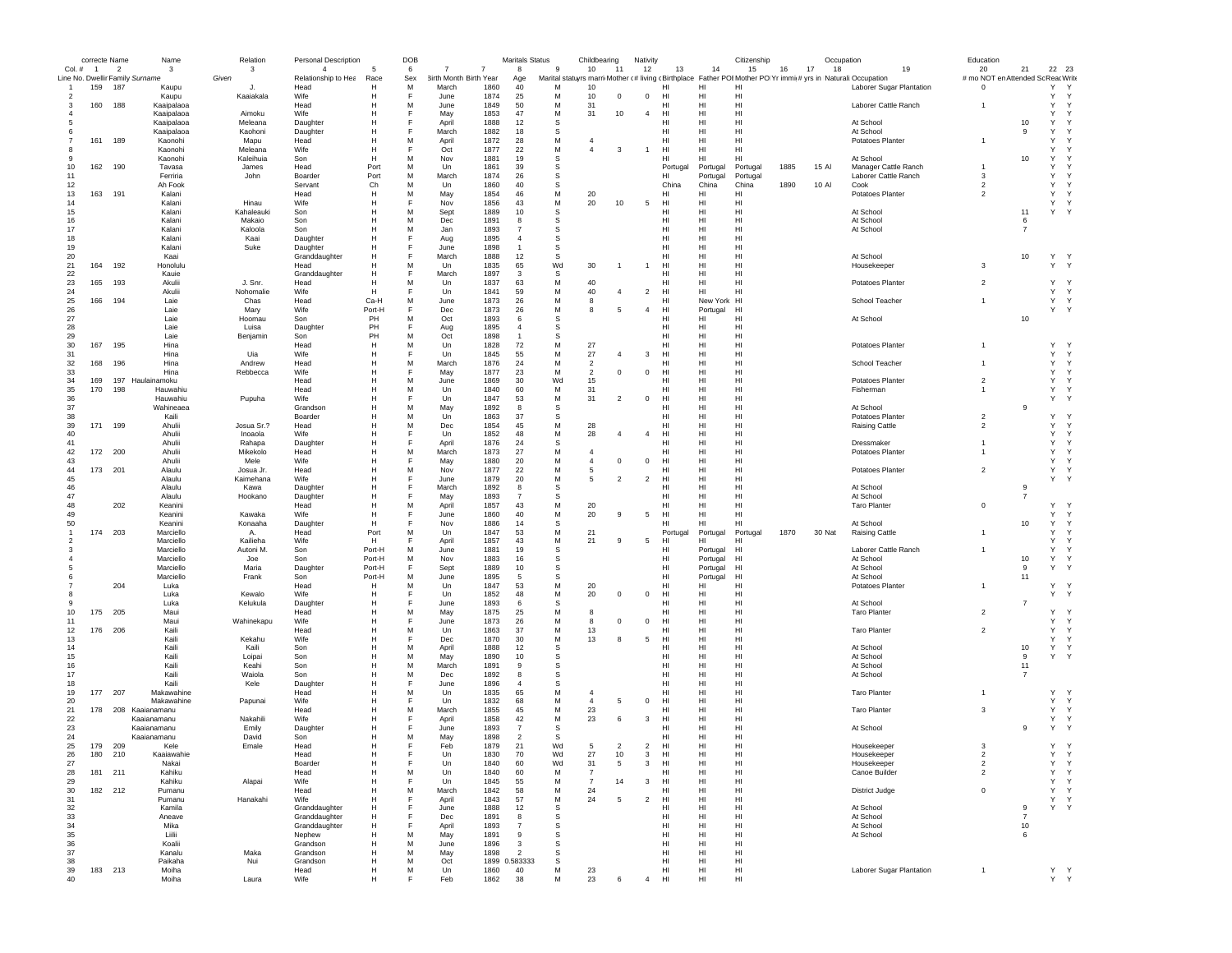|               | correcte Name |                | Name                            | Relation   | Personal Description |        | DOB |                        |                | <b>Maritals Status</b> |           | Childbearing   |                          | Nativity       |                         |                 | Citizenship |      | Occupation |                                                                                                               | Education                         |                |                    |  |
|---------------|---------------|----------------|---------------------------------|------------|----------------------|--------|-----|------------------------|----------------|------------------------|-----------|----------------|--------------------------|----------------|-------------------------|-----------------|-------------|------|------------|---------------------------------------------------------------------------------------------------------------|-----------------------------------|----------------|--------------------|--|
|               | Col. # 1      | $\overline{2}$ | 3                               | 3          | $\overline{4}$       | -5     | 6   |                        | $\overline{7}$ | 8                      | 9         | 10             | 11                       | 12             | 13                      | 14              | 15          | 16   | 17<br>18   | 19                                                                                                            | 20                                | 21             | 22 23              |  |
|               |               |                | Line No. Dwellir Family Surname | Given      | Relationship to Hea  | Race   | Sex | 3irth Month Birth Year |                | Age                    |           |                |                          |                |                         |                 |             |      |            | Marital statuyrs marri Mother (# living (Birthplace Father POI Mother PO Yr immi(# yrs in Naturali:Occupation | # mo NOT en Attended Sc ReacWrite |                |                    |  |
|               | 159           | 187            | Kaupu                           | л          | Head                 | Н      | M   | March                  | 1860           | 40                     | м         | 10             |                          |                | HI                      | HI              | HI          |      |            | Laborer Sugar Plantation                                                                                      | $\mathbf 0$                       |                | Y<br>Y             |  |
| 2             |               |                | Kaupu                           | Kaajakala  | <b>Wife</b>          |        | F   | June                   | 1874           | 25                     | M         | 10             | $^{\circ}$               | $\mathbf 0$    | HI                      | HI              | HI          |      |            |                                                                                                               |                                   |                | Y<br>$\mathsf{Y}$  |  |
| з             | 160           | 188            | Kaaipalaoa                      |            | Head                 |        | M   | June                   | 1849           | 50                     | M         | 31             |                          |                | HI                      | HI              | HI          |      |            | Laborer Cattle Ranch                                                                                          | $\overline{1}$                    |                | Y<br>Y             |  |
|               |               |                | Kaaipalaoa                      | Aimoku     | Wife                 |        |     | May                    | 1853           | 47                     | M         | 31             | 10                       | $\overline{4}$ | HI                      | HI              | HI          |      |            |                                                                                                               |                                   |                | Υ<br>$\mathsf{Y}$  |  |
|               |               |                | Kaaipalaoa                      | Meleana    | Daughter             |        | F   | April                  | 1888           | 12                     | s         |                |                          |                | нı                      | HI              | HI          |      |            | At School                                                                                                     |                                   | 10             | Y                  |  |
|               |               |                | Kaaipalaoa                      | Kaohoni    | Daughter             | н      | Е   | March                  | 1882           | 18                     | s         |                |                          |                | нı                      | HI              | HI          |      |            | At School                                                                                                     |                                   | 9              | Υ                  |  |
|               | 161           | 189            | Kaonohi                         | Mapu       | Head                 | н      | M   | April                  | 1872           | 28                     | М         | $\overline{4}$ |                          |                | нı                      | HI              | HI          |      |            | Potatoes Planter                                                                                              |                                   |                | Y                  |  |
| 8             |               |                | Kaonohi                         | Meleana    | Wife                 | н      | F   | Oct                    | 1877           | 22                     | M         | $\overline{4}$ | 3                        | -1             | HI                      | H1              | HI          |      |            |                                                                                                               |                                   |                | Y                  |  |
| 9             |               |                | Kaonohi                         | Kaleihuia  | Son                  | H      | М   | Nov                    | 1881           | 19                     | S         |                |                          |                | HI                      | HI              | HI          |      |            | At School                                                                                                     |                                   | 10             | Y                  |  |
| 10            | 162           | 190            | Tavasa                          | James      | Head                 | Port   | M   | Un                     | 1861           | 39                     | s         |                |                          |                | Portuga                 | Portugal        | Portugal    | 1885 | 15 Al      | Manager Cattle Ranch                                                                                          |                                   |                | Y<br>Υ             |  |
| 11            |               |                | Ferriria                        | John       | Boarder              | Port   | M   | March                  | 1874           | 26                     | S         |                |                          |                | HI                      | Portugal        | Portugal    |      |            | Laborer Cattle Ranch                                                                                          | 3                                 |                | Y<br>Y             |  |
|               |               |                |                                 |            |                      | Ch     | M   |                        | 1860           |                        |           |                |                          |                | China                   |                 |             | 1890 |            |                                                                                                               | $\overline{2}$                    |                | Y<br>Y             |  |
| 12            |               |                | Ah Fook                         |            | Servant              |        |     | Un                     |                | 40                     | s         |                |                          |                |                         | China           | China       |      | 10 AI      | Cook                                                                                                          |                                   |                | Y<br>$\mathsf{Y}$  |  |
| 13            | 163           | 191            | Kalani                          |            | Head                 | н      | M   | May                    | 1854           | 46                     | M         | 20             |                          |                | HI                      | HI              | HI          |      |            | Potatoes Planter                                                                                              | $\overline{\phantom{a}}$          |                |                    |  |
| 14            |               |                | Kalani                          | Hinau      | Wife                 | н      | F   | Nov                    | 1856           | 43                     | M         | 20             | 10                       | 5              | HI                      | HI              | HI          |      |            |                                                                                                               |                                   |                | Y<br>$\mathsf{Y}$  |  |
| 15            |               |                | Kalani                          | Kahaleauki | Son                  | Н      | М   | Sept                   | 1889           | 10                     | S         |                |                          |                | HI                      | HI              | HI          |      |            | At School                                                                                                     |                                   | 11             | Y<br>$\mathsf{Y}$  |  |
| 16            |               |                | Kalani                          | Makaio     | Son                  |        | M   | Dec                    | 1891           | 8                      | S         |                |                          |                | HI                      | HI              | HI          |      |            | At School                                                                                                     |                                   | 6              |                    |  |
| 17            |               |                | Kalani                          | Kaloola    | Son                  |        | M   | Jan                    | 1893           | $\overline{7}$         | S         |                |                          |                | HI                      | HI              | HI          |      |            | At School                                                                                                     |                                   | $\overline{7}$ |                    |  |
| 18            |               |                | Kalani                          | Kaai       | Daughter             |        | F   | Aug                    | 1895           | $\overline{4}$         | S         |                |                          |                | HI                      | HI              | HI          |      |            |                                                                                                               |                                   |                |                    |  |
| 19            |               |                | Kalani                          | Suke       | Daughter             |        | F   | June                   | 1898           | $\overline{1}$         | S         |                |                          |                | HI                      | H               | HI          |      |            |                                                                                                               |                                   |                |                    |  |
| 20            |               |                | Kaai                            |            | Granddaughter        |        | F   | March                  | 1888           | 12                     | s         |                |                          |                | HI                      | HI              | HI          |      |            | At School                                                                                                     |                                   | 10             | Y                  |  |
|               |               | 192            |                                 |            | Head                 |        | М   |                        |                |                        |           |                |                          |                | HI                      | HI              | HI          |      |            |                                                                                                               | 3                                 |                | Y Y                |  |
| 21            | 164           |                | Honolulu                        |            |                      |        |     | Un                     | 1835           | 65                     | Wd        | 30             |                          |                |                         |                 |             |      |            | Housekeeper                                                                                                   |                                   |                |                    |  |
| 22            |               |                | Kauie                           |            | Granddaughter        |        | F   | March                  | 1897           | 3                      | s         |                |                          |                | HI                      | HI              | HI          |      |            |                                                                                                               |                                   |                |                    |  |
| 23            | 165           | 193            | Akulii                          | J. Snr.    | Head                 | н      | М   | Un                     | 1837           | 63                     | М         | 40             |                          |                | HI                      | HI              | HI          |      |            | Potatoes Planter                                                                                              | $\overline{2}$                    |                | Y.<br>$\mathsf{Y}$ |  |
| 24            |               |                | Akulii                          | Nohomalie  | <b>Wife</b>          | н      | F   | Un                     | 1841           | 59                     | M         | 40             | $\overline{4}$           | $\overline{2}$ | HI                      | HI              | HI          |      |            |                                                                                                               |                                   |                | Y<br>Y             |  |
| 25            | 166           | 194            | Laie                            | Chas       | Head                 | Ca-H   | М   | June                   | 1873           | 26                     | M         | 8              |                          |                | HI                      | New York HI     |             |      |            | School Teacher                                                                                                | $\mathbf{1}$                      |                | Y Y                |  |
| 26            |               |                | Laie                            | Mary       | Wife                 | Port-H | F   | Dec                    | 1873           | 26                     | M         | 8              | 5                        | $\overline{4}$ | HI                      | Portugal        | HI          |      |            |                                                                                                               |                                   |                | Y Y                |  |
| 27            |               |                | Laie                            | Hoomau     | Son                  | PH     | М   | Oct                    | 1893           | 6                      | s         |                |                          |                | HI                      | HI              | HI          |      |            | At School                                                                                                     |                                   | 10             |                    |  |
| 28            |               |                | Laie                            | Luisa      | Daughter             | PH     | F   | Aug                    | 1895           | $\overline{4}$         | s         |                |                          |                | HI                      | HI              | HI          |      |            |                                                                                                               |                                   |                |                    |  |
|               |               |                | Laie                            |            |                      | PH     | M   |                        | 1898           |                        |           |                |                          |                | HI                      | H               | HI          |      |            |                                                                                                               |                                   |                |                    |  |
| 29            |               |                |                                 | Benjamin   | Son                  |        |     | Oct                    |                | -1                     | s         |                |                          |                |                         |                 |             |      |            |                                                                                                               |                                   |                |                    |  |
| 30            | 167           | 195            | Hina                            |            | Head                 | H      | М   | Un                     | 1828           | 72                     | M         | 27             |                          |                | HI                      | HI              | HI          |      |            | Potatoes Planter                                                                                              |                                   |                | Y                  |  |
| 31            |               |                | Hina                            | Uia        | Wife                 | н      | F   | Un                     | 1845           | 55                     | M         | 27             | $\overline{4}$           | 3              | HI                      | HI              | HI          |      |            |                                                                                                               |                                   |                | Y<br>Y             |  |
| 32            | 168           | 196            | Hina                            | Andrew     | Head                 |        | М   | March                  | 1876           | 24                     | М         | $\overline{2}$ |                          |                | HI                      | HI              | HI          |      |            | School Teacher                                                                                                | $\mathbf{1}$                      |                | Y<br>Y             |  |
| 33            |               |                | Hina                            | Rebbecca   | Wife                 | н      | F   | May                    | 1877           | 23                     | М         | $\overline{2}$ | $\mathbf 0$              | $\mathbf 0$    | HI                      | HI              | HI          |      |            |                                                                                                               |                                   |                | Y<br>Y             |  |
| 34            | 169           | 197            | Haulainamoku                    |            | Head                 | н      | M   | June                   | 1869           | 30                     | Wd        | 15             |                          |                | HI                      | HI              | HI          |      |            | Potatoes Planter                                                                                              | $\overline{2}$                    |                | Y<br>$\mathsf{Y}$  |  |
| 35            | 170           | 198            | Hauwahiu                        |            | Head                 | н      | M   | Un                     | 1840           | 60                     | M         | 31             |                          |                | HI                      | HI              | HI          |      |            | Fisherman                                                                                                     | $\overline{1}$                    |                | Y                  |  |
|               |               |                |                                 |            |                      |        | F   |                        | 1847           |                        | M         |                | $\overline{2}$           | $^{\circ}$     |                         |                 |             |      |            |                                                                                                               |                                   |                | Y                  |  |
| 36            |               |                | Hauwahiu                        | Pupuha     | Wife                 |        |     | Un                     |                | 53                     |           | 31             |                          |                | HI                      | HI              | HI          |      |            |                                                                                                               |                                   |                |                    |  |
| 37            |               |                | Wahineaea                       |            | Grandson             |        | M   | May                    | 1892           | 8                      | s         |                |                          |                | HI                      | HI              | HI          |      |            | At School                                                                                                     |                                   | 9              |                    |  |
| 38            |               |                | Kaili                           |            | Boarder              |        | М   | Un                     | 1863           | 37                     | s         |                |                          |                | HI                      | HI              | HI          |      |            | Potatoes Planter                                                                                              | $\overline{2}$                    |                | Y                  |  |
| 39            | 171           | 199            | Ahulii                          | Josua Sr.? | Head                 |        | М   | Dec                    | 1854           | 45                     | M         | 28             |                          |                | нı                      | HI              | HI          |      |            | <b>Raising Cattle</b>                                                                                         | $\overline{2}$                    |                | Y<br>Y             |  |
| 40            |               |                | Ahulii                          | Inoaola    | <b>Wife</b>          |        | F   | Un                     | 1852           | 48                     | M         | 28             |                          | $\overline{4}$ | HI                      | HI              | HI          |      |            |                                                                                                               |                                   |                | Y<br>Y             |  |
| 41            |               |                | Ahulii                          | Rahapa     | Daughter             |        | F   | April                  | 1876           | 24                     | s         |                |                          |                | HI                      | HI              | HI          |      |            | Dressmaker                                                                                                    |                                   |                | Y<br>Y             |  |
| 42            | 172           | 200            | Ahulii                          | Mikekolo   | Head                 |        | M   | March                  | 1873           | 27                     | M         | $\overline{4}$ |                          |                | HI                      | HI              | HI          |      |            | Potatoes Planter                                                                                              |                                   |                | Y<br>Y             |  |
| 43            |               |                |                                 | Mele       |                      |        |     |                        | 1880           |                        |           | $\overline{4}$ | $\mathbf 0$              | $\mathbf 0$    | HI                      | HI              | HI          |      |            |                                                                                                               |                                   |                | Y<br>Y             |  |
|               |               |                | Ahulii                          |            | Wife                 |        |     | May                    |                | 20                     | М         |                |                          |                |                         |                 |             |      |            |                                                                                                               |                                   |                |                    |  |
| 44            | 173           | 201            | Alaulu                          | Josua Jr.  | Head                 |        | M   | Nov                    | 1877           | 22                     | М         | -5             |                          |                | HI                      | HI              | HI          |      |            | Potatoes Planter                                                                                              | $\overline{2}$                    |                | Y<br>Y             |  |
| 45            |               |                | Alaulu                          | Kaimehana  | Wife                 |        | Е   | June                   | 1879           | 20                     | M         | -5             | $\overline{\phantom{a}}$ | $\overline{2}$ | HI                      | HI              | HI          |      |            |                                                                                                               |                                   |                | Y                  |  |
| 46            |               |                | Alaulu                          | Kawa       | Daughter             |        | F   | March                  | 1892           | 8                      | s         |                |                          |                | HI                      | HI              | HI          |      |            | At School                                                                                                     |                                   | 9              |                    |  |
| 47            |               |                | Alaulu                          | Hookano    | Daughter             |        |     | May                    | 1893           | $\overline{7}$         | s         |                |                          |                | HI                      | HI              | HI          |      |            | At School                                                                                                     |                                   | $\overline{7}$ |                    |  |
| 48            |               | 202            | Keanini                         |            | Head                 |        | М   | April                  | 1857           | 43                     | М         | 20             |                          |                | HI                      | HI              | HI          |      |            | <b>Taro Planter</b>                                                                                           | $\mathbf 0$                       |                | Y                  |  |
| 49            |               |                | Keanini                         | Kawaka     | Wife                 | н      | F   | June                   | 1860           | 40                     | M         | 20             | 9                        | 5              | HI                      | HI              | HI          |      |            |                                                                                                               |                                   |                | Υ<br>Y             |  |
|               |               |                |                                 |            |                      |        |     |                        |                |                        |           |                |                          |                |                         |                 |             |      |            |                                                                                                               |                                   |                |                    |  |
| 50            |               |                | Keanini                         | Konaaha    | Daughter             | н      |     | Nov                    | 1886           | 14                     | S         |                |                          |                | HI                      | HI              | HI          |      |            | At School                                                                                                     |                                   | 10             | Y<br>Y             |  |
| $\mathbf{1}$  | 174           | 203            | Marciello                       | A.         | Head                 | Port   | M   | Un                     | 1847           | 53                     | M         | 21             |                          |                | Portugal                | Portugal        | Portugal    | 1870 | 30 Nat     | Raising Cattle                                                                                                |                                   |                | Y<br>Y             |  |
| $\mathcal{P}$ |               |                | Marciello                       | Kailieha   | Wife                 | н      | F   | April                  | 1857           | 43                     | M         | 21             | 9                        | 5              | HI                      | HI              | ні          |      |            |                                                                                                               |                                   |                | Y<br>Y             |  |
|               |               |                | Marciello                       | Autoni M.  | Son                  | Port-H | M   | June                   | 1881           | 19                     | s         |                |                          |                | нı                      | Portugal        | HI          |      |            | Laborer Cattle Ranch                                                                                          | $\mathbf{1}$                      |                | Y<br>Y             |  |
|               |               |                | Marciello                       | Joe        | Son                  | Port-H | M   | Nov                    | 1883           | 16                     | s         |                |                          |                | HI                      | Portugal        | HI          |      |            | At School                                                                                                     |                                   | 10             | Y                  |  |
|               |               |                | Marciello                       | Maria      | Daughter             | Port-H | F   | Sept                   | 1889           | 10                     | s         |                |                          |                | HI                      | Portugal        | HI          |      |            | At School                                                                                                     |                                   | 9              | Y                  |  |
|               |               |                | Marciello                       | Frank      | Son                  | Port-H | M   | June                   | 1895           | -5                     | -S        |                |                          |                | HI                      | Portugal        | HI          |      |            | At School                                                                                                     |                                   | 11             |                    |  |
|               |               | 204            | Luka                            |            | Head                 | Н      | М   | Un                     | 1847           | 53                     | M         | 20             |                          |                | HI                      | HI              | HI          |      |            | Potatoes Planter                                                                                              | $\mathbf{1}$                      |                | Y<br>$\mathsf{Y}$  |  |
|               |               |                |                                 |            |                      |        | F   |                        |                |                        |           |                |                          |                |                         |                 |             |      |            |                                                                                                               |                                   |                | $\mathsf{Y}$       |  |
| 8             |               |                | Luka                            | Kewalo     | Wife                 | н      |     | Un                     | 1852           | 48                     | M         | 20             | $^{\circ}$               | $^{\circ}$     | HI                      | HI              | HI          |      |            |                                                                                                               |                                   |                | Υ                  |  |
|               |               |                | Luka                            | Kelukula   | Daughter             |        | F   | June                   | 1893           | 6                      | s         |                |                          |                | нı                      | HI              | HI          |      |            | At School                                                                                                     |                                   | $\overline{7}$ |                    |  |
| 10            | 175           | 205            | Maui                            |            | Head                 | н      | M   | May                    | 1875           | 25                     | М         | 8              |                          |                | нı                      | HI              | HI          |      |            | <b>Taro Planter</b>                                                                                           | $\overline{c}$                    |                | Y<br>Y             |  |
| 11            |               |                | Maui                            | Wahinekapu | <b>Wife</b>          | н      | F   | June                   | 1873           | 26                     | M         | 8              | $\circ$                  | $^{\circ}$     | HI                      | HI              | HI          |      |            |                                                                                                               |                                   |                | Y<br>Y             |  |
| 12            | 176           | 206            | Kaili                           |            | Head                 | н      | M   | Un                     | 1863           | 37                     | M         | 13             |                          |                | HI                      | H               | HI          |      |            | <b>Taro Planter</b>                                                                                           | $\overline{2}$                    |                | Y<br>Y             |  |
| 13            |               |                | Kaili                           | Kekahu     | Wife                 | Н      |     | Dec                    | 1870           | 30                     | M         | 13             | 8                        | 5              | HI                      | HI              | HI          |      |            |                                                                                                               |                                   |                | Y<br>$\mathsf{Y}$  |  |
| 14            |               |                | Kaili                           | Kaili      | Son                  |        | M   | April                  | 1888           | 12                     | s         |                |                          |                | HI                      | HI              | HI          |      |            | At School                                                                                                     |                                   | 10             | Y<br>Y             |  |
| 15            |               |                | Kaili                           | Loipai     | Son                  |        | M   | May                    | 1890           | 10                     | s         |                |                          |                | HI                      | HI              | HI          |      |            | At School                                                                                                     |                                   | 9              | $\mathsf{Y}$<br>Y  |  |
| 16            |               |                | Kaili                           | Keahi      | Son                  |        | M   | March                  | 1891           | 9                      | s         |                |                          |                | HI                      | HI              | HI          |      |            | At School                                                                                                     |                                   | 11             |                    |  |
| 17            |               |                | Kaili                           | Waiola     |                      |        | M   | Dec                    | 1892           | 8                      | -S        |                |                          |                | HI                      | HI              | HI          |      |            |                                                                                                               |                                   | $\overline{7}$ |                    |  |
|               |               |                |                                 |            | Son                  |        |     |                        |                |                        |           |                |                          |                |                         |                 |             |      |            | At School                                                                                                     |                                   |                |                    |  |
| 18            |               |                | Kaili                           | Kele       | Daughter             |        |     | June                   | 1896           | $\overline{4}$         | -S        |                |                          |                | HI                      | HI              | HI          |      |            |                                                                                                               |                                   |                |                    |  |
| 19            | 177           | 207            | Makawahine                      |            | Head                 |        | М   | Un                     | 1835           | 65                     | M         |                |                          |                | HI                      | HI              | HI          |      |            | <b>Taro Planter</b>                                                                                           | $\overline{1}$                    |                | Y                  |  |
| 20            |               |                | Makawahine                      | Papunai    | Wife                 |        | F   | Un                     | 1832           | 68                     | M         | $\overline{4}$ | 5                        | $\mathbf 0$    | HI                      | HI              | HI          |      |            |                                                                                                               |                                   |                | Y<br>$\mathsf{Y}$  |  |
| 21            |               | 178 208        | Kaaianamanu                     |            | Head                 |        | M   | March                  | 1855           | 45                     | M         | 23             |                          |                | HI                      | HI              | HI          |      |            | <b>Taro Planter</b>                                                                                           | 3                                 |                | $\mathsf{Y}$<br>Y  |  |
| 22            |               |                | Kaajanamanu                     | Nakahili   | <b>Wife</b>          |        | F   | April                  | 1858           | 42                     | M         | 23             | 6                        | 3              | HI                      | HI              | HI          |      |            |                                                                                                               |                                   |                | Y<br>$\mathsf{Y}$  |  |
| 23            |               |                | Kaajanamanu                     | Emily      | Daughter             |        |     | June                   | 1893           | $\overline{7}$         | s         |                |                          |                | HI                      | HI              | HI          |      |            | At School                                                                                                     |                                   | 9              | Y Y                |  |
| 24            |               |                | Kaajanamanu                     | David      | Son                  | н      | М   | May                    | 1898           | $\overline{2}$         | s         |                |                          |                | HI                      | HI              | HI          |      |            |                                                                                                               |                                   |                |                    |  |
|               |               |                |                                 |            |                      |        |     |                        |                |                        |           |                |                          |                |                         |                 |             |      |            |                                                                                                               |                                   |                |                    |  |
| 25            | 179           | 209            | Kele                            | Emale      | Head                 |        |     | Feb                    | 1879           | 21                     | Wd        | 5              | $\overline{2}$           | $\overline{2}$ | HI                      | HI              | HI          |      |            | Housekeeper                                                                                                   | 3                                 |                | Y Y                |  |
| 26            | 180           | 210            | <b>Kaaiawahie</b>               |            | Head                 |        |     | Un                     | 1830           | 70                     | Wd        | 27             | 10                       |                | HI                      | HI              | нı          |      |            | Housekeepe                                                                                                    |                                   |                | $\checkmark$<br>v  |  |
| 27            |               |                | Nakai                           |            | Boarder              | н      | F   | Un                     | 1840           | 60                     | Wd        | 31             | 5                        | 3              | $\mathsf{H} \mathsf{I}$ | HI              | HI          |      |            | Housekeeper                                                                                                   | $\overline{\mathbf{c}}$           |                | Y<br>Y             |  |
| 28            | 181           | 211            | Kahiku                          |            | Head                 | н      | M   | Un                     | 1840           | 60                     | M         | $\overline{7}$ |                          |                | HI                      | H <sub>II</sub> | HI          |      |            | Canoe Builder                                                                                                 | $\overline{2}$                    |                | Y<br>Y             |  |
| 29            |               |                | Kahiku                          | Alapai     | Wife                 | н      | F   | Un                     | 1845           | 55                     | M         | $\overline{7}$ | 14                       | 3              | HI                      | HI              | HI          |      |            |                                                                                                               |                                   |                | Y<br>Y             |  |
| 30            |               | 182 212        | Pumanu                          |            | Head                 |        | М   | March                  | 1842           | 58                     | M         | 24             |                          |                | HI                      | HI              | HI          |      |            | <b>District Judge</b>                                                                                         | $\mathbf 0$                       |                | Y<br>Y             |  |
| 31            |               |                | Pumanu                          | Hanakahi   | Wife                 | н      | F   | April                  | 1843           | 57                     | ${\sf M}$ | 24             | 5                        | $\overline{2}$ | HI                      | H <sub>II</sub> | HI          |      |            |                                                                                                               |                                   |                | Y Y                |  |
|               |               |                |                                 |            |                      |        | E   |                        |                |                        |           |                |                          |                |                         | H1              | HI          |      |            |                                                                                                               |                                   |                |                    |  |
| 32            |               |                | Kamila                          |            | Granddaughter        | Н      |     | June                   | 1888           | 12                     | s         |                |                          |                | HI                      |                 |             |      |            | At School                                                                                                     |                                   | $\mathsf g$    | Y Y                |  |
| 33            |               |                | Aneave                          |            | Granddaughter        | н      | F   | Dec                    | 1891           | 8                      | S         |                |                          |                | HI                      | HI              | HI          |      |            | At School                                                                                                     |                                   | $\overline{7}$ |                    |  |
| 34            |               |                | Mika                            |            | Granddaughter        | н      | F   | April                  | 1893           | $\overline{7}$         | S         |                |                          |                | HI                      | HI              | HI          |      |            | At School                                                                                                     |                                   | 10             |                    |  |
| 35            |               |                | Liilii                          |            | Nephew               |        | М   | May                    | 1891           | 9                      | S         |                |                          |                | HI                      | HI              | HI          |      |            | At School                                                                                                     |                                   | 6              |                    |  |
| 36            |               |                | Koalii                          |            | Grandson             | н      | М   | June                   | 1896           | 3                      | S         |                |                          |                | HI                      | HI              | HI          |      |            |                                                                                                               |                                   |                |                    |  |
| 37            |               |                | Kanalu                          | Maka       | Grandson             | н      | M   | May                    | 1898           | $\overline{2}$         | s         |                |                          |                | HI                      | HI              | HI          |      |            |                                                                                                               |                                   |                |                    |  |
| 38            |               |                | Paikaha                         | Nui        | Grandson             | н      | M   | Oct                    |                | 1899 0.583333          | s         |                |                          |                | HI                      | HI              | HI          |      |            |                                                                                                               |                                   |                |                    |  |
|               |               |                |                                 |            |                      |        |     |                        |                |                        |           |                |                          |                |                         |                 |             |      |            |                                                                                                               |                                   |                |                    |  |
| 39            |               | 183 213        | Moiha                           |            | Head                 | н      | M   | Un                     | 1860           | 40                     | M         | 23             |                          |                | HI                      | HI              | HI          |      |            | Laborer Sugar Plantation                                                                                      | $\overline{1}$                    |                | Y Y                |  |
| 40            |               |                | Moiha                           | Laura      | Wife                 | H      | F   | Feb                    | 1862           | 38                     | M         | 23             | 6                        | $\overline{4}$ | HI                      | HI              | HI          |      |            |                                                                                                               |                                   |                | Y Y                |  |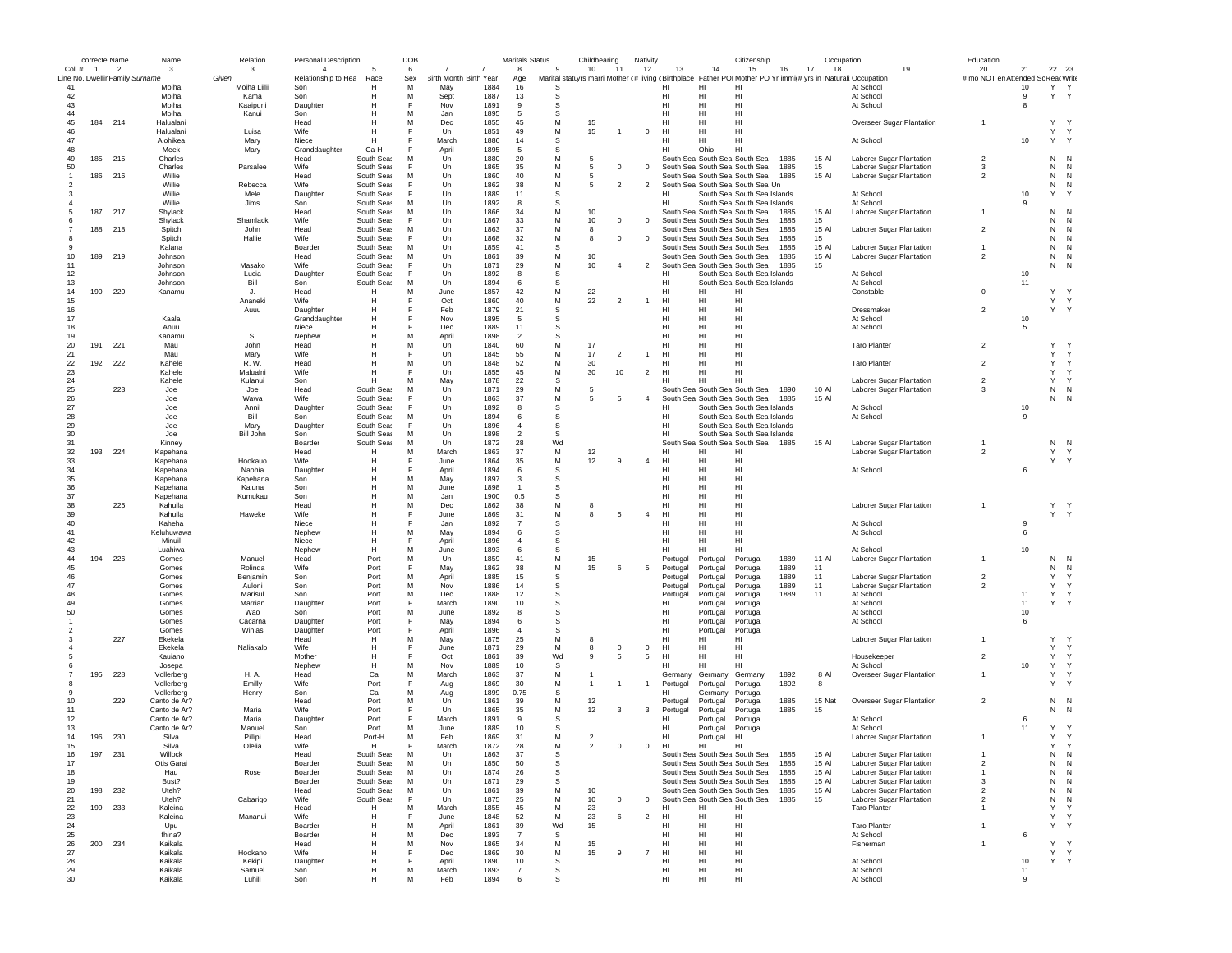|                                 |         | correcte Name  | Name           | Relation           | <b>Personal Description</b> |              | DOB |                        |              | <b>Maritals Status</b> |          | Childbearing   |                | Nativity       |                | Citizenship                                                                                                  |      | Occupation |                           | Education               |          |                   |                   |
|---------------------------------|---------|----------------|----------------|--------------------|-----------------------------|--------------|-----|------------------------|--------------|------------------------|----------|----------------|----------------|----------------|----------------|--------------------------------------------------------------------------------------------------------------|------|------------|---------------------------|-------------------------|----------|-------------------|-------------------|
| Col. # 1                        |         | $\overline{2}$ | 3              | 3                  | $\overline{4}$              | 5            | 6   | 7<br>7                 |              | 8                      | 9        | 10             | 11             | 12             | 13             | 15<br>14                                                                                                     | 16   | 17<br>18   | 19                        | 20                      | 21       | 22 23             |                   |
| Line No. Dwellir Family Surname |         |                |                | Given              | Relationship to Hea         | Race         | Sex | 3irth Month Birth Year |              | Age                    |          |                |                |                |                | Marital statuyrs marri Mother (# living cBirthplace Father POIMother PO Yr immit# yrs in Naturali:Occupation |      |            |                           | # mo NOT en Attended So |          | ReacWrite         |                   |
| 41                              |         |                | Moiha          | Moiha Liilii       | Son                         | H            | M   | May                    | 1884         | 16                     | S        |                |                |                | HI             | H<br>HI                                                                                                      |      |            | At School                 |                         | 10       | Y Y               |                   |
| 42                              |         |                | Moiha          | Kama               | Son                         | Н            | M   | Sept                   | 1887         | 13                     | s        |                |                |                | HI             | H<br>HI                                                                                                      |      |            | At School                 |                         | -9       | Υ                 | Y                 |
| 43                              |         |                | Moiha          | Kaaipuni           | Daughter                    | н            |     | Nov                    | 1891         | 9                      | S        |                |                |                | HI             | H<br>HI                                                                                                      |      |            | At School                 |                         | -8       |                   |                   |
| 44                              |         |                | Moiha          | Kanui              | Son                         | Н            | M   | Jan                    | 1895         | 5                      | S        |                |                |                | HI             | H<br>HI                                                                                                      |      |            |                           |                         |          |                   |                   |
| 45                              | 184 214 |                | Halualani      |                    | Head                        | Н            | M   | Dec                    | 1855         | 45                     | M        | 15             |                |                | HI             | H<br>HI                                                                                                      |      |            | Overseer Sugar Plantation |                         |          | Y                 |                   |
| 46                              |         |                | Halualani      | Luisa              | Wife                        | Н            |     | Un                     | 1851         | 49                     | М        | 15             |                | $\mathbf 0$    | HI             | HI<br>HI                                                                                                     |      |            |                           |                         |          | Υ                 | Y                 |
| 47                              |         |                | Alohikea       | Mary               | Niece                       | н            |     | March                  | 1886         | 14                     | S        |                |                |                | HI             | HI<br>HI                                                                                                     |      |            | At School                 |                         | 10       | $\mathsf{Y}$<br>Y |                   |
| 48                              |         |                | Meek           | Mary               | Granddaughter               | Ca-H         |     | April                  | 1895         | -5                     | <b>s</b> |                |                |                | HI             | Ohio<br>HI                                                                                                   |      |            |                           |                         |          |                   |                   |
| 49                              | 185 215 |                | Charles        |                    | Head                        | South Seas   | M   | Un                     | 1880         | 20                     | М        | 5              |                |                |                | South Sea South Sea South Sea                                                                                | 1885 | 15 Al      | Laborer Sugar Plantation  | $\overline{2}$          |          | ${\sf N}$         | N                 |
| 50                              |         |                | Charles        | Parsalee           | Wife                        | South Seas   |     | Un                     | 1865         | 35                     | М        | 5              | $^{\circ}$     | $^{\circ}$     |                | South Sea South Sea South Sea                                                                                | 1885 | 15         | Laborer Sugar Plantation  | 3                       |          | N                 | N                 |
|                                 | 186 216 |                | Willie         |                    | Head                        | South Seas   | M   | Un                     | 1860         | 40                     | М        | 5              |                |                |                | South Sea South Sea South Sea                                                                                | 1885 | 15 Al      | Laborer Sugar Plantation  | $\overline{2}$          |          | N                 | N                 |
|                                 |         |                | Willie         | Rebecca            | Wife                        | South Seas   |     | Un                     | 1862         | 38                     | М        | 5              | $\overline{2}$ | $\overline{c}$ |                | South Sea South Sea South Sea Un                                                                             |      |            |                           |                         |          | N                 | N                 |
|                                 |         |                | Willie         | Mele               | Daughter                    | South Seas   |     | Un                     | 1889         | 11                     | S        |                |                |                | HI             | South Sea South Sea Islands                                                                                  |      |            | At School                 |                         | $10$     | Y                 |                   |
|                                 |         |                | Willie         | Jims               | Son                         | South Seas   | M   | Un                     | 1892         | 8                      | S        |                |                |                | HI             | South Sea South Sea Islands                                                                                  |      |            | At School                 |                         | 9        |                   |                   |
|                                 | 187     | 217            | Shylack        |                    | Head                        | South Seas   | M   | Un                     | 1866         | 34                     | M        | 10             |                |                |                | South Sea South Sea South Sea                                                                                | 1885 | 15 Al      | Laborer Sugar Plantation  |                         |          | N                 | N                 |
|                                 |         |                | Shylack        | Shamlack           | Wife                        | South Seas   | E   | Un                     | 1867         | 33                     | M        | 10             | $^{\circ}$     | $^{\circ}$     |                | South Sea South Sea South Sea                                                                                | 1885 | 15         |                           |                         |          | N                 | N                 |
|                                 | 188 218 |                | Spitch         | John               | Head                        | South Seas   | M   | Un                     | 1863         | 37                     | M        | 8              |                |                |                | South Sea South Sea South Sea                                                                                | 1885 | 15 Al      | Laborer Sugar Plantation  | $\overline{2}$          |          | N                 | N                 |
|                                 |         |                | Spitch         | Hallie             | Wife                        | South Seas   | E   | $_{\text{Un}}$         | 1868         | 32                     | M        | 8              | $\Omega$       | $\Omega$       |                | South Sea South Sea South Sea                                                                                | 1885 | 15         |                           |                         |          | N                 | N                 |
|                                 |         |                | Kalana         |                    | Boarder                     | South Seas   | M   | Un                     | 1859         | 41                     | S        |                |                |                |                | South Sea South Sea South Sea                                                                                | 1885 | 15 AI      | Laborer Sugar Plantation  |                         |          | N                 | N                 |
| 10                              | 189     | 219            | Johnson        |                    | Head                        | South Seas   | M   | Un                     | 1861         | 39                     | M        | 10             |                |                |                | South Sea South Sea South Sea                                                                                | 1885 | 15 Al      | Laborer Sugar Plantation  | $\overline{2}$          |          | N                 | N                 |
| 11                              |         |                | Johnson        | Masako             | Wife                        | South Seas   |     | Un                     | 1871         | 29                     | М        | 10             | $\overline{4}$ | $\overline{2}$ |                | South Sea South Sea South Sea                                                                                | 1885 | 15         |                           |                         |          | N                 |                   |
| 12                              |         |                | Johnson        | Lucia              | Daughter                    | South Seas   |     | Un                     | 1892         | 8                      | s        |                |                |                | HI             | South Sea South Sea Islands                                                                                  |      |            | At School                 |                         | 10       |                   |                   |
| 13                              |         |                | Johnson        | Bill               | Son                         | South Seas   | M   | Un                     | 1894         | 6                      | s        |                |                |                | HI             | South Sea South Sea Islands                                                                                  |      |            | At School                 |                         | 11       |                   |                   |
| 14                              | 190     | 220            | Kanamu         | J.                 | Head                        | Н            | M   | June                   | 1857         | 42                     | M        | 22             |                |                | HI             | HI<br>HI                                                                                                     |      |            | Constable                 | $\Omega$                |          | Y                 |                   |
| 15                              |         |                |                | Ananeki            | Wife                        | н            |     | Oct                    | 1860         | 40                     | M        | 22             | $\overline{2}$ |                | HI             | H<br>HI                                                                                                      |      |            |                           |                         |          | Y Y               |                   |
| 16                              |         |                |                | Auuu               | Daughter                    | Н            |     | Feb                    | 1879         | 21                     | S        |                |                |                | HI             | HI<br>HI                                                                                                     |      |            | Dressmaker                | $\overline{2}$          |          | Y Y               |                   |
| 17                              |         |                | Kaala          |                    | Granddaughter               | Н            |     | Nov                    | 1895         | 5                      | s        |                |                |                | HI             | HI<br>HI                                                                                                     |      |            | At School                 |                         | 10       |                   |                   |
| 18                              |         |                | Anuu           |                    | Niece                       | Н            |     | Dec                    | 1889         | 11                     | S        |                |                |                | HI             | HI<br>HI                                                                                                     |      |            | At School                 |                         | -5       |                   |                   |
| 19                              |         |                | Kanamu         | S.                 | Nephew                      | H            | M   | April                  | 1898         | $\overline{2}$         | S        |                |                |                | HI             | HI<br>HI                                                                                                     |      |            |                           |                         |          |                   |                   |
| 20                              | 191     | 221            | Mau            | John               | Head                        | н            | M   | Un                     | 1840         | 60                     | M        | 17             |                |                | HI             | HI<br>HI                                                                                                     |      |            | <b>Taro Planter</b>       | $\overline{2}$          |          | Υ                 |                   |
| 21                              |         |                | Mau            | Mary               | Wife                        | H            |     | Un                     | 1845         | 55                     | M        | 17             | $\overline{2}$ |                | HI             | HI<br>HI                                                                                                     |      |            |                           |                         |          | Y                 | Y                 |
|                                 |         |                |                |                    |                             |              |     |                        |              |                        |          |                |                |                |                |                                                                                                              |      |            | <b>Taro Planter</b>       | $\overline{2}$          |          | Y                 |                   |
| 22                              | 192     | 222            | Kahele         | R. W.              | Head                        | H            | M   | Un                     | 1848         | 52                     | М        | 30             |                |                | HI             | HI<br>HI                                                                                                     |      |            |                           |                         |          |                   | Y                 |
| 23                              |         |                | Kahele         | Malualni           | Wife                        | H<br>H       | M   | Un                     | 1855<br>1878 | 45<br>22               | М<br>S   | 30             | 10             | $\overline{c}$ | HI<br>HI       | HI<br>HI<br>HI<br>HI                                                                                         |      |            |                           | $\overline{2}$          |          | Y<br>Y            | Y<br>$\mathsf{Y}$ |
| 24                              |         |                | Kahele         | Kulanui            | Son                         |              |     | May                    |              |                        |          |                |                |                |                |                                                                                                              |      |            | Laborer Sugar Plantation  |                         |          |                   |                   |
| 25                              |         | 223            | Joe            | Joe                | Head                        | South Seas   | M   | Un                     | 1871         | 29                     | M        | 5              |                |                |                | South Sea South Sea South Sea                                                                                | 1890 | 10 Al      | Laborer Sugar Plantation  | 3                       |          | ${\sf N}$         | N                 |
| 26                              |         |                | Joe            | Wawa               | Wife                        | South Seas   | F   | Un                     | 1863         | 37                     | M        | 5              | 5              | $\overline{4}$ |                | South Sea South Sea South Sea                                                                                | 1885 | 15 Al      |                           |                         |          | N                 |                   |
| 27                              |         |                | Joe            | Annil              | Daughter                    | South Seas   | E   | Un                     | 1892         | 8                      | s        |                |                |                | нı             | South Sea South Sea Islands                                                                                  |      |            | At School                 |                         | 10       |                   |                   |
| 28                              |         |                | Joe            | Bill               | Son                         | South Seas   | M   | Un                     | 1894         | 6                      | s        |                |                |                | HI             | South Sea South Sea Islands                                                                                  |      |            | At School                 |                         | 9        |                   |                   |
| 29                              |         |                | Joe            | Mary               | Daughter                    | South Seas   | E   | Un                     | 1896         | $\overline{a}$         | S        |                |                |                | HI             | South Sea South Sea Islands                                                                                  |      |            |                           |                         |          |                   |                   |
| 30                              |         |                | Joe            | <b>Bill John</b>   | Son                         | South Seas   | M   | $_{\text{Un}}$         | 1898         | $\overline{2}$         | S        |                |                |                | HI.            | South Sea South Sea Islands                                                                                  |      |            |                           |                         |          |                   |                   |
| 31                              |         |                | Kinney         |                    | Boarder                     | South Seas   | M   | Un                     | 1872         | 28                     | Wd       |                |                |                |                | South Sea South Sea South Sea                                                                                | 1885 | 15 Al      | Laborer Sugar Plantation  |                         |          | N                 | N                 |
| 32                              | 193     | 224            | Kapehana       |                    | Head                        | Н            | M   | March                  | 1863         | 37                     | M        | 12             |                |                | HI             | HI<br>н                                                                                                      |      |            | Laborer Sugar Plantation  | $\overline{2}$          |          | Υ                 |                   |
| 33                              |         |                | Kapehana       | Hookauo            | Wife                        | Н            |     | June                   | 1864         | 35                     | M        | 12             | 9              | $\overline{4}$ | HI             | H<br>HI                                                                                                      |      |            |                           |                         |          | Y                 | Y                 |
| 34                              |         |                | Kapehana       | Naohia             | Daughter                    | H            |     | April                  | 1894         | 6                      | s        |                |                |                | HI             | HI<br>HI                                                                                                     |      |            | At School                 |                         | 6        |                   |                   |
| 35                              |         |                | Kapehana       | Kapehana           | Son                         | Н            | M   | May                    | 1897         | 3                      | s        |                |                |                | HI             | H<br>HI                                                                                                      |      |            |                           |                         |          |                   |                   |
| 36                              |         |                | Kapehana       | Kaluna             | Son                         | H            | M   | June                   | 1898         | $\mathbf{1}$           | S        |                |                |                | HI             | H<br>HI                                                                                                      |      |            |                           |                         |          |                   |                   |
| 37                              |         |                | Kapehana       | Kumukau            | Son                         | Н            | M   | Jan                    | 1900         | 0.5                    | S        |                |                |                | HI             | H<br>HI                                                                                                      |      |            |                           |                         |          |                   |                   |
| 38                              |         | 225            | Kahuila        |                    | Head                        | Н            | M   | Dec                    | 1862         | 38                     | M        | 8              |                |                | HI             | H<br>HI                                                                                                      |      |            | Laborer Sugar Plantation  |                         |          | Y Y               |                   |
| 39                              |         |                | Kahuila        | Haweke             | Wife                        | Н            | E   | June                   | 1869         | 31                     | М        | 8              | -5             | $\overline{4}$ | HI             | HI<br>HI                                                                                                     |      |            |                           |                         |          | Y Y               |                   |
| 40                              |         |                | Kaheha         |                    | Niece                       | H            |     | Jan                    | 1892         | $\overline{7}$         | S        |                |                |                | HI             | HI<br>HI                                                                                                     |      |            | At School                 |                         | 9        |                   |                   |
| 41                              |         |                | Keluhuwawa     |                    | Nephew                      | H            | M   | May                    | 1894         | -6                     | S        |                |                |                | HI             | HI<br>HI                                                                                                     |      |            | At School                 |                         | 6        |                   |                   |
| 42                              |         |                | Minuil         |                    | Niece                       | H            | F   | April                  | 1896         | $\overline{4}$         | S        |                |                |                | HI             | HI<br>HI                                                                                                     |      |            |                           |                         |          |                   |                   |
| 43                              |         |                | Luahiwa        |                    | Nephew                      | н            | M   | June                   | 1893         | 6                      | s        |                |                |                | HI             | HI<br>HI                                                                                                     |      |            | At School                 |                         | 10       |                   |                   |
| 44                              | 194     | 226            | Gomes          | Manuel             | Head                        | Port         | M   | Un                     | 1859         | 41                     | М        | 15             |                |                | Portugal       | Portugal<br>Portugal                                                                                         | 1889 | 11 Al      | Laborer Sugar Plantation  |                         |          | N                 | N                 |
| 45                              |         |                | Gomes          | Rolinda            | Wife                        | Port         | E   | May                    | 1862         | 38                     | М        | 15             | 6              | 5              | Portugal       | Portugal<br>Portugal                                                                                         | 1889 | 11         |                           |                         |          | N                 | N                 |
| 46                              |         |                | Gomes          | Benjamin           | Son                         | Port         | M   | April                  | 1885         | 15                     | s        |                |                |                | Portugal       | Portugal<br>Portugal                                                                                         | 1889 | 11         | Laborer Sugar Plantation  | $\overline{2}$          |          | Y                 | $\mathsf{Y}$      |
| 47                              |         |                | Gomes          | Auloni             | Son                         | Port         | M   | Nov                    | 1886         | 14                     | S        |                |                |                | Portugal       | Portugal<br>Portugal                                                                                         | 1889 | 11         | Laborer Sugar Plantation  | $\mathfrak{p}$          |          | Y Y               |                   |
| 48                              |         |                |                |                    |                             |              | M   |                        |              |                        | S        |                |                |                |                |                                                                                                              |      |            |                           |                         |          | Y<br>$\mathsf{Y}$ |                   |
| 49                              |         |                | Gomes<br>Gomes | Marisul<br>Marrian | Son<br>Daughter             | Port<br>Port | F   | Dec<br>March           | 1888<br>1890 | 12<br>10               | S        |                |                |                | Portugal<br>нı | Portugal<br>Portugal<br>Portugal                                                                             | 1889 | 11         | At School<br>At School    |                         | 11<br>11 | Y                 | Y                 |
| 50                              |         |                | Gomes          | Wao                | Son                         | Port         | M   | June                   | 1892         | 8                      | S        |                |                |                | HI             | Portugal<br>Portugal                                                                                         |      |            | At School                 |                         | 10       |                   |                   |
|                                 |         |                |                | Cacarna            |                             | Port         | F   | May                    | 1894         | 6                      | S        |                |                |                | HI.            | Portugal                                                                                                     |      |            | At School                 |                         | 6        |                   |                   |
|                                 |         |                | Gomes<br>Gomes | Wihias             | Daughter                    | Port         | F   | April                  | 1896         | $\overline{a}$         | S        |                |                |                | HI.            | Portugal<br>Portugal<br>Portugal                                                                             |      |            |                           |                         |          |                   |                   |
|                                 |         | 227            | Ekekela        |                    | Daughter<br>Head            | н            | M   | May                    | 1875         | 25                     | M        | 8              |                |                | HI             | Portugal<br>HI<br>HI                                                                                         |      |            | Laborer Sugar Plantation  |                         |          | Υ                 |                   |
|                                 |         |                | Ekekela        |                    | Wife                        | Н            |     | June                   | 1871         | 29                     | М        |                | $^{\circ}$     | $^{\circ}$     | HI             | HI<br>HI                                                                                                     |      |            |                           |                         |          | Y                 | Y                 |
|                                 |         |                |                | Naliakalo          |                             |              |     |                        |              |                        |          | 8              |                |                |                |                                                                                                              |      |            | Housekeeper               | $\overline{2}$          |          | Y                 |                   |
|                                 |         |                | Kauiano        |                    | Mother                      | н            |     | Oct                    | 1861         | 39                     | Wd       | 9              | 5              | 5              | HI             | HI<br>HI                                                                                                     |      |            |                           |                         |          |                   | Y                 |
|                                 |         |                | Josepa         |                    | Nephew                      | H            | M   | Nov                    | 1889         | 10                     | s        |                |                |                | нı             | HI<br>HI                                                                                                     |      |            | At School                 |                         | 10       | Y                 | Y                 |
|                                 | 195     | 228            | Vollerberg     | H. A.              | Head                        | Ca           | M   | March                  | 1863         | 37                     | M        |                |                |                | Germany        | Germany<br>Germany                                                                                           | 1892 | 8 Al       | Overseer Sugar Plantation |                         |          | $\mathsf{Y}$      | Y                 |
|                                 |         |                | Vollerberg     | Emilly             | Wife                        | Port         |     | Aug                    | 1869         | 30                     | M        | -1             |                | $\overline{1}$ | Portugal       | Portugal<br>Portugal                                                                                         | 1892 | 8          |                           |                         |          | Υ                 |                   |
|                                 |         |                | Vollerberg     | Henry              | Son                         | Ca           | M   | Aug                    | 1899         | 0.75                   | S        |                |                |                | нı             | Germany<br>Portugal                                                                                          |      |            |                           |                         |          |                   |                   |
| 10                              |         | 229            | Canto de Ar?   |                    | Head                        | Port         | M   | Un                     | 1861         | 39                     | M        | 12             |                |                | Portugal       | Portugal<br>Portugal                                                                                         | 1885 | 15 Nat     | Overseer Sugar Plantation | $\overline{2}$          |          | N                 | N                 |
| 11                              |         |                | Canto de Ar?   | Maria              | Wife                        | Port         | F   | Un                     | 1865         | 35                     | M        | 12             | 3              | 3              | Portugal       | Portugal<br>Portugal                                                                                         | 1885 | 15         |                           |                         |          | Ν                 | N                 |
| 12                              |         |                | Canto de Ar?   | Maria              | Daughter                    | Port         |     | March                  | 1891         | 9                      | S        |                |                |                | HI             | Portugal<br>Portugal                                                                                         |      |            | At School                 |                         | 6        |                   |                   |
| 13                              |         |                | Canto de Ar?   | Manuel             | Son                         | Port         | M   | June                   | 1889         | 10                     | S        |                |                |                | HI             | Portugal<br>Portugal                                                                                         |      |            | At School                 |                         | 11       | Y                 | $\mathsf{Y}$      |
| 14                              | 196     | 230            | Silva          | Pillipi            | Head                        | Port-H       | M   | Feb                    | 1869         | 31                     | М        | $\overline{2}$ |                |                | HI             | Portugal<br>H <sub>1</sub>                                                                                   |      |            | Laborer Sugar Plantation  |                         |          | Υ                 | $\mathsf{Y}$      |
| 15                              |         |                | Silva          | Olelia             | Wife                        | H            | F   | March                  | 1872         | 28                     | М        | $\overline{2}$ | $^{\circ}$     | $\,0\,$        | HI             | HI<br>HI                                                                                                     |      |            |                           |                         |          | Y                 | Y                 |
| 16                              | 197     | 231            | Willock        |                    | Head                        | South Sea    | м   | Un                     | 1863         | 37                     |          |                |                |                |                | South Sea South Sea South Sea 1885                                                                           |      | 15 AI      | Laborer Sugar Plantation  |                         |          | Ν                 | N                 |
| 17                              |         |                | Otis Garai     |                    | Boarder                     | South Seas   | M   | Un                     | 1850         | 50                     | s        |                |                |                |                | South Sea South Sea South Sea                                                                                | 1885 | 15 Al      | Laborer Sugar Plantation  | $\overline{2}$          |          | ${\sf N}$         | N                 |
| 18                              |         |                | Hau            | Rose               | Boarder                     | South Seas   | M   | Un                     | 1874         | 26                     | s        |                |                |                |                | South Sea South Sea South Sea                                                                                | 1885 | 15 Al      | Laborer Sugar Plantation  | $\mathbf{1}$            |          | ${\sf N}$         | N                 |
| 19                              |         |                | Bust?          |                    | Boarder                     | South Seas   | M   | Un                     | 1871         | 29                     | S        |                |                |                |                | South Sea South Sea South Sea                                                                                | 1885 | 15 AI      | Laborer Sugar Plantation  | 3                       |          | ${\sf N}$         | N                 |
| 20                              | 198 232 |                | Uteh?          |                    | Head                        | South Seas   | M   | Un                     | 1861         | 39                     | M        | 10             |                |                |                | South Sea South Sea South Sea                                                                                | 1885 | 15 Al      | Laborer Sugar Plantation  | $\overline{2}$          |          | N                 | N                 |
| 21                              |         |                | Uteh?          | Cabarigo           | Wife                        | South Seas   | F   | Un                     | 1875         | 25                     | М        | 10             | $^{\circ}$     | $\mathbf{0}$   |                | South Sea South Sea South Sea                                                                                | 1885 | 15         | Laborer Sugar Plantation  | $\overline{\mathbf{2}}$ |          | N                 | N                 |
| 22                              | 199 233 |                | Kaleina        |                    | Head                        | Н            | M   | March                  | 1855         | 45                     | M        | 23             |                |                | HI             | HI<br>HI                                                                                                     |      |            | <b>Taro Planter</b>       | $\overline{1}$          |          | Y                 | Y                 |
| 23                              |         |                | Kaleina        | Mananui            | Wife                        | H            | E   | June                   | 1848         | 52                     | M        | 23             | 6              | $\overline{c}$ | HI             | HI<br>HI                                                                                                     |      |            |                           |                         |          | Y                 | $\mathsf{Y}$      |
| 24                              |         |                | Upu            |                    | Boarder                     | н            | M   | April                  | 1861         | 39                     | Wd       | 15             |                |                | HI             | HI<br>HI                                                                                                     |      |            | <b>Taro Planter</b>       |                         |          | Y                 |                   |
| 25                              |         |                | fhina?         |                    | Boarder                     | Н            | M   | Dec                    | 1893         | $\overline{7}$         | S        |                |                |                | HI             | HI<br>HI                                                                                                     |      |            | At School                 |                         | 6        |                   |                   |
| 26                              | 200 234 |                | Kaikala        |                    | Head                        | Н            | M   | Nov                    | 1865         | 34                     | М        | 15             |                |                | HI             | HI<br>HI                                                                                                     |      |            | Fisherman                 | $\mathbf{1}$            |          | Y                 |                   |
| 27                              |         |                | Kaikala        | Hookano            | Wife                        | H            |     | Dec                    | 1869         | 30                     | М        | 15             | 9              | $\overline{7}$ | HI             | HI<br>HI                                                                                                     |      |            |                           |                         |          | Y Y               |                   |
| 28                              |         |                | Kaikala        | Kekipi             | Daughter                    | н            |     | April                  | 1890         | 10                     | s        |                |                |                | HI             | HI<br>HI                                                                                                     |      |            | At School                 |                         | 10       | Y                 | Y                 |
| 29                              |         |                | Kaikala        | Samuel             | Son                         | н            | M   | March                  | 1893         | $\overline{7}$         | s        |                |                |                | HI             | HI<br>HI                                                                                                     |      |            | At School                 |                         | 11       |                   |                   |
| 30                              |         |                | Kaikala        | Luhili             | Son                         | Н            | M   | Feb                    | 1894         | 6                      | S        |                |                |                | HI             | HI<br>HI                                                                                                     |      |            | At School                 |                         | 9        |                   |                   |
|                                 |         |                |                |                    |                             |              |     |                        |              |                        |          |                |                |                |                |                                                                                                              |      |            |                           |                         |          |                   |                   |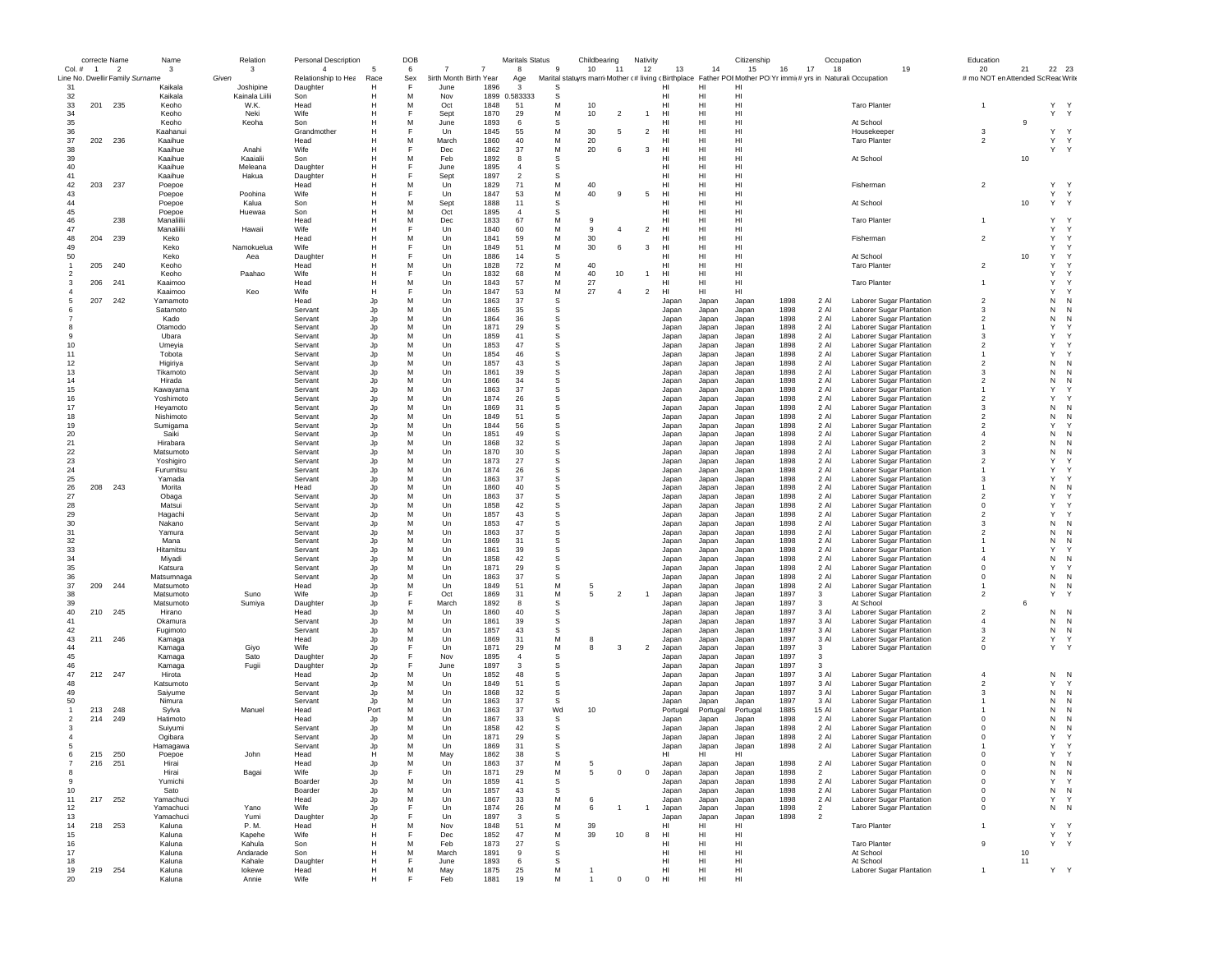|                | correcte Name  |                                 | Name                   | Relation            | Personal Description            |           | DOB      |                                       |              | Maritals Status      |               | Childbearing |                | Nativity       |                       |                | Citizenship                                                                                                        |              | Occupation                       |                                                      | Education                          |    |                   |  |
|----------------|----------------|---------------------------------|------------------------|---------------------|---------------------------------|-----------|----------|---------------------------------------|--------------|----------------------|---------------|--------------|----------------|----------------|-----------------------|----------------|--------------------------------------------------------------------------------------------------------------------|--------------|----------------------------------|------------------------------------------------------|------------------------------------|----|-------------------|--|
| Col.#          | $\overline{1}$ | $\overline{\phantom{a}}$        | 3                      | 3                   | $\Delta$                        | 5         | 6        | $\overline{7}$<br>7                   |              | 8                    | 9             | 10           | 11             | 12             | 13                    | 14             | 15                                                                                                                 | 16           | 17<br>18                         | 19                                                   | 20                                 | 21 | 22 23             |  |
| 31             |                | Line No. Dwellir Family Surname | Kaikala                | Given<br>Joshipine  | Relationship to Hea<br>Daughter | Race<br>H | Sex<br>F | <b>3irth Month Birth Year</b><br>June | 1896         | Age<br>3             | s             |              |                |                | HI                    | н              | Marital statuyrs marri Mother (# living (Birthplace Father POI Mother PO Yr immit# yrs in Naturali:Occupation<br>н |              |                                  |                                                      | # mo NOT en Attended Sc Reac Write |    |                   |  |
| 32             |                |                                 | Kaikala                | Kainala Liilii      | Son                             | н         | M        | Nov                                   | 1899         | 0.583333             | s             |              |                |                | HI                    | HI             | HI                                                                                                                 |              |                                  |                                                      |                                    |    |                   |  |
| 33             | 201            | 235                             | Keoho                  | W.K.                | Head                            | н         | M        | Oct                                   | 1848         | 51                   | М             | 10           |                |                | HI                    | HI             | HI                                                                                                                 |              |                                  | <b>Taro Planter</b>                                  | $\mathbf{1}$                       |    | Y Y               |  |
| 34             |                |                                 | Keoho                  | Neki                | Wife                            |           | E        | Sept                                  | 1870         | 29                   | М             | 10           | 2              | $\mathbf{1}$   | HI                    | н              | HI                                                                                                                 |              |                                  |                                                      |                                    |    | Y Y               |  |
| 35             |                |                                 | Keoho                  | Keoha               | Son                             |           | M        | June                                  | 1893         | 6                    | s             |              |                |                | HI                    | HI             | H <sub>1</sub>                                                                                                     |              |                                  | At School                                            |                                    | 9  |                   |  |
| 36             |                |                                 | Kaahanui               |                     | Grandmother                     |           | F        | Un                                    | 1845         | 55                   | М             | 30           | 5              | $\overline{2}$ | HI                    | HI             | HI                                                                                                                 |              |                                  | Housekeeper                                          | 3                                  |    | Y Y               |  |
| 37             |                | 202 236                         | Kaaihue                |                     | Head                            |           | M        | March                                 | 1860         | 40                   | M             | 20           |                |                | HI                    | HI             | HI                                                                                                                 |              |                                  | <b>Taro Planter</b>                                  | $\overline{2}$                     |    | Y Y               |  |
| 38<br>39       |                |                                 | Kaaihue                | Anahi               | Wife                            | н         | F<br>M   | Dec                                   | 1862<br>1892 | 37<br>8              | М<br>s        | 20           | 6              | 3              | HI<br>HI              | HI<br>HI       | HI<br>HI                                                                                                           |              |                                  | At School                                            |                                    | 10 | Y<br>Y            |  |
| 40             |                |                                 | Kaaihue<br>Kaaihue     | Kaaialii<br>Meleana | Son<br>Daughter                 | H         | F        | Feb<br>June                           | 1895         | $\overline{4}$       | s             |              |                |                | HI                    | HI             | H <sub>II</sub>                                                                                                    |              |                                  |                                                      |                                    |    |                   |  |
| 41             |                |                                 | Kaaihue                | Hakua               | Daughter                        | H         | F        | Sept                                  | 1897         | $\overline{2}$       | s             |              |                |                | HI                    | HI             | H <sub>II</sub>                                                                                                    |              |                                  |                                                      |                                    |    |                   |  |
| 42             |                | 203 237                         | Poepoe                 |                     | Head                            | H         | M        | Un                                    | 1829         | 71                   | M             | 40           |                |                | HI                    | HI             | HI                                                                                                                 |              |                                  | Fisherman                                            | $\overline{2}$                     |    | Υ<br>Y            |  |
| 43             |                |                                 | Poepoe                 | Poohina             | Wife                            | Н         | F        | Un                                    | 1847         | 53                   | М             | 40           | 9              | 5              | HI                    | HI             | HI                                                                                                                 |              |                                  |                                                      |                                    |    | Y<br>Υ            |  |
| 44             |                |                                 | Poepoe                 | Kalua               | Son                             | H         | M        | Sept                                  | 1888         | 11                   | s             |              |                |                | HI                    | HI             | HI                                                                                                                 |              |                                  | At School                                            |                                    | 10 | Y Y               |  |
| 45             |                |                                 | Poepoe                 | Huewaa              | Son                             | H         | M        | Oct                                   | 1895         | $\overline{4}$       | s             |              |                |                | HI                    | HI             | HI                                                                                                                 |              |                                  |                                                      |                                    |    |                   |  |
| 46             |                | 238                             | Manaliilii             |                     | Head                            | Н         | M        | Dec                                   | 1833         | 67                   | M             | 9            |                |                | H <sub>II</sub>       | HI             | HI                                                                                                                 |              |                                  | <b>Taro Planter</b>                                  | $\mathbf{1}$                       |    | Y<br>Y            |  |
| 47             |                |                                 | Manaliilii             | Hawaii              | Wife                            | H         | F        | Un                                    | 1840         | 60                   | M             | 9            | $\overline{4}$ | $\overline{2}$ | HI                    | HI             | HI                                                                                                                 |              |                                  |                                                      |                                    |    | Υ<br>Y            |  |
| 48             | 204            | 239                             | Keko                   |                     | Head                            | Н         | M        | Un                                    | 1841         | 59                   | M             | 30           |                |                | HI                    | HI             | HI                                                                                                                 |              |                                  | Fisherman                                            | $\overline{2}$                     |    | Y<br>Υ            |  |
| 49             |                |                                 | Keko                   | Namokuelua          | Wife                            | Н         | F        | Un                                    | 1849         | 51                   | M             | 30           | 6              | 3              | HI                    | HI             | HI                                                                                                                 |              |                                  |                                                      |                                    |    | Y<br>Y            |  |
| 50<br>-1       | 205            | 240                             | Keko<br>Keoho          | Aea                 | Daughter<br>Head                | Н<br>H    | E<br>M   | Un<br>Un                              | 1886<br>1828 | 14<br>72             | s<br>M        | 40           |                |                | HI<br>H <sub>II</sub> | HI<br>HI       | HI<br>H <sub>II</sub>                                                                                              |              |                                  | At School<br><b>Taro Planter</b>                     | $\overline{2}$                     | 10 | Υ<br>Y<br>Y<br>Y  |  |
| $\overline{2}$ |                |                                 | Keoho                  | Paahao              | Wife                            | H         | F        | Un                                    | 1832         | 68                   | M             | 40           | 10             |                | HI                    | HI             | HI                                                                                                                 |              |                                  |                                                      |                                    |    | Υ<br>Y            |  |
| 3              |                | 206 241                         | Kaaimoo                |                     | Head                            | H         | M        | Un                                    | 1843         | 57                   | M             | 27           |                |                | HI                    | HI             | HI                                                                                                                 |              |                                  | <b>Taro Planter</b>                                  |                                    |    | Υ<br>Υ            |  |
|                |                |                                 | Kaaimoo                | Keo                 | Wife                            | Н         | F        | Un                                    | 1847         | 53                   | М             | 27           | $\overline{4}$ | $\overline{2}$ | HI                    | HI             | HI                                                                                                                 |              |                                  |                                                      |                                    |    | Y<br>Υ            |  |
| 5              | 207            | 242                             | Yamamoto               |                     | Head                            | Jp        | M        | Un                                    | 1863         | 37                   | s             |              |                |                | Japan                 | Japan          | Japan                                                                                                              | 1898         | 2 Al                             | Laborer Sugar Plantation                             | $\overline{2}$                     |    | N<br>N            |  |
|                |                |                                 | Satamoto               |                     | Servant                         | Jp        | M        | Un                                    | 1865         | 35                   | s             |              |                |                | Japan                 | Japan          | Japan                                                                                                              | 1898         | 2 Al                             | Laborer Sugar Plantation                             | 3                                  |    | N<br>N            |  |
|                |                |                                 | Kado                   |                     | Servant                         | Jp        | M        | Un                                    | 1864         | 36                   | s             |              |                |                | Japan                 | Japan          | Japan                                                                                                              | 1898         | 2 Al                             | Laborer Sugar Plantation                             | $\mathcal{P}$                      |    | N<br>N            |  |
|                |                |                                 | Otamodo                |                     | Servant                         | Jp        | M        | Un                                    | 1871         | 29                   | s             |              |                |                | Japan                 | Japan          | Japan                                                                                                              | 1898         | 2 Al                             | Laborer Sugar Plantation                             |                                    |    | Y<br>Y            |  |
|                |                |                                 | Ubara                  |                     | Servant                         | Jp        | M        | Un                                    | 1859         | 41                   | s             |              |                |                | Japan                 | Japan          | Japan                                                                                                              | 1898         | 2 Al                             | Laborer Sugar Plantation                             | 3                                  |    | Y<br>Υ            |  |
| 10             |                |                                 | Umeyia                 |                     | Servant                         | Jp        | M        | Un                                    | 1853         | 47                   | s             |              |                |                | Japan                 | Japan          | Japan                                                                                                              | 1898         | 2 Al                             | Laborer Sugar Plantation                             | $\overline{2}$                     |    | Y<br>Y            |  |
| 11             |                |                                 | Tobota                 |                     | Servant                         | Jp        | M        | Un                                    | 1854         | 46                   | s             |              |                |                | Japan                 | Japan          | Japan                                                                                                              | 1898         | 2 Al                             | Laborer Sugar Plantation                             |                                    |    | Y<br>Y            |  |
| 12             |                |                                 | Higiriya               |                     | Servant                         | Jp        | M        | Un                                    | 1857         | 43                   | s             |              |                |                | Japan                 | Japan          | Japan                                                                                                              | 1898         | 2 Al                             | Laborer Sugar Plantation                             | $\mathfrak{p}$                     |    | N<br>N            |  |
| 13             |                |                                 | Tikamoto               |                     | Servant                         | Jp        | M        | Un                                    | 1861         | 39                   | s             |              |                |                | Japan                 | Japan          | Japan                                                                                                              | 1898         | 2 Al                             | Laborer Sugar Plantation                             | 3                                  |    | N<br>N            |  |
| 14             |                |                                 | Hirada                 |                     | Servant                         | Jp        | M        | Un                                    | 1866         | 34                   | s             |              |                |                | Japan                 | Japan          | Japan                                                                                                              | 1898         | 2 Al                             | Laborer Sugar Plantation                             | $\overline{2}$                     |    | N<br>N<br>Υ       |  |
| 15             |                |                                 | Kawayama               |                     | Servant                         | Jp        | M<br>M   | Un                                    | 1863         | 37                   | s<br>s        |              |                |                | Japan                 | Japan          | Japan                                                                                                              | 1898         | 2 Al                             | Laborer Sugar Plantation                             | $\overline{2}$                     |    | Υ<br>Υ            |  |
| 16<br>17       |                |                                 | Yoshimoto<br>Heyamoto  |                     | Servant<br>Servant              | Jp<br>Jp  | M        | Un<br>Un                              | 1874<br>1869 | 26<br>31             | s             |              |                |                | Japan<br>Japan        | Japan<br>Japan | Japan<br>Japan                                                                                                     | 1898<br>1898 | 2 Al<br>2 Al                     | Laborer Sugar Plantation<br>Laborer Sugar Plantation | 3                                  |    | N<br>N            |  |
| 18             |                |                                 | Nishimoto              |                     | Servant                         | Jp        | M        | Un                                    | 1849         | 51                   | s             |              |                |                | Japan                 | Japan          | Japan                                                                                                              | 1898         | 2 Al                             | Laborer Sugar Plantation                             | $\overline{2}$                     |    | N<br>N            |  |
| 19             |                |                                 | Sumigama               |                     | Servant                         | Jp        | M        | Un                                    | 1844         | 56                   | s             |              |                |                | Japan                 | Japan          | Japan                                                                                                              | 1898         | 2 Al                             | Laborer Sugar Plantation                             | $\overline{2}$                     |    | Y<br>Y            |  |
| 20             |                |                                 | Saiki                  |                     | Servant                         | Jp        | M        | Un                                    | 1851         | 49                   | s             |              |                |                | Japan                 | Japan          | Japan                                                                                                              | 1898         | 2 Al                             | Laborer Sugar Plantation                             |                                    |    | N<br>N            |  |
| 21             |                |                                 | Hirabara               |                     | Servant                         | Jp        | M        | Un                                    | 1868         | 32                   | S             |              |                |                | Japan                 | Japan          | Japan                                                                                                              | 1898         | 2 Al                             | Laborer Sugar Plantation                             | $\mathcal{P}$                      |    | N<br>N            |  |
| 22             |                |                                 | Matsumoto              |                     | Servant                         | Jp        | M        | Un                                    | 1870         | 30                   | S             |              |                |                | Japan                 | Japan          | Japan                                                                                                              | 1898         | 2 Al                             | Laborer Sugar Plantation                             | 3                                  |    | N<br>N            |  |
| 23             |                |                                 | Yoshigiro              |                     | Servant                         | Jp        | M        | Un                                    | 1873         | 27                   | s             |              |                |                | Japan                 | Japan          | Japan                                                                                                              | 1898         | 2 Al                             | Laborer Sugar Plantation                             | $\mathfrak{p}$                     |    | Y<br>Y            |  |
| 24             |                |                                 | Furumitsu              |                     | Servant                         | Jp        | M        | Un                                    | 1874         | 26                   | s             |              |                |                | Japan                 | Japan          | Japan                                                                                                              | 1898         | 2 Al                             | Laborer Sugar Plantation                             |                                    |    | Υ                 |  |
| 25             |                |                                 | Yamada                 |                     | Servant                         | Jp        | M        | Un                                    | 1863         | 37                   | s             |              |                |                | Japan                 | Japan          | Japan                                                                                                              | 1898         | 2 Al                             | Laborer Sugar Plantation                             | 3                                  |    | Y                 |  |
| 26             | 208            | 243                             | Morita                 |                     | Head                            | Jp        | M        | Un                                    | 1860         | 40                   | s             |              |                |                | Japan                 | Japan          | Japan                                                                                                              | 1898         | 2 Al                             | Laborer Sugar Plantation                             |                                    |    | N<br>N            |  |
| 27             |                |                                 | Obaga                  |                     | Servant                         | Jp        | M        | Un                                    | 1863         | 37                   | s             |              |                |                | Japan                 | Japan          | Japan                                                                                                              | 1898         | 2 Al                             | Laborer Sugar Plantation                             | $\overline{2}$                     |    | Υ<br>Υ            |  |
| 28             |                |                                 | Matsui                 |                     | Servant                         | Jp        | M        | Un                                    | 1858         | 42                   | s             |              |                |                | Japan                 | Japan          | Japan                                                                                                              | 1898         | 2 Al                             | Laborer Sugar Plantation                             | $\Omega$                           |    | Y<br>$\mathbf{v}$ |  |
| 29             |                |                                 | Hagachi                |                     | Servant                         | Jp        | M        | Un                                    | 1857         | 43                   | s             |              |                |                | Japan                 | Japan          | Japan                                                                                                              | 1898         | 2 Al                             | Laborer Sugar Plantation                             | $\overline{2}$                     |    | Υ<br>Y            |  |
| 30             |                |                                 | Nakano                 |                     | Servant                         | Jp        | M        | Un                                    | 1853         | 47                   | s             |              |                |                | Japan                 | Japan          | Japan                                                                                                              | 1898         | 2 Al                             | Laborer Sugar Plantation                             | 3                                  |    | N<br>N            |  |
| 31<br>32       |                |                                 | Yamura                 |                     | Servant                         | Jp        | M<br>M   | Un                                    | 1863         | 37<br>31             | s<br>s        |              |                |                | Japan                 | Japan          | Japan                                                                                                              | 1898<br>1898 | 2 Al<br>2 Al                     | Laborer Sugar Plantation                             | $\overline{2}$                     |    | N<br>N<br>N<br>N  |  |
| 33             |                |                                 | Mana<br>Hitamitsu      |                     | Servant<br>Servant              | Jp<br>Jp  | M        | Un<br>Un                              | 1869<br>1861 | 39                   | s             |              |                |                | Japan                 | Japan          | Japan<br>Japan                                                                                                     | 1898         | 2 Al                             | Laborer Sugar Plantation<br>Laborer Sugar Plantation |                                    |    | Y<br>Y            |  |
| 34             |                |                                 | Miyadi                 |                     | Servant                         | Jp        | M        | Un                                    | 1858         | 42                   | s             |              |                |                | Japan                 | Japan          | Japan                                                                                                              | 1898         | 2 Al                             | Laborer Sugar Plantation                             | 4                                  |    | ${\sf N}$<br>N    |  |
| 35             |                |                                 | Katsura                |                     | Servant                         | Jp        | M        | Un                                    | 1871         | 29                   | s             |              |                |                | Japan<br>Japan        | Japan<br>Japan | Japan                                                                                                              | 1898         | 2 Al                             | Laborer Sugar Plantation                             | $\mathbf 0$                        |    | Y<br>Y            |  |
| 36             |                |                                 | Matsumnaga             |                     | Servant                         | Jp        | M        | Un                                    | 1863         | 37                   | s             |              |                |                | Japan                 | Japan          | Japan                                                                                                              | 1898         | 2 Al                             | Laborer Sugar Plantation                             | 0                                  |    | N<br>N            |  |
| 37             | 209            | 244                             | Matsumoto              |                     | Head                            | Jp        | M        | Un                                    | 1849         | 51                   | М             | 5            |                |                | Japan                 | Japan          | Japan                                                                                                              | 1898         | 2 Al                             | Laborer Sugar Plantation                             | $\mathbf{1}$                       |    | N<br>N            |  |
| 38             |                |                                 | Matsumoto              | Suno                | Wife                            | Jp        | F        | Oct                                   | 1869         | 31                   | М             | 5            | $\overline{2}$ | $\mathbf{1}$   | Japan                 | Japan          | Japan                                                                                                              | 1897         | $\mathbf{3}$                     | Laborer Sugar Plantation                             | $\overline{2}$                     |    | Υ<br>Y            |  |
| 39             |                |                                 | Matsumoto              | Sumiya              | Daughter                        | Jp        | F        | March                                 | 1892         | 8                    | s             |              |                |                | Japan                 | Japan          | Japan                                                                                                              | 1897         | $\mathbf{3}$                     | At School                                            |                                    | 6  |                   |  |
| 40             |                | 210 245                         | Hirano                 |                     | Head                            | Jp        | M        | Un                                    | 1860         | 40                   | s             |              |                |                | Japan                 | Japan          | Japan                                                                                                              | 1897         | 3 Al                             | Laborer Sugar Plantation                             | $\overline{2}$                     |    | N<br>N            |  |
| 41             |                |                                 | Okamura                |                     | Servant                         | Jp        | M        | Un                                    | 1861         | 39                   | s             |              |                |                | Japan                 | Japan          | Japan                                                                                                              | 1897         | 3 Al                             | Laborer Sugar Plantation                             | $\overline{4}$                     |    | N<br>N            |  |
| 42             |                |                                 | Fugimoto               |                     | Servant                         | Jp        | M        | Un                                    | 1857         | 43                   | s             |              |                |                | Japan                 | Japan          | Japan                                                                                                              | 1897         | 3 Al                             | Laborer Sugar Plantation                             | 3                                  |    | N<br>N            |  |
| 43             |                | 211 246                         | Kamaga                 |                     | Head                            | Jp        | M        | Un                                    | 1869         | 31                   | М             | 8            |                |                | Japan                 | Japan          | Japan                                                                                                              | 1897         | 3 Al                             | Laborer Sugar Plantation                             | $\overline{\mathbf{c}}$            |    | Y<br>Υ            |  |
| 44             |                |                                 | Kamaga                 | Giyo                | <b>Wife</b>                     | Jp        | F<br>F   | Un                                    | 1871         | 29<br>$\overline{4}$ | M<br>s        | 8            | 3              | $\overline{2}$ | Japan                 | Japan          | Japan                                                                                                              | 1897         | $\mathbf{3}$                     | Laborer Sugar Plantation                             | $\Omega$                           |    | Y<br>Y            |  |
| 45<br>46       |                |                                 | Kamaga<br>Kamaga       | Sato                | Daughter<br>Daughter            | Jp        | F        | Nov<br>June                           | 1895<br>1897 | 3                    | s             |              |                |                | Japan<br>Japan        | Japan<br>Japan | Japan<br>Japan                                                                                                     | 1897<br>1897 | $\mathbf{3}$<br>$\mathbf{3}$     |                                                      |                                    |    |                   |  |
| 47             |                | 212 247                         | Hirota                 | Fugii               | Head                            | Jp<br>Jp  | M        | Un                                    | 1852         | 48                   | s             |              |                |                | Japan                 | Japan          | Japan                                                                                                              | 1897         | 3 Al                             | Laborer Sugar Plantation                             | $\overline{4}$                     |    | N<br>N            |  |
| 48             |                |                                 | Katsumoto              |                     | Servant                         | Jp        | M        | Un                                    | 1849         | 51                   | s             |              |                |                | Japan                 | Japan          | Japan                                                                                                              | 1897         | 3 Al                             | Laborer Sugar Plantation                             | $\mathcal{P}$                      |    | Υ<br>Y            |  |
| 49             |                |                                 | Saiyume                |                     | Servant                         | Jp        | M        | Un                                    | 1868         | 32                   | s             |              |                |                | Japan                 | Japan          | Japan                                                                                                              | 1897         | 3 Al                             | Laborer Sugar Plantation                             | 3                                  |    | N<br>N            |  |
| 50             |                |                                 | Nimura                 |                     | Servant                         | Jp        | M        | Un                                    | 1863         | 37                   | s             |              |                |                | Japan                 | Japan          | Japan                                                                                                              | 1897         | 3 Al                             | Laborer Sugar Plantation                             |                                    |    | N<br>N            |  |
| -1             |                | 213 248                         | Sylva                  | Manuel              | Head                            | Port      | M        | Un                                    | 1863         | 37                   | Wd            | 10           |                |                | Portugal              | Portugal       | Portugal                                                                                                           | 1885         | 15 AI                            | Laborer Sugar Plantation                             |                                    |    | N<br>N            |  |
|                | 214            | 249                             | Hatimoto               |                     | Head                            | Jp        | M        | Un                                    | 1867         | 33                   | s             |              |                |                | Japan                 | Japan          | Japan                                                                                                              | 1898         | 2 Al                             | Laborer Sugar Plantation                             | $\Omega$                           |    | N<br>N            |  |
|                |                |                                 | Suiyumi                |                     | Servant                         | Jp        | M        | Un                                    | 1858         | 42                   | s             |              |                |                | Japan                 | Japan          | Japan                                                                                                              | 1898         | 2 Al                             | Laborer Sugar Plantation                             | $\Omega$                           |    | N<br>N            |  |
|                |                |                                 | Ogibara                |                     | Servant                         | Jp        | M        | Un                                    | 1871         | 29                   | s             |              |                |                | Japan                 | Japan          | Japan                                                                                                              | 1898         | 2 Al                             | Laborer Sugar Plantation                             | $\Omega$                           |    | Υ<br>Y            |  |
|                |                |                                 | Hamagawa               |                     | Servant                         | Jp        | M        | Un                                    | 1869         | 31                   | S             |              |                |                | Japan                 | Japan          | Japan                                                                                                              | 1898         | 2 Al                             | Laborer Sugar Plantation                             |                                    |    | Y<br>Y            |  |
|                | 215            | 250                             | Poepoe                 | Jonn                | Head                            | н         | M        | Ma                                    | 1862         | -38                  | $\mathcal{S}$ |              |                |                | нı                    | н              | HI                                                                                                                 |              |                                  | Laborer Sugar Plantation                             |                                    |    |                   |  |
|                | 216            | 251                             | Hirai                  |                     | Head                            | Jp        | M        | Un                                    | 1863         | 37                   | М             | 5            |                |                | Japan                 | Japan          | Japan                                                                                                              | 1898         | 2 Al                             | Laborer Sugar Plantation                             | $\mathbf 0$                        |    | N<br>N            |  |
| 8              |                |                                 | Hirai                  | Bagai               | Wife                            | Jp        | F        | Un                                    | 1871         | 29                   | М             | 5            | $\mathbf 0$    | $^{\circ}$     | Japan                 | Japan          | Japan                                                                                                              | 1898         | $\overline{2}$                   | Laborer Sugar Plantation                             | $\mathbf 0$                        |    | N<br>N            |  |
| 9              |                |                                 | Yumichi                |                     | Boarder                         | Jp        | M        | Un                                    | 1859         | 41                   | s             |              |                |                | Japan                 | Japan          | Japan                                                                                                              | 1898         | 2 Al                             | Laborer Sugar Plantation                             | 0                                  |    | Υ<br>Y            |  |
| 10             |                |                                 | Sato                   |                     | Boarder                         | Jp        | M        | Un                                    | 1857         | 43                   | s             |              |                |                | Japan                 | Japan          | Japan                                                                                                              | 1898         | 2 Al                             | Laborer Sugar Plantation                             | $\mathbf 0$                        |    | ${\sf N}$<br>N    |  |
| 11             |                | 217 252                         | Yamachuci              |                     | Head                            | Jp        | M<br>F   | Un                                    | 1867         | 33                   | M<br>M        | 6<br>6       |                |                | Japan                 | Japan          | Japan                                                                                                              | 1898         | 2 Al                             | Laborer Sugar Plantation                             | $\mathbf 0$<br>$\mathbf 0$         |    | Υ<br>Y            |  |
| 12<br>13       |                |                                 | Yamachuci<br>Yamachuci | Yano<br>Yumi        | Wife<br>Daughter                | Jp<br>Jp  | F        | Un<br>Un                              | 1874<br>1897 | 26<br>3              | s             |              | -1             | $\overline{1}$ | Japan<br>Japan        | Japan<br>Japan | Japan<br>Japan                                                                                                     | 1898<br>1898 | $\overline{2}$<br>$\overline{2}$ | Laborer Sugar Plantation                             |                                    |    | $N$ N             |  |
| 14             |                | 218 253                         | Kaluna                 | P. M.               | Head                            | Ĥ         | M        | Nov                                   | 1848         | 51                   | М             | 39           |                |                | HI                    | HI             | HI                                                                                                                 |              |                                  | <b>Taro Planter</b>                                  | $\mathbf{1}$                       |    | Υ<br>$\mathsf{Y}$ |  |
| 15             |                |                                 | Kaluna                 | Kapehe              | Wife                            | H         | F        | Dec                                   | 1852         | 47                   | М             | 39           | 10             | 8              | H <sub>II</sub>       | HI             | HI                                                                                                                 |              |                                  |                                                      |                                    |    | Y<br>Y            |  |
| 16             |                |                                 | Kaluna                 | Kahula              | Son                             | H         | M        | Feb                                   | 1873         | 27                   | s             |              |                |                | HI                    | HI             | H <sub>II</sub>                                                                                                    |              |                                  | Taro Planter                                         | $\overline{9}$                     |    | Y Y               |  |
| 17             |                |                                 | Kaluna                 | Andarade            | Son                             | H         | M        | March                                 | 1891         | 9                    | s             |              |                |                | HI                    | HI             | HI                                                                                                                 |              |                                  | At School                                            |                                    | 10 |                   |  |
| 18             |                |                                 | Kaluna                 | Kahale              | Daughter                        | H         | F        | June                                  | 1893         | 6                    | s             |              |                |                | HI                    | HI             | HI                                                                                                                 |              |                                  | At School                                            |                                    | 11 |                   |  |
| 19             |                | 219 254                         | Kaluna                 | lokewe              | Head                            | H         | М        | May                                   | 1875         | 25                   | М             |              |                |                | HI                    | HI             | HI                                                                                                                 |              |                                  | Laborer Sugar Plantation                             | $\mathbf{1}$                       |    | Y Y               |  |
| 20             |                |                                 | Kaluna                 | Annie               | Wife                            | Н         | E        | Feb                                   | 1881         | 19                   | М             | -1           | $\mathbf{0}$   | $^{\circ}$     | HI                    | HI             | HI                                                                                                                 |              |                                  |                                                      |                                    |    |                   |  |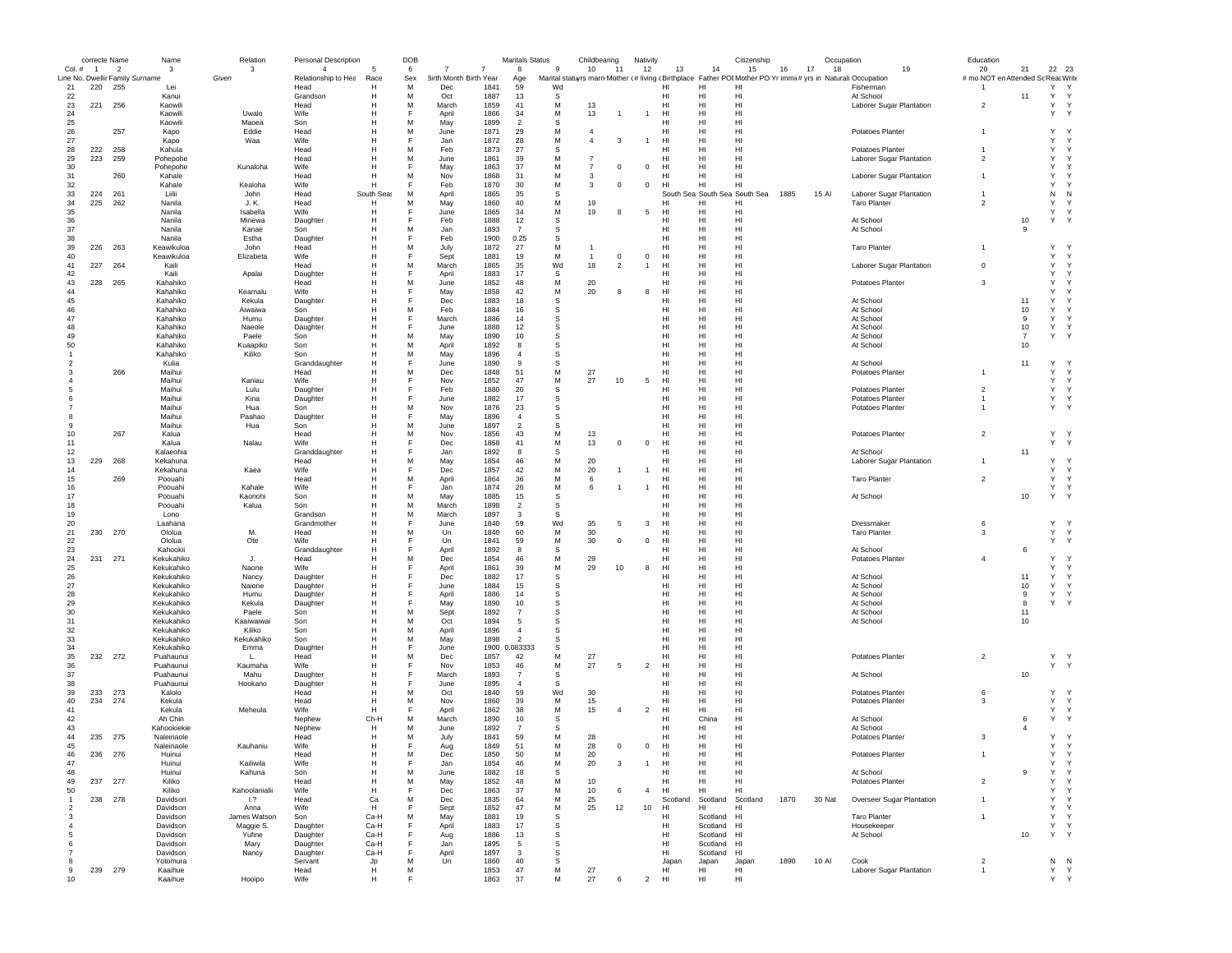|                | correcte Name  |                          | Name                            | Relation           | <b>Personal Description</b> |                 | DOB    |                        |              | <b>Maritals Status</b> |              | Childbearing                                                                                                   | Nativity       |             |                 |                 | Citizenship                   |      | Occupation |                                                 | Education                          |                |                       |                              |
|----------------|----------------|--------------------------|---------------------------------|--------------------|-----------------------------|-----------------|--------|------------------------|--------------|------------------------|--------------|----------------------------------------------------------------------------------------------------------------|----------------|-------------|-----------------|-----------------|-------------------------------|------|------------|-------------------------------------------------|------------------------------------|----------------|-----------------------|------------------------------|
| Col. #         | $\overline{1}$ | $\overline{\phantom{a}}$ | $\mathbf{3}$                    | 3                  | $\overline{4}$              |                 | 6      |                        | 7            | $\mathbf{a}$           | $\mathbf{q}$ | 10<br>11                                                                                                       |                | 12          | 13              | 14              | 15                            | 16   | 17<br>18   | 19                                              | 20                                 | 21             | 22 23                 |                              |
|                |                |                          | Line No. Dwellir Family Surname | Given              | Relationship to Hea         | Race            | Sex    | 3irth Month Birth Year |              | Age                    |              | Marital statuyrs marri Mother (# living (Birthplace Father POI Mother PO Yr immi(# yrs in Naturali: Occupation |                |             |                 |                 |                               |      |            |                                                 | # mo NOT en Attended Sc Reac Write |                |                       |                              |
| 21<br>22       | 220            | - 255                    | Lei<br>Kanui                    |                    | Head<br>Grandson            | н<br>н          | M<br>M | Dec<br>Oct             | 1841<br>1887 | 59<br>13               | Wd<br>s      |                                                                                                                |                |             | нı<br>HI        | Н<br>HI         | HI<br>HI                      |      |            | Fishermar<br>At School                          |                                    | 11             | Υ<br>Y                | Y                            |
| 23             | 221            | 256                      | Kaowili                         |                    | Head                        | н               | M      | March                  | 1859         | 41                     | М            | 13                                                                                                             |                |             | HI              | HI              | HI                            |      |            | Laborer Sugar Plantation                        | $\overline{2}$                     |                | $\mathsf{Y}$          | Y                            |
| 24             |                |                          | Kaowili                         | Uwalo              | Wife                        |                 | E      | April                  | 1866         | 34                     | M            | 13                                                                                                             | $\overline{1}$ |             | HI              | HI              | HI                            |      |            |                                                 |                                    |                | Y                     | $\mathsf{Y}$                 |
| 25             |                |                          | Kaowili                         | Maoea              | Son                         | н               | М      | May                    | 1899         | $\overline{2}$         | -S           |                                                                                                                |                |             | HI              | HI              | HI                            |      |            |                                                 |                                    |                |                       |                              |
| 26             |                | 257                      | Kapo                            | Eddie              | Head                        |                 | М      | June                   | 1871         | 29                     | M            | $\overline{4}$                                                                                                 |                |             | HI              | HI              | HI                            |      |            | Potatoes Planter                                | $\mathbf{1}$                       |                | Y                     |                              |
| 27             |                |                          | Kapo                            | Waa                | Wife                        |                 | F      | Jan                    | 1872         | 28                     | M            | $\overline{4}$<br>3                                                                                            | 1              |             | HI              | HI              | HI                            |      |            |                                                 |                                    |                | Y                     | Y                            |
| 28             | 222            | 258                      | Kahula                          |                    | Head                        | н               | M      | Feb                    | 1873         | 27                     | -S           |                                                                                                                |                |             | нı              | HI              | HI                            |      |            | Potatoes Planter                                |                                    |                | Y                     | Y                            |
| 29             | 223            | 259                      | Pohepohe                        |                    | Head                        | н               | M      | June                   | 1861         | 39                     | M            | -7                                                                                                             |                |             | HI              | HI              | HI                            |      |            | Laborer Sugar Plantation                        | $\overline{2}$                     |                | Y                     |                              |
| 30             |                |                          | Pohepohe                        | Kunaloha           | Wife                        | Н               | F      | May                    | 1863         | 37                     | M            | $\overline{7}$<br>$\mathbf 0$                                                                                  | $^{\circ}$     |             | HI              | HI              | HI                            |      |            |                                                 |                                    |                | Y                     |                              |
| 31             |                | 260                      | Kahale                          |                    | Head                        | Н               | М      | Nov                    | 1868         | 31                     | M            | 3                                                                                                              |                |             | HI              | HI              | HI                            |      |            | Laborer Sugar Plantation                        | $\overline{1}$                     |                | Y                     |                              |
| 32             |                |                          | Kahale                          | Kealoha            | Wife                        |                 |        | Feb                    | 1870         | 30                     | М            | 3<br>$^{\circ}$                                                                                                | $\mathbf 0$    |             | HI              | HI              | HI                            |      |            |                                                 |                                    |                | Y                     |                              |
| 33             | 224<br>225     | 261                      | Liilii<br>Nanila                | John               | Head                        | South Seas<br>н | M<br>М | April                  | 1865<br>1860 | 35<br>40               | s            | 19                                                                                                             |                | HI          |                 | HI              | South Sea South Sea South Sea | 1885 | 15 Al      | Laborer Sugar Plantation<br><b>Taro Planter</b> | $\overline{\phantom{a}}$           |                | N<br>Y                | N                            |
| 34             |                | 262                      |                                 | J. K.              | Head                        |                 | F      | May                    | 1865         |                        | М            |                                                                                                                |                |             |                 |                 | HI<br>HI                      |      |            |                                                 |                                    |                | Y                     | $\mathsf{Y}$                 |
| 35<br>36       |                |                          | Nanila<br>Nanila                | Isabella<br>Minewa | Wife<br>Daughter            | н<br>н          | F      | June<br>Feb            | 1888         | 34<br>12               | M<br>S       | 19<br>8                                                                                                        | 5              | HI          | нı              | HI<br>HI        | HI                            |      |            | At School                                       |                                    | 10             | Y                     | Y                            |
| 37             |                |                          | Nanila                          | Kanae              | Son                         |                 | M      | Jan                    | 1893         | $\overline{7}$         | s            |                                                                                                                |                |             | нı              | HI              | HI                            |      |            | At School                                       |                                    | 9              |                       |                              |
| 38             |                |                          | Nanila                          | Estha              | Daughter                    | н               | F      | Feb                    | 1900         | 0.25                   | s            |                                                                                                                |                |             | HI              | HI              | HI                            |      |            |                                                 |                                    |                |                       |                              |
| 39             | 226            | 263                      | Keawikuloa                      | John               | Head                        | н               | M      | July                   | 1872         | 27                     | M            |                                                                                                                |                |             | HI              | HI              | HI                            |      |            | <b>Taro Planter</b>                             | $\mathbf{1}$                       |                | Y                     |                              |
| 40             |                |                          | Keawikuloa                      | Elizabeta          | <b>Wife</b>                 |                 | F      | Sept                   | 1881         | 19                     | M            | $^{\circ}$<br>$\overline{1}$                                                                                   | $^{\circ}$     |             | H <sub>II</sub> | HI              | HI                            |      |            |                                                 |                                    |                | Y                     | Y                            |
| 41             | 227            | 264                      | Kaili                           |                    | Head                        |                 | M      | March                  | 1865         | 35                     | Wd           | 18<br>$\overline{2}$                                                                                           | $\mathbf{1}$   |             | HI              | HI              | HI                            |      |            | Laborer Sugar Plantation                        | $\mathbf 0$                        |                | Y                     | Y                            |
| 42             |                |                          | Kaili                           | Apalai             | Daughter                    |                 |        | April                  | 1883         | 17                     | s            |                                                                                                                |                |             | HI              | HI              | HI                            |      |            |                                                 |                                    |                | Y                     | Y                            |
| 43             | 228            | 265                      | Kahahiko                        |                    | Head                        |                 | M      | June                   | 1852         | 48                     | М            | 20                                                                                                             |                |             | HI              | HI              | HI                            |      |            | Potatoes Planter                                | 3                                  |                | Y                     |                              |
| 44             |                |                          | Kahahiko                        | Keamalu            | Wife                        |                 |        | May                    | 1858         | 42                     | М            | 20<br>8                                                                                                        | 8              |             | HI              | HI              | HI                            |      |            |                                                 |                                    |                | Y                     |                              |
| 45             |                |                          | Kahahiko                        | Kekula             | Daughter                    |                 |        | Dec                    | 1883         | 18                     | -S           |                                                                                                                |                |             | HI              | HI              | HI                            |      |            | At School                                       |                                    | 11             | Y                     |                              |
| 46             |                |                          | Kahahiko                        | Aiwaiwa            | Son                         |                 | М      | Feb                    | 1884         | 16                     | s            |                                                                                                                |                |             | HI              | HI              | HI                            |      |            | At School                                       |                                    | 10             | Y                     |                              |
| 47             |                |                          | Kahahiko                        | Humu               | Daughter                    |                 | F      | March                  | 1886         | 14                     | s            |                                                                                                                |                |             | HI              | HI              | HI                            |      |            | At School                                       |                                    | 9              | Y                     | $\mathsf{Y}$                 |
| 48             |                |                          | Kahahiko                        | Naeole             | Daughter                    |                 | F      | June                   | 1888         | 12                     | s            |                                                                                                                |                |             | HI              | HI              | HI                            |      |            | At School                                       |                                    | 10             | Y                     | Y                            |
| 49             |                |                          | Kahahiko                        | Paele              | Son                         |                 | M      | May                    | 1890         | 10                     | s            |                                                                                                                |                |             | HI              | HI              | HI                            |      |            | At School                                       |                                    | $\overline{7}$ | Y                     | Y                            |
| 50             |                |                          | Kahahiko                        | Kuaapiko           | Son                         |                 | M      | April                  | 1892         | 8                      | S            |                                                                                                                |                |             | HI              | HI              | HI                            |      |            | At School                                       |                                    | 10             |                       |                              |
|                |                |                          | Kahahiko                        | Kiliko             | Son                         |                 | M<br>F | May                    | 1896         | $\overline{4}$         | S            |                                                                                                                |                |             | HI              | H               | HI                            |      |            |                                                 |                                    |                |                       |                              |
| 2              |                | 266                      | Kulia                           |                    | Granddaughter               |                 | М      | June                   | 1890<br>1848 | 9                      | s            | 27                                                                                                             |                |             | HI              | HI              | HI<br>HI                      |      |            | At School                                       |                                    | 11             | Υ<br>Y                | Y                            |
|                |                |                          | Maihui<br>Maihui                | Kaniau             | Head<br>Wife                |                 | F      | Dec<br>Nov             | 1852         | 51<br>47               | М<br>M       | 27<br>10                                                                                                       | 5              | HI          | HI              | HI<br>HI        | HI                            |      |            | Potatoes Planter                                |                                    |                | Y                     | Y                            |
|                |                |                          | Maihui                          | Lulu               | Daughter                    | н               | F      | Feb                    | 1880         | 20                     | s            |                                                                                                                |                |             | HI              | HI              | HI                            |      |            | Potatoes Planter                                | $\overline{2}$                     |                | Y                     | Y                            |
| 6              |                |                          | Maihui                          | Kina               | Daughter                    |                 | F      | June                   | 1882         | 17                     | s            |                                                                                                                |                |             | HI              | HI              | HI                            |      |            | <b>Potatoes Planter</b>                         |                                    |                | Y                     | $\mathsf{Y}$                 |
|                |                |                          | Maihui                          | Hua                | Son                         | н               | М      | Nov                    | 1876         | 23                     | s            |                                                                                                                |                |             | HI              | HI              | HI                            |      |            | Potatoes Planter                                | $\overline{1}$                     |                | Y<br>$\mathsf{Y}$     |                              |
| 8              |                |                          | Maihui                          | Paahao             | Daughter                    |                 | F      | May                    | 1896         | $\overline{4}$         | S            |                                                                                                                |                |             | HI              | HI              | HI                            |      |            |                                                 |                                    |                |                       |                              |
| 9              |                |                          | Maihui                          | Hua                | Son                         |                 | М      | June                   | 1897         | $\overline{2}$         | s            |                                                                                                                |                |             | HI              | HI              | HI                            |      |            |                                                 |                                    |                |                       |                              |
| 10             |                | 267                      | Kalua                           |                    | Head                        |                 | М      | Nov                    | 1856         | 43                     | M            | 13                                                                                                             |                |             | HI              | HI              | HI                            |      |            | Potatoes Planter                                | $\overline{2}$                     |                | Y                     | $\mathsf{Y}$                 |
| 11             |                |                          | Kalua                           | Nalau              | <b>Wife</b>                 |                 | F      | Dec                    | 1858         | 41                     | M            | 13<br>$^{\circ}$                                                                                               | $\mathbf 0$    |             | HI              | HI              | HI                            |      |            |                                                 |                                    |                | Y                     | Y                            |
| 12             |                |                          | Kalaeohia                       |                    | Granddaughter               |                 | E      | Jan                    | 1892         | $\mathbf{a}$           | s            |                                                                                                                |                |             | HI              | H               | HI                            |      |            | At School                                       |                                    | 11             |                       |                              |
| 13             | 229            | 268                      | Kekahuna                        |                    | Head                        |                 | M      | May                    | 1854         | 46                     | M            | 20                                                                                                             |                |             | HI              | HI              | HI                            |      |            | Laborer Sugar Plantation                        |                                    |                | Y                     |                              |
| 14             |                |                          | Kekahuna                        | Kaea               | Wife                        |                 |        | Dec                    | 1857         | 42                     | М            | 20                                                                                                             |                |             | HI              | HI              | HI                            |      |            |                                                 |                                    |                | Y                     | Y                            |
| 15             |                | 269                      | Poouahi                         |                    | Head                        |                 | М      | April                  | 1864         | 36                     | М            | 6                                                                                                              |                |             | HI              | HI              | HI                            |      |            | <b>Taro Planter</b>                             | $\overline{2}$                     |                | $\mathsf{Y}$          | Y                            |
| 16             |                |                          | Poouahi                         | Kahale             | Wife                        |                 |        | Jan                    | 1874         | 26                     | М            | 6                                                                                                              |                |             | HI              | HI              | HI                            |      |            |                                                 |                                    |                | Y                     | Y                            |
| 17             |                |                          | Poouahi                         | Kaonohi            | Son                         |                 | M      | May                    | 1885         | 15                     | -S           |                                                                                                                |                |             | HI              | HI              | HI                            |      |            | At School                                       |                                    | 10             | Y                     |                              |
| 18             |                |                          | Poouahi                         | Kalua              | Son                         |                 | М      | March                  | 1898         | $\overline{2}$         | s            |                                                                                                                |                |             | HI              | HI              | HI                            |      |            |                                                 |                                    |                |                       |                              |
| 19             |                |                          | Lono                            |                    | Grandson                    |                 | М      | March                  | 1897         | 3                      | s            |                                                                                                                |                |             | HI              | HI              | HI                            |      |            |                                                 |                                    |                |                       |                              |
| 20             |                |                          | Laahana                         |                    | Grandmother                 |                 | F      | June                   | 1840         | 59                     | Wd           | 35<br>5                                                                                                        | 3              |             | HI              | HI              | HI                            |      |            | Dressmaker                                      | 6                                  |                | Y                     | Y                            |
| 21             | 230            | 270                      | Ololua                          | M.                 | Head                        |                 | М      | Un                     | 1840         | 60                     | М            | 30                                                                                                             |                |             | нı              | HI              | HI                            |      |            | <b>Taro Planter</b>                             | -3                                 |                | Y                     | Y                            |
| 22             |                |                          | Ololua                          | Ote                | <b>Wife</b>                 |                 | F<br>F | Un                     | 1841         | 59                     | M<br>S       | 30<br>$\mathbf 0$                                                                                              | $^{\circ}$     |             | HI              | HI<br>HI        | HI                            |      |            |                                                 |                                    |                | Y                     | Y                            |
| 23             |                |                          | Kahookii                        |                    | Granddaughte                |                 |        | April                  | 1892<br>1854 | 8                      | M            |                                                                                                                |                |             | HI              | HI              | HI<br>HI                      |      |            | At School                                       | $\overline{4}$                     | 6              | Y                     |                              |
| 24<br>25       | 231            | 271                      | Kekukahiko                      | J.                 | Head<br>Wife                |                 | М      | Dec                    | 1861         | 46<br>39               | М            | 29<br>29<br>10                                                                                                 | 8              |             | HI<br>HI        | HI              | HI                            |      |            | Potatoes Planter                                |                                    |                | Y                     | Y                            |
| 26             |                |                          | Kekukahiko<br>Kekukahiko        | Naone<br>Nancy     | Daughter                    |                 | Е      | April<br>Dec           | 1882         | 17                     | s            |                                                                                                                |                |             | HI              | HI              | HI                            |      |            | At School                                       |                                    | 11             | Y                     | Y                            |
| 27             |                |                          | Kekukahiko                      | Naione             | Daughter                    | н               | F      | June                   | 1884         | 15                     | s            |                                                                                                                |                |             | HI              | HI              | HI                            |      |            | At School                                       |                                    | 10             | Y                     | Y                            |
| 28             |                |                          | Kekukahiko                      | Humu               | Daughter                    | н               | F      | April                  | 1886         | 14                     | s            |                                                                                                                |                |             | HI              | H <sub>II</sub> | HI                            |      |            | At School                                       |                                    | 9              | Y                     | Y                            |
| 29             |                |                          | Kekukahiko                      | Kekula             | Daughter                    | н               | F      | May                    | 1890         | 10                     | s            |                                                                                                                |                |             | HI              | HI              | HI                            |      |            | At School                                       |                                    | 8              | Y                     | $\mathsf{Y}$                 |
| 30             |                |                          | Kekukahiko                      | Paele              | Son                         |                 | M      | Sept                   | 1892         | $\overline{7}$         | s            |                                                                                                                |                |             | HI              | HI              | HI                            |      |            | At School                                       |                                    | 11             |                       |                              |
| 31             |                |                          | Kekukahiko                      | Kaaiwaiwai         | Son                         | н               | M      | Oct                    | 1894         | 5                      | s            |                                                                                                                |                |             | HI              | HI              | HI                            |      |            | At School                                       |                                    | 10             |                       |                              |
| 32             |                |                          | Kekukahiko                      | Kiliko             | Son                         |                 | M      | April                  | 1896         | $\overline{4}$         | s            |                                                                                                                |                |             | HI              | HI              | HI                            |      |            |                                                 |                                    |                |                       |                              |
| 33             |                |                          | Kekukahiko                      | Kekukahiko         | Son                         |                 | M      | May                    | 1898         | $\overline{2}$         | s            |                                                                                                                |                |             | HI              | HI              | HI                            |      |            |                                                 |                                    |                |                       |                              |
| 34             |                |                          | Kekukahiko                      | Emma               | Daughter                    |                 | F      | June                   |              | 1900 0.083333          | s            |                                                                                                                |                |             | HI              | HI              | HI                            |      |            |                                                 |                                    |                |                       |                              |
| 35             | 232            | 272                      | Puahaunui                       | L.                 | Head                        |                 | M      | Dec                    | 1857         | 42                     | М            | 27                                                                                                             |                |             | HI              | HI              | HI                            |      |            | Potatoes Planter                                | $\overline{2}$                     |                | Y Y                   |                              |
| 36             |                |                          | Puahaunui                       | Kaumaha            | Wife                        |                 |        | Nov                    | 1853         | 46                     | M            | 27<br>5                                                                                                        | $\overline{2}$ |             | HI              | HI              | HI                            |      |            |                                                 |                                    |                | Y Y                   |                              |
| 37             |                |                          | Puahaunui                       | Mahu               | Daughter                    |                 |        | March                  | 1893         | $\overline{7}$         | s            |                                                                                                                |                |             | HI              | HI              | HI                            |      |            | At School                                       |                                    | 10             |                       |                              |
| 38             |                |                          | Puahaunui                       | Hookano            | Daughter                    |                 | F      | June                   | 1895         | $\overline{4}$         | -S           |                                                                                                                |                |             | HI              | HI              | HI                            |      |            |                                                 |                                    |                |                       |                              |
| 39             | 233            | 273                      | Kalolo                          |                    | Head                        | Н               | М      | Oct                    | 1840         | 59                     | Wd           | 30                                                                                                             |                |             | HI              | HI              | HI                            |      |            | Potatoes Planter                                | 6                                  |                | Y.                    | $\mathsf{Y}$<br>$\mathsf{Y}$ |
| 40<br>41       | 234            | 274                      | Kekula                          |                    | Head<br>Wife                | н<br>н          | М      | Nov                    | 1860         | 39                     | M<br>M       | 15<br>$\overline{4}$                                                                                           | $\overline{2}$ |             | HI<br>HI        | HI<br>HI        | HI<br>HI                      |      |            | Potatoes Planter                                | 3                                  |                | Y<br>Y                | Y                            |
| 42             |                |                          | Kekula<br>Ah Chin               | Meheula            | Nephew                      | Ch-H            | M      | April<br>March         | 1862<br>1890 | 38<br>10               | -S           | 15                                                                                                             |                |             | HI              | China           | HI                            |      |            | At School                                       |                                    | 6              | $\mathsf{Y}$          | Y                            |
| 43             |                |                          | Kahookiekie                     |                    | Nephew                      | н               | M      | June                   | 1892         | $\overline{7}$         | -S           |                                                                                                                |                |             | HI              | HI              | HI                            |      |            | At School                                       |                                    | $\overline{4}$ |                       |                              |
| 44             | 235            | 275                      | Naleinaole                      |                    | Head                        | н               | M      | July                   | 1841         | 59                     | M            | 28                                                                                                             |                |             | HI              | HI              | HI                            |      |            | Potatoes Planter                                | -3                                 |                | Y                     | $\checkmark$                 |
| 45             |                |                          | Naleinaole                      | Kauhaniu           | Wife                        | H               |        | Aug                    | 1849         | 51                     | M            | 28<br>$\mathbf 0$                                                                                              |                | $\mathbf 0$ | HI              | HI              | HI                            |      |            |                                                 |                                    |                | Υ                     | $\mathsf{Y}$                 |
|                | 236            | 276                      | Huinui                          |                    | Head                        |                 |        | <b>Dec</b>             | 1850         | 50                     | M            | 20                                                                                                             |                |             | н               | HI              | HI                            |      |            | Potatoes Planter                                |                                    |                |                       |                              |
| 47             |                |                          | Huinui                          | Kailiwila          | Wife                        | н               | F      | Jan                    | 1854         | 46                     | М            | 20<br>3                                                                                                        | $\mathbf{1}$   |             | HI              | HI              | HI                            |      |            |                                                 |                                    |                | Υ                     | Y                            |
| 48             |                |                          | Huinui                          | Kahuna             | Son                         | н               | M      | June                   | 1882         | 18                     | s            |                                                                                                                |                |             | HI              | HI              | HI                            |      |            | At School                                       |                                    | -9             | Y                     | Y                            |
| 49             |                | 237 277                  | Kiliko                          |                    | Head                        | н               | M      | May                    | 1852         | 48                     | М            | 10                                                                                                             |                |             | HI              | HI              | HI                            |      |            | Potatoes Planter                                | $\overline{2}$                     |                | Y                     | $\mathsf{Y}$                 |
| 50             |                |                          | Kiliko                          | Kahoolanialii      | Wife                        | н               | F      | Dec                    | 1863         | 37                     | M            | 10<br>6                                                                                                        | $\overline{4}$ |             | H <sub>II</sub> | HI              | HI                            |      |            |                                                 |                                    |                | Υ                     | $\mathsf{Y}$                 |
| $\overline{1}$ |                | 238 278                  | Davidson                        | 1.7                | Head                        | Ca              | М      | Dec                    | 1835         | 64                     | M            | 25                                                                                                             |                |             | Scotland        | Scotland        | Scotland                      | 1870 | 30 Nat     | <b>Overseer Sugar Plantation</b>                | $\mathbf{1}$                       |                | Y                     | Y                            |
| $\overline{2}$ |                |                          | Davidson                        | Anna               | Wife                        | н               | F      | Sept                   | 1852         | 47                     | M            | 25<br>12                                                                                                       |                | 10<br>HI    |                 | HI              | HI                            |      |            |                                                 |                                    |                | Y                     | Y                            |
| 3              |                |                          | Davidson                        | James Watson       | Son                         | Ca-H            | М      | May                    | 1881         | 19                     | s            |                                                                                                                |                |             | HI              | Scotland        | HI                            |      |            | <b>Taro Planter</b>                             | $\overline{1}$                     |                | Y                     | Y                            |
| $\overline{4}$ |                |                          | Davidson                        | Maggie S.          | Daughter                    | Ca-H            | E      | April                  | 1883         | 17                     | s            |                                                                                                                |                |             | HI              | Scotland        | H <sub>1</sub>                |      |            | Housekeeper                                     |                                    |                | Y Y                   |                              |
| 5              |                |                          | Davidson                        | Yufine             | Daughter                    | Ca-H            | F      | Aug                    | 1886         | 13                     | S            |                                                                                                                |                |             | HI              | Scotland        | HI                            |      |            | At School                                       |                                    | 10             | Y Y                   |                              |
| 6              |                |                          | Davidson                        | Mary               | Daughter                    | Ca-H            | F      | Jan                    | 1895         | 5                      | S            |                                                                                                                |                |             | HI              | Scotland        | HI                            |      |            |                                                 |                                    |                |                       |                              |
| $\overline{7}$ |                |                          | Davidson                        | Nancy              | Daughter                    | Ca-H            | F      | April                  | 1897         | 3                      | s            |                                                                                                                |                |             | HI              | Scotland        | HI                            |      |            |                                                 |                                    |                |                       |                              |
| 8              |                |                          | Yotomura                        |                    | Servant                     | Jp              | М      | Un                     | 1860         | 40                     | s            |                                                                                                                |                |             | Japan           | Japan           | Japan                         | 1890 | 10 AI      | Cook                                            | $\overline{2}$                     |                | N <sub>N</sub><br>Y Y |                              |
| 9              |                | 239 279                  | Kaaihue                         |                    | Head                        | н<br>н          | M<br>F |                        | 1853         | 47                     | М            | 27                                                                                                             | $\mathfrak{p}$ |             | HI              | HI<br>HI        | HI                            |      |            | Laborer Sugar Plantation                        | $\overline{1}$                     |                |                       |                              |
| 10             |                |                          | Kaaihue                         | Hooipo             | Wife                        |                 |        |                        | 1863         | 37                     | M            | 27                                                                                                             |                |             | HI              |                 | HI                            |      |            |                                                 |                                    |                | Y Y                   |                              |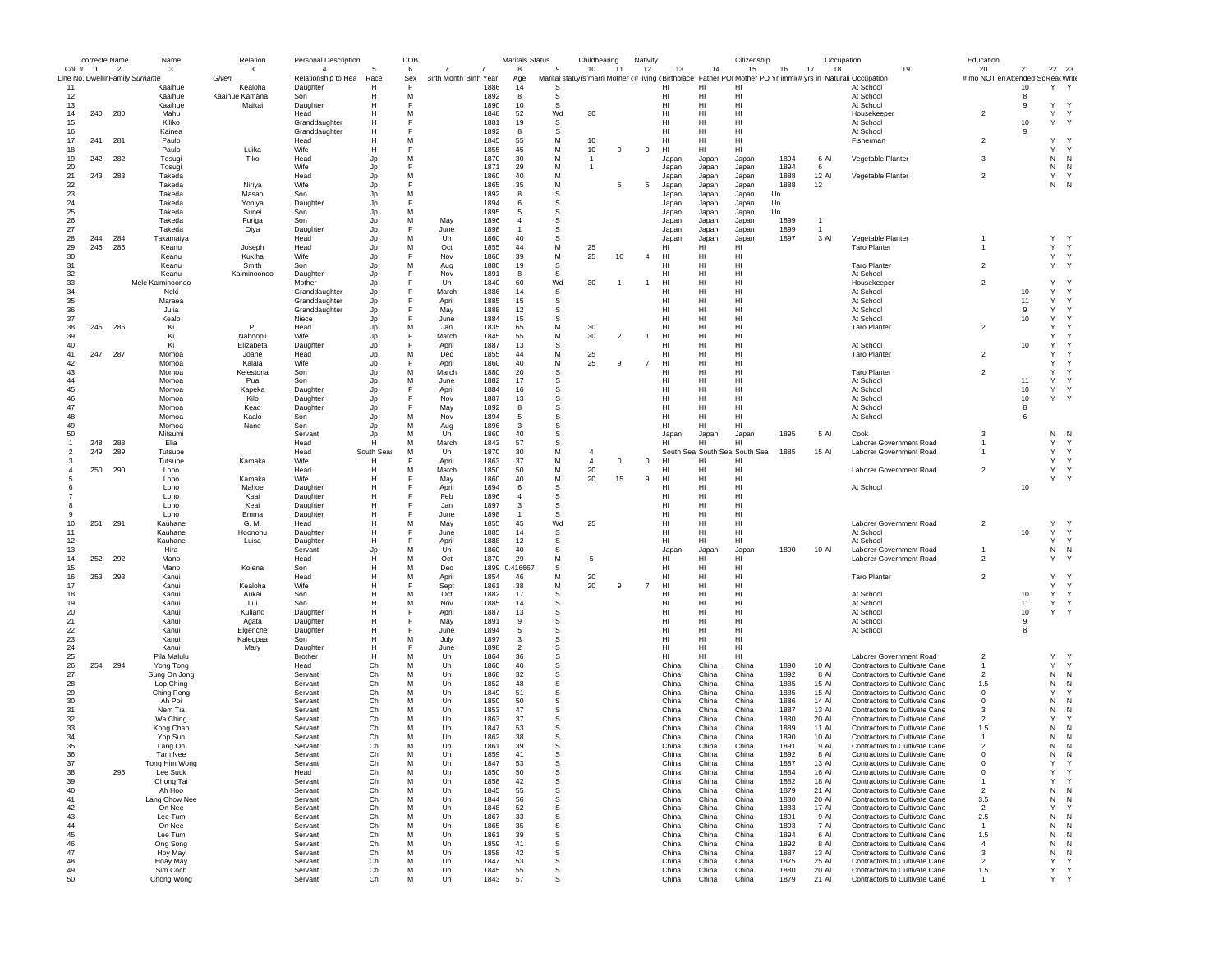|                | correcte Name  |                          | Name                            | Relation                  | <b>Personal Description</b> |                | DOB    |                        |              | <b>Maritals Status</b> |             | Childbearing   |                | Nativity       |                        |                 | Citizenship                   |              | Occupation     |                                                                                                               | Education                         |         |                        |   |
|----------------|----------------|--------------------------|---------------------------------|---------------------------|-----------------------------|----------------|--------|------------------------|--------------|------------------------|-------------|----------------|----------------|----------------|------------------------|-----------------|-------------------------------|--------------|----------------|---------------------------------------------------------------------------------------------------------------|-----------------------------------|---------|------------------------|---|
| Col. #         | $\overline{1}$ | $\overline{\phantom{a}}$ | 3                               | 3                         | $\overline{4}$              | 5              | 6      |                        |              | 8                      | -9          | 10             | -11            | 12             | 13                     | 14              | 15                            | 16<br>17     | 18             | 19                                                                                                            | 20                                | 21      | 22 23                  |   |
|                |                |                          | Line No. Dwellir Family Surname | Given                     | Relationship to Hea         | Race           | Sex    | 3irth Month Birth Year |              | Age                    |             |                |                |                |                        |                 |                               |              |                | Marital statuyrs marri Mother c#living cBirthplace Father POI Mother PO Yr immit# yrs in Naturali: Occupation | # mo NOT en Attended Sc ReacWrite |         |                        |   |
| 11<br>12       |                |                          | Kaaihue<br>Kaaihue              | Kealoha<br>Kaaihue Kamana | Daughter<br>Son             | н<br>н         | F<br>M |                        | 1886<br>1892 | 14<br>8                | S<br>s      |                |                |                | HI<br>HI               | HI<br>HI        | HI<br>HI                      |              |                | At School<br>At School                                                                                        |                                   | 10<br>8 | Y                      |   |
| 13             |                |                          | Kaaihue                         | Maikai                    | Daughter                    | н              | F      |                        | 1890         | 10                     | s           |                |                |                | HI                     | HI              | HI                            |              |                | At School                                                                                                     |                                   | 9       | Y                      |   |
| 14             | 240            | 280                      | Mahu                            |                           | Head                        | н              | M      |                        | 1848         | 52                     | Wd          | 30             |                |                | HI                     | HI              | HI                            |              |                | Housekeeper                                                                                                   | $\overline{2}$                    |         | Y Y                    |   |
| 15             |                |                          | Kiliko                          |                           | Granddaughter               | н              | F      |                        | 1881         | 19                     | S           |                |                |                | HI                     | HI              | HI                            |              |                | At School                                                                                                     |                                   | 10      | Υ<br>$\mathsf{Y}$      |   |
| 16             |                |                          | Kainea                          |                           | Granddaughter               | н              | F      |                        | 1892         | 8                      | S           |                |                |                | HI                     | HI              | HI                            |              |                | At School                                                                                                     |                                   | 9       |                        |   |
| 17             | 241            | 281                      | Paulo                           |                           | Head                        | н              | M      |                        | 1845         | 55                     | M           | 10             |                |                | HI                     | HI              | HI                            |              |                | Fishermar                                                                                                     | $\overline{2}$                    |         | Y                      |   |
| 18             |                |                          | Paulo                           | Luika                     | Wife                        | н              | F      |                        | 1855         | 45                     | M           | 10             | $^{\circ}$     | $^{\circ}$     | HI                     | HI              | н                             |              |                |                                                                                                               |                                   |         | Y<br>Y                 |   |
| 19             | 242            | 282                      | Tosugi                          | Tiko                      | Head                        | Jp             | M      |                        | 1870         | 30                     | M           | $\mathbf{1}$   |                |                | Japan                  | Japan           | Japan                         | 1894         | 6 Al           | Vegetable Planter                                                                                             | 3                                 |         | ${\sf N}$<br>N         |   |
| 20             |                |                          | Tosugi                          |                           | Wife                        | Jp             | F      |                        | 1871         | 29                     | M           |                |                |                | Japan                  | Japan           | Japan                         | 1894         | 6              |                                                                                                               |                                   |         | ${\sf N}$<br>N         |   |
| 21             | 243            | 283                      | Takeda                          |                           | Head                        | Jp             | M      |                        | 1860         | 40                     | M           |                |                |                | Japan                  | Japan           | Japan                         | 1888         | 12 Al          | Vegetable Planter                                                                                             | $\overline{2}$                    |         | Y<br>$\mathsf{Y}$      |   |
| 22             |                |                          | Takeda                          | Niriya                    | Wife                        | Jp             | F      |                        | 1865         | 35                     | M           |                | 5              | 5              | Japan                  | Japan           | Japan                         | 1888         | 12             |                                                                                                               |                                   |         | N<br>N                 |   |
| 23             |                |                          | Takeda                          | Masao                     | Son                         | Jp             | M      |                        | 1892         | 8                      | s           |                |                |                | Japan                  | Japan           | Japan                         | Un           |                |                                                                                                               |                                   |         |                        |   |
| 24             |                |                          | Takeda                          | Yoniya                    | Daughter                    | Jp             | F      |                        | 1894         | -6                     | s           |                |                |                | Japan                  | Japan           | Japan                         | Un           |                |                                                                                                               |                                   |         |                        |   |
| 25             |                |                          | Takeda                          | Sunei                     | Son                         | Jp             | M      |                        | 1895         | -5                     | s           |                |                |                | Japan                  | Japan           | Japan                         | Un           |                |                                                                                                               |                                   |         |                        |   |
| 26             |                |                          | Takeda                          | Furiga                    | Son                         | Jp             | M      | May                    | 1896         | $\overline{4}$         | S           |                |                |                | Japan                  | Japan           | Japan                         | 1899         | $\mathbf{1}$   |                                                                                                               |                                   |         |                        |   |
| 27             | 244            | 284                      | Takeda                          | Oiya                      | Daughter                    | Jp             | F<br>M | June                   | 1898         | $\overline{1}$<br>40   | s           |                |                |                | Japan                  | Japan           | Japan                         | 1899         |                | Vegetable Planter                                                                                             |                                   |         | Υ                      |   |
| 28             | 245            | 285                      | Takamaiya                       |                           | Head                        | Jp             | M      | Un                     | 1860         | 44                     | s<br>M      |                |                |                | Japan<br>HI            | Japan           | Japan<br>HI                   | 1897         | 3 Al           |                                                                                                               | -1                                |         | Y<br>$\mathsf{Y}$      |   |
| 29<br>30       |                |                          | Keanu<br>Keanu                  | Joseph<br>Kukiha          | Head<br><b>Wife</b>         | Jp<br>Jp       | F      | Oct                    | 1855<br>1860 | 39                     | M           | 25<br>25       | 10             | $\overline{4}$ | HI                     | HI<br>HI        | HI                            |              |                | <b>Taro Planter</b>                                                                                           |                                   |         | Y<br>Y                 |   |
| 31             |                |                          | Keanu                           | Smith                     | Son                         | Jp             | M      | Nov<br>Aug             | 1880         | 19                     | s           |                |                |                | HI                     | HI              | HI                            |              |                | <b>Taro Planter</b>                                                                                           | $\overline{2}$                    |         | Y Y                    |   |
| 32             |                |                          | Keanu                           | Kaiminoonoo               | Daughter                    | Jp             | F      | Nov                    | 1891         | 8                      | s           |                |                |                | HI                     | HI              | HI                            |              |                | At School                                                                                                     |                                   |         |                        |   |
| 33             |                |                          | Mele Kaiminoonoo                |                           | Mother                      | Jp             | F      | Un                     | 1840         | 60                     | Wd          | 30             |                |                | HI                     | HI              | HI                            |              |                | Housekeeper                                                                                                   | $\overline{2}$                    |         | Υ                      |   |
| 34             |                |                          | Neki                            |                           | Granddaughter               | Jp             | F      | March                  | 1886         | 14                     | s           |                |                |                | HI                     | HI              | HI                            |              |                | At School                                                                                                     |                                   | 10      | Y<br>Y                 |   |
| 35             |                |                          | Maraea                          |                           | Granddaughter               | Jp             |        | April                  | 1885         | 15                     | s           |                |                |                | HI                     | HI              | HI                            |              |                | At School                                                                                                     |                                   | 11      | Y<br>Y                 |   |
| 36             |                |                          | Julia                           |                           | Granddaughter               | Jp             |        | May                    | 1888         | 12                     | s           |                |                |                | HI                     | HI              | HI                            |              |                | At School                                                                                                     |                                   | 9       | Υ<br>$\mathsf{Y}$      |   |
| 37             |                |                          | Kealo                           |                           | Niece                       | Jp             | F      | June                   | 1884         | 15                     | S           |                |                |                | HI                     | HI              | HI                            |              |                | At School                                                                                                     |                                   | 10      | Y                      |   |
| 38             | 246            | 286                      | Ki                              | Ρ.                        | Head                        | Jp             | M      | Jan                    | 1835         | 65                     | M           | 30             |                |                | н                      | HI              | HI                            |              |                | <b>Taro Planter</b>                                                                                           | $\overline{2}$                    |         | Y                      |   |
| 39             |                |                          | Ki                              | Nahoopii                  | Wife                        | Jp             | E      | March                  | 1845         | 55                     | M           | 30             | $\overline{2}$ | $\overline{1}$ | HI                     | HI              | HI                            |              |                |                                                                                                               |                                   |         | Y                      |   |
| 40             |                |                          | Ki                              | Elizabeta                 | Daughter                    | Jp             | F      | April                  | 1887         | 13                     | s           |                |                |                | HI                     | HI              | H <sub>II</sub>               |              |                | At School                                                                                                     |                                   | 10      | Y                      |   |
| 41             | 247            | 287                      | Momoa                           | Joane                     | Head                        | Jp             | M      | Dec                    | 1855         | 44                     | M           | 25             |                |                | HI                     | HI              | H <sub>II</sub>               |              |                | <b>Taro Planter</b>                                                                                           | $\overline{2}$                    |         | Y                      |   |
| 42             |                |                          | Momoa                           | Kalala                    | Wife                        | Jp             | F      | April                  | 1860         | 40                     | M           | 25             | 9              | $\overline{7}$ | HI                     | HI              | HI                            |              |                |                                                                                                               |                                   |         | Y<br>Y                 |   |
| 43             |                |                          | Momoa                           | Kelestona                 | Son                         | Jp             | M      | March                  | 1880         | 20                     | s           |                |                |                | HI                     | HI              | HI                            |              |                | <b>Taro Planter</b>                                                                                           | $\overline{2}$                    |         | Y<br>Y                 |   |
| 44             |                |                          | Momoa                           | Pua                       | Son                         | Jp             | M      | June                   | 1882         | 17                     | s           |                |                |                | HI                     | HI              | HI                            |              |                | At School                                                                                                     |                                   | 11      | Y<br>Y                 |   |
| 45             |                |                          | Momoa                           | Kapeka                    | Daughter                    | Jp             | F      | April                  | 1884         | 16                     | s           |                |                |                | HI                     | H <sub>II</sub> | HI                            |              |                | At School                                                                                                     |                                   | 10      | $\mathsf{Y}$<br>Y      |   |
| 46             |                |                          | Momoa                           | Kilo                      | Daughter                    | Jp             | F      | Nov                    | 1887         | 13                     | s           |                |                |                | HI                     | H <sub>II</sub> | HI                            |              |                | At School                                                                                                     |                                   | $10$    | Y                      |   |
| 47             |                |                          | Momoa                           | Keao                      | Daughter                    | Jp             | F      | May                    | 1892         | 8                      | s           |                |                |                | HI                     | HI              | HI                            |              |                | At School                                                                                                     |                                   | 8       |                        |   |
| 48             |                |                          | Momoa                           | Kaalo                     | Son                         | Jp             | M      | Nov                    | 1894         | 5                      | s           |                |                |                | HI                     | HI              | HI                            |              |                | At School                                                                                                     |                                   | 6       |                        |   |
| 49             |                |                          | Momoa                           | Nane                      | Son                         | Jp             | M      | Aug                    | 1896         | 3                      | s           |                |                |                | HI                     | HI              | HI                            |              |                |                                                                                                               |                                   |         |                        |   |
| 50             |                |                          | Mitsumi                         |                           | Servant                     | Jp             | M      | Un                     | 1860         | 40                     | s           |                |                |                | Japan                  | Japan           | Japan                         | 1895         | 5 Al           | Cook                                                                                                          | 3                                 |         | N<br>N                 |   |
| $\blacksquare$ | 248            | 288                      | Flia                            |                           | Head                        | н              | M      | March                  | 1843         | 57                     | s           |                |                |                | HI                     | HI              | HI                            |              |                | Laborer Government Road                                                                                       | $\overline{1}$                    |         | Y<br>Y                 |   |
| $\mathcal{P}$  | 249            | 289                      | Tutsube                         |                           | Head                        | South Seas     | M      | Un                     | 1870         | 30                     | M           |                |                |                |                        |                 | South Sea South Sea South Sea | 1885         | 15 Al          | Laborer Government Road                                                                                       |                                   |         | Y<br>Y                 |   |
| 3              |                |                          | Tutsube                         | Kamaka                    | Wife                        | н              | M      | April                  | 1863         | 37                     | M           | $\overline{4}$ | $^{\circ}$     | $^{\circ}$     | HI                     | HI              | HI                            |              |                | Laborer Government Road                                                                                       | $\overline{2}$                    |         | Y<br>$\mathsf{Y}$      |   |
|                | 250            | 290                      | Lono                            |                           | Head                        |                |        | March                  | 1850         | 50                     | M<br>M      | 20             | 15             | 9              | HI                     | HI<br>HI        | HI                            |              |                |                                                                                                               |                                   |         | Y<br>Y<br>Y<br>Y       |   |
|                |                |                          | Lono                            | Kamaka                    | Wife                        |                |        | May                    | 1860<br>1894 | 40                     | s           | 20             |                |                | HI<br>HI               | HI              | HI<br>HI                      |              |                | At School                                                                                                     |                                   | 10      |                        |   |
|                |                |                          | Lono<br>Long                    | Mahoe<br>Kaai             | Daughter<br>Daughter        | н              |        | April<br>Feb           | 1896         | 6<br>-4                | s           |                |                |                | HI                     | HI              | HI                            |              |                |                                                                                                               |                                   |         |                        |   |
|                |                |                          | Lono                            | Keai                      | Daughter                    | н              |        | Jan                    | 1897         | 3                      | S           |                |                |                | HI                     | HI              | HI                            |              |                |                                                                                                               |                                   |         |                        |   |
|                |                |                          | Lono                            | Emma                      | Daughter                    | н              | F      | June                   | 1898         | $\overline{1}$         | S           |                |                |                | HI                     | HI              | HI                            |              |                |                                                                                                               |                                   |         |                        |   |
| 10             | 251            | 291                      | Kauhane                         | G. M.                     | Head                        | н              | M      | May                    | 1855         | 45                     | Wd          | 25             |                |                | HI                     | HI              | HI                            |              |                | Laborer Government Road                                                                                       | $\overline{2}$                    |         | Y                      |   |
| 11             |                |                          | Kauhane                         | Hoonohu                   | Daughter                    | н              | F      | June                   | 1885         | 14                     | s           |                |                |                | HI                     | HI              | HI                            |              |                | At School                                                                                                     |                                   | 10      | Y<br>Y                 |   |
| 12             |                |                          | Kauhane                         | Luisa                     | Daughter                    | н              | F      | April                  | 1888         | 12                     | s           |                |                |                | HI                     | H1              | HI                            |              |                | At School                                                                                                     |                                   |         | Y<br>$\mathsf{Y}$      |   |
| 13             |                |                          | Hira                            |                           | Servant                     | Jp             | M      | Un                     | 1860         | 40                     | S           |                |                |                | Japan                  | Japan           | Japan                         | 1890         | 10 AI          | Laborer Government Road                                                                                       |                                   |         | N<br>N                 |   |
| 14             | 252            | 292                      | Mano                            |                           | Head                        | н              | M      | Oct                    | 1870         | 29                     | M           | 5              |                |                | HI                     | HI              | HI                            |              |                | Laborer Government Road                                                                                       | $\overline{2}$                    |         | Y                      |   |
| 15             |                |                          | Mano                            | Kolena                    | Son                         | н              | M      | Dec                    | 1899         | 0.416667               | s           |                |                |                | HI                     | HI              | HI                            |              |                |                                                                                                               |                                   |         |                        |   |
| 16             | 253            | 293                      | Kanui                           |                           | Head                        | н              | М      | April                  | 1854         | 46                     | M           | 20             |                |                | HI                     | HI              | HI                            |              |                | <b>Taro Planter</b>                                                                                           | $\overline{2}$                    |         | Υ                      |   |
| 17             |                |                          | Kanui                           | Kealoha                   | Wife                        | н              | F      | Sept                   | 1861         | 38                     | M           | 20             | 9              | $\overline{7}$ | $\mathsf{H}\mathsf{I}$ | H <sub>II</sub> | HI                            |              |                |                                                                                                               |                                   |         | Y<br>$\mathsf{Y}$      |   |
| 18             |                |                          | Kanui                           | Aukai                     | Son                         | н              | M      | Oct                    | 1882         | 17                     | $\mathbb S$ |                |                |                | HI                     | H <sub>II</sub> | HI                            |              |                | At School                                                                                                     |                                   | 10      | Y<br>Y                 |   |
| 19             |                |                          | Kanui                           | Lui                       | Son                         | н              | M      | Nov                    | 1885         | 14                     | S           |                |                |                | HI                     | HI              | HI                            |              |                | At School                                                                                                     |                                   | 11      | Y<br>$\mathsf{Y}$      |   |
| 20             |                |                          | Kanui                           | Kuliano                   | Daughter                    |                | F      | April                  | 1887         | 13                     | s           |                |                |                | HI                     | HI              | HI                            |              |                | At School                                                                                                     |                                   | 10      | Y<br>Y                 |   |
| 21             |                |                          | Kanui                           | Agata                     | Daughter                    | н              | F      | May                    | 1891         | 9                      | $\mathbb S$ |                |                |                | HI                     | H <sub>II</sub> | HI                            |              |                | At School                                                                                                     |                                   | 9       |                        |   |
| $22\,$         |                |                          | Kanui                           | Elgenche                  | Daughter                    | н              | F      | June                   | 1894         | -5                     | $\mathbb S$ |                |                |                | HI                     | H <sub>II</sub> | HI                            |              |                | At School                                                                                                     |                                   | 8       |                        |   |
| 23<br>24       |                |                          | Kanui<br>Kanui                  | Kaleopaa<br>Mary          | Son<br>Daughter             | н<br>н         | M<br>F | July<br>June           | 1897<br>1898 | 3<br>$\overline{2}$    | s<br>S      |                |                |                | HI<br>HI               | HI<br>HI        | HI<br>HI                      |              |                |                                                                                                               |                                   |         |                        |   |
| 25             |                |                          | Pila Malulu                     |                           | <b>Brother</b>              | н              | M      | Un                     | 1864         | 36                     | s           |                |                |                | HI                     | HI              | HI                            |              |                | Laborer Government Road                                                                                       | $\overline{2}$                    |         | Υ<br>Y                 |   |
|                |                | 294                      |                                 |                           |                             | Ch             | M      | Un                     | 1860         | 40                     | s           |                |                |                |                        |                 |                               | 1890         |                |                                                                                                               | $\mathbf{1}$                      |         | Y<br>Y                 |   |
| 26<br>27       | 254            |                          | Yong Tong<br>Sung On Jong       |                           | Head<br>Servant             | Ch             | M      | Un                     | 1868         | 32                     | s           |                |                |                | China<br>China         | China<br>China  | China<br>China                | 1892         | 10 Al<br>8 Al  | Contractors to Cultivate Cane<br>Contractors to Cultivate Cane                                                | $\overline{2}$                    |         | N<br>N                 |   |
| 28             |                |                          | Lop Ching                       |                           | Servant                     | Ch             | M      | Un                     | 1852         | 48                     | s           |                |                |                | China                  | China           | China                         | 1885         | 15 AI          | Contractors to Cultivate Cane                                                                                 | 1.5                               |         | N<br>N                 |   |
| 29             |                |                          | Ching Pong                      |                           | Servant                     | Ch             | M      | Un                     | 1849         | 51                     | S           |                |                |                | China                  | China           | China                         | 1885         | 15 AI          | Contractors to Cultivate Cane                                                                                 | $^{\circ}$                        |         | Y                      |   |
| 30             |                |                          | Ah Poi                          |                           | Servant                     | Ch             | M      | Un                     | 1850         | 50                     | S           |                |                |                | China                  | China           | China                         | 1886         | 14 Al          | Contractors to Cultivate Cane                                                                                 | $^{\circ}$                        |         | N<br>N                 |   |
| 31             |                |                          | Nem Tia                         |                           | Servant                     | Ch             | M      | Un                     | 1853         | 47                     | S           |                |                |                | China                  | China           | China                         | 1887         | 13 Al          | Contractors to Cultivate Cane                                                                                 | 3                                 |         | N                      |   |
| 32             |                |                          | Wa Ching                        |                           | Servant                     | Ch             | M      | Un                     | 1863         | 37                     | -S          |                |                |                | China                  | China           | China                         | 1880         | 20 AI          | Contractors to Cultivate Cane                                                                                 | $\overline{2}$                    |         | Y                      |   |
| 33             |                |                          | Kong Chan                       |                           | Servant                     | Ch             | M      | Un                     | 1847         | 53                     | s           |                |                |                | China                  | China           | China                         | 1889         | 11 AI          | Contractors to Cultivate Cane                                                                                 | 1.5                               |         | N<br>N                 |   |
| 34             |                |                          | Yop Sun                         |                           | Servant                     | Ch             | M      | Un                     | 1862         | 38                     | s           |                |                |                | China                  | China           | China                         | 1890         | 10 AI          | Contractors to Cultivate Cane                                                                                 | $\overline{1}$                    |         | N<br>N                 |   |
| 35             |                |                          | Lang On                         |                           | Servant                     | C <sub>h</sub> | M      | Un                     | 1861         | 39                     | s           |                |                |                | China                  | China           | China                         | 1891         | 9 Al           | Contractors to Cultivate Cane                                                                                 | $\overline{2}$                    |         | N<br>N                 |   |
| 36             |                |                          | ram ivee                        |                           | servant                     | ◡⊓             |        | Un                     | 1859         |                        | ు           |                |                |                | Unina                  | Unina           | Unina                         | 1892         | 8 Al           | Contractors to Cultivate Cane                                                                                 |                                   |         | N<br>- IN              |   |
| $37\,$         |                |                          | Tong Him Wong                   |                           | Servant                     | Ch             | М      | Un                     | 1847         | 53                     | s           |                |                |                | China                  | China           | China                         | 1887         | 13 AI          | Contractors to Cultivate Cane                                                                                 | $\mathbf 0$                       |         | Υ                      | Y |
| 38             |                | 295                      | Lee Suck                        |                           | Head                        | Ch             | М      | Un                     | 1850         | 50                     | s           |                |                |                | China                  | China           | China                         | 1884         | 16 Al          | Contractors to Cultivate Cane                                                                                 | $^{\circ}$                        |         | $\mathsf{Y}$<br>Y      |   |
| 39             |                |                          | Chong Tai                       |                           | Servant                     | Ch             | М      | Un                     | 1858         | 42                     | s           |                |                |                | China                  | China           | China                         | 1882         | 18 Al          | Contractors to Cultivate Cane                                                                                 | $\overline{1}$                    |         | Y<br>Y                 |   |
| 40             |                |                          | Ah Hoo                          |                           | Servant                     | Ch             | M      | Un                     | 1845         | 55                     | s           |                |                |                | China                  | China           | China                         | 1879         | 21 Al          | Contractors to Cultivate Cane                                                                                 | $\overline{2}$                    |         | N<br>N                 |   |
| 41             |                |                          | Lang Chow Nee                   |                           | Servant                     | Ch             | M      | Un                     | 1844         | 56                     | s           |                |                |                | China                  | China           | China                         | 1880         | 20 Al          | Contractors to Cultivate Cane                                                                                 | 3.5                               |         | N<br>N                 |   |
| 42             |                |                          | On Nee                          |                           | Servant                     | Ch             | M      | Un                     | 1848         | 52                     | s           |                |                |                | China                  | China           | China                         | 1883         | 17 Al          | Contractors to Cultivate Cane                                                                                 | $\overline{2}$                    |         | Y<br>Y                 |   |
| 43             |                |                          | Lee Tum                         |                           | Servant                     | Ch             | M      | Un                     | 1867         | 33                     | s           |                |                |                | China                  | China           | China                         | 1891         | 9 Al           | Contractors to Cultivate Cane                                                                                 | 2.5                               |         | N<br>N                 |   |
| 44             |                |                          | On Nee                          |                           | Servant                     | Ch             | M      | Un                     | 1865         | 35                     | $\mathbb S$ |                |                |                | China                  | China           | China                         | 1893         | 7 AI           | Contractors to Cultivate Cane<br>Contractors to Cultivate Cane                                                | $\overline{1}$                    |         | N<br>N                 |   |
| 45             |                |                          | Lee Tum                         |                           | Servant                     | Ch             | M      | Un                     | 1861         | 39                     | s           |                |                |                | China                  | China           | China                         | 1894         | 6 Al           |                                                                                                               | 1.5                               |         | ${\sf N}$<br>N         |   |
| 46             |                |                          | Ong Song                        |                           | Servant                     | Ch             | M<br>M | Un                     | 1859<br>1858 | 41                     | s           |                |                |                | China                  | China           | China                         | 1892         | 8 Al           | Contractors to Cultivate Cane                                                                                 | $\overline{4}$<br>3               |         | ${\sf N}$<br>N<br>N    |   |
| 47<br>48       |                |                          | Hoy May<br>Hoay May             |                           | Servant<br>Servant          | Ch<br>Ch       | М      | Un<br>Un               | 1847         | 42<br>53               | s<br>s      |                |                |                | China<br>China         | China<br>China  | China<br>China                | 1887<br>1875 | 13 Al<br>25 Al | Contractors to Cultivate Cane<br>Contractors to Cultivate Cane                                                | $\overline{2}$                    |         | N<br>$\mathsf{Y}$<br>Y |   |
| 49             |                |                          | Sim Coch                        |                           | Servant                     | Ch             | М      | Un                     | 1845         | 55                     | s           |                |                |                | China                  | China           | China                         | 1880         | 20 Al          | Contractors to Cultivate Cane                                                                                 | 1.5                               |         | Y<br>Y                 |   |
| 50             |                |                          | Chong Wong                      |                           | Servant                     | Ch             | М      | Un                     | 1843         | 57                     | s           |                |                |                | China                  | China           | China                         | 1879         | 21 Al          | Contractors to Cultivate Cane                                                                                 | -1                                |         | Y Y                    |   |
|                |                |                          |                                 |                           |                             |                |        |                        |              |                        |             |                |                |                |                        |                 |                               |              |                |                                                                                                               |                                   |         |                        |   |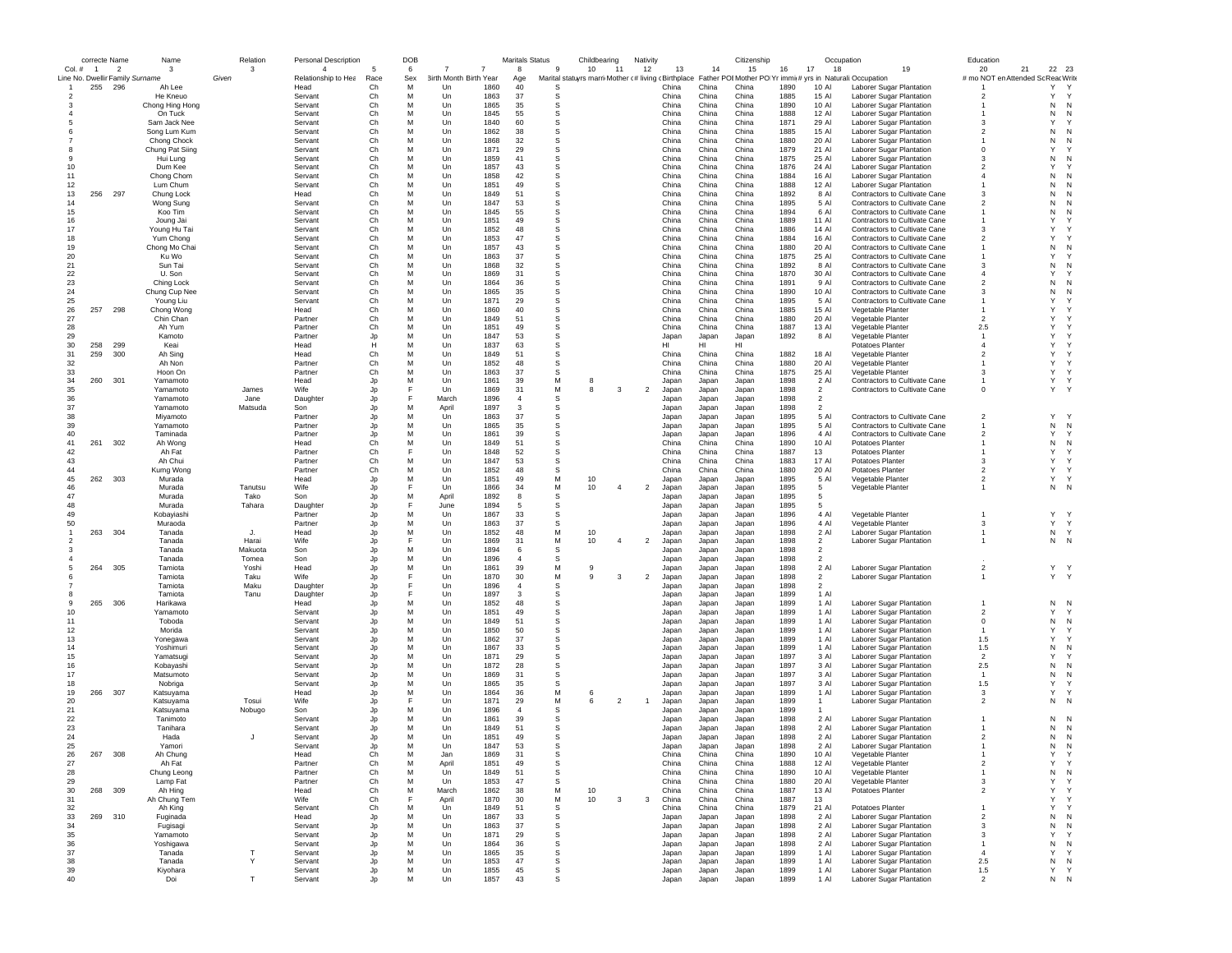|                                 |                | correcte Name            | Name                        |       | Relation        | Personal Description |          | DOB    |                       |              | <b>Maritals Status</b> |                      | Childbearing                                        | Nativity       |                |                | Citizenship                                                |              | Occupation                       |                                                                | Education                          |                   |                |
|---------------------------------|----------------|--------------------------|-----------------------------|-------|-----------------|----------------------|----------|--------|-----------------------|--------------|------------------------|----------------------|-----------------------------------------------------|----------------|----------------|----------------|------------------------------------------------------------|--------------|----------------------------------|----------------------------------------------------------------|------------------------------------|-------------------|----------------|
| Col. #                          | $\overline{1}$ | $\overline{\phantom{a}}$ | $\mathbf{3}$                |       | 3               | $\mathbf{A}$         | 5        | 6      | 7                     |              | 8                      | -9                   | 10<br>11                                            | 12             | 13             | 14             | 15                                                         | 16<br>17     | 18                               | 19                                                             | 20                                 | 21                | 22 23          |
| Line No. Dwellir Family Surname |                |                          |                             | Given |                 | Relationship to Hea  | Race     | Sex    | irth Month Birth Year |              | Age                    |                      | Marital statuyrs marri Mother (# living (Birthplace |                |                |                | Father POI Mother PO Yr immi(# yrs in Naturali: Occupation |              |                                  |                                                                | # mo NOT en Attended Sc Reac Write |                   | Y              |
|                                 | 255            | 296                      | Ah Lee<br>He Kneuo          |       |                 | Head<br>Servant      | Ch<br>Ch | M<br>M | Un<br>Un              | 1860<br>1863 | 40<br>37               | S<br>s               |                                                     |                | China<br>China | China<br>China | China<br>China                                             | 1890<br>1885 | 10 Al<br>15 Al                   | Laborer Sugar Plantation<br>Laborer Sugar Plantation           | $\overline{2}$                     | Υ<br>Υ            | Y              |
|                                 |                |                          | Chong Hing Hong             |       |                 | Servant              | Ch       | M      | Un                    | 1865         | 35                     | s                    |                                                     |                | China          | China          | China                                                      | 1890         | 10 Al                            | Laborer Sugar Plantation                                       |                                    | N                 | N              |
|                                 |                |                          | On Tuck                     |       |                 | Servant              | Ch       | M      | Un                    | 1845         | 55                     | S                    |                                                     |                | China          | China          | China                                                      | 1888         | 12 Al                            | Laborer Sugar Plantation                                       |                                    | N                 | N              |
|                                 |                |                          | Sam Jack Nee                |       |                 | Servant              | Ch       | M      | Un                    | 1840         | 60                     | S                    |                                                     |                | China          | China          | China                                                      | 1871         | 29 Al                            | Laborer Sugar Plantation                                       | 3                                  | Y                 |                |
|                                 |                |                          | Song Lum Kum                |       |                 | Servant              | Ch       | M      | Un                    | 1862         | 38                     | S                    |                                                     |                | China          | China          | China                                                      | 1885         | 15 Al                            | Laborer Sugar Plantation                                       | $\overline{2}$                     | N                 | N              |
|                                 |                |                          | Chong Chock                 |       |                 | Servant              | Ch       | M      | Un                    | 1868         | 32                     | S                    |                                                     |                | China          | China          | China                                                      | 1880         | 20 AI                            | Laborer Sugar Plantation                                       |                                    | N                 | N              |
|                                 |                |                          | Chung Pat Siing             |       |                 | Servant              | Ch       | M      | Un                    | 1871         | 29                     | S                    |                                                     |                | China          | China          | China                                                      | 1879         | 21 Al                            | Laborer Sugar Plantation                                       | $\Omega$                           | $\mathsf{Y}$      |                |
| -9                              |                |                          | Hui Lung                    |       |                 | Servant              | Ch       | M      | $_{\text{Un}}$        | 1859         | 41                     | S                    |                                                     |                | China          | China          | China                                                      | 1875         | 25 AI                            | Laborer Sugar Plantation                                       | $\mathbf{3}$                       | N                 | N              |
| 10                              |                |                          | Dum Kee                     |       |                 | Servant              | Ch       | M      | Un                    | 1857         | 43                     | S                    |                                                     |                | China          | China          | China                                                      | 1876         | 24 Al                            | Laborer Sugar Plantation                                       | $\overline{2}$                     | Y                 |                |
| 11                              |                |                          | Chong Chom                  |       |                 | Servant              | Ch       | M      | Un                    | 1858         | 42                     | S<br>S               |                                                     |                | China          | China          | China                                                      | 1884         | 16 Al                            | Laborer Sugar Plantation                                       | $\overline{4}$                     | N                 | N<br>N         |
| 12<br>13                        | 256            | 297                      | Lum Chum<br>Chung Lock      |       |                 | Servant<br>Head      | Ch<br>Ch | M<br>M | Un<br>Un              | 1851<br>1849 | 49<br>51               | s                    |                                                     |                | China<br>China | China<br>China | China<br>China                                             | 1888<br>1892 | 12 Al<br>8 Al                    | Laborer Sugar Plantation<br>Contractors to Cultivate Cane      | -3                                 | N<br>N            | N              |
| 14                              |                |                          | Wong Sung                   |       |                 | Servant              | Ch       | M      | Un                    | 1847         | 53                     | s                    |                                                     |                | China          | China          | China                                                      | 1895         | 5 Al                             | Contractors to Cultivate Cane                                  | $\overline{2}$                     | N                 | N              |
| 15                              |                |                          | Koo Tim                     |       |                 | Servant              | Ch       | M      | Un                    | 1845         | 55                     | s                    |                                                     |                | China          | China          | China                                                      | 1894         | 6 Al                             | Contractors to Cultivate Cane                                  |                                    | N                 | N              |
| 16                              |                |                          | Joung Jai                   |       |                 | Servant              | Ch       | M      | Un                    | 1851         | 49                     | S                    |                                                     |                | China          | China          | China                                                      | 1889         | 11 Al                            | Contractors to Cultivate Cane                                  |                                    | Y                 |                |
| 17                              |                |                          | Young Hu Tai                |       |                 | Servant              | Ch       | M      | Un                    | 1852         | 48                     | s                    |                                                     |                | China          | China          | China                                                      | 1886         | 14 Al                            | Contractors to Cultivate Cane                                  | 3                                  | Y                 |                |
| 18                              |                |                          | Yum Chong                   |       |                 | Servant              | Ch       | M      | Un                    | 1853         | 47                     | S                    |                                                     |                | China          | China          | China                                                      | 1884         | 16 Al                            | Contractors to Cultivate Cane                                  | $\overline{2}$                     | Y                 |                |
| 19                              |                |                          | Chong Mo Chai               |       |                 | Servant              | Ch       | M      | Un                    | 1857         | 43                     | S                    |                                                     |                | China          | China          | China                                                      | 1880         | 20 Al                            | Contractors to Cultivate Cane                                  | -1                                 | N                 | N              |
| 20                              |                |                          | Ku Wo                       |       |                 | Servant              | Ch       | M      | $_{\text{Un}}$        | 1863         | 37                     | S                    |                                                     |                | China          | China          | China                                                      | 1875         | 25 AI                            | <b>Contractors to Cultivate Cane</b>                           |                                    | Y                 |                |
| 21                              |                |                          | Sun Tai                     |       |                 | Servant              | Ch       | M      | Un                    | 1868         | 32                     | S                    |                                                     |                | China          | China          | China                                                      | 1892         | 8 Al                             | Contractors to Cultivate Cane                                  | 3                                  | N                 | N              |
| 22                              |                |                          | U. Son                      |       |                 | Servant              | Ch       | M      | Un                    | 1869         | 31                     | S<br>S               |                                                     |                | China          | China          | China                                                      | 1870         | 30 Al                            | Contractors to Cultivate Cane                                  | $\overline{4}$                     | Y                 | N              |
| 23<br>24                        |                |                          | Ching Lock<br>Chung Cup Nee |       |                 | Servant<br>Servant   | Ch<br>Ch | M<br>M | Un<br>Un              | 1864<br>1865 | 36<br>35               | s                    |                                                     |                | China<br>China | China<br>China | China<br>China                                             | 1891<br>1890 | 9 Al<br>10 Al                    | Contractors to Cultivate Cane<br>Contractors to Cultivate Cane | $\overline{2}$<br>-3               | N<br>N            | N              |
| 25                              |                |                          | Young Liu                   |       |                 | Servant              | Ch       | M      | Un                    | 1871         | 29                     | S                    |                                                     |                | China          | China          | China                                                      | 1895         | 5 Al                             | Contractors to Cultivate Cane                                  |                                    | Y                 |                |
| 26                              | 257            | 298                      | Chong Wong                  |       |                 | Head                 | Ch       | M      | Un                    | 1860         | 40                     | S                    |                                                     |                | China          | China          | China                                                      | 1885         | 15 Al                            | Vegetable Planter                                              |                                    | Y                 |                |
| 27                              |                |                          | Chin Chan                   |       |                 | Partner              | Ch       | M      | Un                    | 1849         | 51                     | S                    |                                                     |                | China          | China          | China                                                      | 1880         | 20 Al                            | Vegetable Planter                                              | $\overline{2}$                     | Y                 |                |
| 28                              |                |                          | Ah Yum                      |       |                 | Partner              | Ch       | M      | Un                    | 1851         | 49                     | S                    |                                                     |                | China          | China          | China                                                      | 1887         | 13 Al                            | Vegetable Planter                                              | 2.5                                | Y                 |                |
| 29                              |                |                          | Kamoto                      |       |                 | Partner              | Jp       | M      | Un                    | 1847         | 53                     | S                    |                                                     |                | Japan          | Japan          | Japan                                                      | 1892         | 8 Al                             | Vegetable Planter                                              | -1                                 | Y                 |                |
| 30                              | 258            | 299                      | Keai                        |       |                 | Head                 | Ĥ        | M      | Un                    | 1837         | 63                     | S                    |                                                     |                | нı             | HI             | HI                                                         |              |                                  | <b>Potatoes Planter</b>                                        | $\Delta$                           | Y                 |                |
| 31                              | 259            | 300                      | Ah Sing                     |       |                 | Head                 | Ch       | M      | $_{\text{Un}}$        | 1849         | 51                     | S                    |                                                     |                | China          | China          | China                                                      | 1882         | 18 Al                            | Vegetable Planter                                              | $\mathfrak{p}$                     | Y                 |                |
| 32                              |                |                          | Ah Non                      |       |                 | Partner              | Ch       | M      | Un                    | 1852         | 48                     | S                    |                                                     |                | China          | China          | China                                                      | 1880         | 20 AI                            | Vegetable Planter                                              |                                    | Y                 |                |
| 33                              |                |                          | Hoon On                     |       |                 | Partner              | Ch       | M      | Un                    | 1863         | 37                     | s                    |                                                     |                | China          | China          | China                                                      | 1875         | 25 AI                            | Vegetable Planter                                              | 3                                  | Y                 |                |
| 34                              | 260            | 301                      | Yamamoto                    |       | James           | Head                 | Jp       | M<br>E | Un                    | 1861         | 39                     | M<br>М               | 8<br>8<br>3                                         |                | Japan          | Japan          | Japan                                                      | 1898         | 2 Al                             | Contractors to Cultivate Cane                                  | $^{\circ}$                         | Y<br>$\mathsf{Y}$ | Y<br>Y         |
| 35<br>36                        |                |                          | Yamamoto<br>Yamamoto        |       | Jane            | Wife<br>Daughter     | Jp       | E      | Un<br>March           | 1869<br>1896 | 31<br>$\overline{4}$   | S                    |                                                     | $\overline{2}$ | Japan<br>Japan | Japan<br>Japan | Japan<br>Japan                                             | 1898<br>1898 | $\overline{2}$<br>$\overline{2}$ | Contractors to Cultivate Cane                                  |                                    |                   |                |
| 37                              |                |                          | Yamamoto                    |       | Matsuda         | Son                  | Jp<br>Jp | M      | April                 | 1897         | 3                      | S                    |                                                     |                | Japan          | Japan          | Japan                                                      | 1898         | $\overline{2}$                   |                                                                |                                    |                   |                |
| 38                              |                |                          | Miyamoto                    |       |                 | Partner              | Jp       | M      | Un                    | 1863         | 37                     | S                    |                                                     |                | Japan          | Japan          | Japan                                                      | 1895         | 5 Al                             | Contractors to Cultivate Cane                                  | $\overline{2}$                     | Y                 |                |
| 39                              |                |                          | Yamamoto                    |       |                 | Partner              | Jp       | M      | Un                    | 1865         | 35                     | s                    |                                                     |                | Japan          | Japan          | Japan                                                      | 1895         | 5 Al                             | Contractors to Cultivate Cane                                  | $\mathbf{1}$                       | N                 | N              |
| 40                              |                |                          | Taminada                    |       |                 | Partner              | Jp       | M      | Un                    | 1861         | 39                     | S                    |                                                     |                | Japan          | Japan          | Japan                                                      | 1896         | 4 Al                             | Contractors to Cultivate Cane                                  | $\overline{2}$                     | Y                 | Y              |
| 41                              | 261            | 302                      | Ah Wong                     |       |                 | Head                 | Ch       | M      | Un                    | 1849         | 51                     | S                    |                                                     |                | China          | China          | China                                                      | 1890         | 10 Al                            | <b>Potatoes Planter</b>                                        |                                    | N                 | N              |
| 42                              |                |                          | Ah Fat                      |       |                 | Partner              | Ch       |        | $_{\text{Un}}$        | 1848         | 52                     | S                    |                                                     |                | China          | China          | China                                                      | 1887         | 13                               | <b>Potatoes Planter</b>                                        |                                    | Y                 |                |
| 43                              |                |                          | Ah Chui                     |       |                 | Partner              | Ch       | M      | Un                    | 1847         | 53                     | S                    |                                                     |                | China          | China          | China                                                      | 1883         | 17 Al                            | Potatoes Planter                                               | 3                                  | Y                 |                |
| 44                              |                |                          | Kumg Wong                   |       |                 | Partner              | Ch       | M      | Un                    | 1852         | 48                     | S                    |                                                     |                | China          | China          | China                                                      | 1880         | 20 AI                            | Potatoes Planter                                               | $\overline{2}$                     | Y                 | Y              |
| 45                              | 262            | 303                      | Murada                      |       |                 | Head                 | Jp       | M      | Un                    | 1851         | 49                     | M                    | 10                                                  |                | Japan          | Japan          | Japan                                                      | 1895         | 5 Al                             | Vegetable Planter                                              | $\overline{\mathbf{2}}$            | Υ                 | Y              |
| 46<br>47                        |                |                          | Murada<br>Murada            |       | Tanutsu<br>Tako | Wife                 | Jp       | M      | Un<br>April           | 1866<br>1892 | 34<br>8                | M<br>S               | 10<br>$\overline{a}$                                | $\overline{2}$ | Japan          | Japan          | Japan                                                      | 1895<br>1895 | 5<br>-5                          | Vegetable Planter                                              |                                    | N                 | N              |
| 48                              |                |                          | Murada                      |       | Tahara          | Son<br>Daughter      | Jp<br>Jp | F      | June                  | 1894         | 5                      | S                    |                                                     |                | Japan<br>Japan | Japan<br>Japan | Japan<br>Japan                                             | 1895         | 5                                |                                                                |                                    |                   |                |
| 49                              |                |                          | Kobayiashi                  |       |                 | Partner              | Jp       | M      | Un                    | 1867         | 33                     | s                    |                                                     |                | Japan          | Japan          | Japan                                                      | 1896         | 4 Al                             | Vegetable Planter                                              | $\mathbf{1}$                       | Y                 |                |
| 50                              |                |                          | Muraoda                     |       |                 | Partner              | Jp       | M      | Un                    | 1863         | 37                     | s                    |                                                     |                | Japan          | Japan          | Japan                                                      | 1896         | 4 Al                             | Vegetable Planter                                              | 3                                  | Y                 | Y              |
|                                 | 263            | 304                      | Tanada                      |       | J.              | Head                 | Jp       | M      | Un                    | 1852         | 48                     | M                    | 10                                                  |                | Japan          | Japan          | Japan                                                      | 1898         | 2 Al                             | Laborer Sugar Plantation                                       |                                    | N                 | Y              |
| $\overline{\phantom{a}}$        |                |                          | Tanada                      |       | Harai           | Wife                 | Jp       | E      | $_{\text{Un}}$        | 1869         | 31                     | M                    | 10<br>$\overline{4}$                                | $\overline{2}$ | Japan          | Japan          | Japan                                                      | 1898         | $\mathfrak{D}$                   | Laborer Sugar Plantation                                       |                                    | N                 | N              |
|                                 |                |                          | Tanada                      |       | Makuota         | Son                  | Jp       | M      | Un                    | 1894         | 6                      | S                    |                                                     |                | Japan          | Japan          | Japan                                                      | 1898         | $\overline{2}$                   |                                                                |                                    |                   |                |
|                                 |                |                          | Tanada                      |       | Tomea           | Son                  | Jp       | M      | Un                    | 1896         | $\overline{4}$         | S                    |                                                     |                | Japan          | Japan          | Japan                                                      | 1898         | $\overline{2}$                   |                                                                |                                    |                   |                |
|                                 | 264            | 305                      | Tamiota                     |       | Yoshi           | Head                 | Jp       | M      | Un                    | 1861         | 39                     | M                    | 9                                                   |                | Japan          | Japan          | Japan                                                      | 1898         | 2 Al                             | Laborer Sugar Plantation                                       | $\overline{2}$                     |                   | Y Y            |
|                                 |                |                          | Tamiota                     |       | Taku            | Wife                 | Jp       | E      | Un                    | 1870         | 30                     | М                    | 9<br>3                                              | $\overline{2}$ | Japan          | Japan          | Japan                                                      | 1898         | $\overline{2}$                   | Laborer Sugar Plantation                                       | $\mathbf{1}$                       |                   | Y Y            |
|                                 |                |                          | Tamiota                     |       | Maku            | Daughter             | Jp       | F      | Un                    | 1896         | 4<br>3                 | s                    |                                                     |                | Japan          | Japan          | Japan                                                      | 1898         | $\overline{2}$<br>1 Al           |                                                                |                                    |                   |                |
| -9                              | 265            | 306                      | Tamiota<br>Harikawa         |       | Tanu            | Daughter<br>Head     | Jp       | M      | Un<br>Un              | 1897<br>1852 | 48                     | s<br>S               |                                                     |                | Japan<br>Japan | Japan<br>Japan | Japan<br>Japan                                             | 1899<br>1899 | 1 Al                             | Laborer Sugar Plantation                                       |                                    | N                 | N              |
| 10                              |                |                          | Yamamoto                    |       |                 | Servant              | Jp<br>Jp | M      | Un                    | 1851         | 49                     | s                    |                                                     |                | Japan          | Japan          | Japan                                                      | 1899         | 1 Al                             | Laborer Sugar Plantation                                       | $\overline{2}$                     | Y                 | Y              |
| 11                              |                |                          | Toboda                      |       |                 | Servant              | Jp       | M      | Un                    | 1849         | 51                     | S                    |                                                     |                | Japan          | Japan          | Japan                                                      | 1899         | 1 Al                             | Laborer Sugar Plantation                                       | $^{\circ}$                         | N                 | N              |
| 12                              |                |                          | Morida                      |       |                 | Servant              | Jp       | M      | Un                    | 1850         | 50                     | S                    |                                                     |                | Japan          | Japan          | Japan                                                      | 1899         | 1 Al                             | Laborer Sugar Plantation                                       | $\overline{1}$                     | Y                 | Y              |
| 13                              |                |                          | Yonegawa                    |       |                 | Servant              | Jp       | M      | $_{\text{Un}}$        | 1862         | 37                     | S                    |                                                     |                | Japan          | Japan          | Japan                                                      | 1899         | $1$ Al                           | Laborer Sugar Plantation                                       | 1.5                                | Y                 | Y              |
| 14                              |                |                          | Yoshimuri                   |       |                 | Servant              | Jp       | M      | Un                    | 1867         | 33                     | S                    |                                                     |                | Japan          | Japan          | Japan                                                      | 1899         | 1 Al                             | Laborer Sugar Plantation                                       | 1.5                                | N                 | N              |
| 15                              |                |                          | Yamatsugi                   |       |                 | Servant              | Jp       | M      | Un                    | 1871         | 29                     | S                    |                                                     |                | Japan          | Japan          | Japan                                                      | 1897         | 3 Al                             | Laborer Sugar Plantation                                       | $\overline{2}$                     | Y                 |                |
| 16                              |                |                          | Kobayashi                   |       |                 | Servant              | Jp       | M      | Un                    | 1872         | 28                     | S                    |                                                     |                | Japan          | Japan          | Japan                                                      | 1897         | 3 Al                             | Laborer Sugar Plantation                                       | 2.5                                | N                 | N              |
| 17                              |                |                          | Matsumoto                   |       |                 | Servant              | Jp       | M      | Un                    | 1869         | 31                     | s                    |                                                     |                | Japan          | Japan          | Japan                                                      | 1897         | 3 Al                             | Laborer Sugar Plantation                                       | $\overline{1}$                     | N                 | N              |
| 18                              |                |                          | Nobriga                     |       |                 | Servant              | Jp       | M      | Un                    | 1865         | 35                     | S                    |                                                     |                | Japan          | Japan          | Japan                                                      | 1897         | 3 Al                             | Laborer Sugar Plantation                                       | 1.5                                | Y                 |                |
| 19                              | 266 307        |                          | Katsuyama                   |       |                 | Head                 | Jp       | M<br>F | Un                    | 1864         | 36                     | M                    | 6                                                   |                | Japan          | Japan          | Japan                                                      | 1899         | 1 Al                             | Laborer Sugar Plantation                                       | 3                                  | Y                 | Y              |
| 20                              |                |                          | Katsuyama                   |       | Tosui           | Wife<br>Son          | Jo       | M      | Un<br>Un              | 1871<br>1896 | 29<br>$\overline{4}$   | M<br>S               | $\mathfrak{p}$<br>6                                 |                | Japan          | Japan          | Japan                                                      | 1899<br>1899 | 1<br>$\mathbf{1}$                | Laborer Sugar Plantation                                       | $\overline{2}$                     | N                 | N              |
| 21<br>22                        |                |                          | Katsuyama<br>Tanimoto       |       | Nobugo          | Servant              | Jp<br>Jp | M      | Un                    | 1861         | 39                     | S                    |                                                     |                | Japan<br>Japan | Japan<br>Japan | Japan<br>Japan                                             | 1898         | 2 Al                             | Laborer Sugar Plantation                                       |                                    | N                 | N              |
| 23                              |                |                          | Tanihara                    |       |                 | Servant              | Jp       | M      | Un                    | 1849         | 51                     | S                    |                                                     |                | Japan          | Japan          | Japan                                                      | 1898         | $2$ Al                           | Laborer Sugar Plantation                                       |                                    | N                 | N              |
| 24                              |                |                          | Hada                        |       | J.              | Servant              | Jp       | M      | Un                    | 1851         | 49                     | S                    |                                                     |                | Japan          | Japan          | Japan                                                      | 1898         | $2$ Al                           | Laborer Sugar Plantation                                       | $\mathfrak{p}$                     | N                 | N              |
| 25                              |                |                          | Yamori                      |       |                 | Servant              | .ln      | M      | Un                    | 1847         | 53                     | <b>s</b>             |                                                     |                | Japan          | Japan          | Japan                                                      | 1898         | 2 Al                             | Laborer Sugar Plantation                                       |                                    | N                 | N              |
| 26                              | 267            | 308                      | Ah Chung                    |       |                 | Head                 | Ch       |        | Jar                   | 1869         | 31                     | $\ddot{\phantom{0}}$ |                                                     |                | ∪nına          | Unina          | China                                                      | 1890         | 10 Al                            | vegetable Plante                                               |                                    |                   |                |
| 27                              |                |                          | Ah Fat                      |       |                 | Partner              | Ch       | M      | April                 | 1851         | 49                     | s                    |                                                     |                | China          | China          | China                                                      | 1888         | 12 AI                            | Vegetable Planter                                              | $\overline{2}$                     | Υ                 | Y              |
| 28                              |                |                          | Chung Leong                 |       |                 | Partner              | Ch       | М      | Un                    | 1849         | 51                     | s                    |                                                     |                | China          | China          | China                                                      | 1890         | 10 Al                            | Vegetable Planter                                              | $\overline{1}$                     | N                 | N              |
| 29                              |                |                          | Lamp Fat                    |       |                 | Partner              | Ch       | M      | Un                    | 1853         | 47                     | S                    |                                                     |                | China          | China          | China                                                      | 1880         | 20 Al                            | Vegetable Planter                                              | 3                                  | Y                 | Y              |
| 30                              | 268 309        |                          | Ah Hing                     |       |                 | Head                 | Ch       | M      | March                 | 1862         | 38                     | M                    | 10                                                  |                | China          | China          | China                                                      | 1887         | 13 Al                            | Potatoes Planter                                               | $\overline{2}$                     | Y                 | Y              |
| 31                              |                |                          | Ah Chung Tem                |       |                 | Wife                 | Ch       | F      | April                 | 1870         | 30                     | М                    | 10<br>3                                             | 3              | China          | China          | China                                                      | 1887         | 13                               |                                                                |                                    | Y                 | Y              |
| 32                              |                |                          | Ah King                     |       |                 | Servant              | Ch       | M<br>M | Un                    | 1849         | 51                     | s                    |                                                     |                | China          | China          | China                                                      | 1879         | 21 Al<br>2 Al                    | Potatoes Planter                                               | $\overline{2}$                     | Y                 | N              |
| 33<br>34                        | 269 310        |                          | Fuginada                    |       |                 | Head<br>Servant      | Jp<br>Jp | M      | Un<br>Un              | 1867<br>1863 | 33<br>37               | s<br>S               |                                                     |                | Japan<br>Japan | Japan          | Japan<br>Japan                                             | 1898<br>1898 | 2 Al                             | Laborer Sugar Plantation<br>Laborer Sugar Plantation           | $\mathbf{3}$                       | N<br>N            | N              |
| 35                              |                |                          | Fugisagi<br>Yamamoto        |       |                 | Servant              | Jp       | M      | Un                    | 1871         | 29                     | s                    |                                                     |                | Japan          | Japan<br>Japan | Japan                                                      | 1898         | 2 Al                             | Laborer Sugar Plantation                                       | 3                                  | Y                 | Y              |
| 36                              |                |                          | Yoshigawa                   |       |                 | Servant              | Jp       | M      | Un                    | 1864         | 36                     | S                    |                                                     |                | Japan          | Japan          | Japan                                                      | 1898         | 2 Al                             | Laborer Sugar Plantation                                       | $\overline{1}$                     | ${\sf N}$         | N              |
| 37                              |                |                          | Tanada                      |       |                 | Servant              | Jp       | M      | Un                    | 1865         | 35                     | s                    |                                                     |                | Japan          | Japan          | Japan                                                      | 1899         | 1 Al                             | Laborer Sugar Plantation                                       | $\overline{4}$                     | Y                 | Y              |
| 38                              |                |                          | Tanada                      |       | Y               | Servant              | Jp       | M      | Un                    | 1853         | 47                     | s                    |                                                     |                | Japan          | Japan          | Japan                                                      | 1899         | 1 Al                             | Laborer Sugar Plantation                                       | 2.5                                | N                 | N              |
| 39                              |                |                          | Kiyohara                    |       |                 | Servant              | Jp       | М      | Un                    | 1855         | 45                     | s                    |                                                     |                | Japan          | Japan          | Japan                                                      | 1899         | 1 Al                             | Laborer Sugar Plantation                                       | $1.5$                              | Y                 | $\mathsf{Y}$   |
| 40                              |                |                          | Doi                         |       | T               | Servant              | Jo       | M      | Un                    | 1857         | 43                     | s                    |                                                     |                | Japan          | Japan          | Japan                                                      | 1899         | 1 Al                             | Laborer Sugar Plantation                                       | $\mathfrak{p}$                     | N                 | $\overline{N}$ |